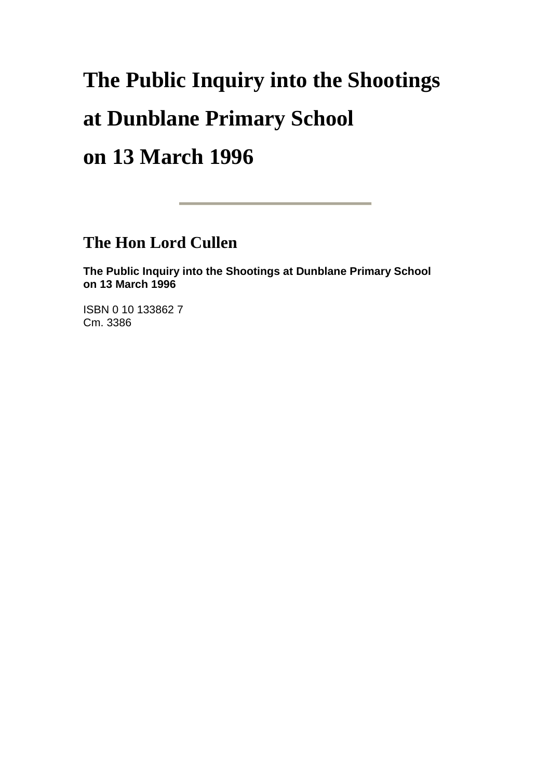# **The Public Inquiry into the Shootings at Dunblane Primary School on 13 March 1996**

**The Hon Lord Cullen**

**The Public Inquiry into the Shootings at Dunblane Primary School on 13 March 1996**

ISBN 0 10 133862 7 Cm. 3386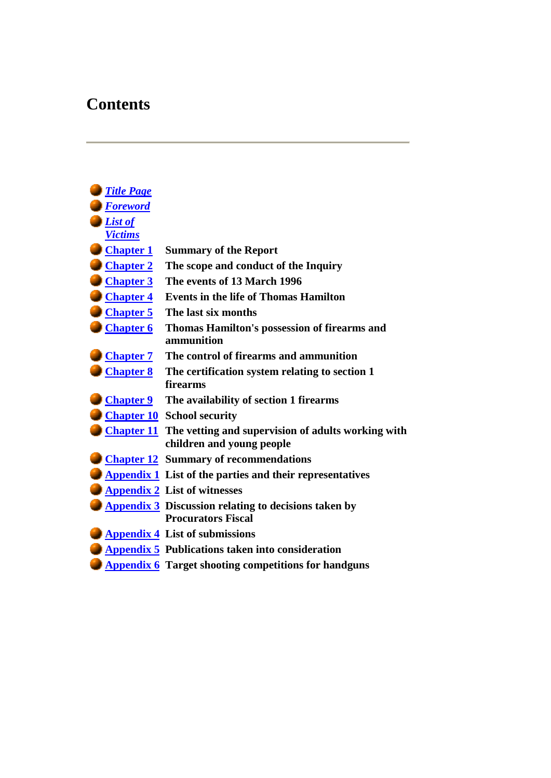# **Contents**

| <b>Title Page</b> |                                                                      |
|-------------------|----------------------------------------------------------------------|
| <b>Foreword</b>   |                                                                      |
| List of           |                                                                      |
| <b>Victims</b>    |                                                                      |
| <b>Chapter 1</b>  | <b>Summary of the Report</b>                                         |
| <b>Chapter 2</b>  | The scope and conduct of the Inquiry                                 |
| <b>Chapter 3</b>  | The events of 13 March 1996                                          |
| <b>Chapter 4</b>  | <b>Events in the life of Thomas Hamilton</b>                         |
| <b>Chapter 5</b>  | The last six months                                                  |
| <b>Chapter 6</b>  | Thomas Hamilton's possession of firearms and                         |
|                   | ammunition                                                           |
| <b>Chapter 7</b>  | The control of firearms and ammunition                               |
| <b>Chapter 8</b>  | The certification system relating to section 1                       |
|                   | firearms                                                             |
| <b>Chapter 9</b>  | The availability of section 1 firearms                               |
|                   | <b>Chapter 10</b> School security                                    |
|                   | <b>Chapter 11</b> The vetting and supervision of adults working with |
|                   | children and young people                                            |
|                   | <b>Chapter 12 Summary of recommendations</b>                         |
|                   | <b>Appendix 1</b> List of the parties and their representatives      |
|                   | <b>Appendix 2</b> List of witnesses                                  |
|                   | <b>Appendix 3</b> Discussion relating to decisions taken by          |
|                   | <b>Procurators Fiscal</b>                                            |
|                   | <b>Appendix 4 List of submissions</b>                                |
|                   | <b>Appendix 5 Publications taken into consideration</b>              |
|                   | <b>Appendix 6</b> Target shooting competitions for handguns          |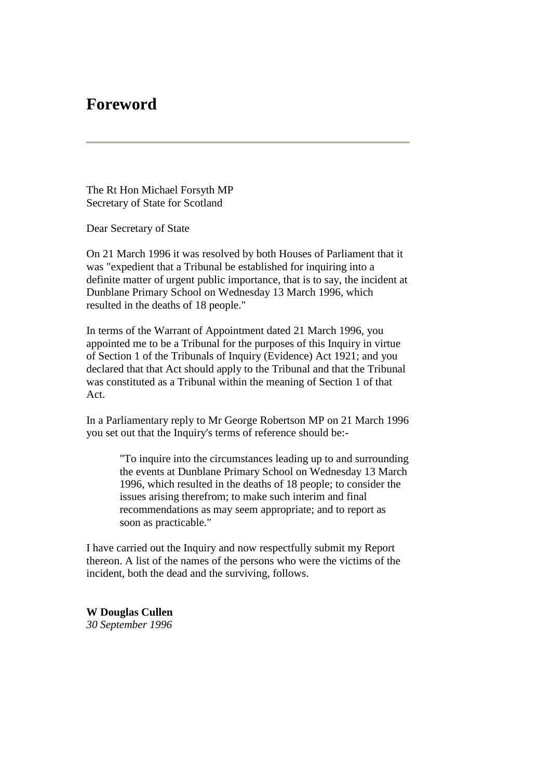# **Foreword**

The Rt Hon Michael Forsyth MP Secretary of State for Scotland

Dear Secretary of State

On 21 March 1996 it was resolved by both Houses of Parliament that it was "expedient that a Tribunal be established for inquiring into a definite matter of urgent public importance, that is to say, the incident at Dunblane Primary School on Wednesday 13 March 1996, which resulted in the deaths of 18 people."

In terms of the Warrant of Appointment dated 21 March 1996, you appointed me to be a Tribunal for the purposes of this Inquiry in virtue of Section 1 of the Tribunals of Inquiry (Evidence) Act 1921; and you declared that that Act should apply to the Tribunal and that the Tribunal was constituted as a Tribunal within the meaning of Section 1 of that Act.

In a Parliamentary reply to Mr George Robertson MP on 21 March 1996 you set out that the Inquiry's terms of reference should be:-

> "To inquire into the circumstances leading up to and surrounding the events at Dunblane Primary School on Wednesday 13 March 1996, which resulted in the deaths of 18 people; to consider the issues arising therefrom; to make such interim and final recommendations as may seem appropriate; and to report as soon as practicable."

I have carried out the Inquiry and now respectfully submit my Report thereon. A list of the names of the persons who were the victims of the incident, both the dead and the surviving, follows.

**W Douglas Cullen** *30 September 1996*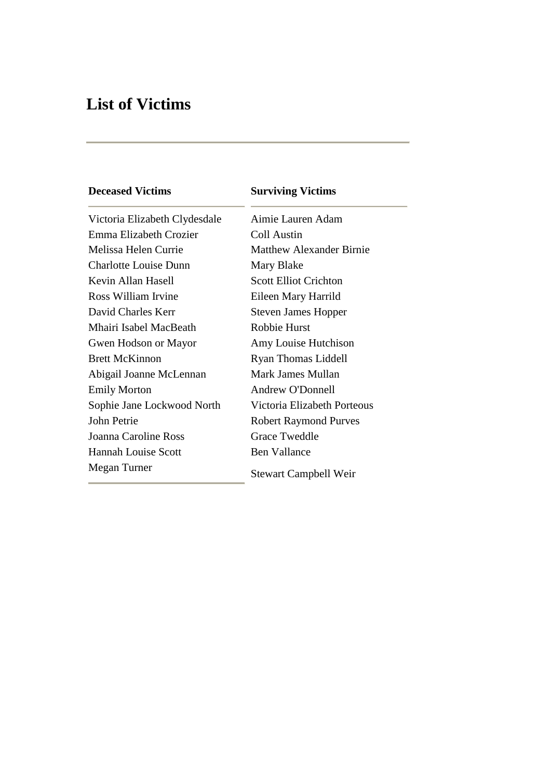# **List of Victims**

# **Deceased Victims Surviving Victims** Victoria Elizabeth Clydesdale Aimie Lauren Adam Emma Elizabeth Crozier Coll Austin Melissa Helen Currie Matthew Alexander Birnie Charlotte Louise Dunn Mary Blake Kevin Allan Hasell Scott Elliot Crichton Ross William Irvine Eileen Mary Harrild David Charles Kerr Steven James Hopper Mhairi Isabel MacBeath Robbie Hurst Gwen Hodson or Mayor Amy Louise Hutchison Brett McKinnon Ryan Thomas Liddell Abigail Joanne McLennan Mark James Mullan Emily Morton Andrew O'Donnell Sophie Jane Lockwood North Victoria Elizabeth Porteous John Petrie Robert Raymond Purves Joanna Caroline Ross Grace Tweddle Hannah Louise Scott Ben Vallance Megan Turner Stewart Campbell Weir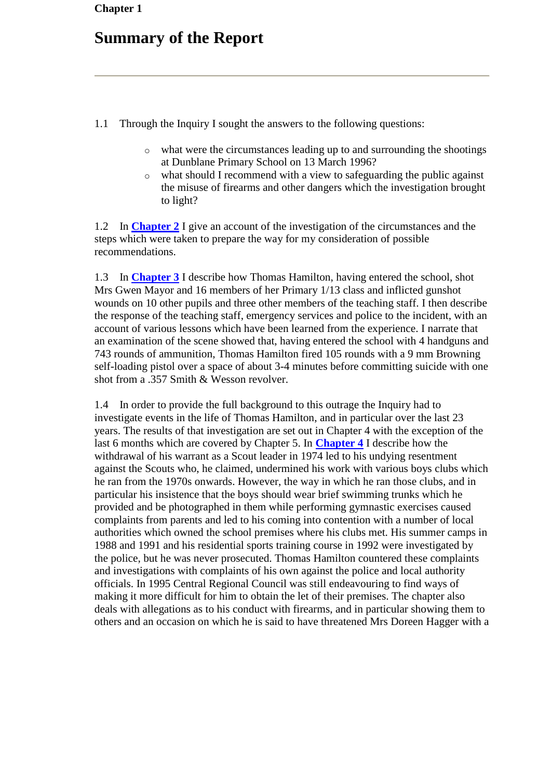# **Summary of the Report**

- 1.1 Through the Inquiry I sought the answers to the following questions:
	- o what were the circumstances leading up to and surrounding the shootings at Dunblane Primary School on 13 March 1996?
	- o what should I recommend with a view to safeguarding the public against the misuse of firearms and other dangers which the investigation brought to light?

1.2 In **[Chapter 2](http://www.archive.official-documents.co.uk/document/scottish/dunblane/dun02.htm)** I give an account of the investigation of the circumstances and the steps which were taken to prepare the way for my consideration of possible recommendations.

1.3 In **[Chapter 3](http://www.archive.official-documents.co.uk/document/scottish/dunblane/dun03a.htm)** I describe how Thomas Hamilton, having entered the school, shot Mrs Gwen Mayor and 16 members of her Primary 1/13 class and inflicted gunshot wounds on 10 other pupils and three other members of the teaching staff. I then describe the response of the teaching staff, emergency services and police to the incident, with an account of various lessons which have been learned from the experience. I narrate that an examination of the scene showed that, having entered the school with 4 handguns and 743 rounds of ammunition, Thomas Hamilton fired 105 rounds with a 9 mm Browning self-loading pistol over a space of about 3-4 minutes before committing suicide with one shot from a .357 Smith & Wesson revolver.

1.4 In order to provide the full background to this outrage the Inquiry had to investigate events in the life of Thomas Hamilton, and in particular over the last 23 years. The results of that investigation are set out in Chapter 4 with the exception of the last 6 months which are covered by Chapter 5. In **[Chapter 4](http://www.archive.official-documents.co.uk/document/scottish/dunblane/dun04a.htm)** I describe how the withdrawal of his warrant as a Scout leader in 1974 led to his undying resentment against the Scouts who, he claimed, undermined his work with various boys clubs which he ran from the 1970s onwards. However, the way in which he ran those clubs, and in particular his insistence that the boys should wear brief swimming trunks which he provided and be photographed in them while performing gymnastic exercises caused complaints from parents and led to his coming into contention with a number of local authorities which owned the school premises where his clubs met. His summer camps in 1988 and 1991 and his residential sports training course in 1992 were investigated by the police, but he was never prosecuted. Thomas Hamilton countered these complaints and investigations with complaints of his own against the police and local authority officials. In 1995 Central Regional Council was still endeavouring to find ways of making it more difficult for him to obtain the let of their premises. The chapter also deals with allegations as to his conduct with firearms, and in particular showing them to others and an occasion on which he is said to have threatened Mrs Doreen Hagger with a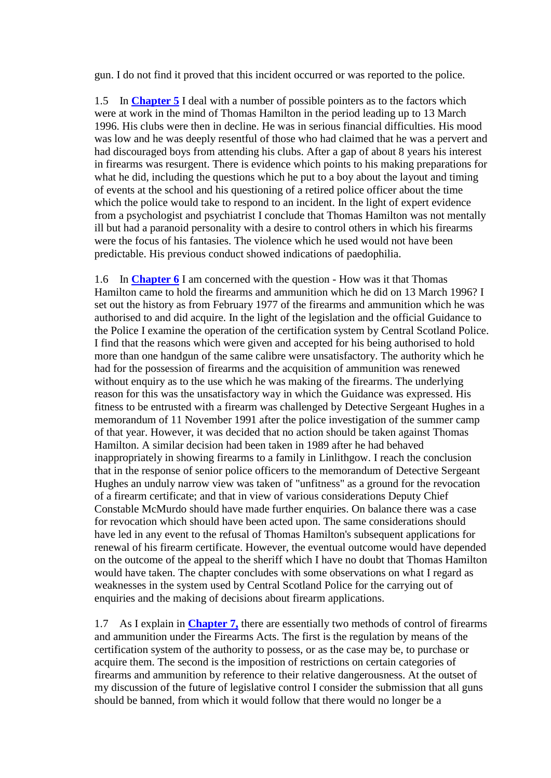gun. I do not find it proved that this incident occurred or was reported to the police.

1.5 In **[Chapter 5](http://www.archive.official-documents.co.uk/document/scottish/dunblane/dun05a.htm)** I deal with a number of possible pointers as to the factors which were at work in the mind of Thomas Hamilton in the period leading up to 13 March 1996. His clubs were then in decline. He was in serious financial difficulties. His mood was low and he was deeply resentful of those who had claimed that he was a pervert and had discouraged boys from attending his clubs. After a gap of about 8 years his interest in firearms was resurgent. There is evidence which points to his making preparations for what he did, including the questions which he put to a boy about the layout and timing of events at the school and his questioning of a retired police officer about the time which the police would take to respond to an incident. In the light of expert evidence from a psychologist and psychiatrist I conclude that Thomas Hamilton was not mentally ill but had a paranoid personality with a desire to control others in which his firearms were the focus of his fantasies. The violence which he used would not have been predictable. His previous conduct showed indications of paedophilia.

1.6 In **[Chapter 6](http://www.archive.official-documents.co.uk/document/scottish/dunblane/dun06a.htm)** I am concerned with the question - How was it that Thomas Hamilton came to hold the firearms and ammunition which he did on 13 March 1996? I set out the history as from February 1977 of the firearms and ammunition which he was authorised to and did acquire. In the light of the legislation and the official Guidance to the Police I examine the operation of the certification system by Central Scotland Police. I find that the reasons which were given and accepted for his being authorised to hold more than one handgun of the same calibre were unsatisfactory. The authority which he had for the possession of firearms and the acquisition of ammunition was renewed without enquiry as to the use which he was making of the firearms. The underlying reason for this was the unsatisfactory way in which the Guidance was expressed. His fitness to be entrusted with a firearm was challenged by Detective Sergeant Hughes in a memorandum of 11 November 1991 after the police investigation of the summer camp of that year. However, it was decided that no action should be taken against Thomas Hamilton. A similar decision had been taken in 1989 after he had behaved inappropriately in showing firearms to a family in Linlithgow. I reach the conclusion that in the response of senior police officers to the memorandum of Detective Sergeant Hughes an unduly narrow view was taken of "unfitness" as a ground for the revocation of a firearm certificate; and that in view of various considerations Deputy Chief Constable McMurdo should have made further enquiries. On balance there was a case for revocation which should have been acted upon. The same considerations should have led in any event to the refusal of Thomas Hamilton's subsequent applications for renewal of his firearm certificate. However, the eventual outcome would have depended on the outcome of the appeal to the sheriff which I have no doubt that Thomas Hamilton would have taken. The chapter concludes with some observations on what I regard as weaknesses in the system used by Central Scotland Police for the carrying out of enquiries and the making of decisions about firearm applications.

1.7 As I explain in **[Chapter 7,](http://www.archive.official-documents.co.uk/document/scottish/dunblane/dun07.htm)** there are essentially two methods of control of firearms and ammunition under the Firearms Acts. The first is the regulation by means of the certification system of the authority to possess, or as the case may be, to purchase or acquire them. The second is the imposition of restrictions on certain categories of firearms and ammunition by reference to their relative dangerousness. At the outset of my discussion of the future of legislative control I consider the submission that all guns should be banned, from which it would follow that there would no longer be a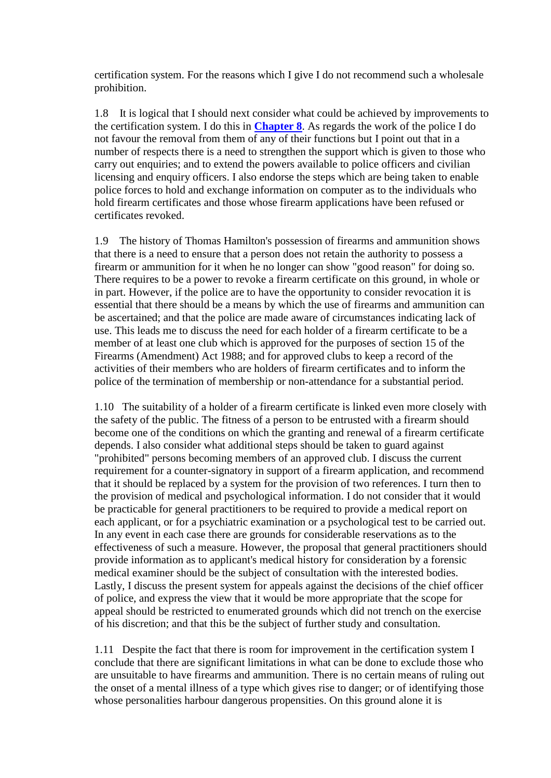certification system. For the reasons which I give I do not recommend such a wholesale prohibition.

1.8 It is logical that I should next consider what could be achieved by improvements to the certification system. I do this in **[Chapter 8](http://www.archive.official-documents.co.uk/document/scottish/dunblane/dun08a.htm)**. As regards the work of the police I do not favour the removal from them of any of their functions but I point out that in a number of respects there is a need to strengthen the support which is given to those who carry out enquiries; and to extend the powers available to police officers and civilian licensing and enquiry officers. I also endorse the steps which are being taken to enable police forces to hold and exchange information on computer as to the individuals who hold firearm certificates and those whose firearm applications have been refused or certificates revoked.

1.9 The history of Thomas Hamilton's possession of firearms and ammunition shows that there is a need to ensure that a person does not retain the authority to possess a firearm or ammunition for it when he no longer can show "good reason" for doing so. There requires to be a power to revoke a firearm certificate on this ground, in whole or in part. However, if the police are to have the opportunity to consider revocation it is essential that there should be a means by which the use of firearms and ammunition can be ascertained; and that the police are made aware of circumstances indicating lack of use. This leads me to discuss the need for each holder of a firearm certificate to be a member of at least one club which is approved for the purposes of section 15 of the Firearms (Amendment) Act 1988; and for approved clubs to keep a record of the activities of their members who are holders of firearm certificates and to inform the police of the termination of membership or non-attendance for a substantial period.

1.10 The suitability of a holder of a firearm certificate is linked even more closely with the safety of the public. The fitness of a person to be entrusted with a firearm should become one of the conditions on which the granting and renewal of a firearm certificate depends. I also consider what additional steps should be taken to guard against "prohibited" persons becoming members of an approved club. I discuss the current requirement for a counter-signatory in support of a firearm application, and recommend that it should be replaced by a system for the provision of two references. I turn then to the provision of medical and psychological information. I do not consider that it would be practicable for general practitioners to be required to provide a medical report on each applicant, or for a psychiatric examination or a psychological test to be carried out. In any event in each case there are grounds for considerable reservations as to the effectiveness of such a measure. However, the proposal that general practitioners should provide information as to applicant's medical history for consideration by a forensic medical examiner should be the subject of consultation with the interested bodies. Lastly, I discuss the present system for appeals against the decisions of the chief officer of police, and express the view that it would be more appropriate that the scope for appeal should be restricted to enumerated grounds which did not trench on the exercise of his discretion; and that this be the subject of further study and consultation.

1.11 Despite the fact that there is room for improvement in the certification system I conclude that there are significant limitations in what can be done to exclude those who are unsuitable to have firearms and ammunition. There is no certain means of ruling out the onset of a mental illness of a type which gives rise to danger; or of identifying those whose personalities harbour dangerous propensities. On this ground alone it is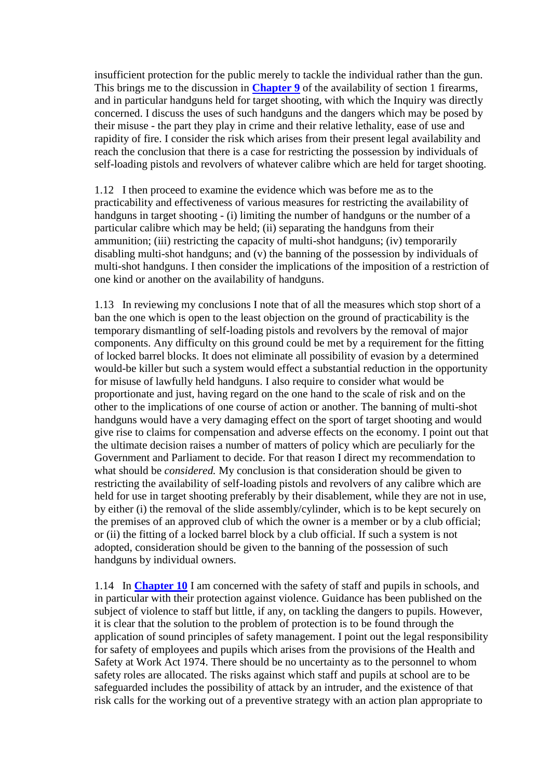insufficient protection for the public merely to tackle the individual rather than the gun. This brings me to the discussion in **[Chapter 9](http://www.archive.official-documents.co.uk/document/scottish/dunblane/dun09a.htm)** of the availability of section 1 firearms, and in particular handguns held for target shooting, with which the Inquiry was directly concerned. I discuss the uses of such handguns and the dangers which may be posed by their misuse - the part they play in crime and their relative lethality, ease of use and rapidity of fire. I consider the risk which arises from their present legal availability and reach the conclusion that there is a case for restricting the possession by individuals of self-loading pistols and revolvers of whatever calibre which are held for target shooting.

1.12 I then proceed to examine the evidence which was before me as to the practicability and effectiveness of various measures for restricting the availability of handguns in target shooting - (i) limiting the number of handguns or the number of a particular calibre which may be held; (ii) separating the handguns from their ammunition; (iii) restricting the capacity of multi-shot handguns; (iv) temporarily disabling multi-shot handguns; and (v) the banning of the possession by individuals of multi-shot handguns. I then consider the implications of the imposition of a restriction of one kind or another on the availability of handguns.

1.13 In reviewing my conclusions I note that of all the measures which stop short of a ban the one which is open to the least objection on the ground of practicability is the temporary dismantling of self-loading pistols and revolvers by the removal of major components. Any difficulty on this ground could be met by a requirement for the fitting of locked barrel blocks. It does not eliminate all possibility of evasion by a determined would-be killer but such a system would effect a substantial reduction in the opportunity for misuse of lawfully held handguns. I also require to consider what would be proportionate and just, having regard on the one hand to the scale of risk and on the other to the implications of one course of action or another. The banning of multi-shot handguns would have a very damaging effect on the sport of target shooting and would give rise to claims for compensation and adverse effects on the economy. I point out that the ultimate decision raises a number of matters of policy which are peculiarly for the Government and Parliament to decide. For that reason I direct my recommendation to what should be *considered.* My conclusion is that consideration should be given to restricting the availability of self-loading pistols and revolvers of any calibre which are held for use in target shooting preferably by their disablement, while they are not in use, by either (i) the removal of the slide assembly/cylinder, which is to be kept securely on the premises of an approved club of which the owner is a member or by a club official; or (ii) the fitting of a locked barrel block by a club official. If such a system is not adopted, consideration should be given to the banning of the possession of such handguns by individual owners.

1.14 In **[Chapter 10](http://www.archive.official-documents.co.uk/document/scottish/dunblane/dun10.htm)** I am concerned with the safety of staff and pupils in schools, and in particular with their protection against violence. Guidance has been published on the subject of violence to staff but little, if any, on tackling the dangers to pupils. However, it is clear that the solution to the problem of protection is to be found through the application of sound principles of safety management. I point out the legal responsibility for safety of employees and pupils which arises from the provisions of the Health and Safety at Work Act 1974. There should be no uncertainty as to the personnel to whom safety roles are allocated. The risks against which staff and pupils at school are to be safeguarded includes the possibility of attack by an intruder, and the existence of that risk calls for the working out of a preventive strategy with an action plan appropriate to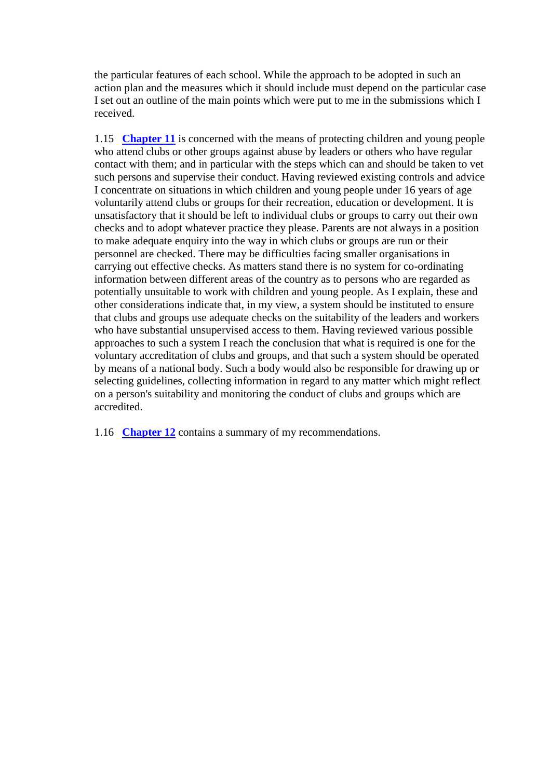the particular features of each school. While the approach to be adopted in such an action plan and the measures which it should include must depend on the particular case I set out an outline of the main points which were put to me in the submissions which I received.

1.15 **[Chapter 11](http://www.archive.official-documents.co.uk/document/scottish/dunblane/dun11a.htm)** is concerned with the means of protecting children and young people who attend clubs or other groups against abuse by leaders or others who have regular contact with them; and in particular with the steps which can and should be taken to vet such persons and supervise their conduct. Having reviewed existing controls and advice I concentrate on situations in which children and young people under 16 years of age voluntarily attend clubs or groups for their recreation, education or development. It is unsatisfactory that it should be left to individual clubs or groups to carry out their own checks and to adopt whatever practice they please. Parents are not always in a position to make adequate enquiry into the way in which clubs or groups are run or their personnel are checked. There may be difficulties facing smaller organisations in carrying out effective checks. As matters stand there is no system for co-ordinating information between different areas of the country as to persons who are regarded as potentially unsuitable to work with children and young people. As I explain, these and other considerations indicate that, in my view, a system should be instituted to ensure that clubs and groups use adequate checks on the suitability of the leaders and workers who have substantial unsupervised access to them. Having reviewed various possible approaches to such a system I reach the conclusion that what is required is one for the voluntary accreditation of clubs and groups, and that such a system should be operated by means of a national body. Such a body would also be responsible for drawing up or selecting guidelines, collecting information in regard to any matter which might reflect on a person's suitability and monitoring the conduct of clubs and groups which are accredited.

1.16 **Chapter 12** contains a summary of my recommendations.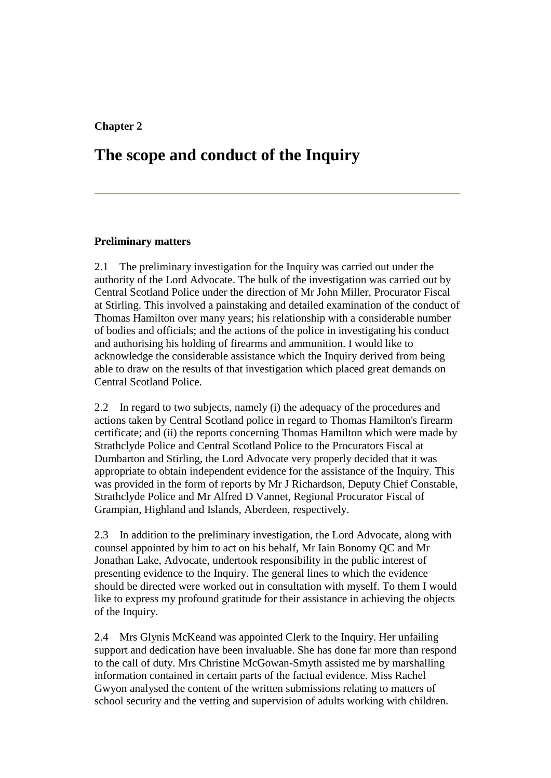#### **Chapter 2**

### **The scope and conduct of the Inquiry**

#### **Preliminary matters**

2.1 The preliminary investigation for the Inquiry was carried out under the authority of the Lord Advocate. The bulk of the investigation was carried out by Central Scotland Police under the direction of Mr John Miller, Procurator Fiscal at Stirling. This involved a painstaking and detailed examination of the conduct of Thomas Hamilton over many years; his relationship with a considerable number of bodies and officials; and the actions of the police in investigating his conduct and authorising his holding of firearms and ammunition. I would like to acknowledge the considerable assistance which the Inquiry derived from being able to draw on the results of that investigation which placed great demands on Central Scotland Police.

2.2 In regard to two subjects, namely (i) the adequacy of the procedures and actions taken by Central Scotland police in regard to Thomas Hamilton's firearm certificate; and (ii) the reports concerning Thomas Hamilton which were made by Strathclyde Police and Central Scotland Police to the Procurators Fiscal at Dumbarton and Stirling, the Lord Advocate very properly decided that it was appropriate to obtain independent evidence for the assistance of the Inquiry. This was provided in the form of reports by Mr J Richardson, Deputy Chief Constable, Strathclyde Police and Mr Alfred D Vannet, Regional Procurator Fiscal of Grampian, Highland and Islands, Aberdeen, respectively.

2.3 In addition to the preliminary investigation, the Lord Advocate, along with counsel appointed by him to act on his behalf, Mr Iain Bonomy QC and Mr Jonathan Lake, Advocate, undertook responsibility in the public interest of presenting evidence to the Inquiry. The general lines to which the evidence should be directed were worked out in consultation with myself. To them I would like to express my profound gratitude for their assistance in achieving the objects of the Inquiry.

2.4 Mrs Glynis McKeand was appointed Clerk to the Inquiry. Her unfailing support and dedication have been invaluable. She has done far more than respond to the call of duty. Mrs Christine McGowan-Smyth assisted me by marshalling information contained in certain parts of the factual evidence. Miss Rachel Gwyon analysed the content of the written submissions relating to matters of school security and the vetting and supervision of adults working with children.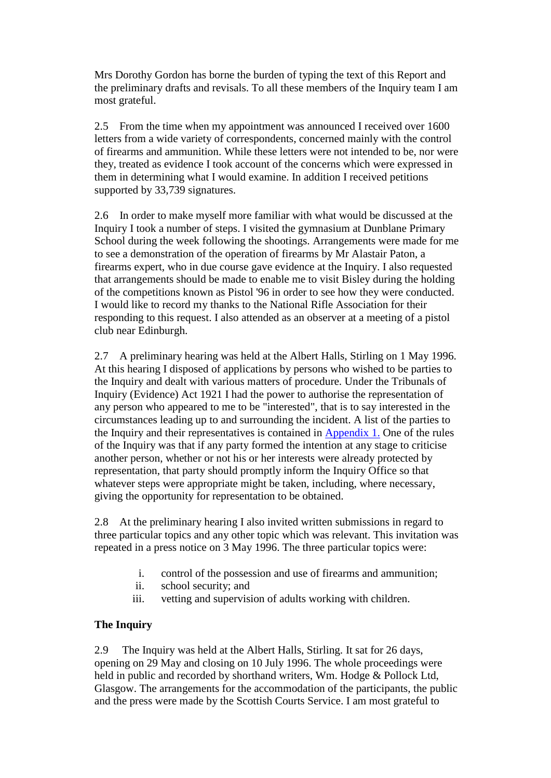Mrs Dorothy Gordon has borne the burden of typing the text of this Report and the preliminary drafts and revisals. To all these members of the Inquiry team I am most grateful.

2.5 From the time when my appointment was announced I received over 1600 letters from a wide variety of correspondents, concerned mainly with the control of firearms and ammunition. While these letters were not intended to be, nor were they, treated as evidence I took account of the concerns which were expressed in them in determining what I would examine. In addition I received petitions supported by 33,739 signatures.

2.6 In order to make myself more familiar with what would be discussed at the Inquiry I took a number of steps. I visited the gymnasium at Dunblane Primary School during the week following the shootings. Arrangements were made for me to see a demonstration of the operation of firearms by Mr Alastair Paton, a firearms expert, who in due course gave evidence at the Inquiry. I also requested that arrangements should be made to enable me to visit Bisley during the holding of the competitions known as Pistol '96 in order to see how they were conducted. I would like to record my thanks to the National Rifle Association for their responding to this request. I also attended as an observer at a meeting of a pistol club near Edinburgh.

2.7 A preliminary hearing was held at the Albert Halls, Stirling on 1 May 1996. At this hearing I disposed of applications by persons who wished to be parties to the Inquiry and dealt with various matters of procedure. Under the Tribunals of Inquiry (Evidence) Act 1921 I had the power to authorise the representation of any person who appeared to me to be "interested", that is to say interested in the circumstances leading up to and surrounding the incident. A list of the parties to the Inquiry and their representatives is contained in [Appendix 1.](http://www.archive.official-documents.co.uk/document/scottish/dunblane/dunappa1.htm) One of the rules of the Inquiry was that if any party formed the intention at any stage to criticise another person, whether or not his or her interests were already protected by representation, that party should promptly inform the Inquiry Office so that whatever steps were appropriate might be taken, including, where necessary, giving the opportunity for representation to be obtained.

2.8 At the preliminary hearing I also invited written submissions in regard to three particular topics and any other topic which was relevant. This invitation was repeated in a press notice on 3 May 1996. The three particular topics were:

- i. control of the possession and use of firearms and ammunition;
- ii. school security; and
- iii. vetting and supervision of adults working with children.

#### **The Inquiry**

2.9 The Inquiry was held at the Albert Halls, Stirling. It sat for 26 days, opening on 29 May and closing on 10 July 1996. The whole proceedings were held in public and recorded by shorthand writers, Wm. Hodge & Pollock Ltd, Glasgow. The arrangements for the accommodation of the participants, the public and the press were made by the Scottish Courts Service. I am most grateful to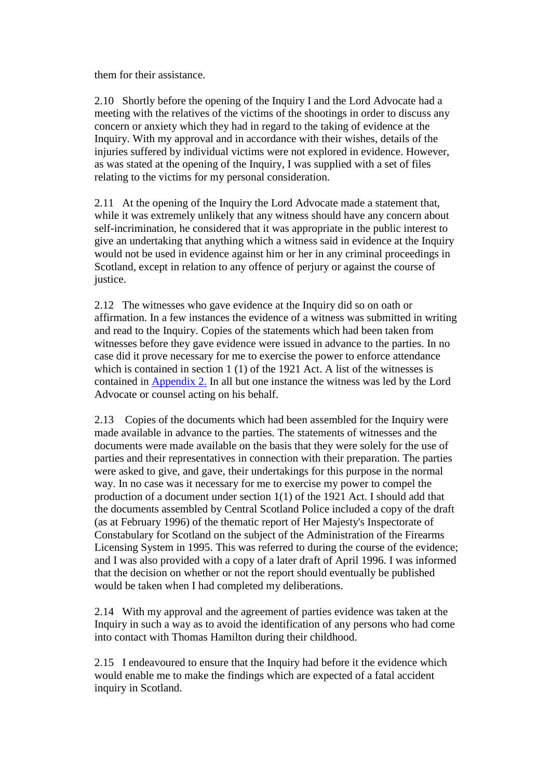them for their assistance.

2.10 Shortly before the opening of the Inquiry I and the Lord Advocate had a meeting with the relatives of the victims of the shootings in order to discuss any concern or anxiety which they had in regard to the taking of evidence at the Inquiry. With my approval and in accordance with their wishes, details of the injuries suffered by individual victims were not explored in evidence. However, as was stated at the opening of the Inquiry, I was supplied with a set of files relating to the victims for my personal consideration.

2.11 At the opening of the Inquiry the Lord Advocate made a statement that, while it was extremely unlikely that any witness should have any concern about self-incrimination, he considered that it was appropriate in the public interest to give an undertaking that anything which a witness said in evidence at the Inquiry would not be used in evidence against him or her in any criminal proceedings in Scotland, except in relation to any offence of perjury or against the course of justice.

2.12 The witnesses who gave evidence at the Inquiry did so on oath or affirmation. In a few instances the evidence of a witness was submitted in writing and read to the Inquiry. Copies of the statements which had been taken from witnesses before they gave evidence were issued in advance to the parties. In no case did it prove necessary for me to exercise the power to enforce attendance which is contained in section 1 (1) of the 1921 Act. A list of the witnesses is contained in [Appendix 2.](http://www.archive.official-documents.co.uk/document/scottish/dunblane/dunappa2.htm) In all but one instance the witness was led by the Lord Advocate or counsel acting on his behalf.

2.13 Copies of the documents which had been assembled for the Inquiry were made available in advance to the parties. The statements of witnesses and the documents were made available on the basis that they were solely for the use of parties and their representatives in connection with their preparation. The parties were asked to give, and gave, their undertakings for this purpose in the normal way. In no case was it necessary for me to exercise my power to compel the production of a document under section 1(1) of the 1921 Act. I should add that the documents assembled by Central Scotland Police included a copy of the draft (as at February 1996) of the thematic report of Her Majesty's Inspectorate of Constabulary for Scotland on the subject of the Administration of the Firearms Licensing System in 1995. This was referred to during the course of the evidence; and I was also provided with a copy of a later draft of April 1996. I was informed that the decision on whether or not the report should eventually be published would be taken when I had completed my deliberations.

2.14 With my approval and the agreement of parties evidence was taken at the Inquiry in such a way as to avoid the identification of any persons who had come into contact with Thomas Hamilton during their childhood.

2.15 I endeavoured to ensure that the Inquiry had before it the evidence which would enable me to make the findings which are expected of a fatal accident inquiry in Scotland.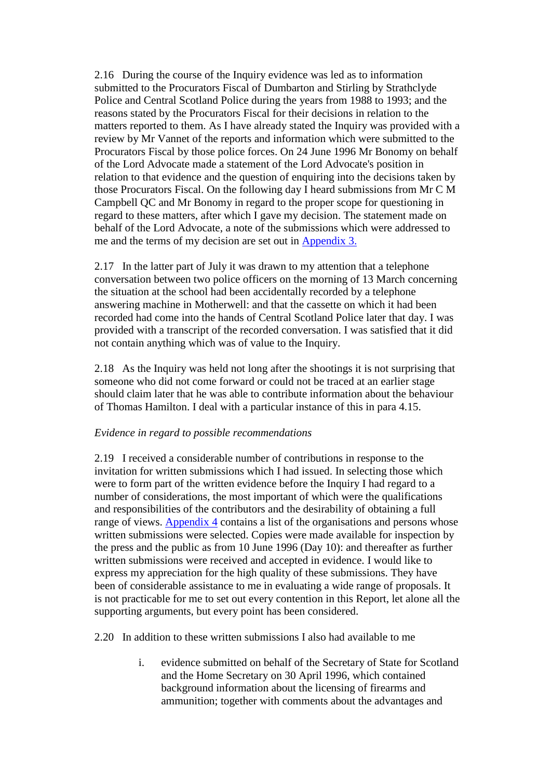2.16 During the course of the Inquiry evidence was led as to information submitted to the Procurators Fiscal of Dumbarton and Stirling by Strathclyde Police and Central Scotland Police during the years from 1988 to 1993; and the reasons stated by the Procurators Fiscal for their decisions in relation to the matters reported to them. As I have already stated the Inquiry was provided with a review by Mr Vannet of the reports and information which were submitted to the Procurators Fiscal by those police forces. On 24 June 1996 Mr Bonomy on behalf of the Lord Advocate made a statement of the Lord Advocate's position in relation to that evidence and the question of enquiring into the decisions taken by those Procurators Fiscal. On the following day I heard submissions from Mr C M Campbell QC and Mr Bonomy in regard to the proper scope for questioning in regard to these matters, after which I gave my decision. The statement made on behalf of the Lord Advocate, a note of the submissions which were addressed to me and the terms of my decision are set out in [Appendix 3.](http://www.archive.official-documents.co.uk/document/scottish/dunblane/dunappa3.htm)

2.17 In the latter part of July it was drawn to my attention that a telephone conversation between two police officers on the morning of 13 March concerning the situation at the school had been accidentally recorded by a telephone answering machine in Motherwell: and that the cassette on which it had been recorded had come into the hands of Central Scotland Police later that day. I was provided with a transcript of the recorded conversation. I was satisfied that it did not contain anything which was of value to the Inquiry.

2.18 As the Inquiry was held not long after the shootings it is not surprising that someone who did not come forward or could not be traced at an earlier stage should claim later that he was able to contribute information about the behaviour of Thomas Hamilton. I deal with a particular instance of this in para 4.15.

#### *Evidence in regard to possible recommendations*

2.19 I received a considerable number of contributions in response to the invitation for written submissions which I had issued. In selecting those which were to form part of the written evidence before the Inquiry I had regard to a number of considerations, the most important of which were the qualifications and responsibilities of the contributors and the desirability of obtaining a full range of views. [Appendix 4](http://www.archive.official-documents.co.uk/document/scottish/dunblane/dunappa4.htm) contains a list of the organisations and persons whose written submissions were selected. Copies were made available for inspection by the press and the public as from 10 June 1996 (Day 10): and thereafter as further written submissions were received and accepted in evidence. I would like to express my appreciation for the high quality of these submissions. They have been of considerable assistance to me in evaluating a wide range of proposals. It is not practicable for me to set out every contention in this Report, let alone all the supporting arguments, but every point has been considered.

2.20 In addition to these written submissions I also had available to me

i. evidence submitted on behalf of the Secretary of State for Scotland and the Home Secretary on 30 April 1996, which contained background information about the licensing of firearms and ammunition; together with comments about the advantages and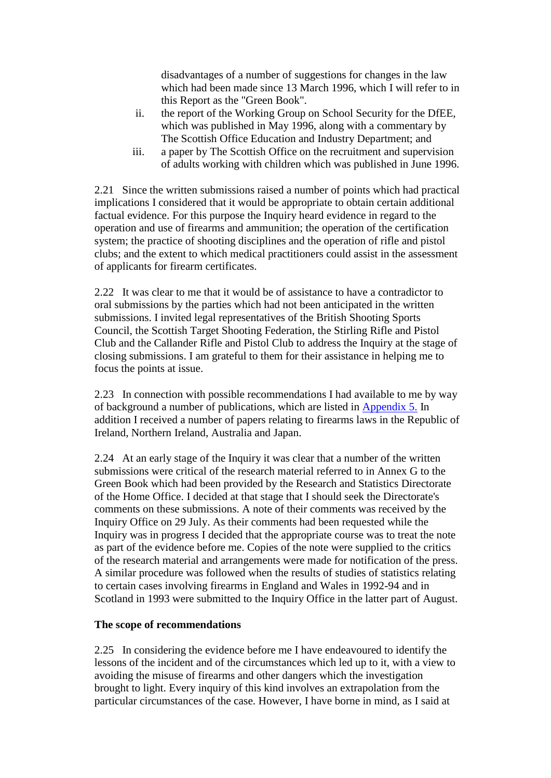disadvantages of a number of suggestions for changes in the law which had been made since 13 March 1996, which I will refer to in this Report as the "Green Book".

- ii. the report of the Working Group on School Security for the DfEE, which was published in May 1996, along with a commentary by The Scottish Office Education and Industry Department; and
- iii. a paper by The Scottish Office on the recruitment and supervision of adults working with children which was published in June 1996.

2.21 Since the written submissions raised a number of points which had practical implications I considered that it would be appropriate to obtain certain additional factual evidence. For this purpose the Inquiry heard evidence in regard to the operation and use of firearms and ammunition; the operation of the certification system; the practice of shooting disciplines and the operation of rifle and pistol clubs; and the extent to which medical practitioners could assist in the assessment of applicants for firearm certificates.

2.22 It was clear to me that it would be of assistance to have a contradictor to oral submissions by the parties which had not been anticipated in the written submissions. I invited legal representatives of the British Shooting Sports Council, the Scottish Target Shooting Federation, the Stirling Rifle and Pistol Club and the Callander Rifle and Pistol Club to address the Inquiry at the stage of closing submissions. I am grateful to them for their assistance in helping me to focus the points at issue.

2.23 In connection with possible recommendations I had available to me by way of background a number of publications, which are listed in [Appendix 5.](http://www.archive.official-documents.co.uk/document/scottish/dunblane/dunappa5.htm) In addition I received a number of papers relating to firearms laws in the Republic of Ireland, Northern Ireland, Australia and Japan.

2.24 At an early stage of the Inquiry it was clear that a number of the written submissions were critical of the research material referred to in Annex G to the Green Book which had been provided by the Research and Statistics Directorate of the Home Office. I decided at that stage that I should seek the Directorate's comments on these submissions. A note of their comments was received by the Inquiry Office on 29 July. As their comments had been requested while the Inquiry was in progress I decided that the appropriate course was to treat the note as part of the evidence before me. Copies of the note were supplied to the critics of the research material and arrangements were made for notification of the press. A similar procedure was followed when the results of studies of statistics relating to certain cases involving firearms in England and Wales in 1992-94 and in Scotland in 1993 were submitted to the Inquiry Office in the latter part of August.

#### **The scope of recommendations**

2.25 In considering the evidence before me I have endeavoured to identify the lessons of the incident and of the circumstances which led up to it, with a view to avoiding the misuse of firearms and other dangers which the investigation brought to light. Every inquiry of this kind involves an extrapolation from the particular circumstances of the case. However, I have borne in mind, as I said at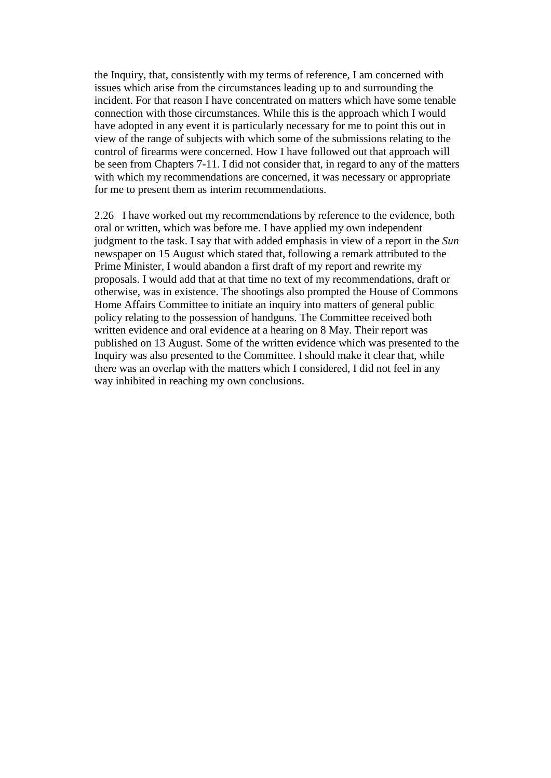the Inquiry, that, consistently with my terms of reference, I am concerned with issues which arise from the circumstances leading up to and surrounding the incident. For that reason I have concentrated on matters which have some tenable connection with those circumstances. While this is the approach which I would have adopted in any event it is particularly necessary for me to point this out in view of the range of subjects with which some of the submissions relating to the control of firearms were concerned. How I have followed out that approach will be seen from Chapters 7-11. I did not consider that, in regard to any of the matters with which my recommendations are concerned, it was necessary or appropriate for me to present them as interim recommendations.

2.26 I have worked out my recommendations by reference to the evidence, both oral or written, which was before me. I have applied my own independent judgment to the task. I say that with added emphasis in view of a report in the *Sun* newspaper on 15 August which stated that, following a remark attributed to the Prime Minister, I would abandon a first draft of my report and rewrite my proposals. I would add that at that time no text of my recommendations, draft or otherwise, was in existence. The shootings also prompted the House of Commons Home Affairs Committee to initiate an inquiry into matters of general public policy relating to the possession of handguns. The Committee received both written evidence and oral evidence at a hearing on 8 May. Their report was published on 13 August. Some of the written evidence which was presented to the Inquiry was also presented to the Committee. I should make it clear that, while there was an overlap with the matters which I considered, I did not feel in any way inhibited in reaching my own conclusions.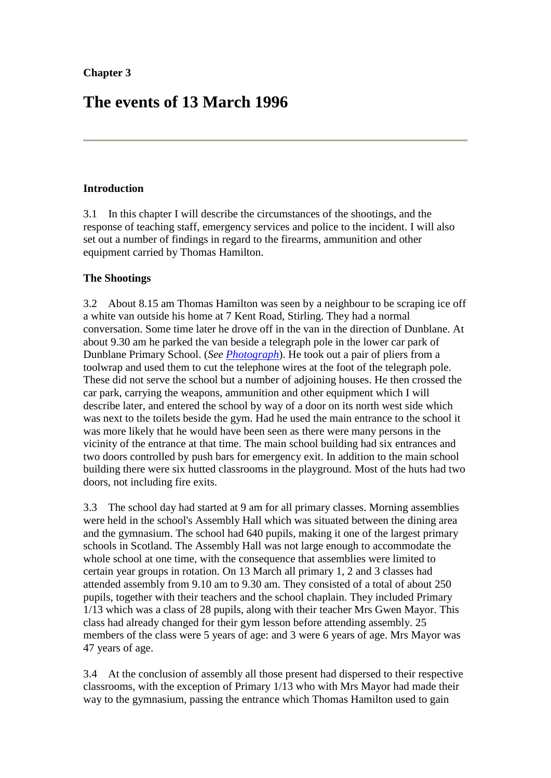# **The events of 13 March 1996**

#### **Introduction**

3.1 In this chapter I will describe the circumstances of the shootings, and the response of teaching staff, emergency services and police to the incident. I will also set out a number of findings in regard to the firearms, ammunition and other equipment carried by Thomas Hamilton.

#### **The Shootings**

3.2 About 8.15 am Thomas Hamilton was seen by a neighbour to be scraping ice off a white van outside his home at 7 Kent Road, Stirling. They had a normal conversation. Some time later he drove off in the van in the direction of Dunblane. At about 9.30 am he parked the van beside a telegraph pole in the lower car park of Dunblane Primary School. (*See [Photograph](http://www.archive.official-documents.co.uk/document/scottish/dunblane/dunphoto.htm)*). He took out a pair of pliers from a toolwrap and used them to cut the telephone wires at the foot of the telegraph pole. These did not serve the school but a number of adjoining houses. He then crossed the car park, carrying the weapons, ammunition and other equipment which I will describe later, and entered the school by way of a door on its north west side which was next to the toilets beside the gym. Had he used the main entrance to the school it was more likely that he would have been seen as there were many persons in the vicinity of the entrance at that time. The main school building had six entrances and two doors controlled by push bars for emergency exit. In addition to the main school building there were six hutted classrooms in the playground. Most of the huts had two doors, not including fire exits.

3.3 The school day had started at 9 am for all primary classes. Morning assemblies were held in the school's Assembly Hall which was situated between the dining area and the gymnasium. The school had 640 pupils, making it one of the largest primary schools in Scotland. The Assembly Hall was not large enough to accommodate the whole school at one time, with the consequence that assemblies were limited to certain year groups in rotation. On 13 March all primary 1, 2 and 3 classes had attended assembly from 9.10 am to 9.30 am. They consisted of a total of about 250 pupils, together with their teachers and the school chaplain. They included Primary 1/13 which was a class of 28 pupils, along with their teacher Mrs Gwen Mayor. This class had already changed for their gym lesson before attending assembly. 25 members of the class were 5 years of age: and 3 were 6 years of age. Mrs Mayor was 47 years of age.

3.4 At the conclusion of assembly all those present had dispersed to their respective classrooms, with the exception of Primary 1/13 who with Mrs Mayor had made their way to the gymnasium, passing the entrance which Thomas Hamilton used to gain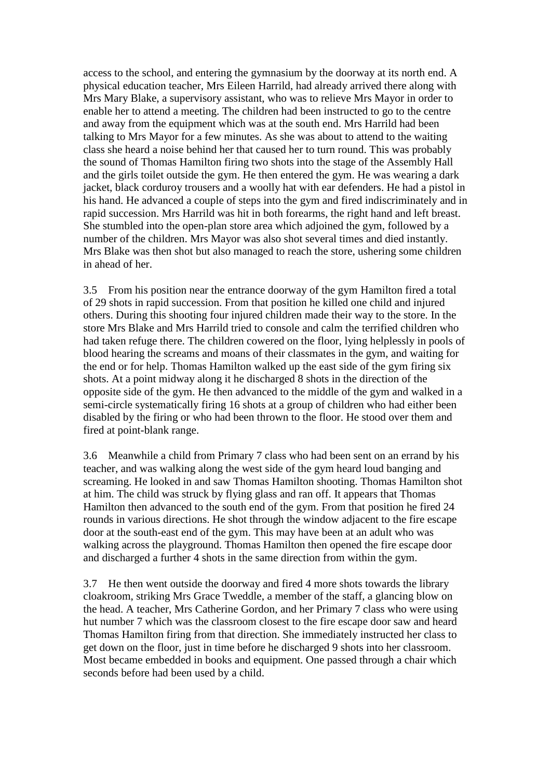access to the school, and entering the gymnasium by the doorway at its north end. A physical education teacher, Mrs Eileen Harrild, had already arrived there along with Mrs Mary Blake, a supervisory assistant, who was to relieve Mrs Mayor in order to enable her to attend a meeting. The children had been instructed to go to the centre and away from the equipment which was at the south end. Mrs Harrild had been talking to Mrs Mayor for a few minutes. As she was about to attend to the waiting class she heard a noise behind her that caused her to turn round. This was probably the sound of Thomas Hamilton firing two shots into the stage of the Assembly Hall and the girls toilet outside the gym. He then entered the gym. He was wearing a dark jacket, black corduroy trousers and a woolly hat with ear defenders. He had a pistol in his hand. He advanced a couple of steps into the gym and fired indiscriminately and in rapid succession. Mrs Harrild was hit in both forearms, the right hand and left breast. She stumbled into the open-plan store area which adjoined the gym, followed by a number of the children. Mrs Mayor was also shot several times and died instantly. Mrs Blake was then shot but also managed to reach the store, ushering some children in ahead of her.

3.5 From his position near the entrance doorway of the gym Hamilton fired a total of 29 shots in rapid succession. From that position he killed one child and injured others. During this shooting four injured children made their way to the store. In the store Mrs Blake and Mrs Harrild tried to console and calm the terrified children who had taken refuge there. The children cowered on the floor, lying helplessly in pools of blood hearing the screams and moans of their classmates in the gym, and waiting for the end or for help. Thomas Hamilton walked up the east side of the gym firing six shots. At a point midway along it he discharged 8 shots in the direction of the opposite side of the gym. He then advanced to the middle of the gym and walked in a semi-circle systematically firing 16 shots at a group of children who had either been disabled by the firing or who had been thrown to the floor. He stood over them and fired at point-blank range.

3.6 Meanwhile a child from Primary 7 class who had been sent on an errand by his teacher, and was walking along the west side of the gym heard loud banging and screaming. He looked in and saw Thomas Hamilton shooting. Thomas Hamilton shot at him. The child was struck by flying glass and ran off. It appears that Thomas Hamilton then advanced to the south end of the gym. From that position he fired 24 rounds in various directions. He shot through the window adjacent to the fire escape door at the south-east end of the gym. This may have been at an adult who was walking across the playground. Thomas Hamilton then opened the fire escape door and discharged a further 4 shots in the same direction from within the gym.

3.7 He then went outside the doorway and fired 4 more shots towards the library cloakroom, striking Mrs Grace Tweddle, a member of the staff, a glancing blow on the head. A teacher, Mrs Catherine Gordon, and her Primary 7 class who were using hut number 7 which was the classroom closest to the fire escape door saw and heard Thomas Hamilton firing from that direction. She immediately instructed her class to get down on the floor, just in time before he discharged 9 shots into her classroom. Most became embedded in books and equipment. One passed through a chair which seconds before had been used by a child.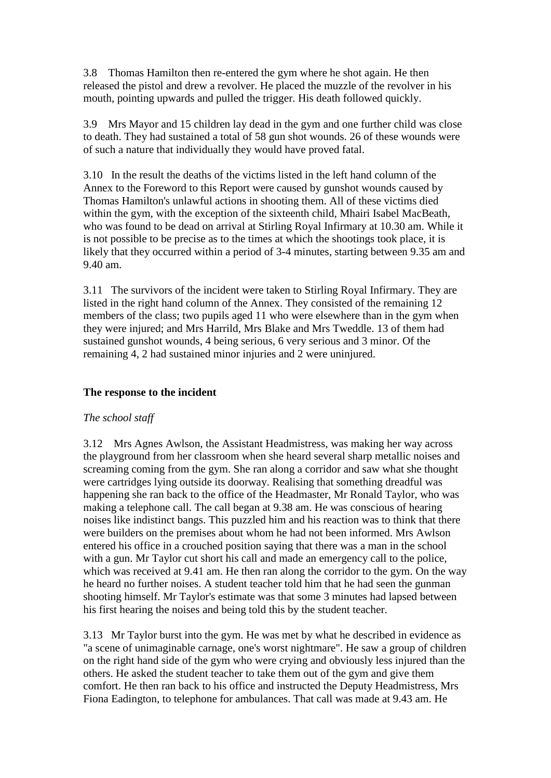3.8 Thomas Hamilton then re-entered the gym where he shot again. He then released the pistol and drew a revolver. He placed the muzzle of the revolver in his mouth, pointing upwards and pulled the trigger. His death followed quickly.

3.9 Mrs Mayor and 15 children lay dead in the gym and one further child was close to death. They had sustained a total of 58 gun shot wounds. 26 of these wounds were of such a nature that individually they would have proved fatal.

3.10 In the result the deaths of the victims listed in the left hand column of the Annex to the Foreword to this Report were caused by gunshot wounds caused by Thomas Hamilton's unlawful actions in shooting them. All of these victims died within the gym, with the exception of the sixteenth child, Mhairi Isabel MacBeath, who was found to be dead on arrival at Stirling Royal Infirmary at 10.30 am. While it is not possible to be precise as to the times at which the shootings took place, it is likely that they occurred within a period of 3-4 minutes, starting between 9.35 am and 9.40 am.

3.11 The survivors of the incident were taken to Stirling Royal Infirmary. They are listed in the right hand column of the Annex. They consisted of the remaining 12 members of the class; two pupils aged 11 who were elsewhere than in the gym when they were injured; and Mrs Harrild, Mrs Blake and Mrs Tweddle. 13 of them had sustained gunshot wounds, 4 being serious, 6 very serious and 3 minor. Of the remaining 4, 2 had sustained minor injuries and 2 were uninjured.

#### **The response to the incident**

#### *The school staff*

3.12 Mrs Agnes Awlson, the Assistant Headmistress, was making her way across the playground from her classroom when she heard several sharp metallic noises and screaming coming from the gym. She ran along a corridor and saw what she thought were cartridges lying outside its doorway. Realising that something dreadful was happening she ran back to the office of the Headmaster, Mr Ronald Taylor, who was making a telephone call. The call began at 9.38 am. He was conscious of hearing noises like indistinct bangs. This puzzled him and his reaction was to think that there were builders on the premises about whom he had not been informed. Mrs Awlson entered his office in a crouched position saying that there was a man in the school with a gun. Mr Taylor cut short his call and made an emergency call to the police, which was received at 9.41 am. He then ran along the corridor to the gym. On the way he heard no further noises. A student teacher told him that he had seen the gunman shooting himself. Mr Taylor's estimate was that some 3 minutes had lapsed between his first hearing the noises and being told this by the student teacher.

3.13 Mr Taylor burst into the gym. He was met by what he described in evidence as "a scene of unimaginable carnage, one's worst nightmare". He saw a group of children on the right hand side of the gym who were crying and obviously less injured than the others. He asked the student teacher to take them out of the gym and give them comfort. He then ran back to his office and instructed the Deputy Headmistress, Mrs Fiona Eadington, to telephone for ambulances. That call was made at 9.43 am. He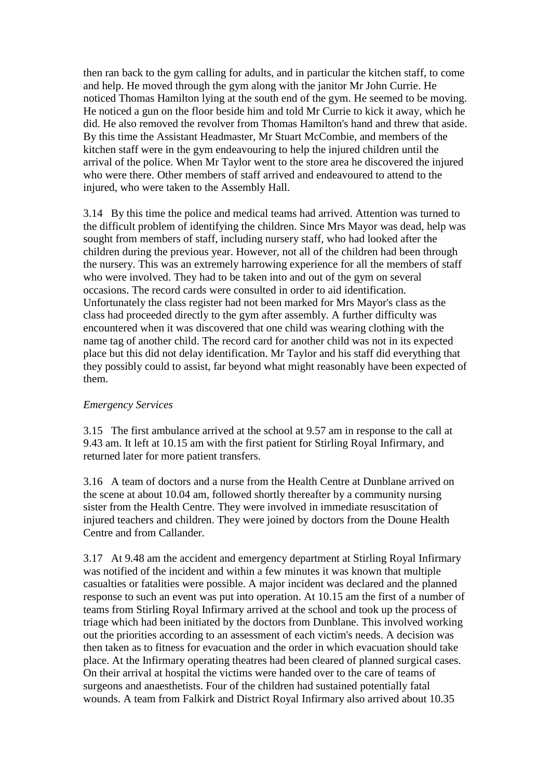then ran back to the gym calling for adults, and in particular the kitchen staff, to come and help. He moved through the gym along with the janitor Mr John Currie. He noticed Thomas Hamilton lying at the south end of the gym. He seemed to be moving. He noticed a gun on the floor beside him and told Mr Currie to kick it away, which he did. He also removed the revolver from Thomas Hamilton's hand and threw that aside. By this time the Assistant Headmaster, Mr Stuart McCombie, and members of the kitchen staff were in the gym endeavouring to help the injured children until the arrival of the police. When Mr Taylor went to the store area he discovered the injured who were there. Other members of staff arrived and endeavoured to attend to the injured, who were taken to the Assembly Hall.

3.14 By this time the police and medical teams had arrived. Attention was turned to the difficult problem of identifying the children. Since Mrs Mayor was dead, help was sought from members of staff, including nursery staff, who had looked after the children during the previous year. However, not all of the children had been through the nursery. This was an extremely harrowing experience for all the members of staff who were involved. They had to be taken into and out of the gym on several occasions. The record cards were consulted in order to aid identification. Unfortunately the class register had not been marked for Mrs Mayor's class as the class had proceeded directly to the gym after assembly. A further difficulty was encountered when it was discovered that one child was wearing clothing with the name tag of another child. The record card for another child was not in its expected place but this did not delay identification. Mr Taylor and his staff did everything that they possibly could to assist, far beyond what might reasonably have been expected of them.

#### *Emergency Services*

3.15 The first ambulance arrived at the school at 9.57 am in response to the call at 9.43 am. It left at 10.15 am with the first patient for Stirling Royal Infirmary, and returned later for more patient transfers.

3.16 A team of doctors and a nurse from the Health Centre at Dunblane arrived on the scene at about 10.04 am, followed shortly thereafter by a community nursing sister from the Health Centre. They were involved in immediate resuscitation of injured teachers and children. They were joined by doctors from the Doune Health Centre and from Callander.

3.17 At 9.48 am the accident and emergency department at Stirling Royal Infirmary was notified of the incident and within a few minutes it was known that multiple casualties or fatalities were possible. A major incident was declared and the planned response to such an event was put into operation. At 10.15 am the first of a number of teams from Stirling Royal Infirmary arrived at the school and took up the process of triage which had been initiated by the doctors from Dunblane. This involved working out the priorities according to an assessment of each victim's needs. A decision was then taken as to fitness for evacuation and the order in which evacuation should take place. At the Infirmary operating theatres had been cleared of planned surgical cases. On their arrival at hospital the victims were handed over to the care of teams of surgeons and anaesthetists. Four of the children had sustained potentially fatal wounds. A team from Falkirk and District Royal Infirmary also arrived about 10.35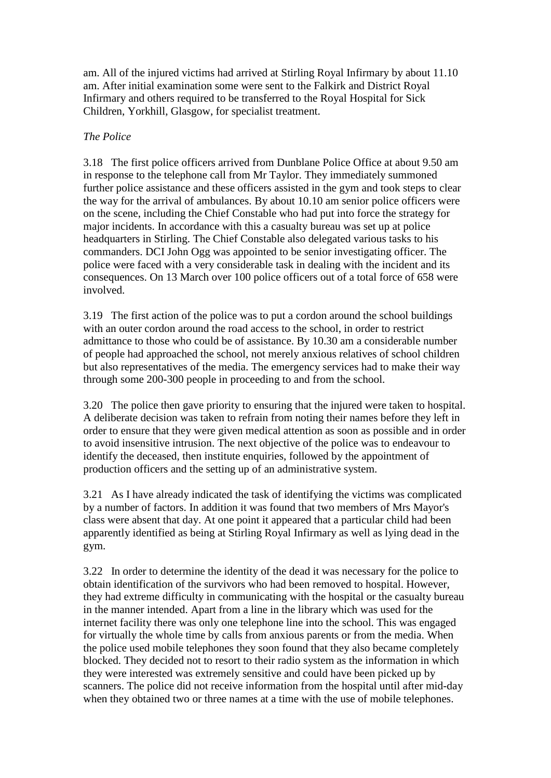am. All of the injured victims had arrived at Stirling Royal Infirmary by about 11.10 am. After initial examination some were sent to the Falkirk and District Royal Infirmary and others required to be transferred to the Royal Hospital for Sick Children, Yorkhill, Glasgow, for specialist treatment.

#### *The Police*

3.18 The first police officers arrived from Dunblane Police Office at about 9.50 am in response to the telephone call from Mr Taylor. They immediately summoned further police assistance and these officers assisted in the gym and took steps to clear the way for the arrival of ambulances. By about 10.10 am senior police officers were on the scene, including the Chief Constable who had put into force the strategy for major incidents. In accordance with this a casualty bureau was set up at police headquarters in Stirling. The Chief Constable also delegated various tasks to his commanders. DCI John Ogg was appointed to be senior investigating officer. The police were faced with a very considerable task in dealing with the incident and its consequences. On 13 March over 100 police officers out of a total force of 658 were involved.

3.19 The first action of the police was to put a cordon around the school buildings with an outer cordon around the road access to the school, in order to restrict admittance to those who could be of assistance. By 10.30 am a considerable number of people had approached the school, not merely anxious relatives of school children but also representatives of the media. The emergency services had to make their way through some 200-300 people in proceeding to and from the school.

3.20 The police then gave priority to ensuring that the injured were taken to hospital. A deliberate decision was taken to refrain from noting their names before they left in order to ensure that they were given medical attention as soon as possible and in order to avoid insensitive intrusion. The next objective of the police was to endeavour to identify the deceased, then institute enquiries, followed by the appointment of production officers and the setting up of an administrative system.

3.21 As I have already indicated the task of identifying the victims was complicated by a number of factors. In addition it was found that two members of Mrs Mayor's class were absent that day. At one point it appeared that a particular child had been apparently identified as being at Stirling Royal Infirmary as well as lying dead in the gym.

3.22 In order to determine the identity of the dead it was necessary for the police to obtain identification of the survivors who had been removed to hospital. However, they had extreme difficulty in communicating with the hospital or the casualty bureau in the manner intended. Apart from a line in the library which was used for the internet facility there was only one telephone line into the school. This was engaged for virtually the whole time by calls from anxious parents or from the media. When the police used mobile telephones they soon found that they also became completely blocked. They decided not to resort to their radio system as the information in which they were interested was extremely sensitive and could have been picked up by scanners. The police did not receive information from the hospital until after mid-day when they obtained two or three names at a time with the use of mobile telephones.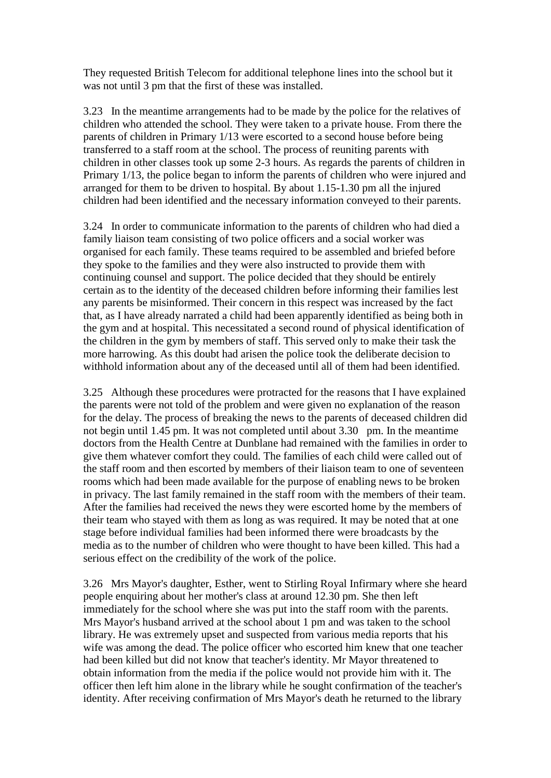They requested British Telecom for additional telephone lines into the school but it was not until 3 pm that the first of these was installed.

3.23 In the meantime arrangements had to be made by the police for the relatives of children who attended the school. They were taken to a private house. From there the parents of children in Primary 1/13 were escorted to a second house before being transferred to a staff room at the school. The process of reuniting parents with children in other classes took up some 2-3 hours. As regards the parents of children in Primary 1/13, the police began to inform the parents of children who were injured and arranged for them to be driven to hospital. By about 1.15-1.30 pm all the injured children had been identified and the necessary information conveyed to their parents.

3.24 In order to communicate information to the parents of children who had died a family liaison team consisting of two police officers and a social worker was organised for each family. These teams required to be assembled and briefed before they spoke to the families and they were also instructed to provide them with continuing counsel and support. The police decided that they should be entirely certain as to the identity of the deceased children before informing their families lest any parents be misinformed. Their concern in this respect was increased by the fact that, as I have already narrated a child had been apparently identified as being both in the gym and at hospital. This necessitated a second round of physical identification of the children in the gym by members of staff. This served only to make their task the more harrowing. As this doubt had arisen the police took the deliberate decision to withhold information about any of the deceased until all of them had been identified.

3.25 Although these procedures were protracted for the reasons that I have explained the parents were not told of the problem and were given no explanation of the reason for the delay. The process of breaking the news to the parents of deceased children did not begin until 1.45 pm. It was not completed until about 3.30 pm. In the meantime doctors from the Health Centre at Dunblane had remained with the families in order to give them whatever comfort they could. The families of each child were called out of the staff room and then escorted by members of their liaison team to one of seventeen rooms which had been made available for the purpose of enabling news to be broken in privacy. The last family remained in the staff room with the members of their team. After the families had received the news they were escorted home by the members of their team who stayed with them as long as was required. It may be noted that at one stage before individual families had been informed there were broadcasts by the media as to the number of children who were thought to have been killed. This had a serious effect on the credibility of the work of the police.

3.26 Mrs Mayor's daughter, Esther, went to Stirling Royal Infirmary where she heard people enquiring about her mother's class at around 12.30 pm. She then left immediately for the school where she was put into the staff room with the parents. Mrs Mayor's husband arrived at the school about 1 pm and was taken to the school library. He was extremely upset and suspected from various media reports that his wife was among the dead. The police officer who escorted him knew that one teacher had been killed but did not know that teacher's identity. Mr Mayor threatened to obtain information from the media if the police would not provide him with it. The officer then left him alone in the library while he sought confirmation of the teacher's identity. After receiving confirmation of Mrs Mayor's death he returned to the library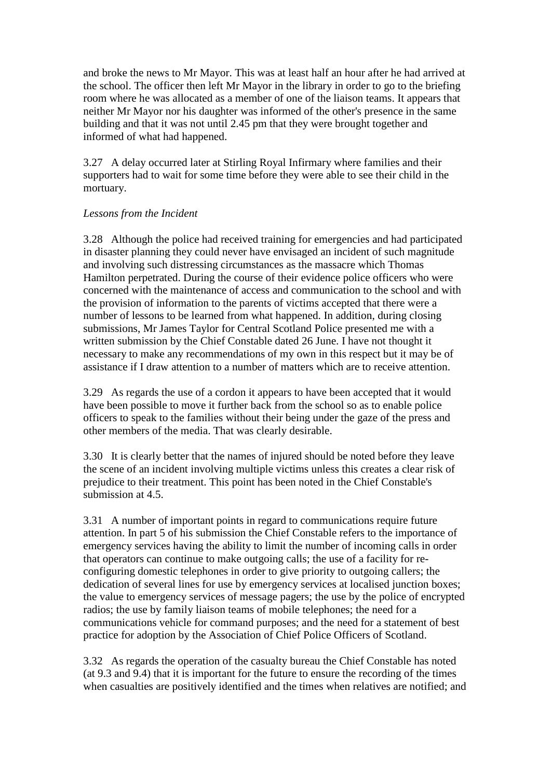and broke the news to Mr Mayor. This was at least half an hour after he had arrived at the school. The officer then left Mr Mayor in the library in order to go to the briefing room where he was allocated as a member of one of the liaison teams. It appears that neither Mr Mayor nor his daughter was informed of the other's presence in the same building and that it was not until 2.45 pm that they were brought together and informed of what had happened.

3.27 A delay occurred later at Stirling Royal Infirmary where families and their supporters had to wait for some time before they were able to see their child in the mortuary.

#### *Lessons from the Incident*

3.28 Although the police had received training for emergencies and had participated in disaster planning they could never have envisaged an incident of such magnitude and involving such distressing circumstances as the massacre which Thomas Hamilton perpetrated. During the course of their evidence police officers who were concerned with the maintenance of access and communication to the school and with the provision of information to the parents of victims accepted that there were a number of lessons to be learned from what happened. In addition, during closing submissions, Mr James Taylor for Central Scotland Police presented me with a written submission by the Chief Constable dated 26 June. I have not thought it necessary to make any recommendations of my own in this respect but it may be of assistance if I draw attention to a number of matters which are to receive attention.

3.29 As regards the use of a cordon it appears to have been accepted that it would have been possible to move it further back from the school so as to enable police officers to speak to the families without their being under the gaze of the press and other members of the media. That was clearly desirable.

3.30 It is clearly better that the names of injured should be noted before they leave the scene of an incident involving multiple victims unless this creates a clear risk of prejudice to their treatment. This point has been noted in the Chief Constable's submission at  $4.5$ .

3.31 A number of important points in regard to communications require future attention. In part 5 of his submission the Chief Constable refers to the importance of emergency services having the ability to limit the number of incoming calls in order that operators can continue to make outgoing calls; the use of a facility for reconfiguring domestic telephones in order to give priority to outgoing callers; the dedication of several lines for use by emergency services at localised junction boxes; the value to emergency services of message pagers; the use by the police of encrypted radios; the use by family liaison teams of mobile telephones; the need for a communications vehicle for command purposes; and the need for a statement of best practice for adoption by the Association of Chief Police Officers of Scotland.

3.32 As regards the operation of the casualty bureau the Chief Constable has noted (at 9.3 and 9.4) that it is important for the future to ensure the recording of the times when casualties are positively identified and the times when relatives are notified; and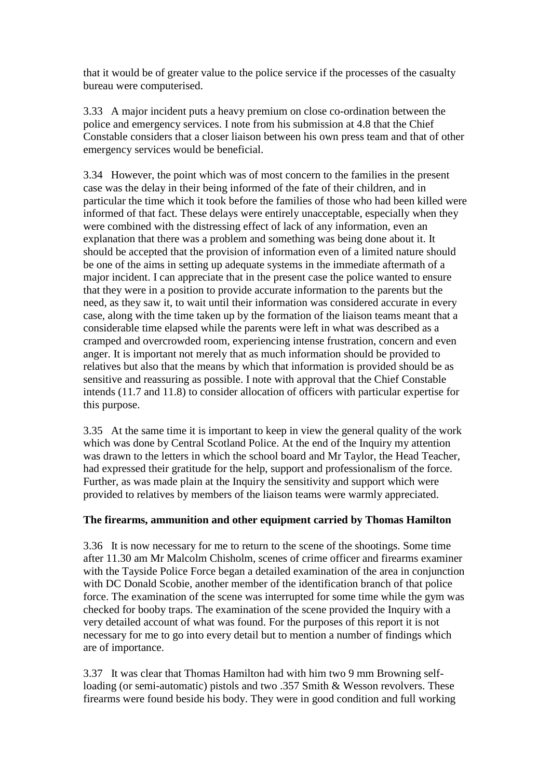that it would be of greater value to the police service if the processes of the casualty bureau were computerised.

3.33 A major incident puts a heavy premium on close co-ordination between the police and emergency services. I note from his submission at 4.8 that the Chief Constable considers that a closer liaison between his own press team and that of other emergency services would be beneficial.

3.34 However, the point which was of most concern to the families in the present case was the delay in their being informed of the fate of their children, and in particular the time which it took before the families of those who had been killed were informed of that fact. These delays were entirely unacceptable, especially when they were combined with the distressing effect of lack of any information, even an explanation that there was a problem and something was being done about it. It should be accepted that the provision of information even of a limited nature should be one of the aims in setting up adequate systems in the immediate aftermath of a major incident. I can appreciate that in the present case the police wanted to ensure that they were in a position to provide accurate information to the parents but the need, as they saw it, to wait until their information was considered accurate in every case, along with the time taken up by the formation of the liaison teams meant that a considerable time elapsed while the parents were left in what was described as a cramped and overcrowded room, experiencing intense frustration, concern and even anger. It is important not merely that as much information should be provided to relatives but also that the means by which that information is provided should be as sensitive and reassuring as possible. I note with approval that the Chief Constable intends (11.7 and 11.8) to consider allocation of officers with particular expertise for this purpose.

3.35 At the same time it is important to keep in view the general quality of the work which was done by Central Scotland Police. At the end of the Inquiry my attention was drawn to the letters in which the school board and Mr Taylor, the Head Teacher, had expressed their gratitude for the help, support and professionalism of the force. Further, as was made plain at the Inquiry the sensitivity and support which were provided to relatives by members of the liaison teams were warmly appreciated.

#### **The firearms, ammunition and other equipment carried by Thomas Hamilton**

3.36 It is now necessary for me to return to the scene of the shootings. Some time after 11.30 am Mr Malcolm Chisholm, scenes of crime officer and firearms examiner with the Tayside Police Force began a detailed examination of the area in conjunction with DC Donald Scobie, another member of the identification branch of that police force. The examination of the scene was interrupted for some time while the gym was checked for booby traps. The examination of the scene provided the Inquiry with a very detailed account of what was found. For the purposes of this report it is not necessary for me to go into every detail but to mention a number of findings which are of importance.

3.37 It was clear that Thomas Hamilton had with him two 9 mm Browning selfloading (or semi-automatic) pistols and two .357 Smith & Wesson revolvers. These firearms were found beside his body. They were in good condition and full working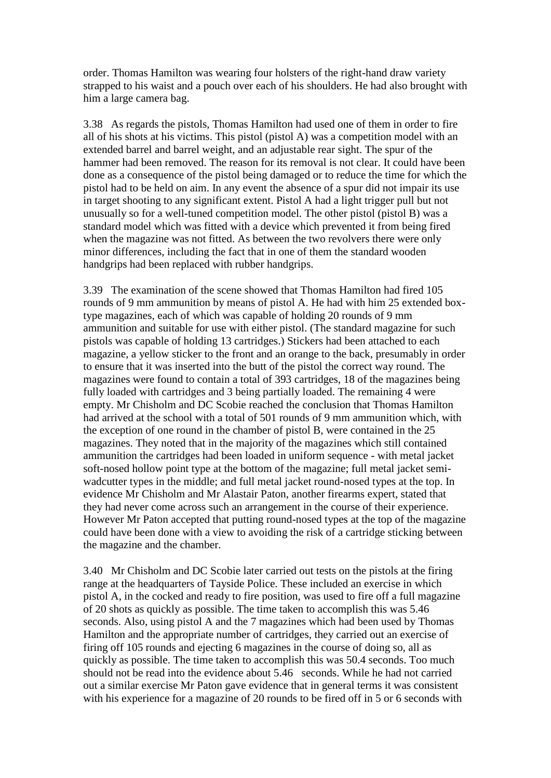order. Thomas Hamilton was wearing four holsters of the right-hand draw variety strapped to his waist and a pouch over each of his shoulders. He had also brought with him a large camera bag.

3.38 As regards the pistols, Thomas Hamilton had used one of them in order to fire all of his shots at his victims. This pistol (pistol A) was a competition model with an extended barrel and barrel weight, and an adjustable rear sight. The spur of the hammer had been removed. The reason for its removal is not clear. It could have been done as a consequence of the pistol being damaged or to reduce the time for which the pistol had to be held on aim. In any event the absence of a spur did not impair its use in target shooting to any significant extent. Pistol A had a light trigger pull but not unusually so for a well-tuned competition model. The other pistol (pistol B) was a standard model which was fitted with a device which prevented it from being fired when the magazine was not fitted. As between the two revolvers there were only minor differences, including the fact that in one of them the standard wooden handgrips had been replaced with rubber handgrips.

3.39 The examination of the scene showed that Thomas Hamilton had fired 105 rounds of 9 mm ammunition by means of pistol A. He had with him 25 extended boxtype magazines, each of which was capable of holding 20 rounds of 9 mm ammunition and suitable for use with either pistol. (The standard magazine for such pistols was capable of holding 13 cartridges.) Stickers had been attached to each magazine, a yellow sticker to the front and an orange to the back, presumably in order to ensure that it was inserted into the butt of the pistol the correct way round. The magazines were found to contain a total of 393 cartridges, 18 of the magazines being fully loaded with cartridges and 3 being partially loaded. The remaining 4 were empty. Mr Chisholm and DC Scobie reached the conclusion that Thomas Hamilton had arrived at the school with a total of 501 rounds of 9 mm ammunition which, with the exception of one round in the chamber of pistol B, were contained in the 25 magazines. They noted that in the majority of the magazines which still contained ammunition the cartridges had been loaded in uniform sequence - with metal jacket soft-nosed hollow point type at the bottom of the magazine; full metal jacket semiwadcutter types in the middle; and full metal jacket round-nosed types at the top. In evidence Mr Chisholm and Mr Alastair Paton, another firearms expert, stated that they had never come across such an arrangement in the course of their experience. However Mr Paton accepted that putting round-nosed types at the top of the magazine could have been done with a view to avoiding the risk of a cartridge sticking between the magazine and the chamber.

3.40 Mr Chisholm and DC Scobie later carried out tests on the pistols at the firing range at the headquarters of Tayside Police. These included an exercise in which pistol A, in the cocked and ready to fire position, was used to fire off a full magazine of 20 shots as quickly as possible. The time taken to accomplish this was 5.46 seconds. Also, using pistol A and the 7 magazines which had been used by Thomas Hamilton and the appropriate number of cartridges, they carried out an exercise of firing off 105 rounds and ejecting 6 magazines in the course of doing so, all as quickly as possible. The time taken to accomplish this was 50.4 seconds. Too much should not be read into the evidence about 5.46 seconds. While he had not carried out a similar exercise Mr Paton gave evidence that in general terms it was consistent with his experience for a magazine of 20 rounds to be fired off in 5 or 6 seconds with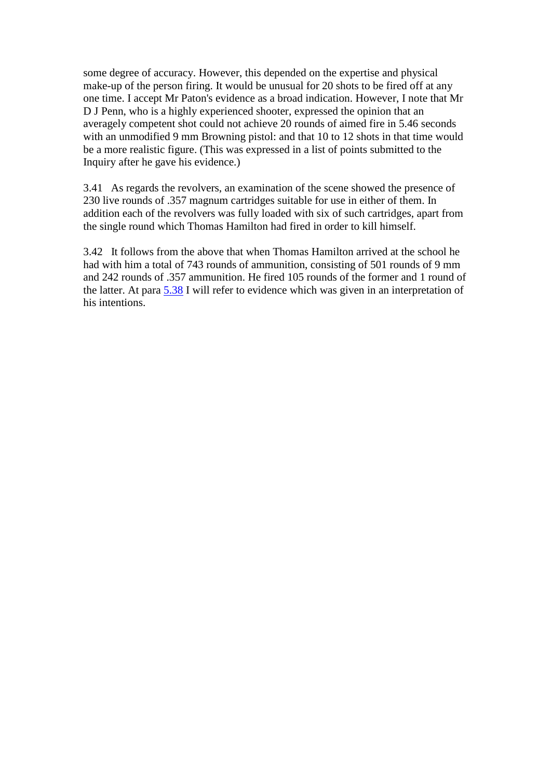some degree of accuracy. However, this depended on the expertise and physical make-up of the person firing. It would be unusual for 20 shots to be fired off at any one time. I accept Mr Paton's evidence as a broad indication. However, I note that Mr D J Penn, who is a highly experienced shooter, expressed the opinion that an averagely competent shot could not achieve 20 rounds of aimed fire in 5.46 seconds with an unmodified 9 mm Browning pistol: and that 10 to 12 shots in that time would be a more realistic figure. (This was expressed in a list of points submitted to the Inquiry after he gave his evidence.)

3.41 As regards the revolvers, an examination of the scene showed the presence of 230 live rounds of .357 magnum cartridges suitable for use in either of them. In addition each of the revolvers was fully loaded with six of such cartridges, apart from the single round which Thomas Hamilton had fired in order to kill himself.

3.42 It follows from the above that when Thomas Hamilton arrived at the school he had with him a total of 743 rounds of ammunition, consisting of 501 rounds of 9 mm and 242 rounds of .357 ammunition. He fired 105 rounds of the former and 1 round of the latter. At para [5.38](http://www.archive.official-documents.co.uk/document/scottish/dunblane/dun5-38.htm) I will refer to evidence which was given in an interpretation of his intentions.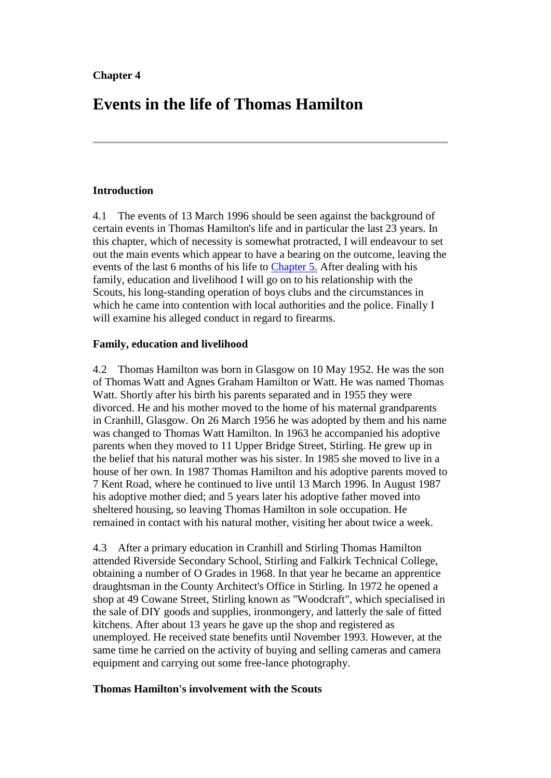# **Events in the life of Thomas Hamilton**

#### **Introduction**

4.1 The events of 13 March 1996 should be seen against the background of certain events in Thomas Hamilton's life and in particular the last 23 years. In this chapter, which of necessity is somewhat protracted, I will endeavour to set out the main events which appear to have a bearing on the outcome, leaving the events of the last 6 months of his life to [Chapter 5.](http://www.archive.official-documents.co.uk/document/scottish/dunblane/dun05a.htm) After dealing with his family, education and livelihood I will go on to his relationship with the Scouts, his long-standing operation of boys clubs and the circumstances in which he came into contention with local authorities and the police. Finally I will examine his alleged conduct in regard to firearms.

#### **Family, education and livelihood**

4.2 Thomas Hamilton was born in Glasgow on 10 May 1952. He was the son of Thomas Watt and Agnes Graham Hamilton or Watt. He was named Thomas Watt. Shortly after his birth his parents separated and in 1955 they were divorced. He and his mother moved to the home of his maternal grandparents in Cranhill, Glasgow. On 26 March 1956 he was adopted by them and his name was changed to Thomas Watt Hamilton. In 1963 he accompanied his adoptive parents when they moved to 11 Upper Bridge Street, Stirling. He grew up in the belief that his natural mother was his sister. In 1985 she moved to live in a house of her own. In 1987 Thomas Hamilton and his adoptive parents moved to 7 Kent Road, where he continued to live until 13 March 1996. In August 1987 his adoptive mother died; and 5 years later his adoptive father moved into sheltered housing, so leaving Thomas Hamilton in sole occupation. He remained in contact with his natural mother, visiting her about twice a week.

4.3 After a primary education in Cranhill and Stirling Thomas Hamilton attended Riverside Secondary School, Stirling and Falkirk Technical College, obtaining a number of O Grades in 1968. In that year he became an apprentice draughtsman in the County Architect's Office in Stirling. In 1972 he opened a shop at 49 Cowane Street, Stirling known as "Woodcraft", which specialised in the sale of DIY goods and supplies, ironmongery, and latterly the sale of fitted kitchens. After about 13 years he gave up the shop and registered as unemployed. He received state benefits until November 1993. However, at the same time he carried on the activity of buying and selling cameras and camera equipment and carrying out some free-lance photography.

#### **Thomas Hamilton's involvement with the Scouts**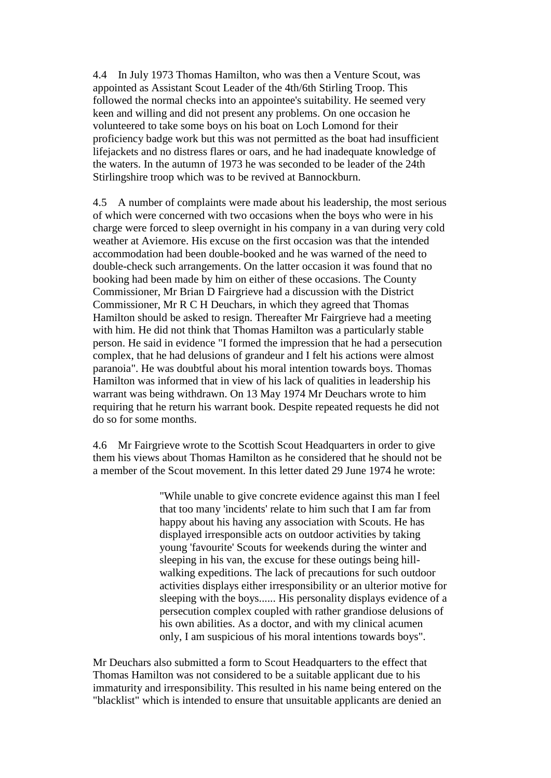4.4 In July 1973 Thomas Hamilton, who was then a Venture Scout, was appointed as Assistant Scout Leader of the 4th/6th Stirling Troop. This followed the normal checks into an appointee's suitability. He seemed very keen and willing and did not present any problems. On one occasion he volunteered to take some boys on his boat on Loch Lomond for their proficiency badge work but this was not permitted as the boat had insufficient lifejackets and no distress flares or oars, and he had inadequate knowledge of the waters. In the autumn of 1973 he was seconded to be leader of the 24th Stirlingshire troop which was to be revived at Bannockburn.

4.5 A number of complaints were made about his leadership, the most serious of which were concerned with two occasions when the boys who were in his charge were forced to sleep overnight in his company in a van during very cold weather at Aviemore. His excuse on the first occasion was that the intended accommodation had been double-booked and he was warned of the need to double-check such arrangements. On the latter occasion it was found that no booking had been made by him on either of these occasions. The County Commissioner, Mr Brian D Fairgrieve had a discussion with the District Commissioner, Mr R C H Deuchars, in which they agreed that Thomas Hamilton should be asked to resign. Thereafter Mr Fairgrieve had a meeting with him. He did not think that Thomas Hamilton was a particularly stable person. He said in evidence "I formed the impression that he had a persecution complex, that he had delusions of grandeur and I felt his actions were almost paranoia". He was doubtful about his moral intention towards boys. Thomas Hamilton was informed that in view of his lack of qualities in leadership his warrant was being withdrawn. On 13 May 1974 Mr Deuchars wrote to him requiring that he return his warrant book. Despite repeated requests he did not do so for some months.

4.6 Mr Fairgrieve wrote to the Scottish Scout Headquarters in order to give them his views about Thomas Hamilton as he considered that he should not be a member of the Scout movement. In this letter dated 29 June 1974 he wrote:

> "While unable to give concrete evidence against this man I feel that too many 'incidents' relate to him such that I am far from happy about his having any association with Scouts. He has displayed irresponsible acts on outdoor activities by taking young 'favourite' Scouts for weekends during the winter and sleeping in his van, the excuse for these outings being hillwalking expeditions. The lack of precautions for such outdoor activities displays either irresponsibility or an ulterior motive for sleeping with the boys...... His personality displays evidence of a persecution complex coupled with rather grandiose delusions of his own abilities. As a doctor, and with my clinical acumen only, I am suspicious of his moral intentions towards boys".

Mr Deuchars also submitted a form to Scout Headquarters to the effect that Thomas Hamilton was not considered to be a suitable applicant due to his immaturity and irresponsibility. This resulted in his name being entered on the "blacklist" which is intended to ensure that unsuitable applicants are denied an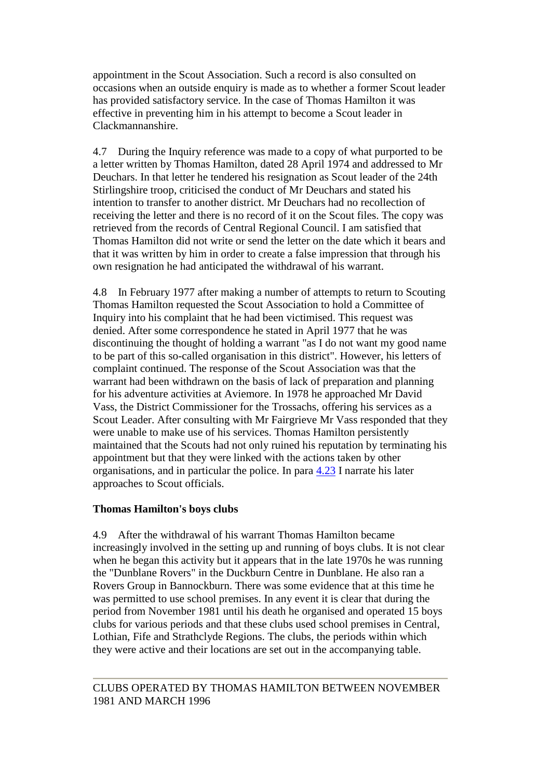appointment in the Scout Association. Such a record is also consulted on occasions when an outside enquiry is made as to whether a former Scout leader has provided satisfactory service. In the case of Thomas Hamilton it was effective in preventing him in his attempt to become a Scout leader in Clackmannanshire.

4.7 During the Inquiry reference was made to a copy of what purported to be a letter written by Thomas Hamilton, dated 28 April 1974 and addressed to Mr Deuchars. In that letter he tendered his resignation as Scout leader of the 24th Stirlingshire troop, criticised the conduct of Mr Deuchars and stated his intention to transfer to another district. Mr Deuchars had no recollection of receiving the letter and there is no record of it on the Scout files. The copy was retrieved from the records of Central Regional Council. I am satisfied that Thomas Hamilton did not write or send the letter on the date which it bears and that it was written by him in order to create a false impression that through his own resignation he had anticipated the withdrawal of his warrant.

4.8 In February 1977 after making a number of attempts to return to Scouting Thomas Hamilton requested the Scout Association to hold a Committee of Inquiry into his complaint that he had been victimised. This request was denied. After some correspondence he stated in April 1977 that he was discontinuing the thought of holding a warrant "as I do not want my good name to be part of this so-called organisation in this district". However, his letters of complaint continued. The response of the Scout Association was that the warrant had been withdrawn on the basis of lack of preparation and planning for his adventure activities at Aviemore. In 1978 he approached Mr David Vass, the District Commissioner for the Trossachs, offering his services as a Scout Leader. After consulting with Mr Fairgrieve Mr Vass responded that they were unable to make use of his services. Thomas Hamilton persistently maintained that the Scouts had not only ruined his reputation by terminating his appointment but that they were linked with the actions taken by other organisations, and in particular the police. In para [4.23](http://www.archive.official-documents.co.uk/document/scottish/dunblane/dun4-23.htm) I narrate his later approaches to Scout officials.

#### **Thomas Hamilton's boys clubs**

4.9 After the withdrawal of his warrant Thomas Hamilton became increasingly involved in the setting up and running of boys clubs. It is not clear when he began this activity but it appears that in the late 1970s he was running the "Dunblane Rovers" in the Duckburn Centre in Dunblane. He also ran a Rovers Group in Bannockburn. There was some evidence that at this time he was permitted to use school premises. In any event it is clear that during the period from November 1981 until his death he organised and operated 15 boys clubs for various periods and that these clubs used school premises in Central, Lothian, Fife and Strathclyde Regions. The clubs, the periods within which they were active and their locations are set out in the accompanying table.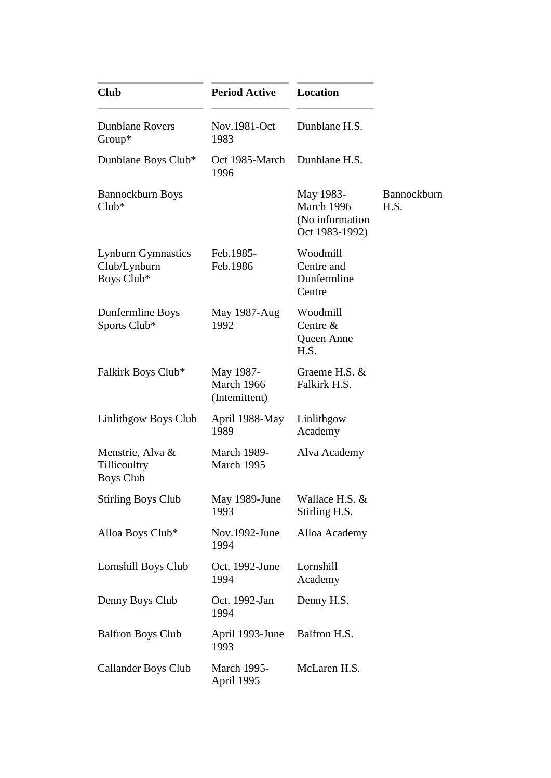| <b>Club</b>                                             | <b>Period Active</b>                     | <b>Location</b>                                              |                     |
|---------------------------------------------------------|------------------------------------------|--------------------------------------------------------------|---------------------|
| <b>Dunblane Rovers</b><br>Group*                        | Nov.1981-Oct<br>1983                     | Dunblane H.S.                                                |                     |
| Dunblane Boys Club*                                     | Oct 1985-March<br>1996                   | Dunblane H.S.                                                |                     |
| Bannockburn Boys<br>$Club*$                             |                                          | May 1983-<br>March 1996<br>(No information<br>Oct 1983-1992) | Bannockburn<br>H.S. |
| <b>Lynburn Gymnastics</b><br>Club/Lynburn<br>Boys Club* | Feb.1985-<br>Feb.1986                    | Woodmill<br>Centre and<br>Dunfermline<br>Centre              |                     |
| Dunfermline Boys<br>Sports Club*                        | May 1987-Aug<br>1992                     | Woodmill<br>Centre $&$<br>Queen Anne<br>H.S.                 |                     |
| Falkirk Boys Club*                                      | May 1987-<br>March 1966<br>(Intemittent) | Graeme H.S. &<br>Falkirk H.S.                                |                     |
| Linlithgow Boys Club                                    | April 1988-May<br>1989                   | Linlithgow<br>Academy                                        |                     |
| Menstrie, Alva &<br>Tillicoultry<br><b>Boys Club</b>    | <b>March 1989-</b><br>March 1995         | Alva Academy                                                 |                     |
| <b>Stirling Boys Club</b>                               | May 1989-June<br>1993                    | Wallace H.S. &<br>Stirling H.S.                              |                     |
| Alloa Boys Club*                                        | Nov.1992-June<br>1994                    | Alloa Academy                                                |                     |
| Lornshill Boys Club                                     | Oct. 1992-June<br>1994                   | Lornshill<br>Academy                                         |                     |
| Denny Boys Club                                         | Oct. 1992-Jan<br>1994                    | Denny H.S.                                                   |                     |
| <b>Balfron Boys Club</b>                                | April 1993-June<br>1993                  | Balfron H.S.                                                 |                     |
| <b>Callander Boys Club</b>                              | <b>March 1995-</b><br>April 1995         | McLaren H.S.                                                 |                     |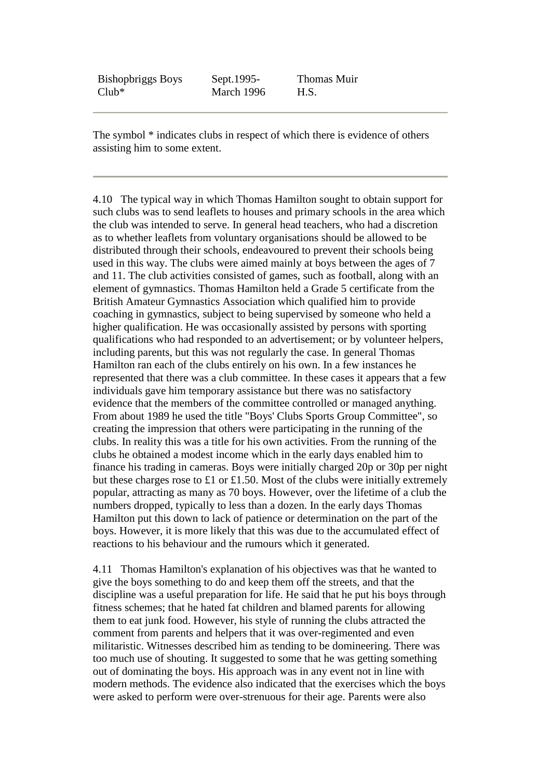| <b>Bishophriggs Boys</b> | Sept. 1995- | Thomas Muir |
|--------------------------|-------------|-------------|
| $Club*$                  | March 1996  | H.S.        |

The symbol \* indicates clubs in respect of which there is evidence of others assisting him to some extent.

4.10 The typical way in which Thomas Hamilton sought to obtain support for such clubs was to send leaflets to houses and primary schools in the area which the club was intended to serve. In general head teachers, who had a discretion as to whether leaflets from voluntary organisations should be allowed to be distributed through their schools, endeavoured to prevent their schools being used in this way. The clubs were aimed mainly at boys between the ages of 7 and 11. The club activities consisted of games, such as football, along with an element of gymnastics. Thomas Hamilton held a Grade 5 certificate from the British Amateur Gymnastics Association which qualified him to provide coaching in gymnastics, subject to being supervised by someone who held a higher qualification. He was occasionally assisted by persons with sporting qualifications who had responded to an advertisement; or by volunteer helpers, including parents, but this was not regularly the case. In general Thomas Hamilton ran each of the clubs entirely on his own. In a few instances he represented that there was a club committee. In these cases it appears that a few individuals gave him temporary assistance but there was no satisfactory evidence that the members of the committee controlled or managed anything. From about 1989 he used the title "Boys' Clubs Sports Group Committee", so creating the impression that others were participating in the running of the clubs. In reality this was a title for his own activities. From the running of the clubs he obtained a modest income which in the early days enabled him to finance his trading in cameras. Boys were initially charged 20p or 30p per night but these charges rose to £1 or £1.50. Most of the clubs were initially extremely popular, attracting as many as 70 boys. However, over the lifetime of a club the numbers dropped, typically to less than a dozen. In the early days Thomas Hamilton put this down to lack of patience or determination on the part of the boys. However, it is more likely that this was due to the accumulated effect of reactions to his behaviour and the rumours which it generated.

4.11 Thomas Hamilton's explanation of his objectives was that he wanted to give the boys something to do and keep them off the streets, and that the discipline was a useful preparation for life. He said that he put his boys through fitness schemes; that he hated fat children and blamed parents for allowing them to eat junk food. However, his style of running the clubs attracted the comment from parents and helpers that it was over-regimented and even militaristic. Witnesses described him as tending to be domineering. There was too much use of shouting. It suggested to some that he was getting something out of dominating the boys. His approach was in any event not in line with modern methods. The evidence also indicated that the exercises which the boys were asked to perform were over-strenuous for their age. Parents were also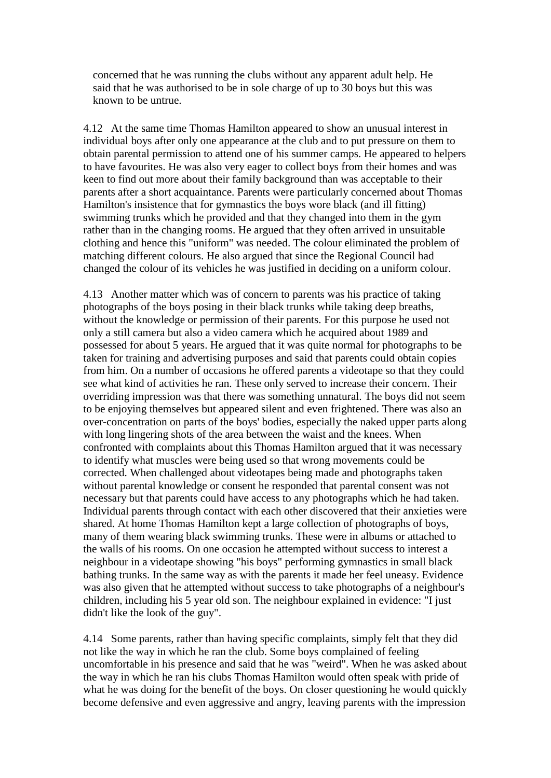concerned that he was running the clubs without any apparent adult help. He said that he was authorised to be in sole charge of up to 30 boys but this was known to be untrue.

4.12 At the same time Thomas Hamilton appeared to show an unusual interest in individual boys after only one appearance at the club and to put pressure on them to obtain parental permission to attend one of his summer camps. He appeared to helpers to have favourites. He was also very eager to collect boys from their homes and was keen to find out more about their family background than was acceptable to their parents after a short acquaintance. Parents were particularly concerned about Thomas Hamilton's insistence that for gymnastics the boys wore black (and ill fitting) swimming trunks which he provided and that they changed into them in the gym rather than in the changing rooms. He argued that they often arrived in unsuitable clothing and hence this "uniform" was needed. The colour eliminated the problem of matching different colours. He also argued that since the Regional Council had changed the colour of its vehicles he was justified in deciding on a uniform colour.

4.13 Another matter which was of concern to parents was his practice of taking photographs of the boys posing in their black trunks while taking deep breaths, without the knowledge or permission of their parents. For this purpose he used not only a still camera but also a video camera which he acquired about 1989 and possessed for about 5 years. He argued that it was quite normal for photographs to be taken for training and advertising purposes and said that parents could obtain copies from him. On a number of occasions he offered parents a videotape so that they could see what kind of activities he ran. These only served to increase their concern. Their overriding impression was that there was something unnatural. The boys did not seem to be enjoying themselves but appeared silent and even frightened. There was also an over-concentration on parts of the boys' bodies, especially the naked upper parts along with long lingering shots of the area between the waist and the knees. When confronted with complaints about this Thomas Hamilton argued that it was necessary to identify what muscles were being used so that wrong movements could be corrected. When challenged about videotapes being made and photographs taken without parental knowledge or consent he responded that parental consent was not necessary but that parents could have access to any photographs which he had taken. Individual parents through contact with each other discovered that their anxieties were shared. At home Thomas Hamilton kept a large collection of photographs of boys, many of them wearing black swimming trunks. These were in albums or attached to the walls of his rooms. On one occasion he attempted without success to interest a neighbour in a videotape showing "his boys" performing gymnastics in small black bathing trunks. In the same way as with the parents it made her feel uneasy. Evidence was also given that he attempted without success to take photographs of a neighbour's children, including his 5 year old son. The neighbour explained in evidence: "I just didn't like the look of the guy".

4.14 Some parents, rather than having specific complaints, simply felt that they did not like the way in which he ran the club. Some boys complained of feeling uncomfortable in his presence and said that he was "weird". When he was asked about the way in which he ran his clubs Thomas Hamilton would often speak with pride of what he was doing for the benefit of the boys. On closer questioning he would quickly become defensive and even aggressive and angry, leaving parents with the impression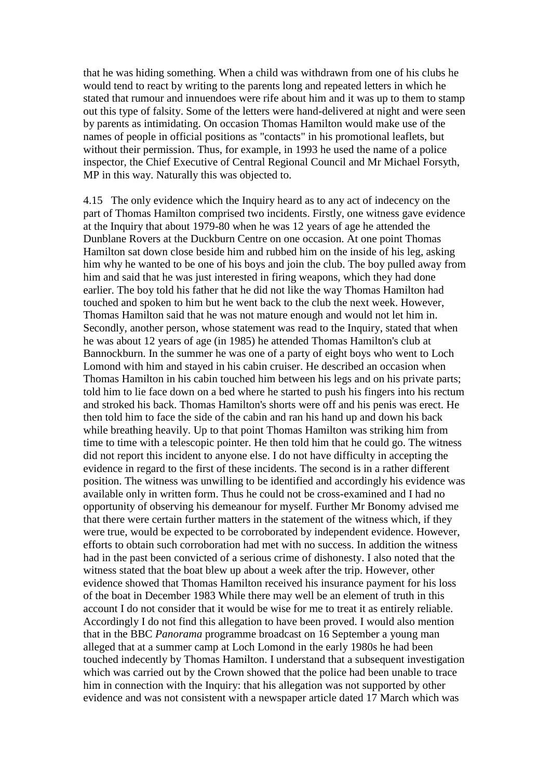that he was hiding something. When a child was withdrawn from one of his clubs he would tend to react by writing to the parents long and repeated letters in which he stated that rumour and innuendoes were rife about him and it was up to them to stamp out this type of falsity. Some of the letters were hand-delivered at night and were seen by parents as intimidating. On occasion Thomas Hamilton would make use of the names of people in official positions as "contacts" in his promotional leaflets, but without their permission. Thus, for example, in 1993 he used the name of a police inspector, the Chief Executive of Central Regional Council and Mr Michael Forsyth, MP in this way. Naturally this was objected to.

4.15 The only evidence which the Inquiry heard as to any act of indecency on the part of Thomas Hamilton comprised two incidents. Firstly, one witness gave evidence at the Inquiry that about 1979-80 when he was 12 years of age he attended the Dunblane Rovers at the Duckburn Centre on one occasion. At one point Thomas Hamilton sat down close beside him and rubbed him on the inside of his leg, asking him why he wanted to be one of his boys and join the club. The boy pulled away from him and said that he was just interested in firing weapons, which they had done earlier. The boy told his father that he did not like the way Thomas Hamilton had touched and spoken to him but he went back to the club the next week. However, Thomas Hamilton said that he was not mature enough and would not let him in. Secondly, another person, whose statement was read to the Inquiry, stated that when he was about 12 years of age (in 1985) he attended Thomas Hamilton's club at Bannockburn. In the summer he was one of a party of eight boys who went to Loch Lomond with him and stayed in his cabin cruiser. He described an occasion when Thomas Hamilton in his cabin touched him between his legs and on his private parts; told him to lie face down on a bed where he started to push his fingers into his rectum and stroked his back. Thomas Hamilton's shorts were off and his penis was erect. He then told him to face the side of the cabin and ran his hand up and down his back while breathing heavily. Up to that point Thomas Hamilton was striking him from time to time with a telescopic pointer. He then told him that he could go. The witness did not report this incident to anyone else. I do not have difficulty in accepting the evidence in regard to the first of these incidents. The second is in a rather different position. The witness was unwilling to be identified and accordingly his evidence was available only in written form. Thus he could not be cross-examined and I had no opportunity of observing his demeanour for myself. Further Mr Bonomy advised me that there were certain further matters in the statement of the witness which, if they were true, would be expected to be corroborated by independent evidence. However, efforts to obtain such corroboration had met with no success. In addition the witness had in the past been convicted of a serious crime of dishonesty. I also noted that the witness stated that the boat blew up about a week after the trip. However, other evidence showed that Thomas Hamilton received his insurance payment for his loss of the boat in December 1983 While there may well be an element of truth in this account I do not consider that it would be wise for me to treat it as entirely reliable. Accordingly I do not find this allegation to have been proved. I would also mention that in the BBC *Panorama* programme broadcast on 16 September a young man alleged that at a summer camp at Loch Lomond in the early 1980s he had been touched indecently by Thomas Hamilton. I understand that a subsequent investigation which was carried out by the Crown showed that the police had been unable to trace him in connection with the Inquiry: that his allegation was not supported by other evidence and was not consistent with a newspaper article dated 17 March which was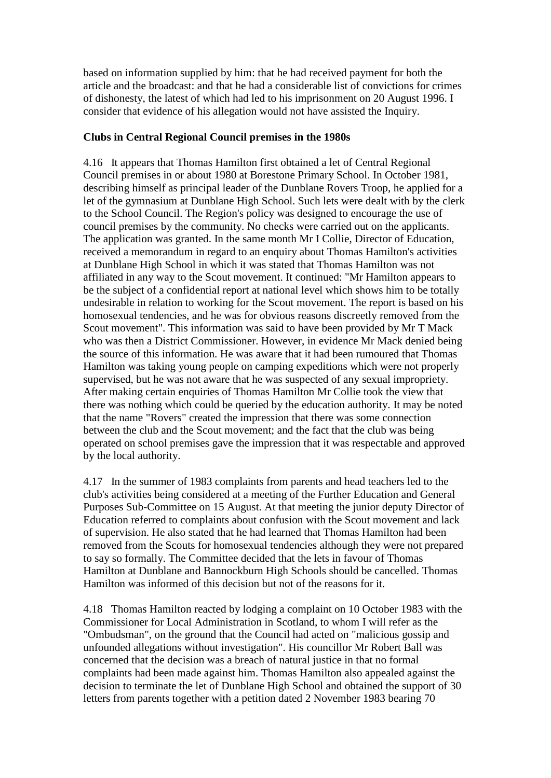based on information supplied by him: that he had received payment for both the article and the broadcast: and that he had a considerable list of convictions for crimes of dishonesty, the latest of which had led to his imprisonment on 20 August 1996. I consider that evidence of his allegation would not have assisted the Inquiry.

#### **Clubs in Central Regional Council premises in the 1980s**

4.16 It appears that Thomas Hamilton first obtained a let of Central Regional Council premises in or about 1980 at Borestone Primary School. In October 1981, describing himself as principal leader of the Dunblane Rovers Troop, he applied for a let of the gymnasium at Dunblane High School. Such lets were dealt with by the clerk to the School Council. The Region's policy was designed to encourage the use of council premises by the community. No checks were carried out on the applicants. The application was granted. In the same month Mr I Collie, Director of Education, received a memorandum in regard to an enquiry about Thomas Hamilton's activities at Dunblane High School in which it was stated that Thomas Hamilton was not affiliated in any way to the Scout movement. It continued: "Mr Hamilton appears to be the subject of a confidential report at national level which shows him to be totally undesirable in relation to working for the Scout movement. The report is based on his homosexual tendencies, and he was for obvious reasons discreetly removed from the Scout movement". This information was said to have been provided by Mr T Mack who was then a District Commissioner. However, in evidence Mr Mack denied being the source of this information. He was aware that it had been rumoured that Thomas Hamilton was taking young people on camping expeditions which were not properly supervised, but he was not aware that he was suspected of any sexual impropriety. After making certain enquiries of Thomas Hamilton Mr Collie took the view that there was nothing which could be queried by the education authority. It may be noted that the name "Rovers" created the impression that there was some connection between the club and the Scout movement; and the fact that the club was being operated on school premises gave the impression that it was respectable and approved by the local authority.

4.17 In the summer of 1983 complaints from parents and head teachers led to the club's activities being considered at a meeting of the Further Education and General Purposes Sub-Committee on 15 August. At that meeting the junior deputy Director of Education referred to complaints about confusion with the Scout movement and lack of supervision. He also stated that he had learned that Thomas Hamilton had been removed from the Scouts for homosexual tendencies although they were not prepared to say so formally. The Committee decided that the lets in favour of Thomas Hamilton at Dunblane and Bannockburn High Schools should be cancelled. Thomas Hamilton was informed of this decision but not of the reasons for it.

4.18 Thomas Hamilton reacted by lodging a complaint on 10 October 1983 with the Commissioner for Local Administration in Scotland, to whom I will refer as the "Ombudsman", on the ground that the Council had acted on "malicious gossip and unfounded allegations without investigation". His councillor Mr Robert Ball was concerned that the decision was a breach of natural justice in that no formal complaints had been made against him. Thomas Hamilton also appealed against the decision to terminate the let of Dunblane High School and obtained the support of 30 letters from parents together with a petition dated 2 November 1983 bearing 70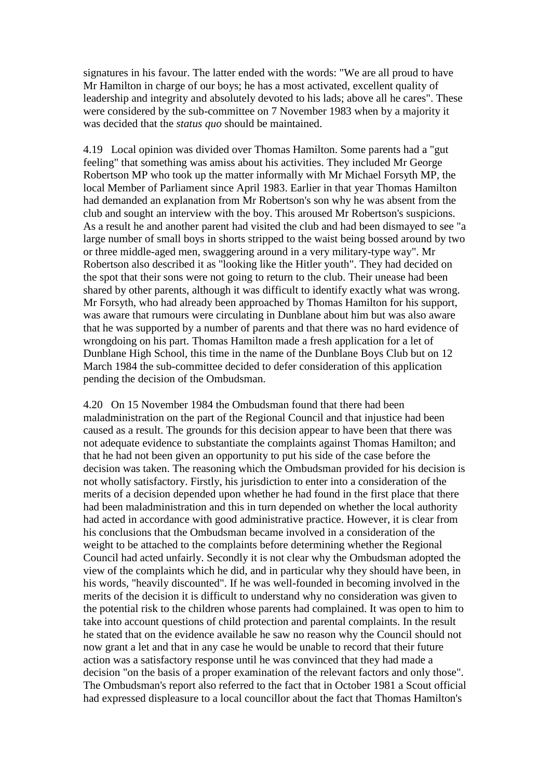signatures in his favour. The latter ended with the words: "We are all proud to have Mr Hamilton in charge of our boys; he has a most activated, excellent quality of leadership and integrity and absolutely devoted to his lads; above all he cares". These were considered by the sub-committee on 7 November 1983 when by a majority it was decided that the *status quo* should be maintained.

4.19 Local opinion was divided over Thomas Hamilton. Some parents had a "gut feeling" that something was amiss about his activities. They included Mr George Robertson MP who took up the matter informally with Mr Michael Forsyth MP, the local Member of Parliament since April 1983. Earlier in that year Thomas Hamilton had demanded an explanation from Mr Robertson's son why he was absent from the club and sought an interview with the boy. This aroused Mr Robertson's suspicions. As a result he and another parent had visited the club and had been dismayed to see "a large number of small boys in shorts stripped to the waist being bossed around by two or three middle-aged men, swaggering around in a very military-type way". Mr Robertson also described it as "looking like the Hitler youth". They had decided on the spot that their sons were not going to return to the club. Their unease had been shared by other parents, although it was difficult to identify exactly what was wrong. Mr Forsyth, who had already been approached by Thomas Hamilton for his support, was aware that rumours were circulating in Dunblane about him but was also aware that he was supported by a number of parents and that there was no hard evidence of wrongdoing on his part. Thomas Hamilton made a fresh application for a let of Dunblane High School, this time in the name of the Dunblane Boys Club but on 12 March 1984 the sub-committee decided to defer consideration of this application pending the decision of the Ombudsman.

4.20 On 15 November 1984 the Ombudsman found that there had been maladministration on the part of the Regional Council and that injustice had been caused as a result. The grounds for this decision appear to have been that there was not adequate evidence to substantiate the complaints against Thomas Hamilton; and that he had not been given an opportunity to put his side of the case before the decision was taken. The reasoning which the Ombudsman provided for his decision is not wholly satisfactory. Firstly, his jurisdiction to enter into a consideration of the merits of a decision depended upon whether he had found in the first place that there had been maladministration and this in turn depended on whether the local authority had acted in accordance with good administrative practice. However, it is clear from his conclusions that the Ombudsman became involved in a consideration of the weight to be attached to the complaints before determining whether the Regional Council had acted unfairly. Secondly it is not clear why the Ombudsman adopted the view of the complaints which he did, and in particular why they should have been, in his words, "heavily discounted". If he was well-founded in becoming involved in the merits of the decision it is difficult to understand why no consideration was given to the potential risk to the children whose parents had complained. It was open to him to take into account questions of child protection and parental complaints. In the result he stated that on the evidence available he saw no reason why the Council should not now grant a let and that in any case he would be unable to record that their future action was a satisfactory response until he was convinced that they had made a decision "on the basis of a proper examination of the relevant factors and only those". The Ombudsman's report also referred to the fact that in October 1981 a Scout official had expressed displeasure to a local councillor about the fact that Thomas Hamilton's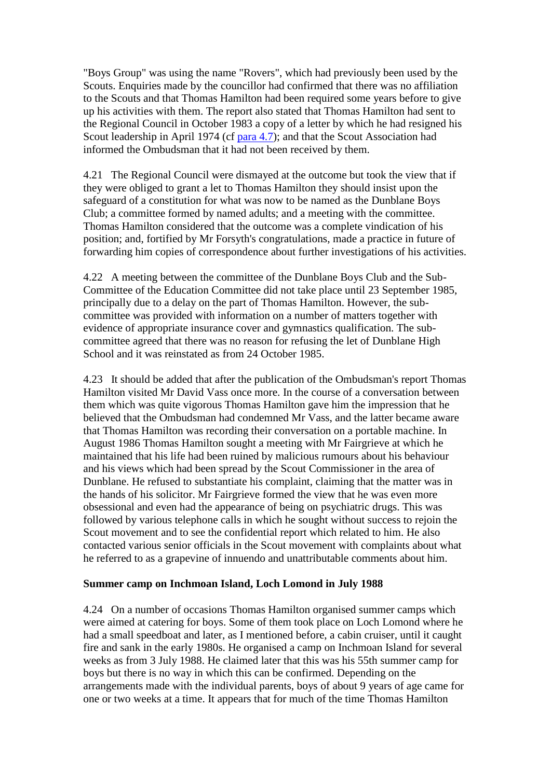"Boys Group" was using the name "Rovers", which had previously been used by the Scouts. Enquiries made by the councillor had confirmed that there was no affiliation to the Scouts and that Thomas Hamilton had been required some years before to give up his activities with them. The report also stated that Thomas Hamilton had sent to the Regional Council in October 1983 a copy of a letter by which he had resigned his Scout leadership in April 1974 (cf [para 4.7\)](http://www.archive.official-documents.co.uk/document/scottish/dunblane/dun4-7.htm); and that the Scout Association had informed the Ombudsman that it had not been received by them.

4.21 The Regional Council were dismayed at the outcome but took the view that if they were obliged to grant a let to Thomas Hamilton they should insist upon the safeguard of a constitution for what was now to be named as the Dunblane Boys Club; a committee formed by named adults; and a meeting with the committee. Thomas Hamilton considered that the outcome was a complete vindication of his position; and, fortified by Mr Forsyth's congratulations, made a practice in future of forwarding him copies of correspondence about further investigations of his activities.

4.22 A meeting between the committee of the Dunblane Boys Club and the Sub-Committee of the Education Committee did not take place until 23 September 1985, principally due to a delay on the part of Thomas Hamilton. However, the subcommittee was provided with information on a number of matters together with evidence of appropriate insurance cover and gymnastics qualification. The subcommittee agreed that there was no reason for refusing the let of Dunblane High School and it was reinstated as from 24 October 1985.

4.23 It should be added that after the publication of the Ombudsman's report Thomas Hamilton visited Mr David Vass once more. In the course of a conversation between them which was quite vigorous Thomas Hamilton gave him the impression that he believed that the Ombudsman had condemned Mr Vass, and the latter became aware that Thomas Hamilton was recording their conversation on a portable machine. In August 1986 Thomas Hamilton sought a meeting with Mr Fairgrieve at which he maintained that his life had been ruined by malicious rumours about his behaviour and his views which had been spread by the Scout Commissioner in the area of Dunblane. He refused to substantiate his complaint, claiming that the matter was in the hands of his solicitor. Mr Fairgrieve formed the view that he was even more obsessional and even had the appearance of being on psychiatric drugs. This was followed by various telephone calls in which he sought without success to rejoin the Scout movement and to see the confidential report which related to him. He also contacted various senior officials in the Scout movement with complaints about what he referred to as a grapevine of innuendo and unattributable comments about him.

#### **Summer camp on Inchmoan Island, Loch Lomond in July 1988**

4.24 On a number of occasions Thomas Hamilton organised summer camps which were aimed at catering for boys. Some of them took place on Loch Lomond where he had a small speedboat and later, as I mentioned before, a cabin cruiser, until it caught fire and sank in the early 1980s. He organised a camp on Inchmoan Island for several weeks as from 3 July 1988. He claimed later that this was his 55th summer camp for boys but there is no way in which this can be confirmed. Depending on the arrangements made with the individual parents, boys of about 9 years of age came for one or two weeks at a time. It appears that for much of the time Thomas Hamilton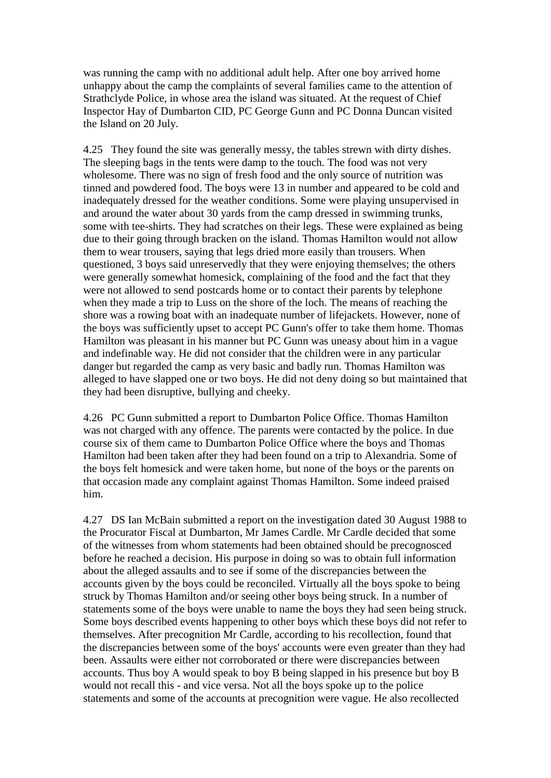was running the camp with no additional adult help. After one boy arrived home unhappy about the camp the complaints of several families came to the attention of Strathclyde Police, in whose area the island was situated. At the request of Chief Inspector Hay of Dumbarton CID, PC George Gunn and PC Donna Duncan visited the Island on 20 July.

4.25 They found the site was generally messy, the tables strewn with dirty dishes. The sleeping bags in the tents were damp to the touch. The food was not very wholesome. There was no sign of fresh food and the only source of nutrition was tinned and powdered food. The boys were 13 in number and appeared to be cold and inadequately dressed for the weather conditions. Some were playing unsupervised in and around the water about 30 yards from the camp dressed in swimming trunks, some with tee-shirts. They had scratches on their legs. These were explained as being due to their going through bracken on the island. Thomas Hamilton would not allow them to wear trousers, saying that legs dried more easily than trousers. When questioned, 3 boys said unreservedly that they were enjoying themselves; the others were generally somewhat homesick, complaining of the food and the fact that they were not allowed to send postcards home or to contact their parents by telephone when they made a trip to Luss on the shore of the loch. The means of reaching the shore was a rowing boat with an inadequate number of lifejackets. However, none of the boys was sufficiently upset to accept PC Gunn's offer to take them home. Thomas Hamilton was pleasant in his manner but PC Gunn was uneasy about him in a vague and indefinable way. He did not consider that the children were in any particular danger but regarded the camp as very basic and badly run. Thomas Hamilton was alleged to have slapped one or two boys. He did not deny doing so but maintained that they had been disruptive, bullying and cheeky.

4.26 PC Gunn submitted a report to Dumbarton Police Office. Thomas Hamilton was not charged with any offence. The parents were contacted by the police. In due course six of them came to Dumbarton Police Office where the boys and Thomas Hamilton had been taken after they had been found on a trip to Alexandria. Some of the boys felt homesick and were taken home, but none of the boys or the parents on that occasion made any complaint against Thomas Hamilton. Some indeed praised him.

4.27 DS Ian McBain submitted a report on the investigation dated 30 August 1988 to the Procurator Fiscal at Dumbarton, Mr James Cardle. Mr Cardle decided that some of the witnesses from whom statements had been obtained should be precognosced before he reached a decision. His purpose in doing so was to obtain full information about the alleged assaults and to see if some of the discrepancies between the accounts given by the boys could be reconciled. Virtually all the boys spoke to being struck by Thomas Hamilton and/or seeing other boys being struck. In a number of statements some of the boys were unable to name the boys they had seen being struck. Some boys described events happening to other boys which these boys did not refer to themselves. After precognition Mr Cardle, according to his recollection, found that the discrepancies between some of the boys' accounts were even greater than they had been. Assaults were either not corroborated or there were discrepancies between accounts. Thus boy A would speak to boy B being slapped in his presence but boy B would not recall this - and vice versa. Not all the boys spoke up to the police statements and some of the accounts at precognition were vague. He also recollected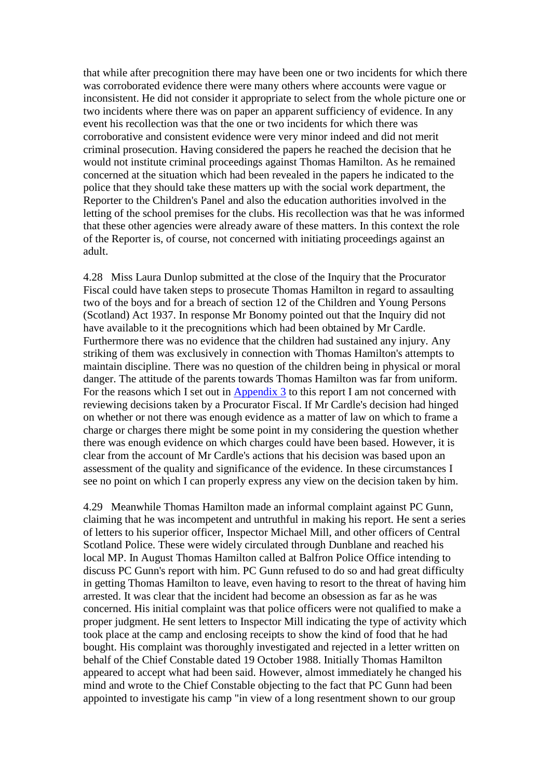that while after precognition there may have been one or two incidents for which there was corroborated evidence there were many others where accounts were vague or inconsistent. He did not consider it appropriate to select from the whole picture one or two incidents where there was on paper an apparent sufficiency of evidence. In any event his recollection was that the one or two incidents for which there was corroborative and consistent evidence were very minor indeed and did not merit criminal prosecution. Having considered the papers he reached the decision that he would not institute criminal proceedings against Thomas Hamilton. As he remained concerned at the situation which had been revealed in the papers he indicated to the police that they should take these matters up with the social work department, the Reporter to the Children's Panel and also the education authorities involved in the letting of the school premises for the clubs. His recollection was that he was informed that these other agencies were already aware of these matters. In this context the role of the Reporter is, of course, not concerned with initiating proceedings against an adult.

4.28 Miss Laura Dunlop submitted at the close of the Inquiry that the Procurator Fiscal could have taken steps to prosecute Thomas Hamilton in regard to assaulting two of the boys and for a breach of section 12 of the Children and Young Persons (Scotland) Act 1937. In response Mr Bonomy pointed out that the Inquiry did not have available to it the precognitions which had been obtained by Mr Cardle. Furthermore there was no evidence that the children had sustained any injury. Any striking of them was exclusively in connection with Thomas Hamilton's attempts to maintain discipline. There was no question of the children being in physical or moral danger. The attitude of the parents towards Thomas Hamilton was far from uniform. For the reasons which I set out in [Appendix 3](http://www.archive.official-documents.co.uk/document/scottish/dunblane/dunappb3.htm) to this report I am not concerned with reviewing decisions taken by a Procurator Fiscal. If Mr Cardle's decision had hinged on whether or not there was enough evidence as a matter of law on which to frame a charge or charges there might be some point in my considering the question whether there was enough evidence on which charges could have been based. However, it is clear from the account of Mr Cardle's actions that his decision was based upon an assessment of the quality and significance of the evidence. In these circumstances I see no point on which I can properly express any view on the decision taken by him.

4.29 Meanwhile Thomas Hamilton made an informal complaint against PC Gunn, claiming that he was incompetent and untruthful in making his report. He sent a series of letters to his superior officer, Inspector Michael Mill, and other officers of Central Scotland Police. These were widely circulated through Dunblane and reached his local MP. In August Thomas Hamilton called at Balfron Police Office intending to discuss PC Gunn's report with him. PC Gunn refused to do so and had great difficulty in getting Thomas Hamilton to leave, even having to resort to the threat of having him arrested. It was clear that the incident had become an obsession as far as he was concerned. His initial complaint was that police officers were not qualified to make a proper judgment. He sent letters to Inspector Mill indicating the type of activity which took place at the camp and enclosing receipts to show the kind of food that he had bought. His complaint was thoroughly investigated and rejected in a letter written on behalf of the Chief Constable dated 19 October 1988. Initially Thomas Hamilton appeared to accept what had been said. However, almost immediately he changed his mind and wrote to the Chief Constable objecting to the fact that PC Gunn had been appointed to investigate his camp "in view of a long resentment shown to our group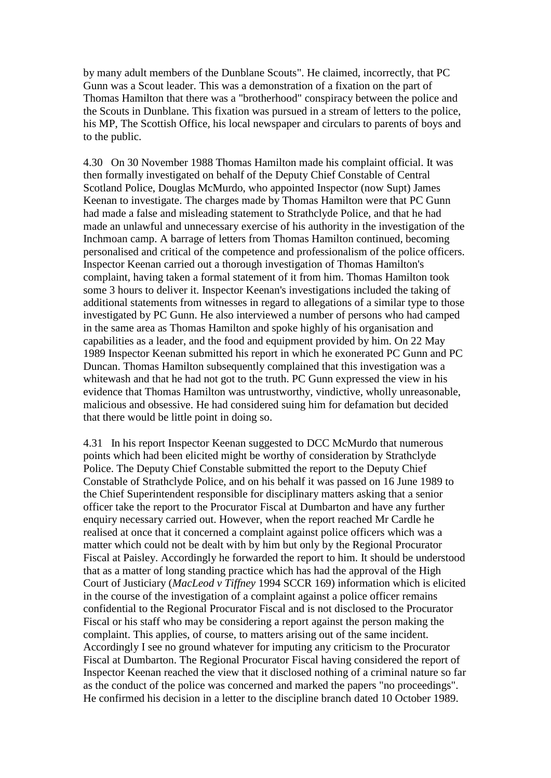by many adult members of the Dunblane Scouts". He claimed, incorrectly, that PC Gunn was a Scout leader. This was a demonstration of a fixation on the part of Thomas Hamilton that there was a "brotherhood" conspiracy between the police and the Scouts in Dunblane. This fixation was pursued in a stream of letters to the police, his MP, The Scottish Office, his local newspaper and circulars to parents of boys and to the public.

4.30 On 30 November 1988 Thomas Hamilton made his complaint official. It was then formally investigated on behalf of the Deputy Chief Constable of Central Scotland Police, Douglas McMurdo, who appointed Inspector (now Supt) James Keenan to investigate. The charges made by Thomas Hamilton were that PC Gunn had made a false and misleading statement to Strathclyde Police, and that he had made an unlawful and unnecessary exercise of his authority in the investigation of the Inchmoan camp. A barrage of letters from Thomas Hamilton continued, becoming personalised and critical of the competence and professionalism of the police officers. Inspector Keenan carried out a thorough investigation of Thomas Hamilton's complaint, having taken a formal statement of it from him. Thomas Hamilton took some 3 hours to deliver it. Inspector Keenan's investigations included the taking of additional statements from witnesses in regard to allegations of a similar type to those investigated by PC Gunn. He also interviewed a number of persons who had camped in the same area as Thomas Hamilton and spoke highly of his organisation and capabilities as a leader, and the food and equipment provided by him. On 22 May 1989 Inspector Keenan submitted his report in which he exonerated PC Gunn and PC Duncan. Thomas Hamilton subsequently complained that this investigation was a whitewash and that he had not got to the truth. PC Gunn expressed the view in his evidence that Thomas Hamilton was untrustworthy, vindictive, wholly unreasonable, malicious and obsessive. He had considered suing him for defamation but decided that there would be little point in doing so.

4.31 In his report Inspector Keenan suggested to DCC McMurdo that numerous points which had been elicited might be worthy of consideration by Strathclyde Police. The Deputy Chief Constable submitted the report to the Deputy Chief Constable of Strathclyde Police, and on his behalf it was passed on 16 June 1989 to the Chief Superintendent responsible for disciplinary matters asking that a senior officer take the report to the Procurator Fiscal at Dumbarton and have any further enquiry necessary carried out. However, when the report reached Mr Cardle he realised at once that it concerned a complaint against police officers which was a matter which could not be dealt with by him but only by the Regional Procurator Fiscal at Paisley. Accordingly he forwarded the report to him. It should be understood that as a matter of long standing practice which has had the approval of the High Court of Justiciary (*MacLeod v Tiffney* 1994 SCCR 169) information which is elicited in the course of the investigation of a complaint against a police officer remains confidential to the Regional Procurator Fiscal and is not disclosed to the Procurator Fiscal or his staff who may be considering a report against the person making the complaint. This applies, of course, to matters arising out of the same incident. Accordingly I see no ground whatever for imputing any criticism to the Procurator Fiscal at Dumbarton. The Regional Procurator Fiscal having considered the report of Inspector Keenan reached the view that it disclosed nothing of a criminal nature so far as the conduct of the police was concerned and marked the papers "no proceedings". He confirmed his decision in a letter to the discipline branch dated 10 October 1989.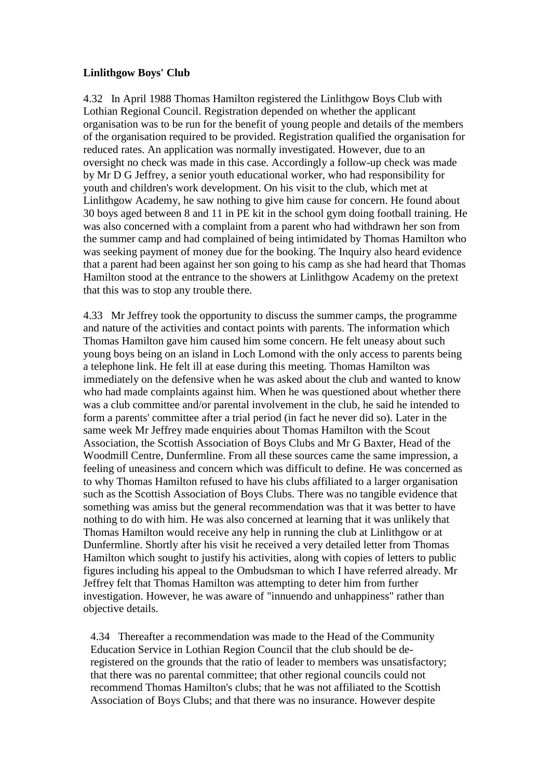#### **Linlithgow Boys' Club**

4.32 In April 1988 Thomas Hamilton registered the Linlithgow Boys Club with Lothian Regional Council. Registration depended on whether the applicant organisation was to be run for the benefit of young people and details of the members of the organisation required to be provided. Registration qualified the organisation for reduced rates. An application was normally investigated. However, due to an oversight no check was made in this case. Accordingly a follow-up check was made by Mr D G Jeffrey, a senior youth educational worker, who had responsibility for youth and children's work development. On his visit to the club, which met at Linlithgow Academy, he saw nothing to give him cause for concern. He found about 30 boys aged between 8 and 11 in PE kit in the school gym doing football training. He was also concerned with a complaint from a parent who had withdrawn her son from the summer camp and had complained of being intimidated by Thomas Hamilton who was seeking payment of money due for the booking. The Inquiry also heard evidence that a parent had been against her son going to his camp as she had heard that Thomas Hamilton stood at the entrance to the showers at Linlithgow Academy on the pretext that this was to stop any trouble there.

4.33 Mr Jeffrey took the opportunity to discuss the summer camps, the programme and nature of the activities and contact points with parents. The information which Thomas Hamilton gave him caused him some concern. He felt uneasy about such young boys being on an island in Loch Lomond with the only access to parents being a telephone link. He felt ill at ease during this meeting. Thomas Hamilton was immediately on the defensive when he was asked about the club and wanted to know who had made complaints against him. When he was questioned about whether there was a club committee and/or parental involvement in the club, he said he intended to form a parents' committee after a trial period (in fact he never did so). Later in the same week Mr Jeffrey made enquiries about Thomas Hamilton with the Scout Association, the Scottish Association of Boys Clubs and Mr G Baxter, Head of the Woodmill Centre, Dunfermline. From all these sources came the same impression, a feeling of uneasiness and concern which was difficult to define. He was concerned as to why Thomas Hamilton refused to have his clubs affiliated to a larger organisation such as the Scottish Association of Boys Clubs. There was no tangible evidence that something was amiss but the general recommendation was that it was better to have nothing to do with him. He was also concerned at learning that it was unlikely that Thomas Hamilton would receive any help in running the club at Linlithgow or at Dunfermline. Shortly after his visit he received a very detailed letter from Thomas Hamilton which sought to justify his activities, along with copies of letters to public figures including his appeal to the Ombudsman to which I have referred already. Mr Jeffrey felt that Thomas Hamilton was attempting to deter him from further investigation. However, he was aware of "innuendo and unhappiness" rather than objective details.

4.34 Thereafter a recommendation was made to the Head of the Community Education Service in Lothian Region Council that the club should be deregistered on the grounds that the ratio of leader to members was unsatisfactory; that there was no parental committee; that other regional councils could not recommend Thomas Hamilton's clubs; that he was not affiliated to the Scottish Association of Boys Clubs; and that there was no insurance. However despite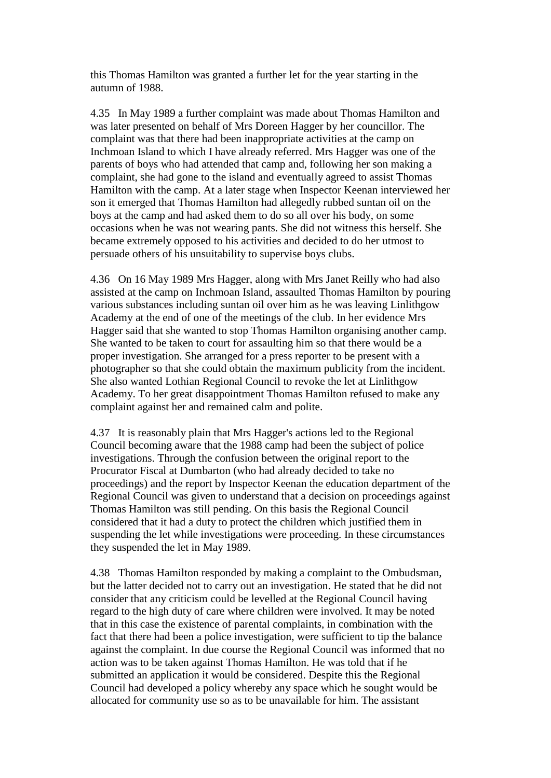this Thomas Hamilton was granted a further let for the year starting in the autumn of 1988.

4.35 In May 1989 a further complaint was made about Thomas Hamilton and was later presented on behalf of Mrs Doreen Hagger by her councillor. The complaint was that there had been inappropriate activities at the camp on Inchmoan Island to which I have already referred. Mrs Hagger was one of the parents of boys who had attended that camp and, following her son making a complaint, she had gone to the island and eventually agreed to assist Thomas Hamilton with the camp. At a later stage when Inspector Keenan interviewed her son it emerged that Thomas Hamilton had allegedly rubbed suntan oil on the boys at the camp and had asked them to do so all over his body, on some occasions when he was not wearing pants. She did not witness this herself. She became extremely opposed to his activities and decided to do her utmost to persuade others of his unsuitability to supervise boys clubs.

4.36 On 16 May 1989 Mrs Hagger, along with Mrs Janet Reilly who had also assisted at the camp on Inchmoan Island, assaulted Thomas Hamilton by pouring various substances including suntan oil over him as he was leaving Linlithgow Academy at the end of one of the meetings of the club. In her evidence Mrs Hagger said that she wanted to stop Thomas Hamilton organising another camp. She wanted to be taken to court for assaulting him so that there would be a proper investigation. She arranged for a press reporter to be present with a photographer so that she could obtain the maximum publicity from the incident. She also wanted Lothian Regional Council to revoke the let at Linlithgow Academy. To her great disappointment Thomas Hamilton refused to make any complaint against her and remained calm and polite.

4.37 It is reasonably plain that Mrs Hagger's actions led to the Regional Council becoming aware that the 1988 camp had been the subject of police investigations. Through the confusion between the original report to the Procurator Fiscal at Dumbarton (who had already decided to take no proceedings) and the report by Inspector Keenan the education department of the Regional Council was given to understand that a decision on proceedings against Thomas Hamilton was still pending. On this basis the Regional Council considered that it had a duty to protect the children which justified them in suspending the let while investigations were proceeding. In these circumstances they suspended the let in May 1989.

4.38 Thomas Hamilton responded by making a complaint to the Ombudsman, but the latter decided not to carry out an investigation. He stated that he did not consider that any criticism could be levelled at the Regional Council having regard to the high duty of care where children were involved. It may be noted that in this case the existence of parental complaints, in combination with the fact that there had been a police investigation, were sufficient to tip the balance against the complaint. In due course the Regional Council was informed that no action was to be taken against Thomas Hamilton. He was told that if he submitted an application it would be considered. Despite this the Regional Council had developed a policy whereby any space which he sought would be allocated for community use so as to be unavailable for him. The assistant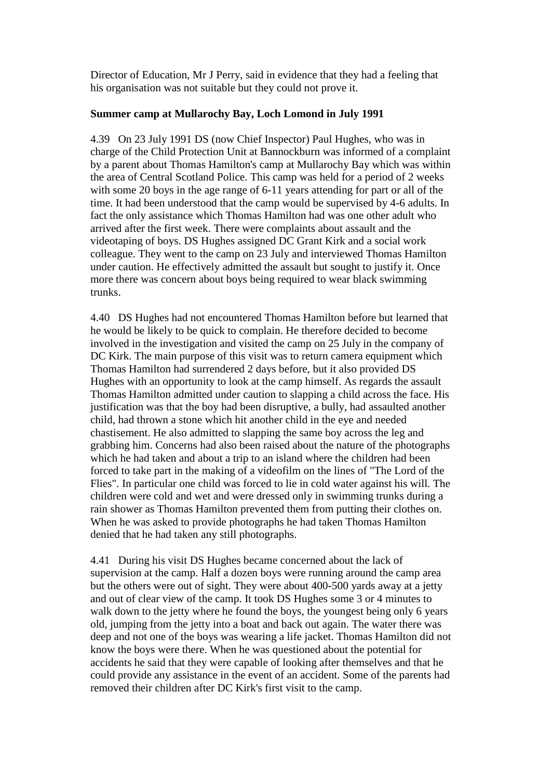Director of Education, Mr J Perry, said in evidence that they had a feeling that his organisation was not suitable but they could not prove it.

#### **Summer camp at Mullarochy Bay, Loch Lomond in July 1991**

4.39 On 23 July 1991 DS (now Chief Inspector) Paul Hughes, who was in charge of the Child Protection Unit at Bannockburn was informed of a complaint by a parent about Thomas Hamilton's camp at Mullarochy Bay which was within the area of Central Scotland Police. This camp was held for a period of 2 weeks with some 20 boys in the age range of 6-11 years attending for part or all of the time. It had been understood that the camp would be supervised by 4-6 adults. In fact the only assistance which Thomas Hamilton had was one other adult who arrived after the first week. There were complaints about assault and the videotaping of boys. DS Hughes assigned DC Grant Kirk and a social work colleague. They went to the camp on 23 July and interviewed Thomas Hamilton under caution. He effectively admitted the assault but sought to justify it. Once more there was concern about boys being required to wear black swimming trunks.

4.40 DS Hughes had not encountered Thomas Hamilton before but learned that he would be likely to be quick to complain. He therefore decided to become involved in the investigation and visited the camp on 25 July in the company of DC Kirk. The main purpose of this visit was to return camera equipment which Thomas Hamilton had surrendered 2 days before, but it also provided DS Hughes with an opportunity to look at the camp himself. As regards the assault Thomas Hamilton admitted under caution to slapping a child across the face. His justification was that the boy had been disruptive, a bully, had assaulted another child, had thrown a stone which hit another child in the eye and needed chastisement. He also admitted to slapping the same boy across the leg and grabbing him. Concerns had also been raised about the nature of the photographs which he had taken and about a trip to an island where the children had been forced to take part in the making of a videofilm on the lines of "The Lord of the Flies". In particular one child was forced to lie in cold water against his will. The children were cold and wet and were dressed only in swimming trunks during a rain shower as Thomas Hamilton prevented them from putting their clothes on. When he was asked to provide photographs he had taken Thomas Hamilton denied that he had taken any still photographs.

4.41 During his visit DS Hughes became concerned about the lack of supervision at the camp. Half a dozen boys were running around the camp area but the others were out of sight. They were about 400-500 yards away at a jetty and out of clear view of the camp. It took DS Hughes some 3 or 4 minutes to walk down to the jetty where he found the boys, the youngest being only 6 years old, jumping from the jetty into a boat and back out again. The water there was deep and not one of the boys was wearing a life jacket. Thomas Hamilton did not know the boys were there. When he was questioned about the potential for accidents he said that they were capable of looking after themselves and that he could provide any assistance in the event of an accident. Some of the parents had removed their children after DC Kirk's first visit to the camp.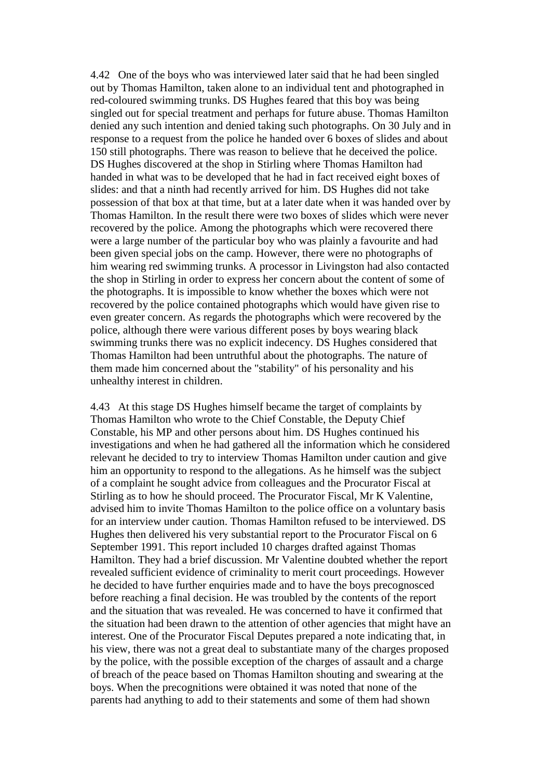4.42 One of the boys who was interviewed later said that he had been singled out by Thomas Hamilton, taken alone to an individual tent and photographed in red-coloured swimming trunks. DS Hughes feared that this boy was being singled out for special treatment and perhaps for future abuse. Thomas Hamilton denied any such intention and denied taking such photographs. On 30 July and in response to a request from the police he handed over 6 boxes of slides and about 150 still photographs. There was reason to believe that he deceived the police. DS Hughes discovered at the shop in Stirling where Thomas Hamilton had handed in what was to be developed that he had in fact received eight boxes of slides: and that a ninth had recently arrived for him. DS Hughes did not take possession of that box at that time, but at a later date when it was handed over by Thomas Hamilton. In the result there were two boxes of slides which were never recovered by the police. Among the photographs which were recovered there were a large number of the particular boy who was plainly a favourite and had been given special jobs on the camp. However, there were no photographs of him wearing red swimming trunks. A processor in Livingston had also contacted the shop in Stirling in order to express her concern about the content of some of the photographs. It is impossible to know whether the boxes which were not recovered by the police contained photographs which would have given rise to even greater concern. As regards the photographs which were recovered by the police, although there were various different poses by boys wearing black swimming trunks there was no explicit indecency. DS Hughes considered that Thomas Hamilton had been untruthful about the photographs. The nature of them made him concerned about the "stability" of his personality and his unhealthy interest in children.

4.43 At this stage DS Hughes himself became the target of complaints by Thomas Hamilton who wrote to the Chief Constable, the Deputy Chief Constable, his MP and other persons about him. DS Hughes continued his investigations and when he had gathered all the information which he considered relevant he decided to try to interview Thomas Hamilton under caution and give him an opportunity to respond to the allegations. As he himself was the subject of a complaint he sought advice from colleagues and the Procurator Fiscal at Stirling as to how he should proceed. The Procurator Fiscal, Mr K Valentine, advised him to invite Thomas Hamilton to the police office on a voluntary basis for an interview under caution. Thomas Hamilton refused to be interviewed. DS Hughes then delivered his very substantial report to the Procurator Fiscal on 6 September 1991. This report included 10 charges drafted against Thomas Hamilton. They had a brief discussion. Mr Valentine doubted whether the report revealed sufficient evidence of criminality to merit court proceedings. However he decided to have further enquiries made and to have the boys precognosced before reaching a final decision. He was troubled by the contents of the report and the situation that was revealed. He was concerned to have it confirmed that the situation had been drawn to the attention of other agencies that might have an interest. One of the Procurator Fiscal Deputes prepared a note indicating that, in his view, there was not a great deal to substantiate many of the charges proposed by the police, with the possible exception of the charges of assault and a charge of breach of the peace based on Thomas Hamilton shouting and swearing at the boys. When the precognitions were obtained it was noted that none of the parents had anything to add to their statements and some of them had shown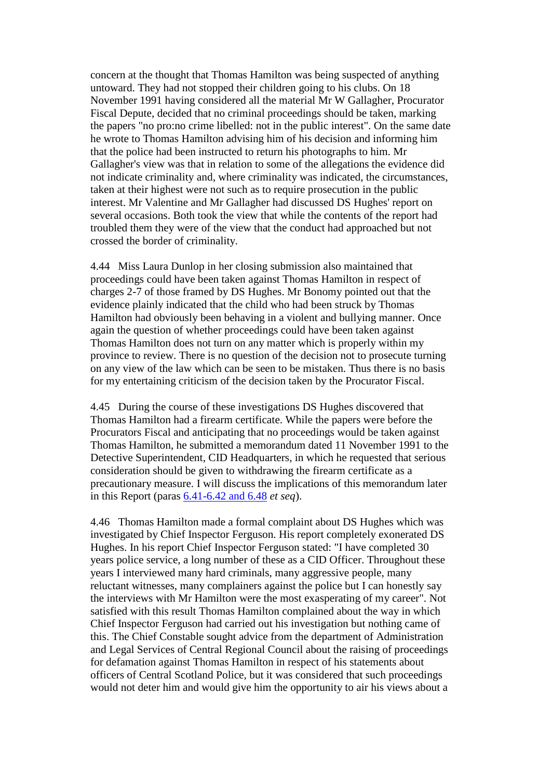concern at the thought that Thomas Hamilton was being suspected of anything untoward. They had not stopped their children going to his clubs. On 18 November 1991 having considered all the material Mr W Gallagher, Procurator Fiscal Depute, decided that no criminal proceedings should be taken, marking the papers "no pro:no crime libelled: not in the public interest". On the same date he wrote to Thomas Hamilton advising him of his decision and informing him that the police had been instructed to return his photographs to him. Mr Gallagher's view was that in relation to some of the allegations the evidence did not indicate criminality and, where criminality was indicated, the circumstances, taken at their highest were not such as to require prosecution in the public interest. Mr Valentine and Mr Gallagher had discussed DS Hughes' report on several occasions. Both took the view that while the contents of the report had troubled them they were of the view that the conduct had approached but not crossed the border of criminality.

4.44 Miss Laura Dunlop in her closing submission also maintained that proceedings could have been taken against Thomas Hamilton in respect of charges 2-7 of those framed by DS Hughes. Mr Bonomy pointed out that the evidence plainly indicated that the child who had been struck by Thomas Hamilton had obviously been behaving in a violent and bullying manner. Once again the question of whether proceedings could have been taken against Thomas Hamilton does not turn on any matter which is properly within my province to review. There is no question of the decision not to prosecute turning on any view of the law which can be seen to be mistaken. Thus there is no basis for my entertaining criticism of the decision taken by the Procurator Fiscal.

4.45 During the course of these investigations DS Hughes discovered that Thomas Hamilton had a firearm certificate. While the papers were before the Procurators Fiscal and anticipating that no proceedings would be taken against Thomas Hamilton, he submitted a memorandum dated 11 November 1991 to the Detective Superintendent, CID Headquarters, in which he requested that serious consideration should be given to withdrawing the firearm certificate as a precautionary measure. I will discuss the implications of this memorandum later in this Report (paras [6.41-6.42 and 6.48](http://www.archive.official-documents.co.uk/document/scottish/dunblane/dun6-41.htm) *et seq*).

4.46 Thomas Hamilton made a formal complaint about DS Hughes which was investigated by Chief Inspector Ferguson. His report completely exonerated DS Hughes. In his report Chief Inspector Ferguson stated: "I have completed 30 years police service, a long number of these as a CID Officer. Throughout these years I interviewed many hard criminals, many aggressive people, many reluctant witnesses, many complainers against the police but I can honestly say the interviews with Mr Hamilton were the most exasperating of my career". Not satisfied with this result Thomas Hamilton complained about the way in which Chief Inspector Ferguson had carried out his investigation but nothing came of this. The Chief Constable sought advice from the department of Administration and Legal Services of Central Regional Council about the raising of proceedings for defamation against Thomas Hamilton in respect of his statements about officers of Central Scotland Police, but it was considered that such proceedings would not deter him and would give him the opportunity to air his views about a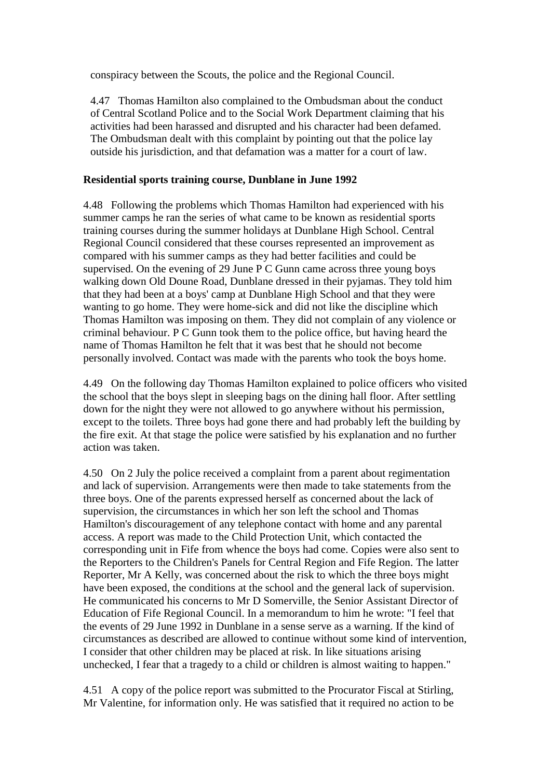conspiracy between the Scouts, the police and the Regional Council.

4.47 Thomas Hamilton also complained to the Ombudsman about the conduct of Central Scotland Police and to the Social Work Department claiming that his activities had been harassed and disrupted and his character had been defamed. The Ombudsman dealt with this complaint by pointing out that the police lay outside his jurisdiction, and that defamation was a matter for a court of law.

## **Residential sports training course, Dunblane in June 1992**

4.48 Following the problems which Thomas Hamilton had experienced with his summer camps he ran the series of what came to be known as residential sports training courses during the summer holidays at Dunblane High School. Central Regional Council considered that these courses represented an improvement as compared with his summer camps as they had better facilities and could be supervised. On the evening of 29 June P C Gunn came across three young boys walking down Old Doune Road, Dunblane dressed in their pyjamas. They told him that they had been at a boys' camp at Dunblane High School and that they were wanting to go home. They were home-sick and did not like the discipline which Thomas Hamilton was imposing on them. They did not complain of any violence or criminal behaviour. P C Gunn took them to the police office, but having heard the name of Thomas Hamilton he felt that it was best that he should not become personally involved. Contact was made with the parents who took the boys home.

4.49 On the following day Thomas Hamilton explained to police officers who visited the school that the boys slept in sleeping bags on the dining hall floor. After settling down for the night they were not allowed to go anywhere without his permission, except to the toilets. Three boys had gone there and had probably left the building by the fire exit. At that stage the police were satisfied by his explanation and no further action was taken.

4.50 On 2 July the police received a complaint from a parent about regimentation and lack of supervision. Arrangements were then made to take statements from the three boys. One of the parents expressed herself as concerned about the lack of supervision, the circumstances in which her son left the school and Thomas Hamilton's discouragement of any telephone contact with home and any parental access. A report was made to the Child Protection Unit, which contacted the corresponding unit in Fife from whence the boys had come. Copies were also sent to the Reporters to the Children's Panels for Central Region and Fife Region. The latter Reporter, Mr A Kelly, was concerned about the risk to which the three boys might have been exposed, the conditions at the school and the general lack of supervision. He communicated his concerns to Mr D Somerville, the Senior Assistant Director of Education of Fife Regional Council. In a memorandum to him he wrote: "I feel that the events of 29 June 1992 in Dunblane in a sense serve as a warning. If the kind of circumstances as described are allowed to continue without some kind of intervention, I consider that other children may be placed at risk. In like situations arising unchecked, I fear that a tragedy to a child or children is almost waiting to happen."

4.51 A copy of the police report was submitted to the Procurator Fiscal at Stirling, Mr Valentine, for information only. He was satisfied that it required no action to be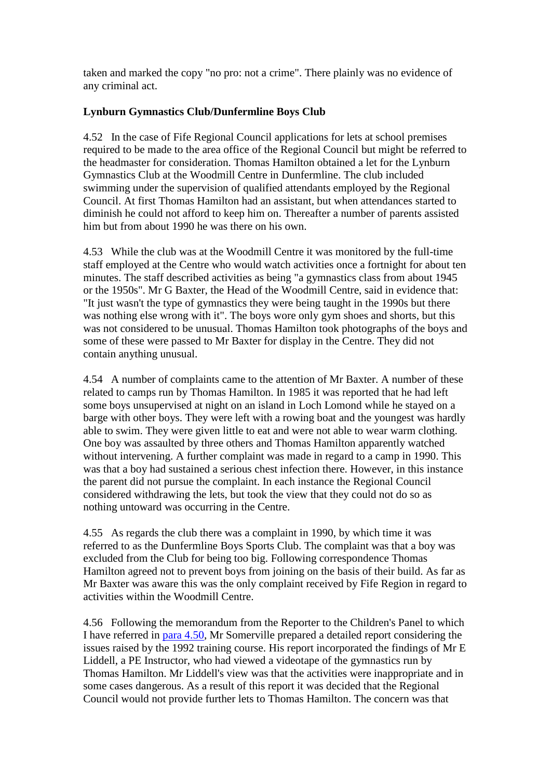taken and marked the copy "no pro: not a crime". There plainly was no evidence of any criminal act.

## **Lynburn Gymnastics Club/Dunfermline Boys Club**

4.52 In the case of Fife Regional Council applications for lets at school premises required to be made to the area office of the Regional Council but might be referred to the headmaster for consideration. Thomas Hamilton obtained a let for the Lynburn Gymnastics Club at the Woodmill Centre in Dunfermline. The club included swimming under the supervision of qualified attendants employed by the Regional Council. At first Thomas Hamilton had an assistant, but when attendances started to diminish he could not afford to keep him on. Thereafter a number of parents assisted him but from about 1990 he was there on his own.

4.53 While the club was at the Woodmill Centre it was monitored by the full-time staff employed at the Centre who would watch activities once a fortnight for about ten minutes. The staff described activities as being "a gymnastics class from about 1945 or the 1950s". Mr G Baxter, the Head of the Woodmill Centre, said in evidence that: "It just wasn't the type of gymnastics they were being taught in the 1990s but there was nothing else wrong with it". The boys wore only gym shoes and shorts, but this was not considered to be unusual. Thomas Hamilton took photographs of the boys and some of these were passed to Mr Baxter for display in the Centre. They did not contain anything unusual.

4.54 A number of complaints came to the attention of Mr Baxter. A number of these related to camps run by Thomas Hamilton. In 1985 it was reported that he had left some boys unsupervised at night on an island in Loch Lomond while he stayed on a barge with other boys. They were left with a rowing boat and the youngest was hardly able to swim. They were given little to eat and were not able to wear warm clothing. One boy was assaulted by three others and Thomas Hamilton apparently watched without intervening. A further complaint was made in regard to a camp in 1990. This was that a boy had sustained a serious chest infection there. However, in this instance the parent did not pursue the complaint. In each instance the Regional Council considered withdrawing the lets, but took the view that they could not do so as nothing untoward was occurring in the Centre.

4.55 As regards the club there was a complaint in 1990, by which time it was referred to as the Dunfermline Boys Sports Club. The complaint was that a boy was excluded from the Club for being too big. Following correspondence Thomas Hamilton agreed not to prevent boys from joining on the basis of their build. As far as Mr Baxter was aware this was the only complaint received by Fife Region in regard to activities within the Woodmill Centre.

4.56 Following the memorandum from the Reporter to the Children's Panel to which I have referred in [para 4.50,](http://www.archive.official-documents.co.uk/document/scottish/dunblane/dun04e.htm#4.50) Mr Somerville prepared a detailed report considering the issues raised by the 1992 training course. His report incorporated the findings of Mr E Liddell, a PE Instructor, who had viewed a videotape of the gymnastics run by Thomas Hamilton. Mr Liddell's view was that the activities were inappropriate and in some cases dangerous. As a result of this report it was decided that the Regional Council would not provide further lets to Thomas Hamilton. The concern was that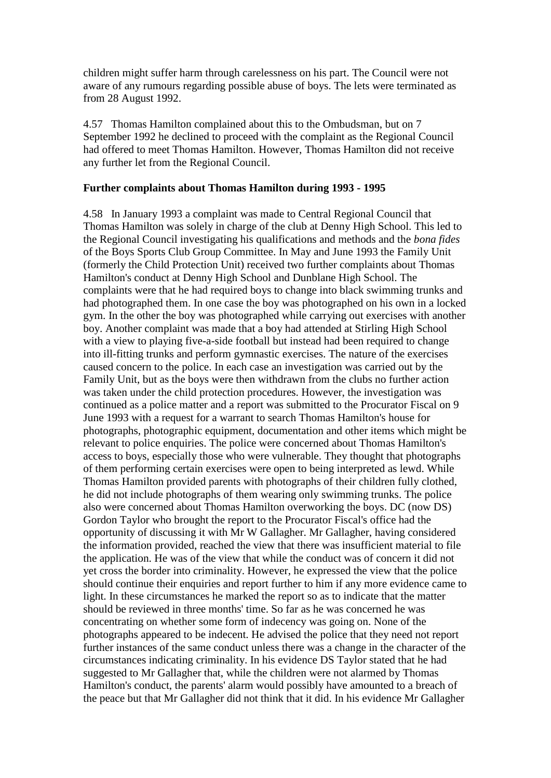children might suffer harm through carelessness on his part. The Council were not aware of any rumours regarding possible abuse of boys. The lets were terminated as from 28 August 1992.

4.57 Thomas Hamilton complained about this to the Ombudsman, but on 7 September 1992 he declined to proceed with the complaint as the Regional Council had offered to meet Thomas Hamilton. However, Thomas Hamilton did not receive any further let from the Regional Council.

#### **Further complaints about Thomas Hamilton during 1993 - 1995**

4.58 In January 1993 a complaint was made to Central Regional Council that Thomas Hamilton was solely in charge of the club at Denny High School. This led to the Regional Council investigating his qualifications and methods and the *bona fides* of the Boys Sports Club Group Committee. In May and June 1993 the Family Unit (formerly the Child Protection Unit) received two further complaints about Thomas Hamilton's conduct at Denny High School and Dunblane High School. The complaints were that he had required boys to change into black swimming trunks and had photographed them. In one case the boy was photographed on his own in a locked gym. In the other the boy was photographed while carrying out exercises with another boy. Another complaint was made that a boy had attended at Stirling High School with a view to playing five-a-side football but instead had been required to change into ill-fitting trunks and perform gymnastic exercises. The nature of the exercises caused concern to the police. In each case an investigation was carried out by the Family Unit, but as the boys were then withdrawn from the clubs no further action was taken under the child protection procedures. However, the investigation was continued as a police matter and a report was submitted to the Procurator Fiscal on 9 June 1993 with a request for a warrant to search Thomas Hamilton's house for photographs, photographic equipment, documentation and other items which might be relevant to police enquiries. The police were concerned about Thomas Hamilton's access to boys, especially those who were vulnerable. They thought that photographs of them performing certain exercises were open to being interpreted as lewd. While Thomas Hamilton provided parents with photographs of their children fully clothed, he did not include photographs of them wearing only swimming trunks. The police also were concerned about Thomas Hamilton overworking the boys. DC (now DS) Gordon Taylor who brought the report to the Procurator Fiscal's office had the opportunity of discussing it with Mr W Gallagher. Mr Gallagher, having considered the information provided, reached the view that there was insufficient material to file the application. He was of the view that while the conduct was of concern it did not yet cross the border into criminality. However, he expressed the view that the police should continue their enquiries and report further to him if any more evidence came to light. In these circumstances he marked the report so as to indicate that the matter should be reviewed in three months' time. So far as he was concerned he was concentrating on whether some form of indecency was going on. None of the photographs appeared to be indecent. He advised the police that they need not report further instances of the same conduct unless there was a change in the character of the circumstances indicating criminality. In his evidence DS Taylor stated that he had suggested to Mr Gallagher that, while the children were not alarmed by Thomas Hamilton's conduct, the parents' alarm would possibly have amounted to a breach of the peace but that Mr Gallagher did not think that it did. In his evidence Mr Gallagher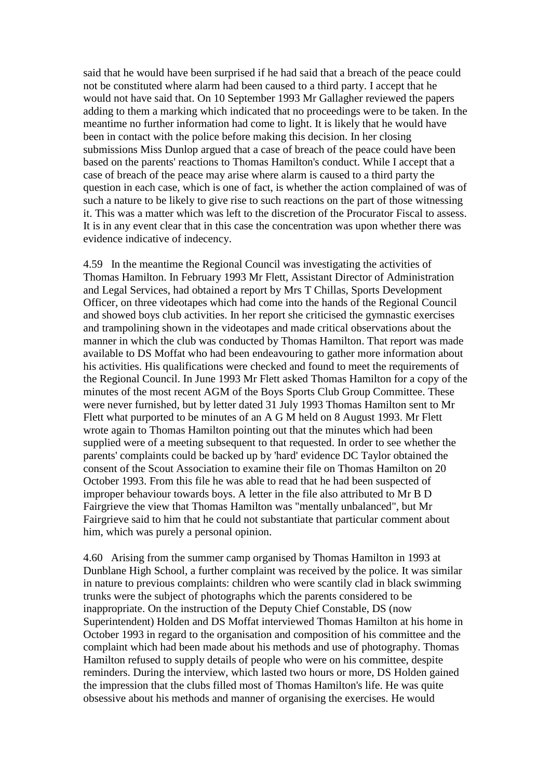said that he would have been surprised if he had said that a breach of the peace could not be constituted where alarm had been caused to a third party. I accept that he would not have said that. On 10 September 1993 Mr Gallagher reviewed the papers adding to them a marking which indicated that no proceedings were to be taken. In the meantime no further information had come to light. It is likely that he would have been in contact with the police before making this decision. In her closing submissions Miss Dunlop argued that a case of breach of the peace could have been based on the parents' reactions to Thomas Hamilton's conduct. While I accept that a case of breach of the peace may arise where alarm is caused to a third party the question in each case, which is one of fact, is whether the action complained of was of such a nature to be likely to give rise to such reactions on the part of those witnessing it. This was a matter which was left to the discretion of the Procurator Fiscal to assess. It is in any event clear that in this case the concentration was upon whether there was evidence indicative of indecency.

4.59 In the meantime the Regional Council was investigating the activities of Thomas Hamilton. In February 1993 Mr Flett, Assistant Director of Administration and Legal Services, had obtained a report by Mrs T Chillas, Sports Development Officer, on three videotapes which had come into the hands of the Regional Council and showed boys club activities. In her report she criticised the gymnastic exercises and trampolining shown in the videotapes and made critical observations about the manner in which the club was conducted by Thomas Hamilton. That report was made available to DS Moffat who had been endeavouring to gather more information about his activities. His qualifications were checked and found to meet the requirements of the Regional Council. In June 1993 Mr Flett asked Thomas Hamilton for a copy of the minutes of the most recent AGM of the Boys Sports Club Group Committee. These were never furnished, but by letter dated 31 July 1993 Thomas Hamilton sent to Mr Flett what purported to be minutes of an A G M held on 8 August 1993. Mr Flett wrote again to Thomas Hamilton pointing out that the minutes which had been supplied were of a meeting subsequent to that requested. In order to see whether the parents' complaints could be backed up by 'hard' evidence DC Taylor obtained the consent of the Scout Association to examine their file on Thomas Hamilton on 20 October 1993. From this file he was able to read that he had been suspected of improper behaviour towards boys. A letter in the file also attributed to Mr B D Fairgrieve the view that Thomas Hamilton was "mentally unbalanced", but Mr Fairgrieve said to him that he could not substantiate that particular comment about him, which was purely a personal opinion.

4.60 Arising from the summer camp organised by Thomas Hamilton in 1993 at Dunblane High School, a further complaint was received by the police. It was similar in nature to previous complaints: children who were scantily clad in black swimming trunks were the subject of photographs which the parents considered to be inappropriate. On the instruction of the Deputy Chief Constable, DS (now Superintendent) Holden and DS Moffat interviewed Thomas Hamilton at his home in October 1993 in regard to the organisation and composition of his committee and the complaint which had been made about his methods and use of photography. Thomas Hamilton refused to supply details of people who were on his committee, despite reminders. During the interview, which lasted two hours or more, DS Holden gained the impression that the clubs filled most of Thomas Hamilton's life. He was quite obsessive about his methods and manner of organising the exercises. He would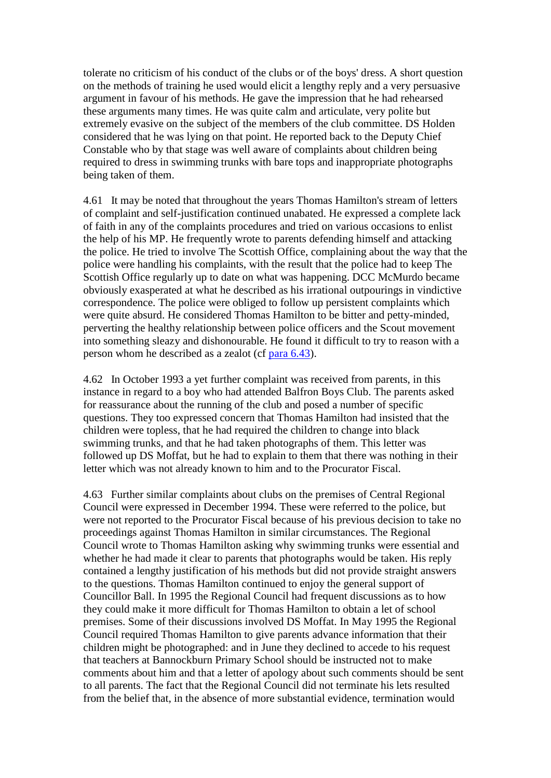tolerate no criticism of his conduct of the clubs or of the boys' dress. A short question on the methods of training he used would elicit a lengthy reply and a very persuasive argument in favour of his methods. He gave the impression that he had rehearsed these arguments many times. He was quite calm and articulate, very polite but extremely evasive on the subject of the members of the club committee. DS Holden considered that he was lying on that point. He reported back to the Deputy Chief Constable who by that stage was well aware of complaints about children being required to dress in swimming trunks with bare tops and inappropriate photographs being taken of them.

4.61 It may be noted that throughout the years Thomas Hamilton's stream of letters of complaint and self-justification continued unabated. He expressed a complete lack of faith in any of the complaints procedures and tried on various occasions to enlist the help of his MP. He frequently wrote to parents defending himself and attacking the police. He tried to involve The Scottish Office, complaining about the way that the police were handling his complaints, with the result that the police had to keep The Scottish Office regularly up to date on what was happening. DCC McMurdo became obviously exasperated at what he described as his irrational outpourings in vindictive correspondence. The police were obliged to follow up persistent complaints which were quite absurd. He considered Thomas Hamilton to be bitter and petty-minded, perverting the healthy relationship between police officers and the Scout movement into something sleazy and dishonourable. He found it difficult to try to reason with a person whom he described as a zealot (cf [para 6.43\)](http://www.archive.official-documents.co.uk/document/scottish/dunblane/dun6-43.htm).

4.62 In October 1993 a yet further complaint was received from parents, in this instance in regard to a boy who had attended Balfron Boys Club. The parents asked for reassurance about the running of the club and posed a number of specific questions. They too expressed concern that Thomas Hamilton had insisted that the children were topless, that he had required the children to change into black swimming trunks, and that he had taken photographs of them. This letter was followed up DS Moffat, but he had to explain to them that there was nothing in their letter which was not already known to him and to the Procurator Fiscal.

4.63 Further similar complaints about clubs on the premises of Central Regional Council were expressed in December 1994. These were referred to the police, but were not reported to the Procurator Fiscal because of his previous decision to take no proceedings against Thomas Hamilton in similar circumstances. The Regional Council wrote to Thomas Hamilton asking why swimming trunks were essential and whether he had made it clear to parents that photographs would be taken. His reply contained a lengthy justification of his methods but did not provide straight answers to the questions. Thomas Hamilton continued to enjoy the general support of Councillor Ball. In 1995 the Regional Council had frequent discussions as to how they could make it more difficult for Thomas Hamilton to obtain a let of school premises. Some of their discussions involved DS Moffat. In May 1995 the Regional Council required Thomas Hamilton to give parents advance information that their children might be photographed: and in June they declined to accede to his request that teachers at Bannockburn Primary School should be instructed not to make comments about him and that a letter of apology about such comments should be sent to all parents. The fact that the Regional Council did not terminate his lets resulted from the belief that, in the absence of more substantial evidence, termination would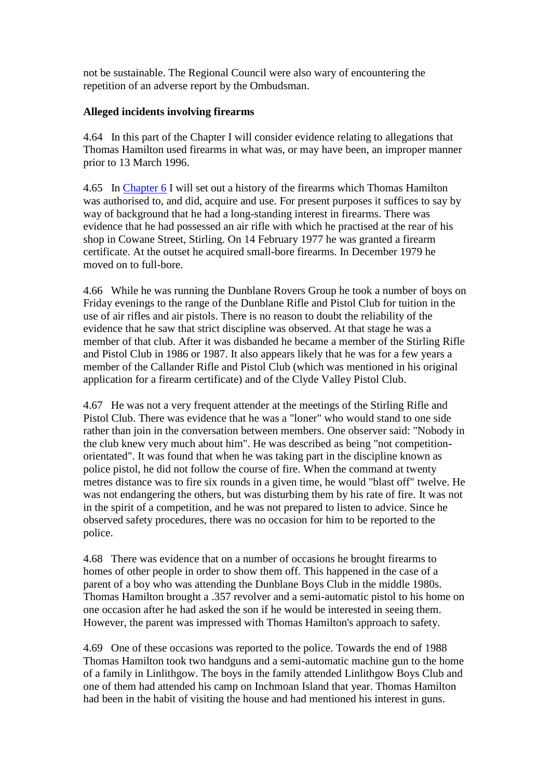not be sustainable. The Regional Council were also wary of encountering the repetition of an adverse report by the Ombudsman.

## **Alleged incidents involving firearms**

4.64 In this part of the Chapter I will consider evidence relating to allegations that Thomas Hamilton used firearms in what was, or may have been, an improper manner prior to 13 March 1996.

4.65 In [Chapter 6](http://www.archive.official-documents.co.uk/document/scottish/dunblane/dun06a.htm) I will set out a history of the firearms which Thomas Hamilton was authorised to, and did, acquire and use. For present purposes it suffices to say by way of background that he had a long-standing interest in firearms. There was evidence that he had possessed an air rifle with which he practised at the rear of his shop in Cowane Street, Stirling. On 14 February 1977 he was granted a firearm certificate. At the outset he acquired small-bore firearms. In December 1979 he moved on to full-bore.

4.66 While he was running the Dunblane Rovers Group he took a number of boys on Friday evenings to the range of the Dunblane Rifle and Pistol Club for tuition in the use of air rifles and air pistols. There is no reason to doubt the reliability of the evidence that he saw that strict discipline was observed. At that stage he was a member of that club. After it was disbanded he became a member of the Stirling Rifle and Pistol Club in 1986 or 1987. It also appears likely that he was for a few years a member of the Callander Rifle and Pistol Club (which was mentioned in his original application for a firearm certificate) and of the Clyde Valley Pistol Club.

4.67 He was not a very frequent attender at the meetings of the Stirling Rifle and Pistol Club. There was evidence that he was a "loner" who would stand to one side rather than join in the conversation between members. One observer said: "Nobody in the club knew very much about him". He was described as being "not competitionorientated". It was found that when he was taking part in the discipline known as police pistol, he did not follow the course of fire. When the command at twenty metres distance was to fire six rounds in a given time, he would "blast off" twelve. He was not endangering the others, but was disturbing them by his rate of fire. It was not in the spirit of a competition, and he was not prepared to listen to advice. Since he observed safety procedures, there was no occasion for him to be reported to the police.

4.68 There was evidence that on a number of occasions he brought firearms to homes of other people in order to show them off. This happened in the case of a parent of a boy who was attending the Dunblane Boys Club in the middle 1980s. Thomas Hamilton brought a .357 revolver and a semi-automatic pistol to his home on one occasion after he had asked the son if he would be interested in seeing them. However, the parent was impressed with Thomas Hamilton's approach to safety.

4.69 One of these occasions was reported to the police. Towards the end of 1988 Thomas Hamilton took two handguns and a semi-automatic machine gun to the home of a family in Linlithgow. The boys in the family attended Linlithgow Boys Club and one of them had attended his camp on Inchmoan Island that year. Thomas Hamilton had been in the habit of visiting the house and had mentioned his interest in guns.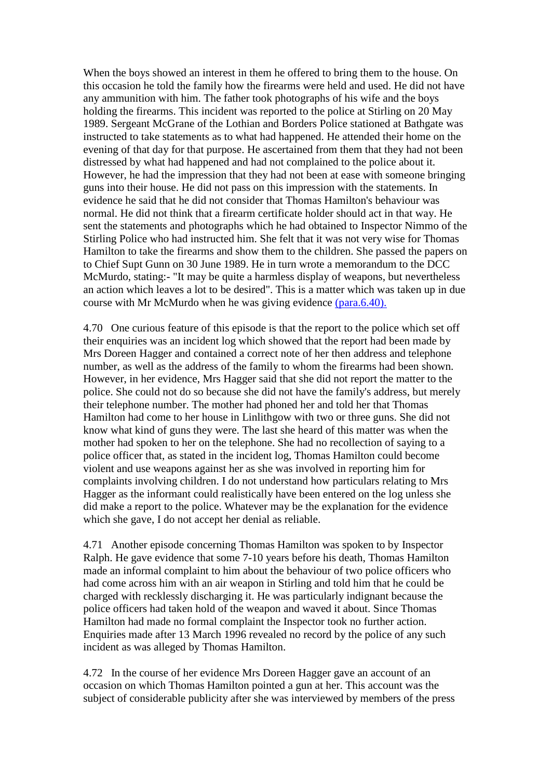When the boys showed an interest in them he offered to bring them to the house. On this occasion he told the family how the firearms were held and used. He did not have any ammunition with him. The father took photographs of his wife and the boys holding the firearms. This incident was reported to the police at Stirling on 20 May 1989. Sergeant McGrane of the Lothian and Borders Police stationed at Bathgate was instructed to take statements as to what had happened. He attended their home on the evening of that day for that purpose. He ascertained from them that they had not been distressed by what had happened and had not complained to the police about it. However, he had the impression that they had not been at ease with someone bringing guns into their house. He did not pass on this impression with the statements. In evidence he said that he did not consider that Thomas Hamilton's behaviour was normal. He did not think that a firearm certificate holder should act in that way. He sent the statements and photographs which he had obtained to Inspector Nimmo of the Stirling Police who had instructed him. She felt that it was not very wise for Thomas Hamilton to take the firearms and show them to the children. She passed the papers on to Chief Supt Gunn on 30 June 1989. He in turn wrote a memorandum to the DCC McMurdo, stating:- "It may be quite a harmless display of weapons, but nevertheless an action which leaves a lot to be desired". This is a matter which was taken up in due course with Mr McMurdo when he was giving evidence [\(para.6.40\).](http://www.archive.official-documents.co.uk/document/scottish/dunblane/dun6-40.htm)

4.70 One curious feature of this episode is that the report to the police which set off their enquiries was an incident log which showed that the report had been made by Mrs Doreen Hagger and contained a correct note of her then address and telephone number, as well as the address of the family to whom the firearms had been shown. However, in her evidence, Mrs Hagger said that she did not report the matter to the police. She could not do so because she did not have the family's address, but merely their telephone number. The mother had phoned her and told her that Thomas Hamilton had come to her house in Linlithgow with two or three guns. She did not know what kind of guns they were. The last she heard of this matter was when the mother had spoken to her on the telephone. She had no recollection of saying to a police officer that, as stated in the incident log, Thomas Hamilton could become violent and use weapons against her as she was involved in reporting him for complaints involving children. I do not understand how particulars relating to Mrs Hagger as the informant could realistically have been entered on the log unless she did make a report to the police. Whatever may be the explanation for the evidence which she gave, I do not accept her denial as reliable.

4.71 Another episode concerning Thomas Hamilton was spoken to by Inspector Ralph. He gave evidence that some 7-10 years before his death, Thomas Hamilton made an informal complaint to him about the behaviour of two police officers who had come across him with an air weapon in Stirling and told him that he could be charged with recklessly discharging it. He was particularly indignant because the police officers had taken hold of the weapon and waved it about. Since Thomas Hamilton had made no formal complaint the Inspector took no further action. Enquiries made after 13 March 1996 revealed no record by the police of any such incident as was alleged by Thomas Hamilton.

4.72 In the course of her evidence Mrs Doreen Hagger gave an account of an occasion on which Thomas Hamilton pointed a gun at her. This account was the subject of considerable publicity after she was interviewed by members of the press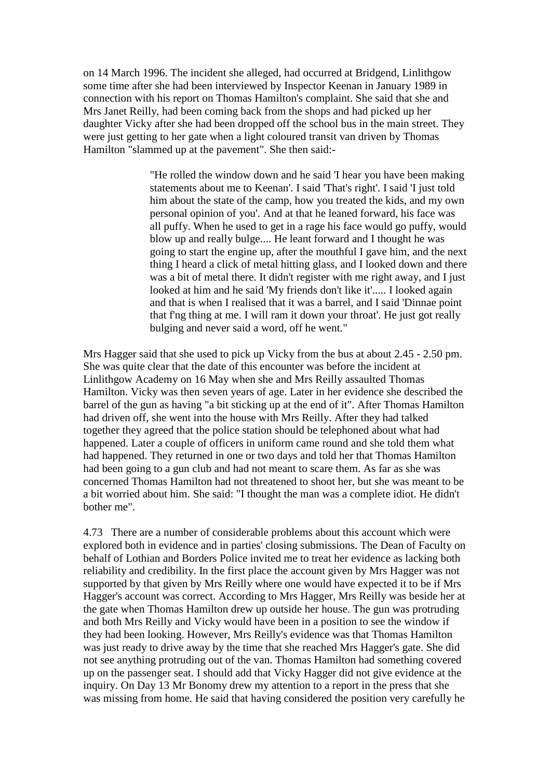on 14 March 1996. The incident she alleged, had occurred at Bridgend, Linlithgow some time after she had been interviewed by Inspector Keenan in January 1989 in connection with his report on Thomas Hamilton's complaint. She said that she and Mrs Janet Reilly, had been coming back from the shops and had picked up her daughter Vicky after she had been dropped off the school bus in the main street. They were just getting to her gate when a light coloured transit van driven by Thomas Hamilton "slammed up at the pavement". She then said:-

> "He rolled the window down and he said 'I hear you have been making statements about me to Keenan'. I said 'That's right'. I said 'I just told him about the state of the camp, how you treated the kids, and my own personal opinion of you'. And at that he leaned forward, his face was all puffy. When he used to get in a rage his face would go puffy, would blow up and really bulge.... He leant forward and I thought he was going to start the engine up, after the mouthful I gave him, and the next thing I heard a click of metal hitting glass, and I looked down and there was a bit of metal there. It didn't register with me right away, and I just looked at him and he said 'My friends don't like it'..... I looked again and that is when I realised that it was a barrel, and I said 'Dinnae point that f'ng thing at me. I will ram it down your throat'. He just got really bulging and never said a word, off he went."

Mrs Hagger said that she used to pick up Vicky from the bus at about 2.45 - 2.50 pm. She was quite clear that the date of this encounter was before the incident at Linlithgow Academy on 16 May when she and Mrs Reilly assaulted Thomas Hamilton. Vicky was then seven years of age. Later in her evidence she described the barrel of the gun as having "a bit sticking up at the end of it". After Thomas Hamilton had driven off, she went into the house with Mrs Reilly. After they had talked together they agreed that the police station should be telephoned about what had happened. Later a couple of officers in uniform came round and she told them what had happened. They returned in one or two days and told her that Thomas Hamilton had been going to a gun club and had not meant to scare them. As far as she was concerned Thomas Hamilton had not threatened to shoot her, but she was meant to be a bit worried about him. She said: "I thought the man was a complete idiot. He didn't bother me".

4.73 There are a number of considerable problems about this account which were explored both in evidence and in parties' closing submissions. The Dean of Faculty on behalf of Lothian and Borders Police invited me to treat her evidence as lacking both reliability and credibility. In the first place the account given by Mrs Hagger was not supported by that given by Mrs Reilly where one would have expected it to be if Mrs Hagger's account was correct. According to Mrs Hagger, Mrs Reilly was beside her at the gate when Thomas Hamilton drew up outside her house. The gun was protruding and both Mrs Reilly and Vicky would have been in a position to see the window if they had been looking. However, Mrs Reilly's evidence was that Thomas Hamilton was just ready to drive away by the time that she reached Mrs Hagger's gate. She did not see anything protruding out of the van. Thomas Hamilton had something covered up on the passenger seat. I should add that Vicky Hagger did not give evidence at the inquiry. On Day 13 Mr Bonomy drew my attention to a report in the press that she was missing from home. He said that having considered the position very carefully he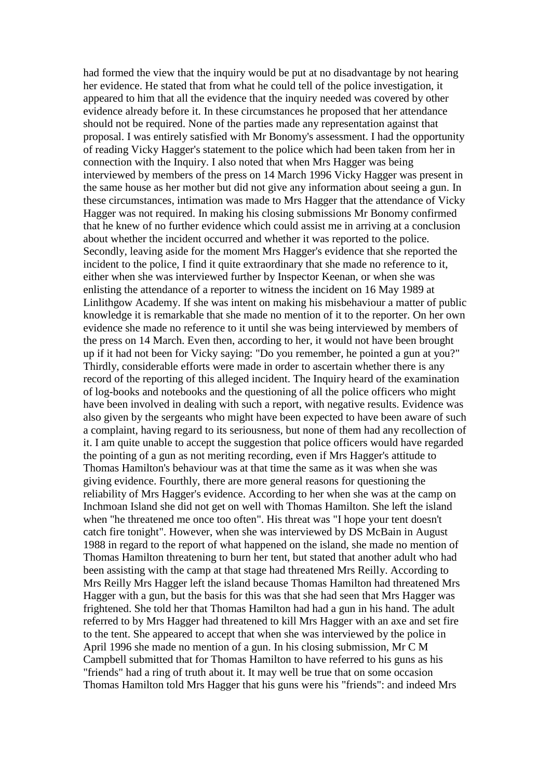had formed the view that the inquiry would be put at no disadvantage by not hearing her evidence. He stated that from what he could tell of the police investigation, it appeared to him that all the evidence that the inquiry needed was covered by other evidence already before it. In these circumstances he proposed that her attendance should not be required. None of the parties made any representation against that proposal. I was entirely satisfied with Mr Bonomy's assessment. I had the opportunity of reading Vicky Hagger's statement to the police which had been taken from her in connection with the Inquiry. I also noted that when Mrs Hagger was being interviewed by members of the press on 14 March 1996 Vicky Hagger was present in the same house as her mother but did not give any information about seeing a gun. In these circumstances, intimation was made to Mrs Hagger that the attendance of Vicky Hagger was not required. In making his closing submissions Mr Bonomy confirmed that he knew of no further evidence which could assist me in arriving at a conclusion about whether the incident occurred and whether it was reported to the police. Secondly, leaving aside for the moment Mrs Hagger's evidence that she reported the incident to the police, I find it quite extraordinary that she made no reference to it, either when she was interviewed further by Inspector Keenan, or when she was enlisting the attendance of a reporter to witness the incident on 16 May 1989 at Linlithgow Academy. If she was intent on making his misbehaviour a matter of public knowledge it is remarkable that she made no mention of it to the reporter. On her own evidence she made no reference to it until she was being interviewed by members of the press on 14 March. Even then, according to her, it would not have been brought up if it had not been for Vicky saying: "Do you remember, he pointed a gun at you?" Thirdly, considerable efforts were made in order to ascertain whether there is any record of the reporting of this alleged incident. The Inquiry heard of the examination of log-books and notebooks and the questioning of all the police officers who might have been involved in dealing with such a report, with negative results. Evidence was also given by the sergeants who might have been expected to have been aware of such a complaint, having regard to its seriousness, but none of them had any recollection of it. I am quite unable to accept the suggestion that police officers would have regarded the pointing of a gun as not meriting recording, even if Mrs Hagger's attitude to Thomas Hamilton's behaviour was at that time the same as it was when she was giving evidence. Fourthly, there are more general reasons for questioning the reliability of Mrs Hagger's evidence. According to her when she was at the camp on Inchmoan Island she did not get on well with Thomas Hamilton. She left the island when "he threatened me once too often". His threat was "I hope your tent doesn't catch fire tonight". However, when she was interviewed by DS McBain in August 1988 in regard to the report of what happened on the island, she made no mention of Thomas Hamilton threatening to burn her tent, but stated that another adult who had been assisting with the camp at that stage had threatened Mrs Reilly. According to Mrs Reilly Mrs Hagger left the island because Thomas Hamilton had threatened Mrs Hagger with a gun, but the basis for this was that she had seen that Mrs Hagger was frightened. She told her that Thomas Hamilton had had a gun in his hand. The adult referred to by Mrs Hagger had threatened to kill Mrs Hagger with an axe and set fire to the tent. She appeared to accept that when she was interviewed by the police in April 1996 she made no mention of a gun. In his closing submission, Mr C M Campbell submitted that for Thomas Hamilton to have referred to his guns as his "friends" had a ring of truth about it. It may well be true that on some occasion Thomas Hamilton told Mrs Hagger that his guns were his "friends": and indeed Mrs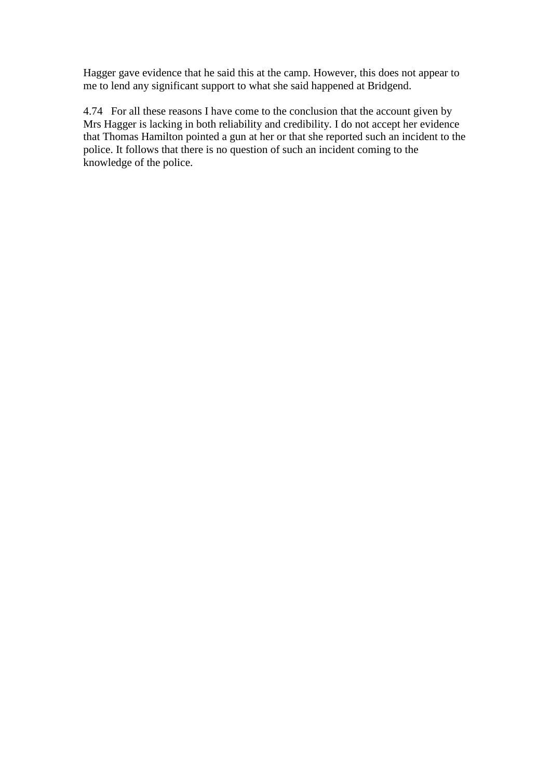Hagger gave evidence that he said this at the camp. However, this does not appear to me to lend any significant support to what she said happened at Bridgend.

4.74 For all these reasons I have come to the conclusion that the account given by Mrs Hagger is lacking in both reliability and credibility. I do not accept her evidence that Thomas Hamilton pointed a gun at her or that she reported such an incident to the police. It follows that there is no question of such an incident coming to the knowledge of the police.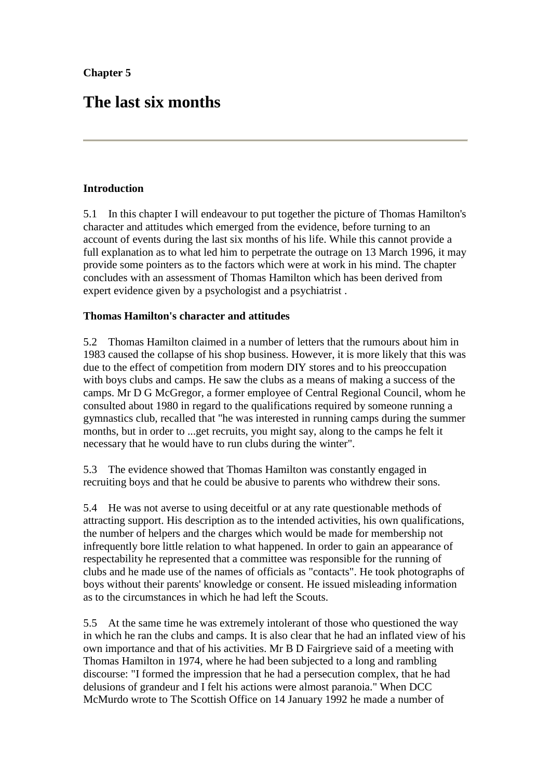## **The last six months**

## **Introduction**

5.1 In this chapter I will endeavour to put together the picture of Thomas Hamilton's character and attitudes which emerged from the evidence, before turning to an account of events during the last six months of his life. While this cannot provide a full explanation as to what led him to perpetrate the outrage on 13 March 1996, it may provide some pointers as to the factors which were at work in his mind. The chapter concludes with an assessment of Thomas Hamilton which has been derived from expert evidence given by a psychologist and a psychiatrist .

## **Thomas Hamilton's character and attitudes**

5.2 Thomas Hamilton claimed in a number of letters that the rumours about him in 1983 caused the collapse of his shop business. However, it is more likely that this was due to the effect of competition from modern DIY stores and to his preoccupation with boys clubs and camps. He saw the clubs as a means of making a success of the camps. Mr D G McGregor, a former employee of Central Regional Council, whom he consulted about 1980 in regard to the qualifications required by someone running a gymnastics club, recalled that "he was interested in running camps during the summer months, but in order to ...get recruits, you might say, along to the camps he felt it necessary that he would have to run clubs during the winter".

5.3 The evidence showed that Thomas Hamilton was constantly engaged in recruiting boys and that he could be abusive to parents who withdrew their sons.

5.4 He was not averse to using deceitful or at any rate questionable methods of attracting support. His description as to the intended activities, his own qualifications, the number of helpers and the charges which would be made for membership not infrequently bore little relation to what happened. In order to gain an appearance of respectability he represented that a committee was responsible for the running of clubs and he made use of the names of officials as "contacts". He took photographs of boys without their parents' knowledge or consent. He issued misleading information as to the circumstances in which he had left the Scouts.

5.5 At the same time he was extremely intolerant of those who questioned the way in which he ran the clubs and camps. It is also clear that he had an inflated view of his own importance and that of his activities. Mr B D Fairgrieve said of a meeting with Thomas Hamilton in 1974, where he had been subjected to a long and rambling discourse: "I formed the impression that he had a persecution complex, that he had delusions of grandeur and I felt his actions were almost paranoia." When DCC McMurdo wrote to The Scottish Office on 14 January 1992 he made a number of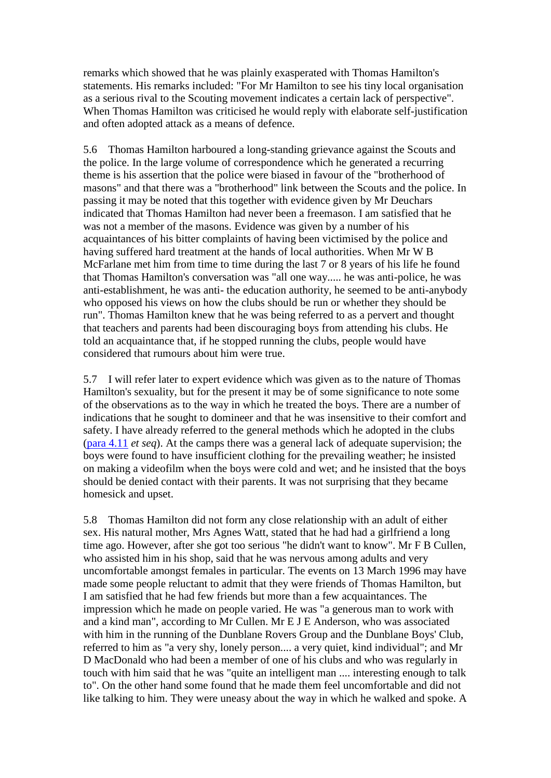remarks which showed that he was plainly exasperated with Thomas Hamilton's statements. His remarks included: "For Mr Hamilton to see his tiny local organisation as a serious rival to the Scouting movement indicates a certain lack of perspective". When Thomas Hamilton was criticised he would reply with elaborate self-justification and often adopted attack as a means of defence.

5.6 Thomas Hamilton harboured a long-standing grievance against the Scouts and the police. In the large volume of correspondence which he generated a recurring theme is his assertion that the police were biased in favour of the "brotherhood of masons" and that there was a "brotherhood" link between the Scouts and the police. In passing it may be noted that this together with evidence given by Mr Deuchars indicated that Thomas Hamilton had never been a freemason. I am satisfied that he was not a member of the masons. Evidence was given by a number of his acquaintances of his bitter complaints of having been victimised by the police and having suffered hard treatment at the hands of local authorities. When Mr W B McFarlane met him from time to time during the last 7 or 8 years of his life he found that Thomas Hamilton's conversation was "all one way..... he was anti-police, he was anti-establishment, he was anti- the education authority, he seemed to be anti-anybody who opposed his views on how the clubs should be run or whether they should be run". Thomas Hamilton knew that he was being referred to as a pervert and thought that teachers and parents had been discouraging boys from attending his clubs. He told an acquaintance that, if he stopped running the clubs, people would have considered that rumours about him were true.

5.7 I will refer later to expert evidence which was given as to the nature of Thomas Hamilton's sexuality, but for the present it may be of some significance to note some of the observations as to the way in which he treated the boys. There are a number of indications that he sought to domineer and that he was insensitive to their comfort and safety. I have already referred to the general methods which he adopted in the clubs [\(para 4.11](http://www.archive.official-documents.co.uk/document/scottish/dunblane/dun4-11.htm) *et seq*). At the camps there was a general lack of adequate supervision; the boys were found to have insufficient clothing for the prevailing weather; he insisted on making a videofilm when the boys were cold and wet; and he insisted that the boys should be denied contact with their parents. It was not surprising that they became homesick and upset.

5.8 Thomas Hamilton did not form any close relationship with an adult of either sex. His natural mother, Mrs Agnes Watt, stated that he had had a girlfriend a long time ago. However, after she got too serious "he didn't want to know". Mr F B Cullen, who assisted him in his shop, said that he was nervous among adults and very uncomfortable amongst females in particular. The events on 13 March 1996 may have made some people reluctant to admit that they were friends of Thomas Hamilton, but I am satisfied that he had few friends but more than a few acquaintances. The impression which he made on people varied. He was "a generous man to work with and a kind man", according to Mr Cullen. Mr E J E Anderson, who was associated with him in the running of the Dunblane Rovers Group and the Dunblane Boys' Club, referred to him as "a very shy, lonely person.... a very quiet, kind individual"; and Mr D MacDonald who had been a member of one of his clubs and who was regularly in touch with him said that he was "quite an intelligent man .... interesting enough to talk to". On the other hand some found that he made them feel uncomfortable and did not like talking to him. They were uneasy about the way in which he walked and spoke. A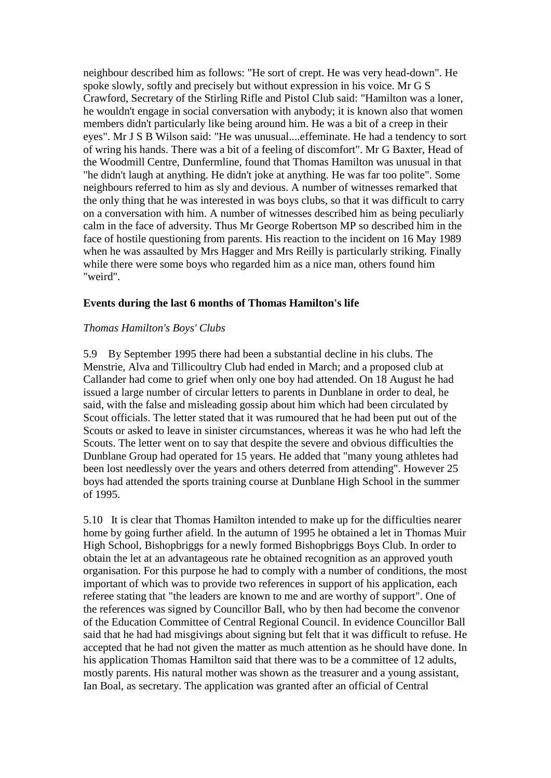neighbour described him as follows: "He sort of crept. He was very head-down". He spoke slowly, softly and precisely but without expression in his voice. Mr G S Crawford, Secretary of the Stirling Rifle and Pistol Club said: "Hamilton was a loner, he wouldn't engage in social conversation with anybody; it is known also that women members didn't particularly like being around him. He was a bit of a creep in their eyes". Mr J S B Wilson said: "He was unusual....effeminate. He had a tendency to sort of wring his hands. There was a bit of a feeling of discomfort". Mr G Baxter, Head of the Woodmill Centre, Dunfermline, found that Thomas Hamilton was unusual in that "he didn't laugh at anything. He didn't joke at anything. He was far too polite". Some neighbours referred to him as sly and devious. A number of witnesses remarked that the only thing that he was interested in was boys clubs, so that it was difficult to carry on a conversation with him. A number of witnesses described him as being peculiarly calm in the face of adversity. Thus Mr George Robertson MP so described him in the face of hostile questioning from parents. His reaction to the incident on 16 May 1989 when he was assaulted by Mrs Hagger and Mrs Reilly is particularly striking. Finally while there were some boys who regarded him as a nice man, others found him "weird".

#### **Events during the last 6 months of Thomas Hamilton's life**

#### *Thomas Hamilton's Boys' Clubs*

5.9 By September 1995 there had been a substantial decline in his clubs. The Menstrie, Alva and Tillicoultry Club had ended in March; and a proposed club at Callander had come to grief when only one boy had attended. On 18 August he had issued a large number of circular letters to parents in Dunblane in order to deal, he said, with the false and misleading gossip about him which had been circulated by Scout officials. The letter stated that it was rumoured that he had been put out of the Scouts or asked to leave in sinister circumstances, whereas it was he who had left the Scouts. The letter went on to say that despite the severe and obvious difficulties the Dunblane Group had operated for 15 years. He added that "many young athletes had been lost needlessly over the years and others deterred from attending". However 25 boys had attended the sports training course at Dunblane High School in the summer of 1995.

5.10 It is clear that Thomas Hamilton intended to make up for the difficulties nearer home by going further afield. In the autumn of 1995 he obtained a let in Thomas Muir High School, Bishopbriggs for a newly formed Bishopbriggs Boys Club. In order to obtain the let at an advantageous rate he obtained recognition as an approved youth organisation. For this purpose he had to comply with a number of conditions, the most important of which was to provide two references in support of his application, each referee stating that "the leaders are known to me and are worthy of support". One of the references was signed by Councillor Ball, who by then had become the convenor of the Education Committee of Central Regional Council. In evidence Councillor Ball said that he had had misgivings about signing but felt that it was difficult to refuse. He accepted that he had not given the matter as much attention as he should have done. In his application Thomas Hamilton said that there was to be a committee of 12 adults, mostly parents. His natural mother was shown as the treasurer and a young assistant, Ian Boal, as secretary. The application was granted after an official of Central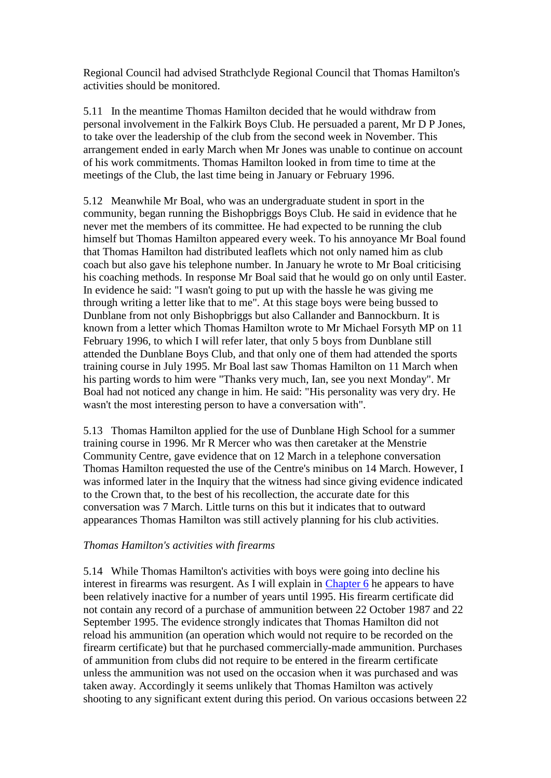Regional Council had advised Strathclyde Regional Council that Thomas Hamilton's activities should be monitored.

5.11 In the meantime Thomas Hamilton decided that he would withdraw from personal involvement in the Falkirk Boys Club. He persuaded a parent, Mr D P Jones, to take over the leadership of the club from the second week in November. This arrangement ended in early March when Mr Jones was unable to continue on account of his work commitments. Thomas Hamilton looked in from time to time at the meetings of the Club, the last time being in January or February 1996.

5.12 Meanwhile Mr Boal, who was an undergraduate student in sport in the community, began running the Bishopbriggs Boys Club. He said in evidence that he never met the members of its committee. He had expected to be running the club himself but Thomas Hamilton appeared every week. To his annoyance Mr Boal found that Thomas Hamilton had distributed leaflets which not only named him as club coach but also gave his telephone number. In January he wrote to Mr Boal criticising his coaching methods. In response Mr Boal said that he would go on only until Easter. In evidence he said: "I wasn't going to put up with the hassle he was giving me through writing a letter like that to me". At this stage boys were being bussed to Dunblane from not only Bishopbriggs but also Callander and Bannockburn. It is known from a letter which Thomas Hamilton wrote to Mr Michael Forsyth MP on 11 February 1996, to which I will refer later, that only 5 boys from Dunblane still attended the Dunblane Boys Club, and that only one of them had attended the sports training course in July 1995. Mr Boal last saw Thomas Hamilton on 11 March when his parting words to him were "Thanks very much, Ian, see you next Monday". Mr Boal had not noticed any change in him. He said: "His personality was very dry. He wasn't the most interesting person to have a conversation with".

5.13 Thomas Hamilton applied for the use of Dunblane High School for a summer training course in 1996. Mr R Mercer who was then caretaker at the Menstrie Community Centre, gave evidence that on 12 March in a telephone conversation Thomas Hamilton requested the use of the Centre's minibus on 14 March. However, I was informed later in the Inquiry that the witness had since giving evidence indicated to the Crown that, to the best of his recollection, the accurate date for this conversation was 7 March. Little turns on this but it indicates that to outward appearances Thomas Hamilton was still actively planning for his club activities.

#### *Thomas Hamilton's activities with firearms*

5.14 While Thomas Hamilton's activities with boys were going into decline his interest in firearms was resurgent. As I will explain in [Chapter 6](http://www.archive.official-documents.co.uk/document/scottish/dunblane/dun06a.htm) he appears to have been relatively inactive for a number of years until 1995. His firearm certificate did not contain any record of a purchase of ammunition between 22 October 1987 and 22 September 1995. The evidence strongly indicates that Thomas Hamilton did not reload his ammunition (an operation which would not require to be recorded on the firearm certificate) but that he purchased commercially-made ammunition. Purchases of ammunition from clubs did not require to be entered in the firearm certificate unless the ammunition was not used on the occasion when it was purchased and was taken away. Accordingly it seems unlikely that Thomas Hamilton was actively shooting to any significant extent during this period. On various occasions between 22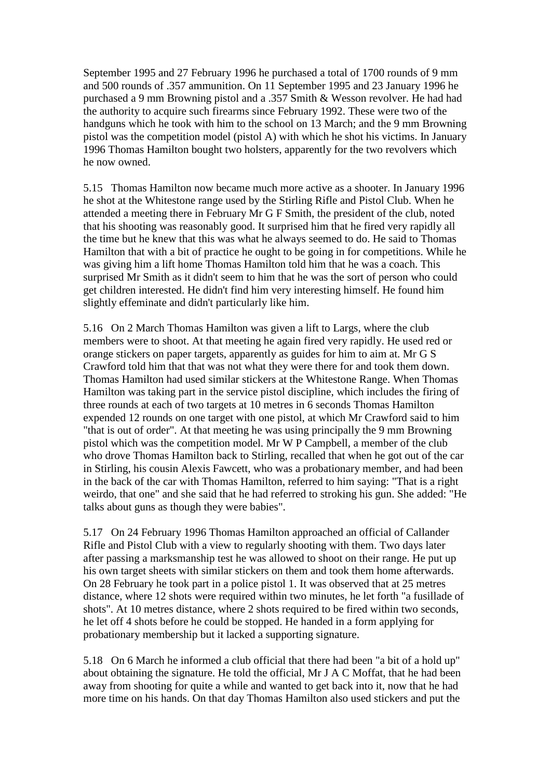September 1995 and 27 February 1996 he purchased a total of 1700 rounds of 9 mm and 500 rounds of .357 ammunition. On 11 September 1995 and 23 January 1996 he purchased a 9 mm Browning pistol and a .357 Smith & Wesson revolver. He had had the authority to acquire such firearms since February 1992. These were two of the handguns which he took with him to the school on 13 March; and the 9 mm Browning pistol was the competition model (pistol A) with which he shot his victims. In January 1996 Thomas Hamilton bought two holsters, apparently for the two revolvers which he now owned.

5.15 Thomas Hamilton now became much more active as a shooter. In January 1996 he shot at the Whitestone range used by the Stirling Rifle and Pistol Club. When he attended a meeting there in February Mr G F Smith, the president of the club, noted that his shooting was reasonably good. It surprised him that he fired very rapidly all the time but he knew that this was what he always seemed to do. He said to Thomas Hamilton that with a bit of practice he ought to be going in for competitions. While he was giving him a lift home Thomas Hamilton told him that he was a coach. This surprised Mr Smith as it didn't seem to him that he was the sort of person who could get children interested. He didn't find him very interesting himself. He found him slightly effeminate and didn't particularly like him.

5.16 On 2 March Thomas Hamilton was given a lift to Largs, where the club members were to shoot. At that meeting he again fired very rapidly. He used red or orange stickers on paper targets, apparently as guides for him to aim at. Mr G S Crawford told him that that was not what they were there for and took them down. Thomas Hamilton had used similar stickers at the Whitestone Range. When Thomas Hamilton was taking part in the service pistol discipline, which includes the firing of three rounds at each of two targets at 10 metres in 6 seconds Thomas Hamilton expended 12 rounds on one target with one pistol, at which Mr Crawford said to him "that is out of order". At that meeting he was using principally the 9 mm Browning pistol which was the competition model. Mr W P Campbell, a member of the club who drove Thomas Hamilton back to Stirling, recalled that when he got out of the car in Stirling, his cousin Alexis Fawcett, who was a probationary member, and had been in the back of the car with Thomas Hamilton, referred to him saying: "That is a right weirdo, that one" and she said that he had referred to stroking his gun. She added: "He talks about guns as though they were babies".

5.17 On 24 February 1996 Thomas Hamilton approached an official of Callander Rifle and Pistol Club with a view to regularly shooting with them. Two days later after passing a marksmanship test he was allowed to shoot on their range. He put up his own target sheets with similar stickers on them and took them home afterwards. On 28 February he took part in a police pistol 1. It was observed that at 25 metres distance, where 12 shots were required within two minutes, he let forth "a fusillade of shots". At 10 metres distance, where 2 shots required to be fired within two seconds, he let off 4 shots before he could be stopped. He handed in a form applying for probationary membership but it lacked a supporting signature.

5.18 On 6 March he informed a club official that there had been "a bit of a hold up" about obtaining the signature. He told the official, Mr J A C Moffat, that he had been away from shooting for quite a while and wanted to get back into it, now that he had more time on his hands. On that day Thomas Hamilton also used stickers and put the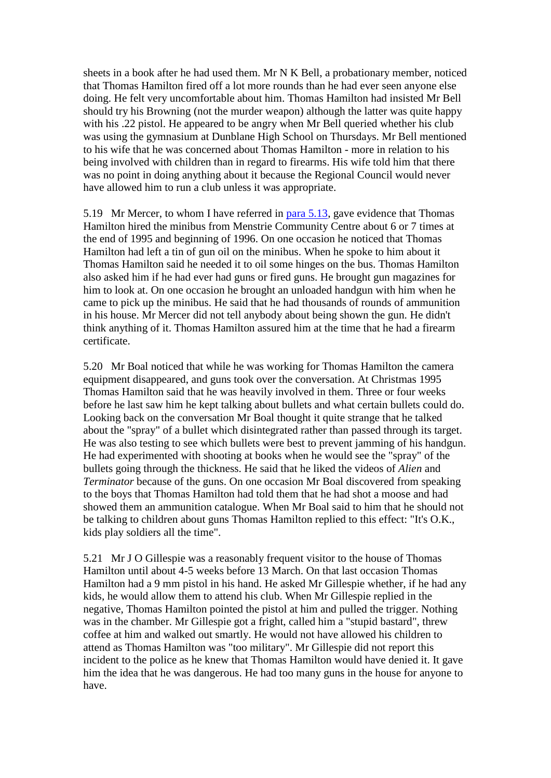sheets in a book after he had used them. Mr N K Bell, a probationary member, noticed that Thomas Hamilton fired off a lot more rounds than he had ever seen anyone else doing. He felt very uncomfortable about him. Thomas Hamilton had insisted Mr Bell should try his Browning (not the murder weapon) although the latter was quite happy with his .22 pistol. He appeared to be angry when Mr Bell queried whether his club was using the gymnasium at Dunblane High School on Thursdays. Mr Bell mentioned to his wife that he was concerned about Thomas Hamilton - more in relation to his being involved with children than in regard to firearms. His wife told him that there was no point in doing anything about it because the Regional Council would never have allowed him to run a club unless it was appropriate.

5.19 Mr Mercer, to whom I have referred in [para 5.13,](http://www.archive.official-documents.co.uk/document/scottish/dunblane/dun5-13.htm) gave evidence that Thomas Hamilton hired the minibus from Menstrie Community Centre about 6 or 7 times at the end of 1995 and beginning of 1996. On one occasion he noticed that Thomas Hamilton had left a tin of gun oil on the minibus. When he spoke to him about it Thomas Hamilton said he needed it to oil some hinges on the bus. Thomas Hamilton also asked him if he had ever had guns or fired guns. He brought gun magazines for him to look at. On one occasion he brought an unloaded handgun with him when he came to pick up the minibus. He said that he had thousands of rounds of ammunition in his house. Mr Mercer did not tell anybody about being shown the gun. He didn't think anything of it. Thomas Hamilton assured him at the time that he had a firearm certificate.

5.20 Mr Boal noticed that while he was working for Thomas Hamilton the camera equipment disappeared, and guns took over the conversation. At Christmas 1995 Thomas Hamilton said that he was heavily involved in them. Three or four weeks before he last saw him he kept talking about bullets and what certain bullets could do. Looking back on the conversation Mr Boal thought it quite strange that he talked about the "spray" of a bullet which disintegrated rather than passed through its target. He was also testing to see which bullets were best to prevent jamming of his handgun. He had experimented with shooting at books when he would see the "spray" of the bullets going through the thickness. He said that he liked the videos of *Alien* and *Terminator* because of the guns. On one occasion Mr Boal discovered from speaking to the boys that Thomas Hamilton had told them that he had shot a moose and had showed them an ammunition catalogue. When Mr Boal said to him that he should not be talking to children about guns Thomas Hamilton replied to this effect: "It's O.K., kids play soldiers all the time".

5.21 Mr J O Gillespie was a reasonably frequent visitor to the house of Thomas Hamilton until about 4-5 weeks before 13 March. On that last occasion Thomas Hamilton had a 9 mm pistol in his hand. He asked Mr Gillespie whether, if he had any kids, he would allow them to attend his club. When Mr Gillespie replied in the negative, Thomas Hamilton pointed the pistol at him and pulled the trigger. Nothing was in the chamber. Mr Gillespie got a fright, called him a "stupid bastard", threw coffee at him and walked out smartly. He would not have allowed his children to attend as Thomas Hamilton was "too military". Mr Gillespie did not report this incident to the police as he knew that Thomas Hamilton would have denied it. It gave him the idea that he was dangerous. He had too many guns in the house for anyone to have.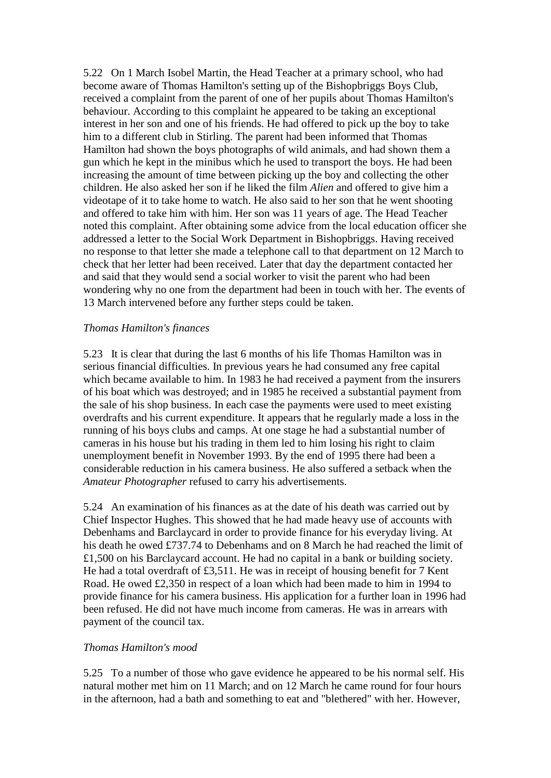5.22 On 1 March Isobel Martin, the Head Teacher at a primary school, who had become aware of Thomas Hamilton's setting up of the Bishopbriggs Boys Club, received a complaint from the parent of one of her pupils about Thomas Hamilton's behaviour. According to this complaint he appeared to be taking an exceptional interest in her son and one of his friends. He had offered to pick up the boy to take him to a different club in Stirling. The parent had been informed that Thomas Hamilton had shown the boys photographs of wild animals, and had shown them a gun which he kept in the minibus which he used to transport the boys. He had been increasing the amount of time between picking up the boy and collecting the other children. He also asked her son if he liked the film *Alien* and offered to give him a videotape of it to take home to watch. He also said to her son that he went shooting and offered to take him with him. Her son was 11 years of age. The Head Teacher noted this complaint. After obtaining some advice from the local education officer she addressed a letter to the Social Work Department in Bishopbriggs. Having received no response to that letter she made a telephone call to that department on 12 March to check that her letter had been received. Later that day the department contacted her and said that they would send a social worker to visit the parent who had been wondering why no one from the department had been in touch with her. The events of 13 March intervened before any further steps could be taken.

#### *Thomas Hamilton's finances*

5.23 It is clear that during the last 6 months of his life Thomas Hamilton was in serious financial difficulties. In previous years he had consumed any free capital which became available to him. In 1983 he had received a payment from the insurers of his boat which was destroyed; and in 1985 he received a substantial payment from the sale of his shop business. In each case the payments were used to meet existing overdrafts and his current expenditure. It appears that he regularly made a loss in the running of his boys clubs and camps. At one stage he had a substantial number of cameras in his house but his trading in them led to him losing his right to claim unemployment benefit in November 1993. By the end of 1995 there had been a considerable reduction in his camera business. He also suffered a setback when the *Amateur Photographer* refused to carry his advertisements.

5.24 An examination of his finances as at the date of his death was carried out by Chief Inspector Hughes. This showed that he had made heavy use of accounts with Debenhams and Barclaycard in order to provide finance for his everyday living. At his death he owed £737.74 to Debenhams and on 8 March he had reached the limit of £1,500 on his Barclaycard account. He had no capital in a bank or building society. He had a total overdraft of £3,511. He was in receipt of housing benefit for 7 Kent Road. He owed £2,350 in respect of a loan which had been made to him in 1994 to provide finance for his camera business. His application for a further loan in 1996 had been refused. He did not have much income from cameras. He was in arrears with payment of the council tax.

## *Thomas Hamilton's mood*

5.25 To a number of those who gave evidence he appeared to be his normal self. His natural mother met him on 11 March; and on 12 March he came round for four hours in the afternoon, had a bath and something to eat and "blethered" with her. However,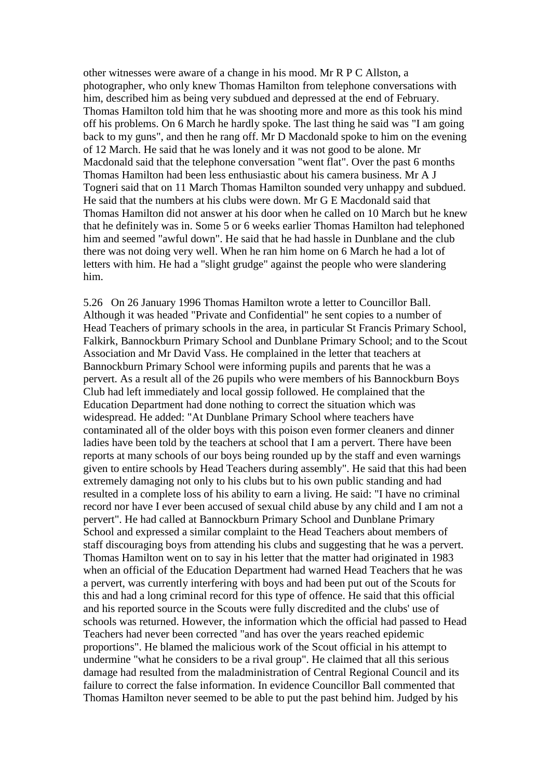other witnesses were aware of a change in his mood. Mr R P C Allston, a photographer, who only knew Thomas Hamilton from telephone conversations with him, described him as being very subdued and depressed at the end of February. Thomas Hamilton told him that he was shooting more and more as this took his mind off his problems. On 6 March he hardly spoke. The last thing he said was "I am going back to my guns", and then he rang off. Mr D Macdonald spoke to him on the evening of 12 March. He said that he was lonely and it was not good to be alone. Mr Macdonald said that the telephone conversation "went flat". Over the past 6 months Thomas Hamilton had been less enthusiastic about his camera business. Mr A J Togneri said that on 11 March Thomas Hamilton sounded very unhappy and subdued. He said that the numbers at his clubs were down. Mr G E Macdonald said that Thomas Hamilton did not answer at his door when he called on 10 March but he knew that he definitely was in. Some 5 or 6 weeks earlier Thomas Hamilton had telephoned him and seemed "awful down". He said that he had hassle in Dunblane and the club there was not doing very well. When he ran him home on 6 March he had a lot of letters with him. He had a "slight grudge" against the people who were slandering him.

5.26 On 26 January 1996 Thomas Hamilton wrote a letter to Councillor Ball. Although it was headed "Private and Confidential" he sent copies to a number of Head Teachers of primary schools in the area, in particular St Francis Primary School, Falkirk, Bannockburn Primary School and Dunblane Primary School; and to the Scout Association and Mr David Vass. He complained in the letter that teachers at Bannockburn Primary School were informing pupils and parents that he was a pervert. As a result all of the 26 pupils who were members of his Bannockburn Boys Club had left immediately and local gossip followed. He complained that the Education Department had done nothing to correct the situation which was widespread. He added: "At Dunblane Primary School where teachers have contaminated all of the older boys with this poison even former cleaners and dinner ladies have been told by the teachers at school that I am a pervert. There have been reports at many schools of our boys being rounded up by the staff and even warnings given to entire schools by Head Teachers during assembly". He said that this had been extremely damaging not only to his clubs but to his own public standing and had resulted in a complete loss of his ability to earn a living. He said: "I have no criminal record nor have I ever been accused of sexual child abuse by any child and I am not a pervert". He had called at Bannockburn Primary School and Dunblane Primary School and expressed a similar complaint to the Head Teachers about members of staff discouraging boys from attending his clubs and suggesting that he was a pervert. Thomas Hamilton went on to say in his letter that the matter had originated in 1983 when an official of the Education Department had warned Head Teachers that he was a pervert, was currently interfering with boys and had been put out of the Scouts for this and had a long criminal record for this type of offence. He said that this official and his reported source in the Scouts were fully discredited and the clubs' use of schools was returned. However, the information which the official had passed to Head Teachers had never been corrected "and has over the years reached epidemic proportions". He blamed the malicious work of the Scout official in his attempt to undermine "what he considers to be a rival group". He claimed that all this serious damage had resulted from the maladministration of Central Regional Council and its failure to correct the false information. In evidence Councillor Ball commented that Thomas Hamilton never seemed to be able to put the past behind him. Judged by his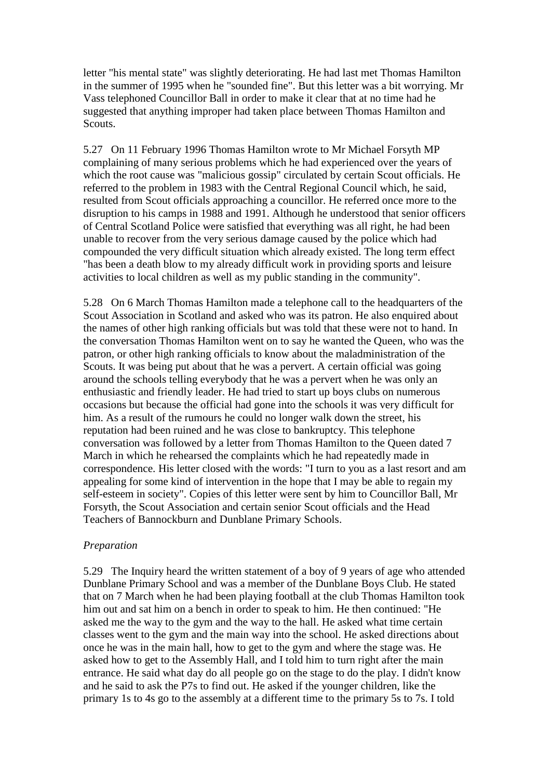letter "his mental state" was slightly deteriorating. He had last met Thomas Hamilton in the summer of 1995 when he "sounded fine". But this letter was a bit worrying. Mr Vass telephoned Councillor Ball in order to make it clear that at no time had he suggested that anything improper had taken place between Thomas Hamilton and Scouts.

5.27 On 11 February 1996 Thomas Hamilton wrote to Mr Michael Forsyth MP complaining of many serious problems which he had experienced over the years of which the root cause was "malicious gossip" circulated by certain Scout officials. He referred to the problem in 1983 with the Central Regional Council which, he said, resulted from Scout officials approaching a councillor. He referred once more to the disruption to his camps in 1988 and 1991. Although he understood that senior officers of Central Scotland Police were satisfied that everything was all right, he had been unable to recover from the very serious damage caused by the police which had compounded the very difficult situation which already existed. The long term effect "has been a death blow to my already difficult work in providing sports and leisure activities to local children as well as my public standing in the community".

5.28 On 6 March Thomas Hamilton made a telephone call to the headquarters of the Scout Association in Scotland and asked who was its patron. He also enquired about the names of other high ranking officials but was told that these were not to hand. In the conversation Thomas Hamilton went on to say he wanted the Queen, who was the patron, or other high ranking officials to know about the maladministration of the Scouts. It was being put about that he was a pervert. A certain official was going around the schools telling everybody that he was a pervert when he was only an enthusiastic and friendly leader. He had tried to start up boys clubs on numerous occasions but because the official had gone into the schools it was very difficult for him. As a result of the rumours he could no longer walk down the street, his reputation had been ruined and he was close to bankruptcy. This telephone conversation was followed by a letter from Thomas Hamilton to the Queen dated 7 March in which he rehearsed the complaints which he had repeatedly made in correspondence. His letter closed with the words: "I turn to you as a last resort and am appealing for some kind of intervention in the hope that I may be able to regain my self-esteem in society". Copies of this letter were sent by him to Councillor Ball, Mr Forsyth, the Scout Association and certain senior Scout officials and the Head Teachers of Bannockburn and Dunblane Primary Schools.

#### *Preparation*

5.29 The Inquiry heard the written statement of a boy of 9 years of age who attended Dunblane Primary School and was a member of the Dunblane Boys Club. He stated that on 7 March when he had been playing football at the club Thomas Hamilton took him out and sat him on a bench in order to speak to him. He then continued: "He asked me the way to the gym and the way to the hall. He asked what time certain classes went to the gym and the main way into the school. He asked directions about once he was in the main hall, how to get to the gym and where the stage was. He asked how to get to the Assembly Hall, and I told him to turn right after the main entrance. He said what day do all people go on the stage to do the play. I didn't know and he said to ask the P7s to find out. He asked if the younger children, like the primary 1s to 4s go to the assembly at a different time to the primary 5s to 7s. I told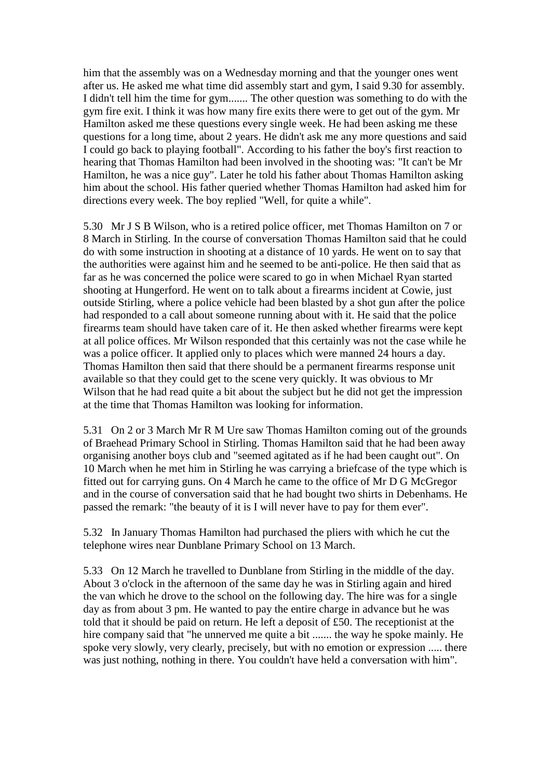him that the assembly was on a Wednesday morning and that the younger ones went after us. He asked me what time did assembly start and gym, I said 9.30 for assembly. I didn't tell him the time for gym....... The other question was something to do with the gym fire exit. I think it was how many fire exits there were to get out of the gym. Mr Hamilton asked me these questions every single week. He had been asking me these questions for a long time, about 2 years. He didn't ask me any more questions and said I could go back to playing football". According to his father the boy's first reaction to hearing that Thomas Hamilton had been involved in the shooting was: "It can't be Mr Hamilton, he was a nice guy". Later he told his father about Thomas Hamilton asking him about the school. His father queried whether Thomas Hamilton had asked him for directions every week. The boy replied "Well, for quite a while".

5.30 Mr J S B Wilson, who is a retired police officer, met Thomas Hamilton on 7 or 8 March in Stirling. In the course of conversation Thomas Hamilton said that he could do with some instruction in shooting at a distance of 10 yards. He went on to say that the authorities were against him and he seemed to be anti-police. He then said that as far as he was concerned the police were scared to go in when Michael Ryan started shooting at Hungerford. He went on to talk about a firearms incident at Cowie, just outside Stirling, where a police vehicle had been blasted by a shot gun after the police had responded to a call about someone running about with it. He said that the police firearms team should have taken care of it. He then asked whether firearms were kept at all police offices. Mr Wilson responded that this certainly was not the case while he was a police officer. It applied only to places which were manned 24 hours a day. Thomas Hamilton then said that there should be a permanent firearms response unit available so that they could get to the scene very quickly. It was obvious to Mr Wilson that he had read quite a bit about the subject but he did not get the impression at the time that Thomas Hamilton was looking for information.

5.31 On 2 or 3 March Mr R M Ure saw Thomas Hamilton coming out of the grounds of Braehead Primary School in Stirling. Thomas Hamilton said that he had been away organising another boys club and "seemed agitated as if he had been caught out". On 10 March when he met him in Stirling he was carrying a briefcase of the type which is fitted out for carrying guns. On 4 March he came to the office of Mr D G McGregor and in the course of conversation said that he had bought two shirts in Debenhams. He passed the remark: "the beauty of it is I will never have to pay for them ever".

5.32 In January Thomas Hamilton had purchased the pliers with which he cut the telephone wires near Dunblane Primary School on 13 March.

5.33 On 12 March he travelled to Dunblane from Stirling in the middle of the day. About 3 o'clock in the afternoon of the same day he was in Stirling again and hired the van which he drove to the school on the following day. The hire was for a single day as from about 3 pm. He wanted to pay the entire charge in advance but he was told that it should be paid on return. He left a deposit of £50. The receptionist at the hire company said that "he unnerved me quite a bit ....... the way he spoke mainly. He spoke very slowly, very clearly, precisely, but with no emotion or expression ..... there was just nothing, nothing in there. You couldn't have held a conversation with him".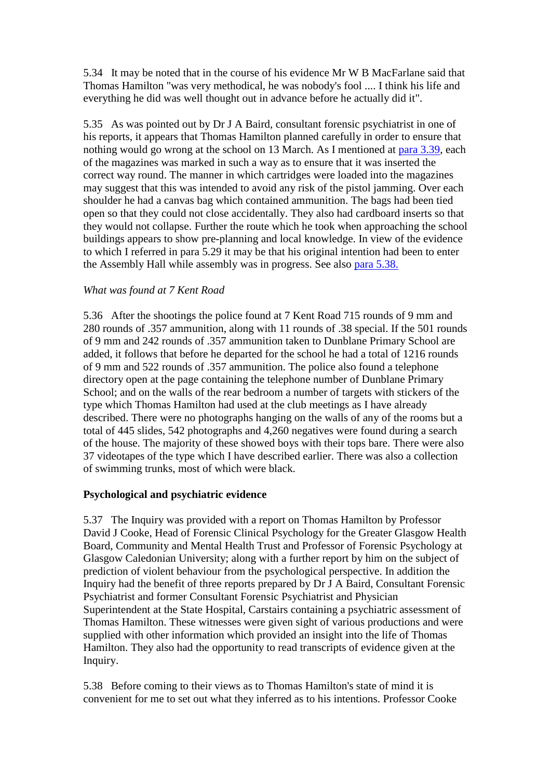5.34 It may be noted that in the course of his evidence Mr W B MacFarlane said that Thomas Hamilton "was very methodical, he was nobody's fool .... I think his life and everything he did was well thought out in advance before he actually did it".

5.35 As was pointed out by Dr J A Baird, consultant forensic psychiatrist in one of his reports, it appears that Thomas Hamilton planned carefully in order to ensure that nothing would go wrong at the school on 13 March. As I mentioned at [para 3.39,](http://www.archive.official-documents.co.uk/document/scottish/dunblane/dun3-39.htm) each of the magazines was marked in such a way as to ensure that it was inserted the correct way round. The manner in which cartridges were loaded into the magazines may suggest that this was intended to avoid any risk of the pistol jamming. Over each shoulder he had a canvas bag which contained ammunition. The bags had been tied open so that they could not close accidentally. They also had cardboard inserts so that they would not collapse. Further the route which he took when approaching the school buildings appears to show pre-planning and local knowledge. In view of the evidence to which I referred in para 5.29 it may be that his original intention had been to enter the Assembly Hall while assembly was in progress. See also [para 5.38.](http://www.archive.official-documents.co.uk/document/scottish/dunblane/dun05c.htm#5.38)

#### *What was found at 7 Kent Road*

5.36 After the shootings the police found at 7 Kent Road 715 rounds of 9 mm and 280 rounds of .357 ammunition, along with 11 rounds of .38 special. If the 501 rounds of 9 mm and 242 rounds of .357 ammunition taken to Dunblane Primary School are added, it follows that before he departed for the school he had a total of 1216 rounds of 9 mm and 522 rounds of .357 ammunition. The police also found a telephone directory open at the page containing the telephone number of Dunblane Primary School; and on the walls of the rear bedroom a number of targets with stickers of the type which Thomas Hamilton had used at the club meetings as I have already described. There were no photographs hanging on the walls of any of the rooms but a total of 445 slides, 542 photographs and 4,260 negatives were found during a search of the house. The majority of these showed boys with their tops bare. There were also 37 videotapes of the type which I have described earlier. There was also a collection of swimming trunks, most of which were black.

## **Psychological and psychiatric evidence**

5.37 The Inquiry was provided with a report on Thomas Hamilton by Professor David J Cooke, Head of Forensic Clinical Psychology for the Greater Glasgow Health Board, Community and Mental Health Trust and Professor of Forensic Psychology at Glasgow Caledonian University; along with a further report by him on the subject of prediction of violent behaviour from the psychological perspective. In addition the Inquiry had the benefit of three reports prepared by Dr J A Baird, Consultant Forensic Psychiatrist and former Consultant Forensic Psychiatrist and Physician Superintendent at the State Hospital, Carstairs containing a psychiatric assessment of Thomas Hamilton. These witnesses were given sight of various productions and were supplied with other information which provided an insight into the life of Thomas Hamilton. They also had the opportunity to read transcripts of evidence given at the Inquiry.

5.38 Before coming to their views as to Thomas Hamilton's state of mind it is convenient for me to set out what they inferred as to his intentions. Professor Cooke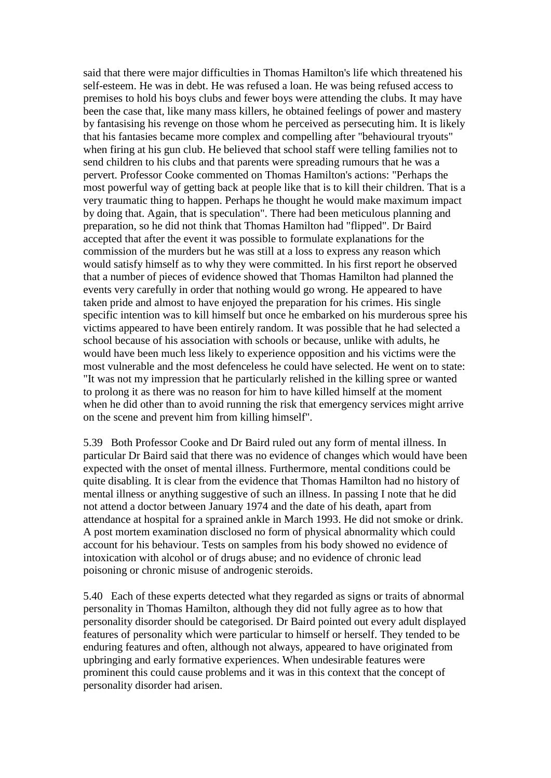said that there were major difficulties in Thomas Hamilton's life which threatened his self-esteem. He was in debt. He was refused a loan. He was being refused access to premises to hold his boys clubs and fewer boys were attending the clubs. It may have been the case that, like many mass killers, he obtained feelings of power and mastery by fantasising his revenge on those whom he perceived as persecuting him. It is likely that his fantasies became more complex and compelling after "behavioural tryouts" when firing at his gun club. He believed that school staff were telling families not to send children to his clubs and that parents were spreading rumours that he was a pervert. Professor Cooke commented on Thomas Hamilton's actions: "Perhaps the most powerful way of getting back at people like that is to kill their children. That is a very traumatic thing to happen. Perhaps he thought he would make maximum impact by doing that. Again, that is speculation". There had been meticulous planning and preparation, so he did not think that Thomas Hamilton had "flipped". Dr Baird accepted that after the event it was possible to formulate explanations for the commission of the murders but he was still at a loss to express any reason which would satisfy himself as to why they were committed. In his first report he observed that a number of pieces of evidence showed that Thomas Hamilton had planned the events very carefully in order that nothing would go wrong. He appeared to have taken pride and almost to have enjoyed the preparation for his crimes. His single specific intention was to kill himself but once he embarked on his murderous spree his victims appeared to have been entirely random. It was possible that he had selected a school because of his association with schools or because, unlike with adults, he would have been much less likely to experience opposition and his victims were the most vulnerable and the most defenceless he could have selected. He went on to state: "It was not my impression that he particularly relished in the killing spree or wanted to prolong it as there was no reason for him to have killed himself at the moment when he did other than to avoid running the risk that emergency services might arrive on the scene and prevent him from killing himself".

5.39 Both Professor Cooke and Dr Baird ruled out any form of mental illness. In particular Dr Baird said that there was no evidence of changes which would have been expected with the onset of mental illness. Furthermore, mental conditions could be quite disabling. It is clear from the evidence that Thomas Hamilton had no history of mental illness or anything suggestive of such an illness. In passing I note that he did not attend a doctor between January 1974 and the date of his death, apart from attendance at hospital for a sprained ankle in March 1993. He did not smoke or drink. A post mortem examination disclosed no form of physical abnormality which could account for his behaviour. Tests on samples from his body showed no evidence of intoxication with alcohol or of drugs abuse; and no evidence of chronic lead poisoning or chronic misuse of androgenic steroids.

5.40 Each of these experts detected what they regarded as signs or traits of abnormal personality in Thomas Hamilton, although they did not fully agree as to how that personality disorder should be categorised. Dr Baird pointed out every adult displayed features of personality which were particular to himself or herself. They tended to be enduring features and often, although not always, appeared to have originated from upbringing and early formative experiences. When undesirable features were prominent this could cause problems and it was in this context that the concept of personality disorder had arisen.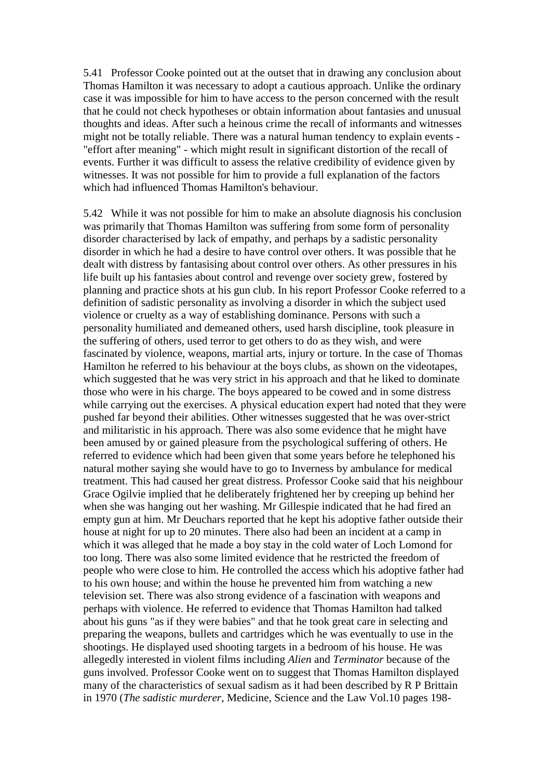5.41 Professor Cooke pointed out at the outset that in drawing any conclusion about Thomas Hamilton it was necessary to adopt a cautious approach. Unlike the ordinary case it was impossible for him to have access to the person concerned with the result that he could not check hypotheses or obtain information about fantasies and unusual thoughts and ideas. After such a heinous crime the recall of informants and witnesses might not be totally reliable. There was a natural human tendency to explain events - "effort after meaning" - which might result in significant distortion of the recall of events. Further it was difficult to assess the relative credibility of evidence given by witnesses. It was not possible for him to provide a full explanation of the factors which had influenced Thomas Hamilton's behaviour.

5.42 While it was not possible for him to make an absolute diagnosis his conclusion was primarily that Thomas Hamilton was suffering from some form of personality disorder characterised by lack of empathy, and perhaps by a sadistic personality disorder in which he had a desire to have control over others. It was possible that he dealt with distress by fantasising about control over others. As other pressures in his life built up his fantasies about control and revenge over society grew, fostered by planning and practice shots at his gun club. In his report Professor Cooke referred to a definition of sadistic personality as involving a disorder in which the subject used violence or cruelty as a way of establishing dominance. Persons with such a personality humiliated and demeaned others, used harsh discipline, took pleasure in the suffering of others, used terror to get others to do as they wish, and were fascinated by violence, weapons, martial arts, injury or torture. In the case of Thomas Hamilton he referred to his behaviour at the boys clubs, as shown on the videotapes, which suggested that he was very strict in his approach and that he liked to dominate those who were in his charge. The boys appeared to be cowed and in some distress while carrying out the exercises. A physical education expert had noted that they were pushed far beyond their abilities. Other witnesses suggested that he was over-strict and militaristic in his approach. There was also some evidence that he might have been amused by or gained pleasure from the psychological suffering of others. He referred to evidence which had been given that some years before he telephoned his natural mother saying she would have to go to Inverness by ambulance for medical treatment. This had caused her great distress. Professor Cooke said that his neighbour Grace Ogilvie implied that he deliberately frightened her by creeping up behind her when she was hanging out her washing. Mr Gillespie indicated that he had fired an empty gun at him. Mr Deuchars reported that he kept his adoptive father outside their house at night for up to 20 minutes. There also had been an incident at a camp in which it was alleged that he made a boy stay in the cold water of Loch Lomond for too long. There was also some limited evidence that he restricted the freedom of people who were close to him. He controlled the access which his adoptive father had to his own house; and within the house he prevented him from watching a new television set. There was also strong evidence of a fascination with weapons and perhaps with violence. He referred to evidence that Thomas Hamilton had talked about his guns "as if they were babies" and that he took great care in selecting and preparing the weapons, bullets and cartridges which he was eventually to use in the shootings. He displayed used shooting targets in a bedroom of his house. He was allegedly interested in violent films including *Alien* and *Terminator* because of the guns involved. Professor Cooke went on to suggest that Thomas Hamilton displayed many of the characteristics of sexual sadism as it had been described by R P Brittain in 1970 (*The sadistic murderer*, Medicine, Science and the Law Vol.10 pages 198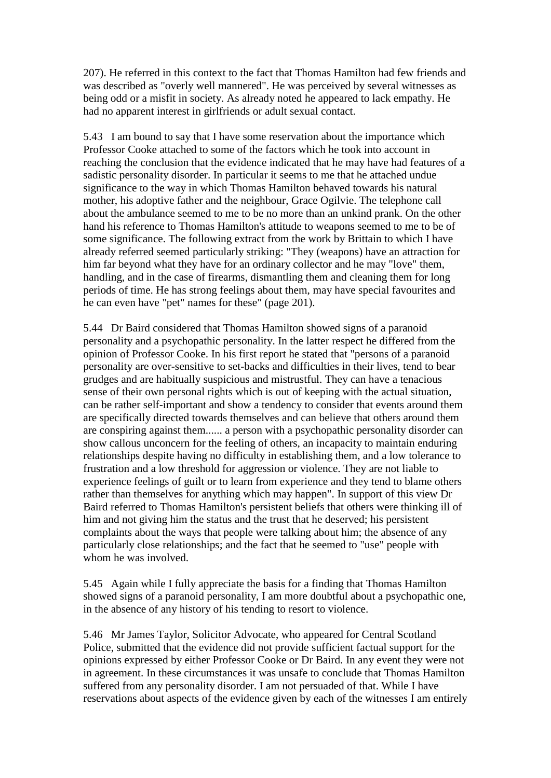207). He referred in this context to the fact that Thomas Hamilton had few friends and was described as "overly well mannered". He was perceived by several witnesses as being odd or a misfit in society. As already noted he appeared to lack empathy. He had no apparent interest in girlfriends or adult sexual contact.

5.43 I am bound to say that I have some reservation about the importance which Professor Cooke attached to some of the factors which he took into account in reaching the conclusion that the evidence indicated that he may have had features of a sadistic personality disorder. In particular it seems to me that he attached undue significance to the way in which Thomas Hamilton behaved towards his natural mother, his adoptive father and the neighbour, Grace Ogilvie. The telephone call about the ambulance seemed to me to be no more than an unkind prank. On the other hand his reference to Thomas Hamilton's attitude to weapons seemed to me to be of some significance. The following extract from the work by Brittain to which I have already referred seemed particularly striking: "They (weapons) have an attraction for him far beyond what they have for an ordinary collector and he may "love" them, handling, and in the case of firearms, dismantling them and cleaning them for long periods of time. He has strong feelings about them, may have special favourites and he can even have "pet" names for these" (page 201).

5.44 Dr Baird considered that Thomas Hamilton showed signs of a paranoid personality and a psychopathic personality. In the latter respect he differed from the opinion of Professor Cooke. In his first report he stated that "persons of a paranoid personality are over-sensitive to set-backs and difficulties in their lives, tend to bear grudges and are habitually suspicious and mistrustful. They can have a tenacious sense of their own personal rights which is out of keeping with the actual situation, can be rather self-important and show a tendency to consider that events around them are specifically directed towards themselves and can believe that others around them are conspiring against them...... a person with a psychopathic personality disorder can show callous unconcern for the feeling of others, an incapacity to maintain enduring relationships despite having no difficulty in establishing them, and a low tolerance to frustration and a low threshold for aggression or violence. They are not liable to experience feelings of guilt or to learn from experience and they tend to blame others rather than themselves for anything which may happen". In support of this view Dr Baird referred to Thomas Hamilton's persistent beliefs that others were thinking ill of him and not giving him the status and the trust that he deserved; his persistent complaints about the ways that people were talking about him; the absence of any particularly close relationships; and the fact that he seemed to "use" people with whom he was involved.

5.45 Again while I fully appreciate the basis for a finding that Thomas Hamilton showed signs of a paranoid personality, I am more doubtful about a psychopathic one, in the absence of any history of his tending to resort to violence.

5.46 Mr James Taylor, Solicitor Advocate, who appeared for Central Scotland Police, submitted that the evidence did not provide sufficient factual support for the opinions expressed by either Professor Cooke or Dr Baird. In any event they were not in agreement. In these circumstances it was unsafe to conclude that Thomas Hamilton suffered from any personality disorder. I am not persuaded of that. While I have reservations about aspects of the evidence given by each of the witnesses I am entirely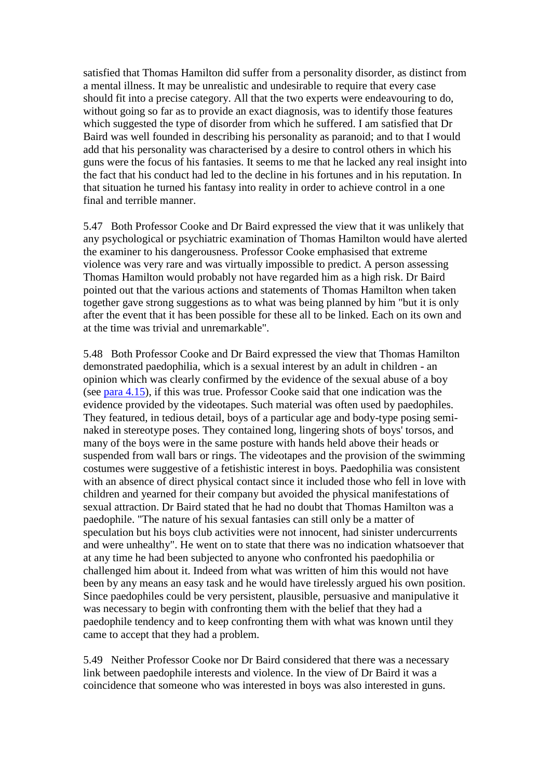satisfied that Thomas Hamilton did suffer from a personality disorder, as distinct from a mental illness. It may be unrealistic and undesirable to require that every case should fit into a precise category. All that the two experts were endeavouring to do, without going so far as to provide an exact diagnosis, was to identify those features which suggested the type of disorder from which he suffered. I am satisfied that Dr Baird was well founded in describing his personality as paranoid; and to that I would add that his personality was characterised by a desire to control others in which his guns were the focus of his fantasies. It seems to me that he lacked any real insight into the fact that his conduct had led to the decline in his fortunes and in his reputation. In that situation he turned his fantasy into reality in order to achieve control in a one final and terrible manner.

5.47 Both Professor Cooke and Dr Baird expressed the view that it was unlikely that any psychological or psychiatric examination of Thomas Hamilton would have alerted the examiner to his dangerousness. Professor Cooke emphasised that extreme violence was very rare and was virtually impossible to predict. A person assessing Thomas Hamilton would probably not have regarded him as a high risk. Dr Baird pointed out that the various actions and statements of Thomas Hamilton when taken together gave strong suggestions as to what was being planned by him "but it is only after the event that it has been possible for these all to be linked. Each on its own and at the time was trivial and unremarkable".

5.48 Both Professor Cooke and Dr Baird expressed the view that Thomas Hamilton demonstrated paedophilia, which is a sexual interest by an adult in children - an opinion which was clearly confirmed by the evidence of the sexual abuse of a boy (see [para 4.15\)](http://www.archive.official-documents.co.uk/document/scottish/dunblane/dun4-15.htm), if this was true. Professor Cooke said that one indication was the evidence provided by the videotapes. Such material was often used by paedophiles. They featured, in tedious detail, boys of a particular age and body-type posing seminaked in stereotype poses. They contained long, lingering shots of boys' torsos, and many of the boys were in the same posture with hands held above their heads or suspended from wall bars or rings. The videotapes and the provision of the swimming costumes were suggestive of a fetishistic interest in boys. Paedophilia was consistent with an absence of direct physical contact since it included those who fell in love with children and yearned for their company but avoided the physical manifestations of sexual attraction. Dr Baird stated that he had no doubt that Thomas Hamilton was a paedophile. "The nature of his sexual fantasies can still only be a matter of speculation but his boys club activities were not innocent, had sinister undercurrents and were unhealthy". He went on to state that there was no indication whatsoever that at any time he had been subjected to anyone who confronted his paedophilia or challenged him about it. Indeed from what was written of him this would not have been by any means an easy task and he would have tirelessly argued his own position. Since paedophiles could be very persistent, plausible, persuasive and manipulative it was necessary to begin with confronting them with the belief that they had a paedophile tendency and to keep confronting them with what was known until they came to accept that they had a problem.

5.49 Neither Professor Cooke nor Dr Baird considered that there was a necessary link between paedophile interests and violence. In the view of Dr Baird it was a coincidence that someone who was interested in boys was also interested in guns.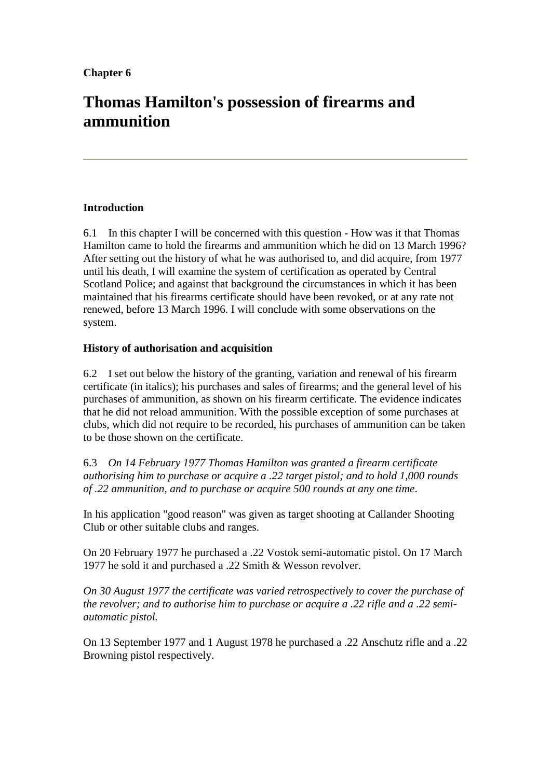# **Thomas Hamilton's possession of firearms and ammunition**

## **Introduction**

6.1 In this chapter I will be concerned with this question - How was it that Thomas Hamilton came to hold the firearms and ammunition which he did on 13 March 1996? After setting out the history of what he was authorised to, and did acquire, from 1977 until his death, I will examine the system of certification as operated by Central Scotland Police; and against that background the circumstances in which it has been maintained that his firearms certificate should have been revoked, or at any rate not renewed, before 13 March 1996. I will conclude with some observations on the system.

### **History of authorisation and acquisition**

6.2 I set out below the history of the granting, variation and renewal of his firearm certificate (in italics); his purchases and sales of firearms; and the general level of his purchases of ammunition, as shown on his firearm certificate. The evidence indicates that he did not reload ammunition. With the possible exception of some purchases at clubs, which did not require to be recorded, his purchases of ammunition can be taken to be those shown on the certificate.

6.3 *On 14 February 1977 Thomas Hamilton was granted a firearm certificate authorising him to purchase or acquire a .22 target pistol; and to hold 1,000 rounds of .22 ammunition, and to purchase or acquire 500 rounds at any one time*.

In his application "good reason" was given as target shooting at Callander Shooting Club or other suitable clubs and ranges.

On 20 February 1977 he purchased a .22 Vostok semi-automatic pistol. On 17 March 1977 he sold it and purchased a .22 Smith & Wesson revolver.

*On 30 August 1977 the certificate was varied retrospectively to cover the purchase of the revolver; and to authorise him to purchase or acquire a .22 rifle and a .22 semiautomatic pistol.*

On 13 September 1977 and 1 August 1978 he purchased a .22 Anschutz rifle and a .22 Browning pistol respectively.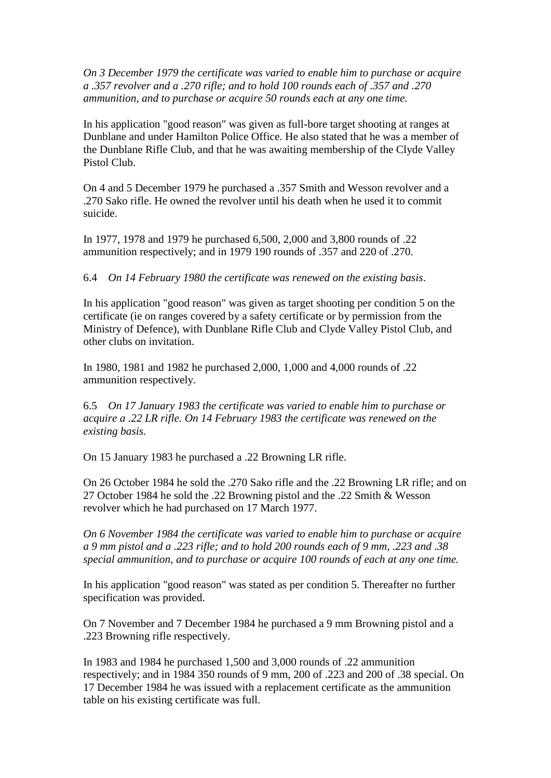*On 3 December 1979 the certificate was varied to enable him to purchase or acquire a .357 revolver and a .270 rifle; and to hold 100 rounds each of .357 and .270 ammunition, and to purchase or acquire 50 rounds each at any one time.*

In his application "good reason" was given as full-bore target shooting at ranges at Dunblane and under Hamilton Police Office. He also stated that he was a member of the Dunblane Rifle Club, and that he was awaiting membership of the Clyde Valley Pistol Club.

On 4 and 5 December 1979 he purchased a .357 Smith and Wesson revolver and a .270 Sako rifle. He owned the revolver until his death when he used it to commit suicide.

In 1977, 1978 and 1979 he purchased 6,500, 2,000 and 3,800 rounds of .22 ammunition respectively; and in 1979 190 rounds of .357 and 220 of .270.

6.4 *On 14 February 1980 the certificate was renewed on the existing basis*.

In his application "good reason" was given as target shooting per condition 5 on the certificate (ie on ranges covered by a safety certificate or by permission from the Ministry of Defence), with Dunblane Rifle Club and Clyde Valley Pistol Club, and other clubs on invitation.

In 1980, 1981 and 1982 he purchased 2,000, 1,000 and 4,000 rounds of .22 ammunition respectively.

6.5 *On 17 January 1983 the certificate was varied to enable him to purchase or acquire a .22 LR rifle. On 14 February 1983 the certificate was renewed on the existing basis.*

On 15 January 1983 he purchased a .22 Browning LR rifle.

On 26 October 1984 he sold the .270 Sako rifle and the .22 Browning LR rifle; and on 27 October 1984 he sold the .22 Browning pistol and the .22 Smith & Wesson revolver which he had purchased on 17 March 1977.

*On 6 November 1984 the certificate was varied to enable him to purchase or acquire a 9 mm pistol and a .223 rifle; and to hold 200 rounds each of 9 mm, .223 and .38 special ammunition, and to purchase or acquire 100 rounds of each at any one time.*

In his application "good reason" was stated as per condition 5. Thereafter no further specification was provided.

On 7 November and 7 December 1984 he purchased a 9 mm Browning pistol and a .223 Browning rifle respectively.

In 1983 and 1984 he purchased 1,500 and 3,000 rounds of .22 ammunition respectively; and in 1984 350 rounds of 9 mm, 200 of .223 and 200 of .38 special. On 17 December 1984 he was issued with a replacement certificate as the ammunition table on his existing certificate was full.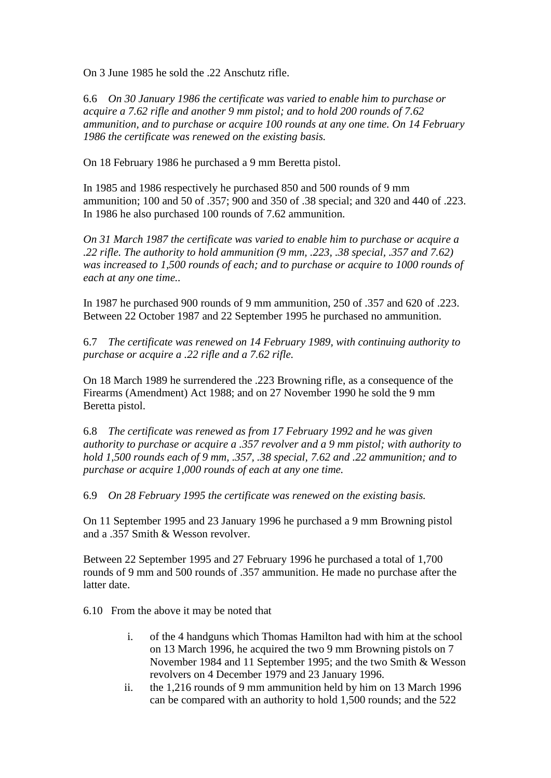On 3 June 1985 he sold the .22 Anschutz rifle.

6.6 *On 30 January 1986 the certificate was varied to enable him to purchase or acquire a 7.62 rifle and another 9 mm pistol; and to hold 200 rounds of 7.62 ammunition, and to purchase or acquire 100 rounds at any one time. On 14 February 1986 the certificate was renewed on the existing basis.*

On 18 February 1986 he purchased a 9 mm Beretta pistol.

In 1985 and 1986 respectively he purchased 850 and 500 rounds of 9 mm ammunition; 100 and 50 of .357; 900 and 350 of .38 special; and 320 and 440 of .223. In 1986 he also purchased 100 rounds of 7.62 ammunition.

*On 31 March 1987 the certificate was varied to enable him to purchase or acquire a .22 rifle. The authority to hold ammunition (9 mm, .223, .38 special, .357 and 7.62) was increased to 1,500 rounds of each; and to purchase or acquire to 1000 rounds of each at any one time..*

In 1987 he purchased 900 rounds of 9 mm ammunition, 250 of .357 and 620 of .223. Between 22 October 1987 and 22 September 1995 he purchased no ammunition.

6.7 *The certificate was renewed on 14 February 1989, with continuing authority to purchase or acquire a .22 rifle and a 7.62 rifle.* 

On 18 March 1989 he surrendered the .223 Browning rifle, as a consequence of the Firearms (Amendment) Act 1988; and on 27 November 1990 he sold the 9 mm Beretta pistol.

6.8 *The certificate was renewed as from 17 February 1992 and he was given authority to purchase or acquire a .357 revolver and a 9 mm pistol; with authority to hold 1,500 rounds each of 9 mm, .357, .38 special, 7.62 and .22 ammunition; and to purchase or acquire 1,000 rounds of each at any one time.*

6.9 *On 28 February 1995 the certificate was renewed on the existing basis.*

On 11 September 1995 and 23 January 1996 he purchased a 9 mm Browning pistol and a .357 Smith & Wesson revolver.

Between 22 September 1995 and 27 February 1996 he purchased a total of 1,700 rounds of 9 mm and 500 rounds of .357 ammunition. He made no purchase after the latter date.

6.10 From the above it may be noted that

- i. of the 4 handguns which Thomas Hamilton had with him at the school on 13 March 1996, he acquired the two 9 mm Browning pistols on 7 November 1984 and 11 September 1995; and the two Smith & Wesson revolvers on 4 December 1979 and 23 January 1996.
- ii. the 1,216 rounds of 9 mm ammunition held by him on 13 March 1996 can be compared with an authority to hold 1,500 rounds; and the 522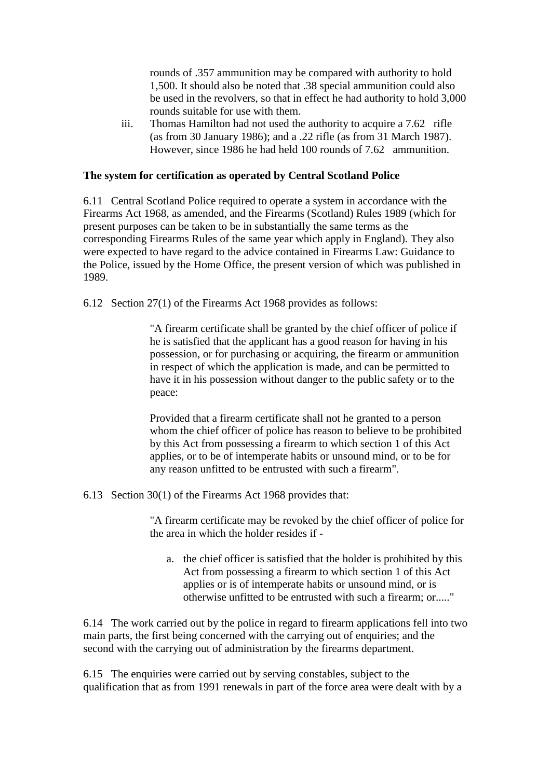rounds of .357 ammunition may be compared with authority to hold 1,500. It should also be noted that .38 special ammunition could also be used in the revolvers, so that in effect he had authority to hold 3,000 rounds suitable for use with them.

iii. Thomas Hamilton had not used the authority to acquire a 7.62 rifle (as from 30 January 1986); and a .22 rifle (as from 31 March 1987). However, since 1986 he had held 100 rounds of 7.62 ammunition.

#### **The system for certification as operated by Central Scotland Police**

6.11 Central Scotland Police required to operate a system in accordance with the Firearms Act 1968, as amended, and the Firearms (Scotland) Rules 1989 (which for present purposes can be taken to be in substantially the same terms as the corresponding Firearms Rules of the same year which apply in England). They also were expected to have regard to the advice contained in Firearms Law: Guidance to the Police, issued by the Home Office, the present version of which was published in 1989.

6.12 Section 27(1) of the Firearms Act 1968 provides as follows:

"A firearm certificate shall be granted by the chief officer of police if he is satisfied that the applicant has a good reason for having in his possession, or for purchasing or acquiring, the firearm or ammunition in respect of which the application is made, and can be permitted to have it in his possession without danger to the public safety or to the peace:

Provided that a firearm certificate shall not he granted to a person whom the chief officer of police has reason to believe to be prohibited by this Act from possessing a firearm to which section 1 of this Act applies, or to be of intemperate habits or unsound mind, or to be for any reason unfitted to be entrusted with such a firearm".

6.13 Section 30(1) of the Firearms Act 1968 provides that:

"A firearm certificate may be revoked by the chief officer of police for the area in which the holder resides if -

a. the chief officer is satisfied that the holder is prohibited by this Act from possessing a firearm to which section 1 of this Act applies or is of intemperate habits or unsound mind, or is otherwise unfitted to be entrusted with such a firearm; or....."

6.14 The work carried out by the police in regard to firearm applications fell into two main parts, the first being concerned with the carrying out of enquiries; and the second with the carrying out of administration by the firearms department.

6.15 The enquiries were carried out by serving constables, subject to the qualification that as from 1991 renewals in part of the force area were dealt with by a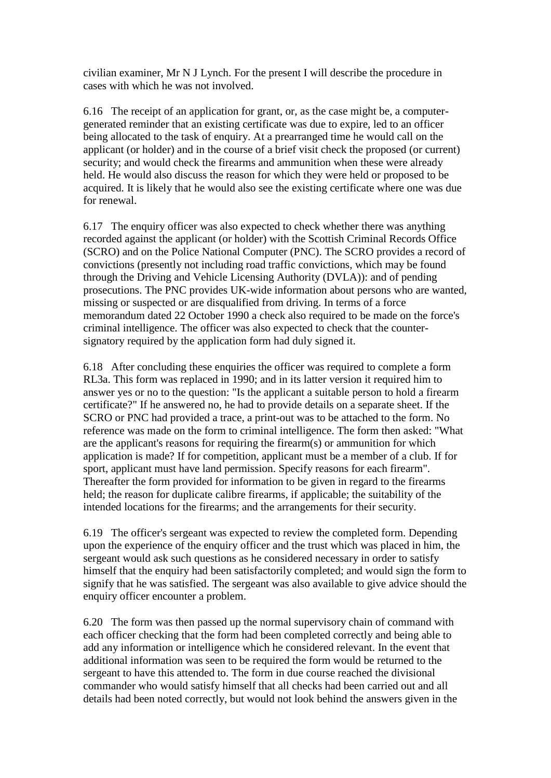civilian examiner, Mr N J Lynch. For the present I will describe the procedure in cases with which he was not involved.

6.16 The receipt of an application for grant, or, as the case might be, a computergenerated reminder that an existing certificate was due to expire, led to an officer being allocated to the task of enquiry. At a prearranged time he would call on the applicant (or holder) and in the course of a brief visit check the proposed (or current) security; and would check the firearms and ammunition when these were already held. He would also discuss the reason for which they were held or proposed to be acquired. It is likely that he would also see the existing certificate where one was due for renewal.

6.17 The enquiry officer was also expected to check whether there was anything recorded against the applicant (or holder) with the Scottish Criminal Records Office (SCRO) and on the Police National Computer (PNC). The SCRO provides a record of convictions (presently not including road traffic convictions, which may be found through the Driving and Vehicle Licensing Authority (DVLA)): and of pending prosecutions. The PNC provides UK-wide information about persons who are wanted, missing or suspected or are disqualified from driving. In terms of a force memorandum dated 22 October 1990 a check also required to be made on the force's criminal intelligence. The officer was also expected to check that the countersignatory required by the application form had duly signed it.

6.18 After concluding these enquiries the officer was required to complete a form RL3a. This form was replaced in 1990; and in its latter version it required him to answer yes or no to the question: "Is the applicant a suitable person to hold a firearm certificate?" If he answered no, he had to provide details on a separate sheet. If the SCRO or PNC had provided a trace, a print-out was to be attached to the form. No reference was made on the form to criminal intelligence. The form then asked: "What are the applicant's reasons for requiring the firearm(s) or ammunition for which application is made? If for competition, applicant must be a member of a club. If for sport, applicant must have land permission. Specify reasons for each firearm". Thereafter the form provided for information to be given in regard to the firearms held; the reason for duplicate calibre firearms, if applicable; the suitability of the intended locations for the firearms; and the arrangements for their security.

6.19 The officer's sergeant was expected to review the completed form. Depending upon the experience of the enquiry officer and the trust which was placed in him, the sergeant would ask such questions as he considered necessary in order to satisfy himself that the enquiry had been satisfactorily completed; and would sign the form to signify that he was satisfied. The sergeant was also available to give advice should the enquiry officer encounter a problem.

6.20 The form was then passed up the normal supervisory chain of command with each officer checking that the form had been completed correctly and being able to add any information or intelligence which he considered relevant. In the event that additional information was seen to be required the form would be returned to the sergeant to have this attended to. The form in due course reached the divisional commander who would satisfy himself that all checks had been carried out and all details had been noted correctly, but would not look behind the answers given in the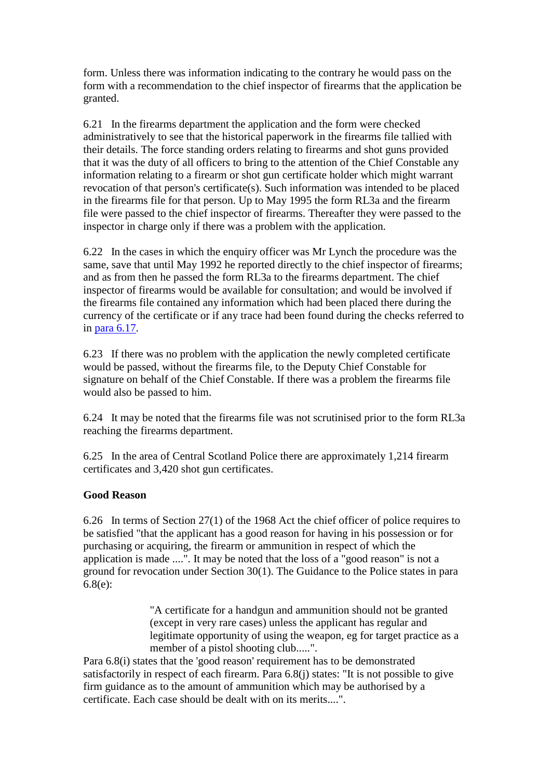form. Unless there was information indicating to the contrary he would pass on the form with a recommendation to the chief inspector of firearms that the application be granted.

6.21 In the firearms department the application and the form were checked administratively to see that the historical paperwork in the firearms file tallied with their details. The force standing orders relating to firearms and shot guns provided that it was the duty of all officers to bring to the attention of the Chief Constable any information relating to a firearm or shot gun certificate holder which might warrant revocation of that person's certificate(s). Such information was intended to be placed in the firearms file for that person. Up to May 1995 the form RL3a and the firearm file were passed to the chief inspector of firearms. Thereafter they were passed to the inspector in charge only if there was a problem with the application.

6.22 In the cases in which the enquiry officer was Mr Lynch the procedure was the same, save that until May 1992 he reported directly to the chief inspector of firearms; and as from then he passed the form RL3a to the firearms department. The chief inspector of firearms would be available for consultation; and would be involved if the firearms file contained any information which had been placed there during the currency of the certificate or if any trace had been found during the checks referred to in [para 6.17.](http://www.archive.official-documents.co.uk/document/scottish/dunblane/dun06a.htm#6.17)

6.23 If there was no problem with the application the newly completed certificate would be passed, without the firearms file, to the Deputy Chief Constable for signature on behalf of the Chief Constable. If there was a problem the firearms file would also be passed to him.

6.24 It may be noted that the firearms file was not scrutinised prior to the form RL3a reaching the firearms department.

6.25 In the area of Central Scotland Police there are approximately 1,214 firearm certificates and 3,420 shot gun certificates.

# **Good Reason**

6.26 In terms of Section 27(1) of the 1968 Act the chief officer of police requires to be satisfied "that the applicant has a good reason for having in his possession or for purchasing or acquiring, the firearm or ammunition in respect of which the application is made ....". It may be noted that the loss of a "good reason" is not a ground for revocation under Section 30(1). The Guidance to the Police states in para 6.8(e):

> "A certificate for a handgun and ammunition should not be granted (except in very rare cases) unless the applicant has regular and legitimate opportunity of using the weapon, eg for target practice as a member of a pistol shooting club.....".

Para 6.8(i) states that the 'good reason' requirement has to be demonstrated satisfactorily in respect of each firearm. Para 6.8(j) states: "It is not possible to give firm guidance as to the amount of ammunition which may be authorised by a certificate. Each case should be dealt with on its merits....".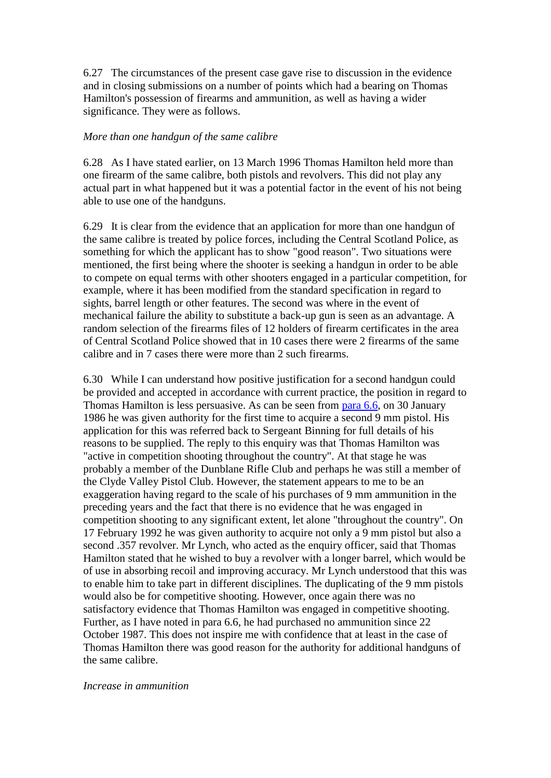6.27 The circumstances of the present case gave rise to discussion in the evidence and in closing submissions on a number of points which had a bearing on Thomas Hamilton's possession of firearms and ammunition, as well as having a wider significance. They were as follows.

#### *More than one handgun of the same calibre*

6.28 As I have stated earlier, on 13 March 1996 Thomas Hamilton held more than one firearm of the same calibre, both pistols and revolvers. This did not play any actual part in what happened but it was a potential factor in the event of his not being able to use one of the handguns.

6.29 It is clear from the evidence that an application for more than one handgun of the same calibre is treated by police forces, including the Central Scotland Police, as something for which the applicant has to show "good reason". Two situations were mentioned, the first being where the shooter is seeking a handgun in order to be able to compete on equal terms with other shooters engaged in a particular competition, for example, where it has been modified from the standard specification in regard to sights, barrel length or other features. The second was where in the event of mechanical failure the ability to substitute a back-up gun is seen as an advantage. A random selection of the firearms files of 12 holders of firearm certificates in the area of Central Scotland Police showed that in 10 cases there were 2 firearms of the same calibre and in 7 cases there were more than 2 such firearms.

6.30 While I can understand how positive justification for a second handgun could be provided and accepted in accordance with current practice, the position in regard to Thomas Hamilton is less persuasive. As can be seen from [para 6.6,](http://www.archive.official-documents.co.uk/document/scottish/dunblane/dun6-6.htm) on 30 January 1986 he was given authority for the first time to acquire a second 9 mm pistol. His application for this was referred back to Sergeant Binning for full details of his reasons to be supplied. The reply to this enquiry was that Thomas Hamilton was "active in competition shooting throughout the country". At that stage he was probably a member of the Dunblane Rifle Club and perhaps he was still a member of the Clyde Valley Pistol Club. However, the statement appears to me to be an exaggeration having regard to the scale of his purchases of 9 mm ammunition in the preceding years and the fact that there is no evidence that he was engaged in competition shooting to any significant extent, let alone "throughout the country". On 17 February 1992 he was given authority to acquire not only a 9 mm pistol but also a second .357 revolver. Mr Lynch, who acted as the enquiry officer, said that Thomas Hamilton stated that he wished to buy a revolver with a longer barrel, which would be of use in absorbing recoil and improving accuracy. Mr Lynch understood that this was to enable him to take part in different disciplines. The duplicating of the 9 mm pistols would also be for competitive shooting. However, once again there was no satisfactory evidence that Thomas Hamilton was engaged in competitive shooting. Further, as I have noted in para 6.6, he had purchased no ammunition since 22 October 1987. This does not inspire me with confidence that at least in the case of Thomas Hamilton there was good reason for the authority for additional handguns of the same calibre.

#### *Increase in ammunition*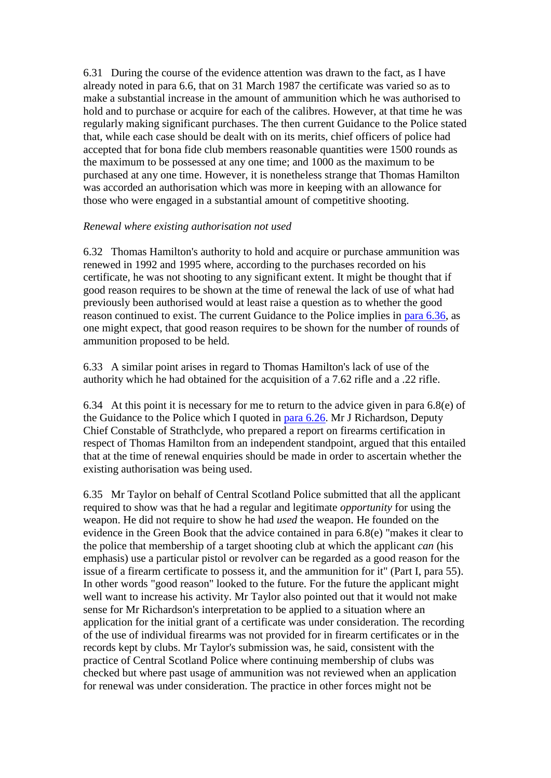6.31 During the course of the evidence attention was drawn to the fact, as I have already noted in para 6.6, that on 31 March 1987 the certificate was varied so as to make a substantial increase in the amount of ammunition which he was authorised to hold and to purchase or acquire for each of the calibres. However, at that time he was regularly making significant purchases. The then current Guidance to the Police stated that, while each case should be dealt with on its merits, chief officers of police had accepted that for bona fide club members reasonable quantities were 1500 rounds as the maximum to be possessed at any one time; and 1000 as the maximum to be purchased at any one time. However, it is nonetheless strange that Thomas Hamilton was accorded an authorisation which was more in keeping with an allowance for those who were engaged in a substantial amount of competitive shooting.

## *Renewal where existing authorisation not used*

6.32 Thomas Hamilton's authority to hold and acquire or purchase ammunition was renewed in 1992 and 1995 where, according to the purchases recorded on his certificate, he was not shooting to any significant extent. It might be thought that if good reason requires to be shown at the time of renewal the lack of use of what had previously been authorised would at least raise a question as to whether the good reason continued to exist. The current Guidance to the Police implies in [para 6.36,](http://www.archive.official-documents.co.uk/document/scottish/dunblane/dun06b.htm#6.36) as one might expect, that good reason requires to be shown for the number of rounds of ammunition proposed to be held.

6.33 A similar point arises in regard to Thomas Hamilton's lack of use of the authority which he had obtained for the acquisition of a 7.62 rifle and a .22 rifle.

6.34 At this point it is necessary for me to return to the advice given in para 6.8(e) of the Guidance to the Police which I quoted in [para 6.26.](http://www.archive.official-documents.co.uk/document/scottish/dunblane/dun06b.htm#6.26) Mr J Richardson, Deputy Chief Constable of Strathclyde, who prepared a report on firearms certification in respect of Thomas Hamilton from an independent standpoint, argued that this entailed that at the time of renewal enquiries should be made in order to ascertain whether the existing authorisation was being used.

6.35 Mr Taylor on behalf of Central Scotland Police submitted that all the applicant required to show was that he had a regular and legitimate *opportunity* for using the weapon. He did not require to show he had *used* the weapon. He founded on the evidence in the Green Book that the advice contained in para 6.8(e) "makes it clear to the police that membership of a target shooting club at which the applicant *can* (his emphasis) use a particular pistol or revolver can be regarded as a good reason for the issue of a firearm certificate to possess it, and the ammunition for it" (Part I, para 55). In other words "good reason" looked to the future. For the future the applicant might well want to increase his activity. Mr Taylor also pointed out that it would not make sense for Mr Richardson's interpretation to be applied to a situation where an application for the initial grant of a certificate was under consideration. The recording of the use of individual firearms was not provided for in firearm certificates or in the records kept by clubs. Mr Taylor's submission was, he said, consistent with the practice of Central Scotland Police where continuing membership of clubs was checked but where past usage of ammunition was not reviewed when an application for renewal was under consideration. The practice in other forces might not be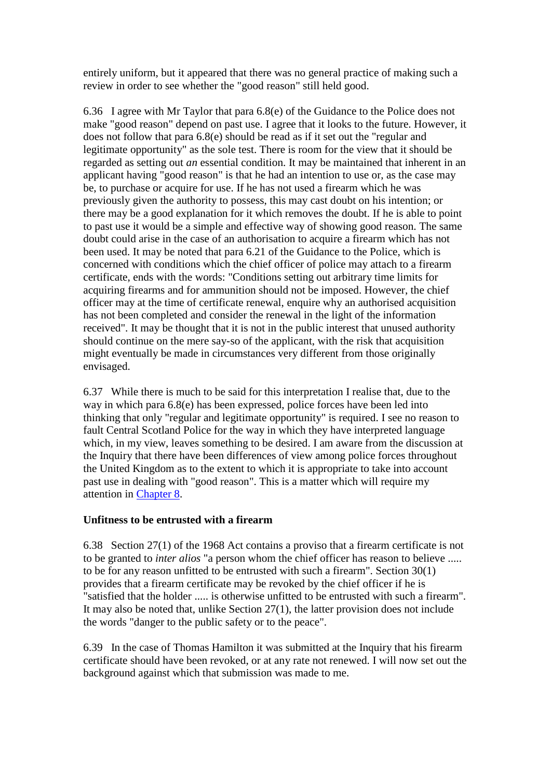entirely uniform, but it appeared that there was no general practice of making such a review in order to see whether the "good reason" still held good.

6.36 I agree with Mr Taylor that para 6.8(e) of the Guidance to the Police does not make "good reason" depend on past use. I agree that it looks to the future. However, it does not follow that para 6.8(e) should be read as if it set out the "regular and legitimate opportunity" as the sole test. There is room for the view that it should be regarded as setting out *an* essential condition. It may be maintained that inherent in an applicant having "good reason" is that he had an intention to use or, as the case may be, to purchase or acquire for use. If he has not used a firearm which he was previously given the authority to possess, this may cast doubt on his intention; or there may be a good explanation for it which removes the doubt. If he is able to point to past use it would be a simple and effective way of showing good reason. The same doubt could arise in the case of an authorisation to acquire a firearm which has not been used. It may be noted that para 6.21 of the Guidance to the Police, which is concerned with conditions which the chief officer of police may attach to a firearm certificate, ends with the words: "Conditions setting out arbitrary time limits for acquiring firearms and for ammunition should not be imposed. However, the chief officer may at the time of certificate renewal, enquire why an authorised acquisition has not been completed and consider the renewal in the light of the information received". It may be thought that it is not in the public interest that unused authority should continue on the mere say-so of the applicant, with the risk that acquisition might eventually be made in circumstances very different from those originally envisaged.

6.37 While there is much to be said for this interpretation I realise that, due to the way in which para 6.8(e) has been expressed, police forces have been led into thinking that only "regular and legitimate opportunity" is required. I see no reason to fault Central Scotland Police for the way in which they have interpreted language which, in my view, leaves something to be desired. I am aware from the discussion at the Inquiry that there have been differences of view among police forces throughout the United Kingdom as to the extent to which it is appropriate to take into account past use in dealing with "good reason". This is a matter which will require my attention in [Chapter 8.](http://www.archive.official-documents.co.uk/document/scottish/dunblane/dun08a.htm)

## **Unfitness to be entrusted with a firearm**

6.38 Section 27(1) of the 1968 Act contains a proviso that a firearm certificate is not to be granted to *inter alios* "a person whom the chief officer has reason to believe ..... to be for any reason unfitted to be entrusted with such a firearm". Section 30(1) provides that a firearm certificate may be revoked by the chief officer if he is "satisfied that the holder ..... is otherwise unfitted to be entrusted with such a firearm". It may also be noted that, unlike Section 27(1), the latter provision does not include the words "danger to the public safety or to the peace".

6.39 In the case of Thomas Hamilton it was submitted at the Inquiry that his firearm certificate should have been revoked, or at any rate not renewed. I will now set out the background against which that submission was made to me.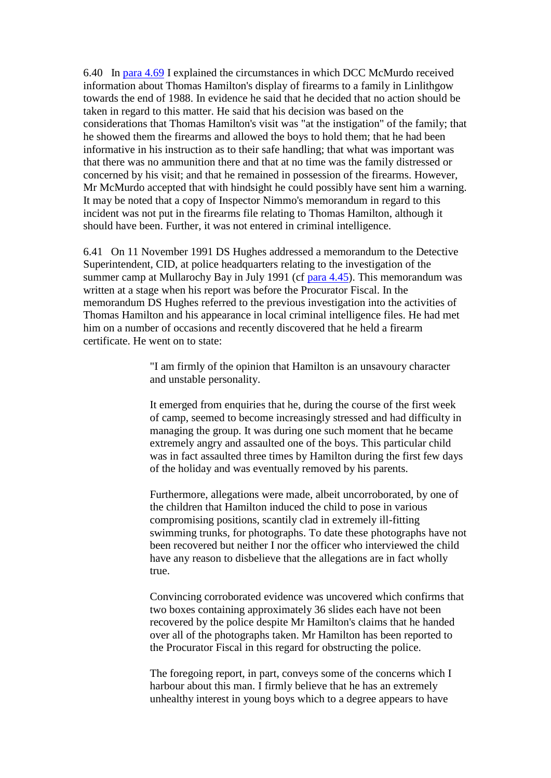6.40 In [para 4.69](http://www.archive.official-documents.co.uk/document/scottish/dunblane/dun4-69.htm) I explained the circumstances in which DCC McMurdo received information about Thomas Hamilton's display of firearms to a family in Linlithgow towards the end of 1988. In evidence he said that he decided that no action should be taken in regard to this matter. He said that his decision was based on the considerations that Thomas Hamilton's visit was "at the instigation" of the family; that he showed them the firearms and allowed the boys to hold them; that he had been informative in his instruction as to their safe handling; that what was important was that there was no ammunition there and that at no time was the family distressed or concerned by his visit; and that he remained in possession of the firearms. However, Mr McMurdo accepted that with hindsight he could possibly have sent him a warning. It may be noted that a copy of Inspector Nimmo's memorandum in regard to this incident was not put in the firearms file relating to Thomas Hamilton, although it should have been. Further, it was not entered in criminal intelligence.

6.41 On 11 November 1991 DS Hughes addressed a memorandum to the Detective Superintendent, CID, at police headquarters relating to the investigation of the summer camp at Mullarochy Bay in July 1991 (cf [para 4.45\)](http://www.archive.official-documents.co.uk/document/scottish/dunblane/dun4-45.htm). This memorandum was written at a stage when his report was before the Procurator Fiscal. In the memorandum DS Hughes referred to the previous investigation into the activities of Thomas Hamilton and his appearance in local criminal intelligence files. He had met him on a number of occasions and recently discovered that he held a firearm certificate. He went on to state:

> "I am firmly of the opinion that Hamilton is an unsavoury character and unstable personality.

It emerged from enquiries that he, during the course of the first week of camp, seemed to become increasingly stressed and had difficulty in managing the group. It was during one such moment that he became extremely angry and assaulted one of the boys. This particular child was in fact assaulted three times by Hamilton during the first few days of the holiday and was eventually removed by his parents.

Furthermore, allegations were made, albeit uncorroborated, by one of the children that Hamilton induced the child to pose in various compromising positions, scantily clad in extremely ill-fitting swimming trunks, for photographs. To date these photographs have not been recovered but neither I nor the officer who interviewed the child have any reason to disbelieve that the allegations are in fact wholly true.

Convincing corroborated evidence was uncovered which confirms that two boxes containing approximately 36 slides each have not been recovered by the police despite Mr Hamilton's claims that he handed over all of the photographs taken. Mr Hamilton has been reported to the Procurator Fiscal in this regard for obstructing the police.

The foregoing report, in part, conveys some of the concerns which I harbour about this man. I firmly believe that he has an extremely unhealthy interest in young boys which to a degree appears to have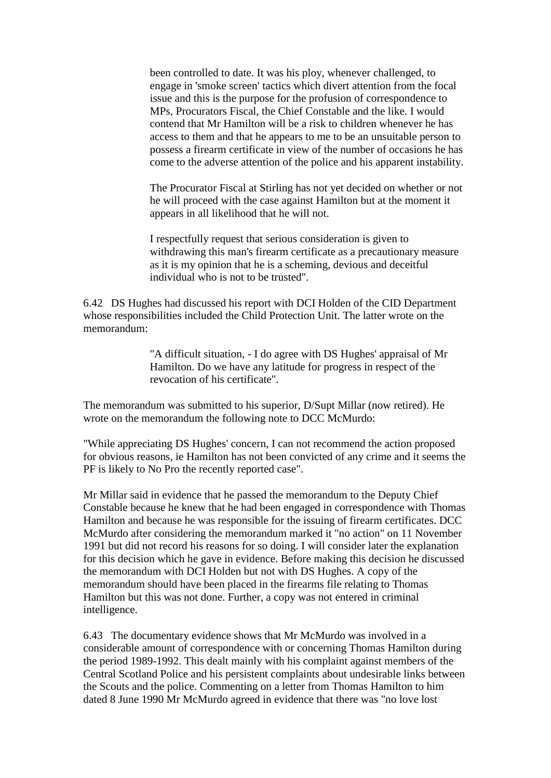been controlled to date. It was his ploy, whenever challenged, to engage in 'smoke screen' tactics which divert attention from the focal issue and this is the purpose for the profusion of correspondence to MPs, Procurators Fiscal, the Chief Constable and the like. I would contend that Mr Hamilton will be a risk to children whenever he has access to them and that he appears to me to be an unsuitable person to possess a firearm certificate in view of the number of occasions he has come to the adverse attention of the police and his apparent instability.

The Procurator Fiscal at Stirling has not yet decided on whether or not he will proceed with the case against Hamilton but at the moment it appears in all likelihood that he will not.

I respectfully request that serious consideration is given to withdrawing this man's firearm certificate as a precautionary measure as it is my opinion that he is a scheming, devious and deceitful individual who is not to be trusted".

6.42 DS Hughes had discussed his report with DCI Holden of the CID Department whose responsibilities included the Child Protection Unit. The latter wrote on the memorandum:

> "A difficult situation, - I do agree with DS Hughes' appraisal of Mr Hamilton. Do we have any latitude for progress in respect of the revocation of his certificate".

The memorandum was submitted to his superior, D/Supt Millar (now retired). He wrote on the memorandum the following note to DCC McMurdo:

"While appreciating DS Hughes' concern, I can not recommend the action proposed for obvious reasons, ie Hamilton has not been convicted of any crime and it seems the PF is likely to No Pro the recently reported case".

Mr Millar said in evidence that he passed the memorandum to the Deputy Chief Constable because he knew that he had been engaged in correspondence with Thomas Hamilton and because he was responsible for the issuing of firearm certificates. DCC McMurdo after considering the memorandum marked it "no action" on 11 November 1991 but did not record his reasons for so doing. I will consider later the explanation for this decision which he gave in evidence. Before making this decision he discussed the memorandum with DCI Holden but not with DS Hughes. A copy of the memorandum should have been placed in the firearms file relating to Thomas Hamilton but this was not done. Further, a copy was not entered in criminal intelligence.

6.43 The documentary evidence shows that Mr McMurdo was involved in a considerable amount of correspondence with or concerning Thomas Hamilton during the period 1989-1992. This dealt mainly with his complaint against members of the Central Scotland Police and his persistent complaints about undesirable links between the Scouts and the police. Commenting on a letter from Thomas Hamilton to him dated 8 June 1990 Mr McMurdo agreed in evidence that there was "no love lost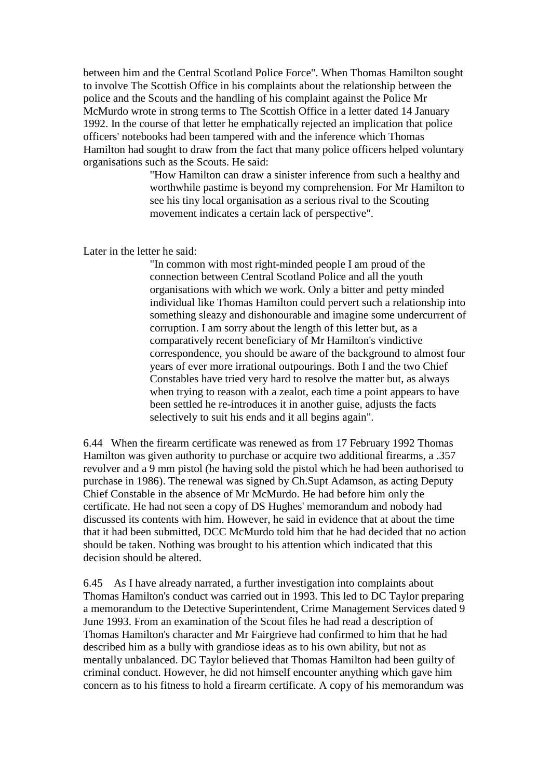between him and the Central Scotland Police Force". When Thomas Hamilton sought to involve The Scottish Office in his complaints about the relationship between the police and the Scouts and the handling of his complaint against the Police Mr McMurdo wrote in strong terms to The Scottish Office in a letter dated 14 January 1992. In the course of that letter he emphatically rejected an implication that police officers' notebooks had been tampered with and the inference which Thomas Hamilton had sought to draw from the fact that many police officers helped voluntary organisations such as the Scouts. He said:

> "How Hamilton can draw a sinister inference from such a healthy and worthwhile pastime is beyond my comprehension. For Mr Hamilton to see his tiny local organisation as a serious rival to the Scouting movement indicates a certain lack of perspective".

Later in the letter he said:

"In common with most right-minded people I am proud of the connection between Central Scotland Police and all the youth organisations with which we work. Only a bitter and petty minded individual like Thomas Hamilton could pervert such a relationship into something sleazy and dishonourable and imagine some undercurrent of corruption. I am sorry about the length of this letter but, as a comparatively recent beneficiary of Mr Hamilton's vindictive correspondence, you should be aware of the background to almost four years of ever more irrational outpourings. Both I and the two Chief Constables have tried very hard to resolve the matter but, as always when trying to reason with a zealot, each time a point appears to have been settled he re-introduces it in another guise, adjusts the facts selectively to suit his ends and it all begins again".

6.44 When the firearm certificate was renewed as from 17 February 1992 Thomas Hamilton was given authority to purchase or acquire two additional firearms, a .357 revolver and a 9 mm pistol (he having sold the pistol which he had been authorised to purchase in 1986). The renewal was signed by Ch.Supt Adamson, as acting Deputy Chief Constable in the absence of Mr McMurdo. He had before him only the certificate. He had not seen a copy of DS Hughes' memorandum and nobody had discussed its contents with him. However, he said in evidence that at about the time that it had been submitted, DCC McMurdo told him that he had decided that no action should be taken. Nothing was brought to his attention which indicated that this decision should be altered.

6.45 As I have already narrated, a further investigation into complaints about Thomas Hamilton's conduct was carried out in 1993. This led to DC Taylor preparing a memorandum to the Detective Superintendent, Crime Management Services dated 9 June 1993. From an examination of the Scout files he had read a description of Thomas Hamilton's character and Mr Fairgrieve had confirmed to him that he had described him as a bully with grandiose ideas as to his own ability, but not as mentally unbalanced. DC Taylor believed that Thomas Hamilton had been guilty of criminal conduct. However, he did not himself encounter anything which gave him concern as to his fitness to hold a firearm certificate. A copy of his memorandum was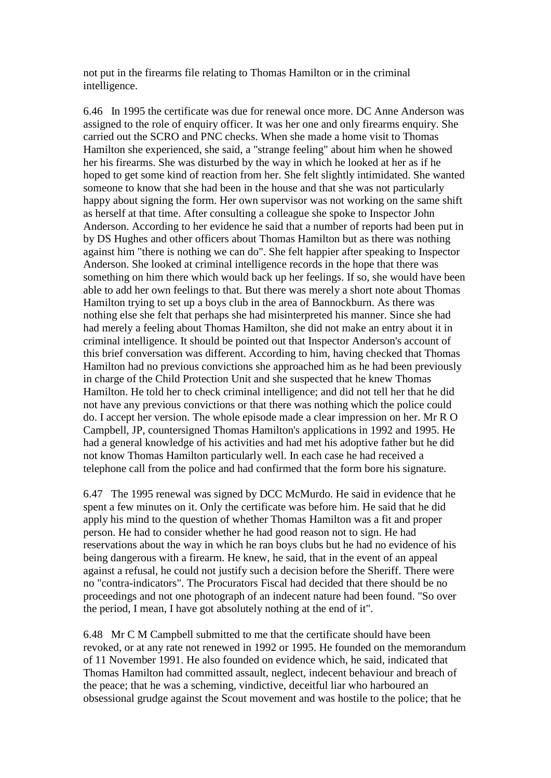not put in the firearms file relating to Thomas Hamilton or in the criminal intelligence.

6.46 In 1995 the certificate was due for renewal once more. DC Anne Anderson was assigned to the role of enquiry officer. It was her one and only firearms enquiry. She carried out the SCRO and PNC checks. When she made a home visit to Thomas Hamilton she experienced, she said, a "strange feeling" about him when he showed her his firearms. She was disturbed by the way in which he looked at her as if he hoped to get some kind of reaction from her. She felt slightly intimidated. She wanted someone to know that she had been in the house and that she was not particularly happy about signing the form. Her own supervisor was not working on the same shift as herself at that time. After consulting a colleague she spoke to Inspector John Anderson. According to her evidence he said that a number of reports had been put in by DS Hughes and other officers about Thomas Hamilton but as there was nothing against him "there is nothing we can do". She felt happier after speaking to Inspector Anderson. She looked at criminal intelligence records in the hope that there was something on him there which would back up her feelings. If so, she would have been able to add her own feelings to that. But there was merely a short note about Thomas Hamilton trying to set up a boys club in the area of Bannockburn. As there was nothing else she felt that perhaps she had misinterpreted his manner. Since she had had merely a feeling about Thomas Hamilton, she did not make an entry about it in criminal intelligence. It should be pointed out that Inspector Anderson's account of this brief conversation was different. According to him, having checked that Thomas Hamilton had no previous convictions she approached him as he had been previously in charge of the Child Protection Unit and she suspected that he knew Thomas Hamilton. He told her to check criminal intelligence; and did not tell her that he did not have any previous convictions or that there was nothing which the police could do. I accept her version. The whole episode made a clear impression on her. Mr R O Campbell, JP, countersigned Thomas Hamilton's applications in 1992 and 1995. He had a general knowledge of his activities and had met his adoptive father but he did not know Thomas Hamilton particularly well. In each case he had received a telephone call from the police and had confirmed that the form bore his signature.

6.47 The 1995 renewal was signed by DCC McMurdo. He said in evidence that he spent a few minutes on it. Only the certificate was before him. He said that he did apply his mind to the question of whether Thomas Hamilton was a fit and proper person. He had to consider whether he had good reason not to sign. He had reservations about the way in which he ran boys clubs but he had no evidence of his being dangerous with a firearm. He knew, he said, that in the event of an appeal against a refusal, he could not justify such a decision before the Sheriff. There were no "contra-indicators". The Procurators Fiscal had decided that there should be no proceedings and not one photograph of an indecent nature had been found. "So over the period, I mean, I have got absolutely nothing at the end of it".

6.48 Mr C M Campbell submitted to me that the certificate should have been revoked, or at any rate not renewed in 1992 or 1995. He founded on the memorandum of 11 November 1991. He also founded on evidence which, he said, indicated that Thomas Hamilton had committed assault, neglect, indecent behaviour and breach of the peace; that he was a scheming, vindictive, deceitful liar who harboured an obsessional grudge against the Scout movement and was hostile to the police; that he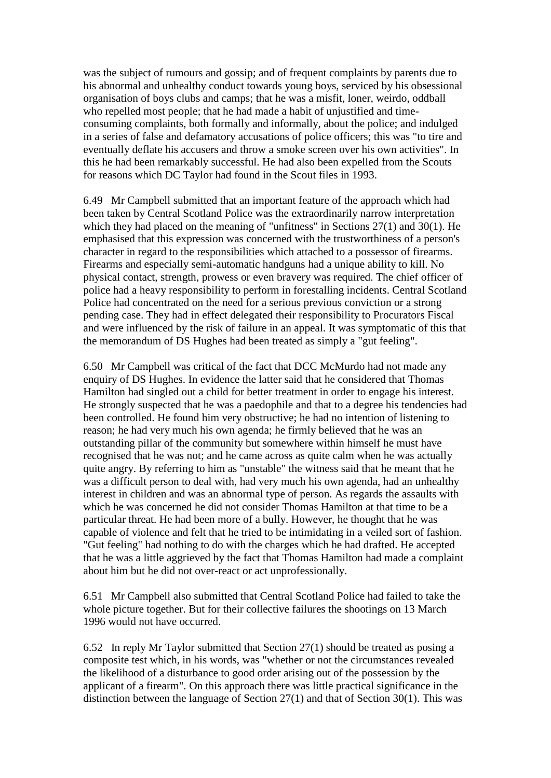was the subject of rumours and gossip; and of frequent complaints by parents due to his abnormal and unhealthy conduct towards young boys, serviced by his obsessional organisation of boys clubs and camps; that he was a misfit, loner, weirdo, oddball who repelled most people; that he had made a habit of unjustified and timeconsuming complaints, both formally and informally, about the police; and indulged in a series of false and defamatory accusations of police officers; this was "to tire and eventually deflate his accusers and throw a smoke screen over his own activities". In this he had been remarkably successful. He had also been expelled from the Scouts for reasons which DC Taylor had found in the Scout files in 1993.

6.49 Mr Campbell submitted that an important feature of the approach which had been taken by Central Scotland Police was the extraordinarily narrow interpretation which they had placed on the meaning of "unfitness" in Sections 27(1) and 30(1). He emphasised that this expression was concerned with the trustworthiness of a person's character in regard to the responsibilities which attached to a possessor of firearms. Firearms and especially semi-automatic handguns had a unique ability to kill. No physical contact, strength, prowess or even bravery was required. The chief officer of police had a heavy responsibility to perform in forestalling incidents. Central Scotland Police had concentrated on the need for a serious previous conviction or a strong pending case. They had in effect delegated their responsibility to Procurators Fiscal and were influenced by the risk of failure in an appeal. It was symptomatic of this that the memorandum of DS Hughes had been treated as simply a "gut feeling".

6.50 Mr Campbell was critical of the fact that DCC McMurdo had not made any enquiry of DS Hughes. In evidence the latter said that he considered that Thomas Hamilton had singled out a child for better treatment in order to engage his interest. He strongly suspected that he was a paedophile and that to a degree his tendencies had been controlled. He found him very obstructive; he had no intention of listening to reason; he had very much his own agenda; he firmly believed that he was an outstanding pillar of the community but somewhere within himself he must have recognised that he was not; and he came across as quite calm when he was actually quite angry. By referring to him as "unstable" the witness said that he meant that he was a difficult person to deal with, had very much his own agenda, had an unhealthy interest in children and was an abnormal type of person. As regards the assaults with which he was concerned he did not consider Thomas Hamilton at that time to be a particular threat. He had been more of a bully. However, he thought that he was capable of violence and felt that he tried to be intimidating in a veiled sort of fashion. "Gut feeling" had nothing to do with the charges which he had drafted. He accepted that he was a little aggrieved by the fact that Thomas Hamilton had made a complaint about him but he did not over-react or act unprofessionally.

6.51 Mr Campbell also submitted that Central Scotland Police had failed to take the whole picture together. But for their collective failures the shootings on 13 March 1996 would not have occurred.

6.52 In reply Mr Taylor submitted that Section 27(1) should be treated as posing a composite test which, in his words, was "whether or not the circumstances revealed the likelihood of a disturbance to good order arising out of the possession by the applicant of a firearm". On this approach there was little practical significance in the distinction between the language of Section 27(1) and that of Section 30(1). This was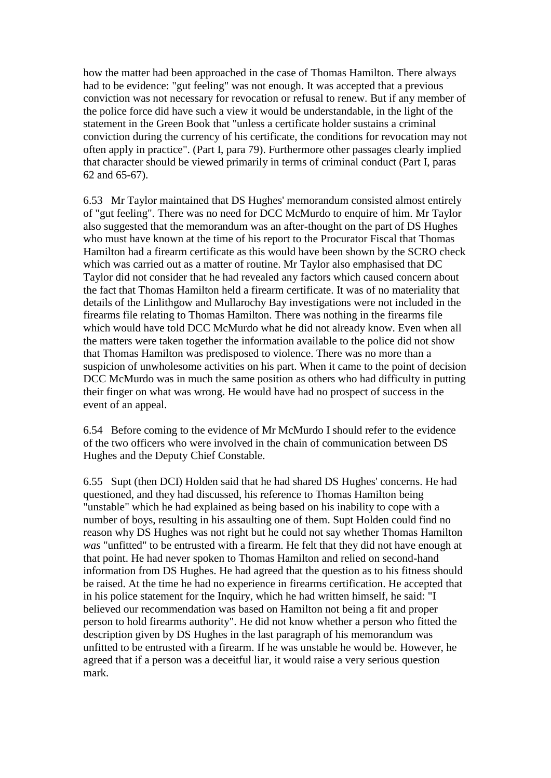how the matter had been approached in the case of Thomas Hamilton. There always had to be evidence: "gut feeling" was not enough. It was accepted that a previous conviction was not necessary for revocation or refusal to renew. But if any member of the police force did have such a view it would be understandable, in the light of the statement in the Green Book that "unless a certificate holder sustains a criminal conviction during the currency of his certificate, the conditions for revocation may not often apply in practice". (Part I, para 79). Furthermore other passages clearly implied that character should be viewed primarily in terms of criminal conduct (Part I, paras 62 and 65-67).

6.53 Mr Taylor maintained that DS Hughes' memorandum consisted almost entirely of "gut feeling". There was no need for DCC McMurdo to enquire of him. Mr Taylor also suggested that the memorandum was an after-thought on the part of DS Hughes who must have known at the time of his report to the Procurator Fiscal that Thomas Hamilton had a firearm certificate as this would have been shown by the SCRO check which was carried out as a matter of routine. Mr Taylor also emphasised that DC Taylor did not consider that he had revealed any factors which caused concern about the fact that Thomas Hamilton held a firearm certificate. It was of no materiality that details of the Linlithgow and Mullarochy Bay investigations were not included in the firearms file relating to Thomas Hamilton. There was nothing in the firearms file which would have told DCC McMurdo what he did not already know. Even when all the matters were taken together the information available to the police did not show that Thomas Hamilton was predisposed to violence. There was no more than a suspicion of unwholesome activities on his part. When it came to the point of decision DCC McMurdo was in much the same position as others who had difficulty in putting their finger on what was wrong. He would have had no prospect of success in the event of an appeal.

6.54 Before coming to the evidence of Mr McMurdo I should refer to the evidence of the two officers who were involved in the chain of communication between DS Hughes and the Deputy Chief Constable.

6.55 Supt (then DCI) Holden said that he had shared DS Hughes' concerns. He had questioned, and they had discussed, his reference to Thomas Hamilton being "unstable" which he had explained as being based on his inability to cope with a number of boys, resulting in his assaulting one of them. Supt Holden could find no reason why DS Hughes was not right but he could not say whether Thomas Hamilton *was* "unfitted" to be entrusted with a firearm. He felt that they did not have enough at that point. He had never spoken to Thomas Hamilton and relied on second-hand information from DS Hughes. He had agreed that the question as to his fitness should be raised. At the time he had no experience in firearms certification. He accepted that in his police statement for the Inquiry, which he had written himself, he said: "I believed our recommendation was based on Hamilton not being a fit and proper person to hold firearms authority". He did not know whether a person who fitted the description given by DS Hughes in the last paragraph of his memorandum was unfitted to be entrusted with a firearm. If he was unstable he would be. However, he agreed that if a person was a deceitful liar, it would raise a very serious question mark.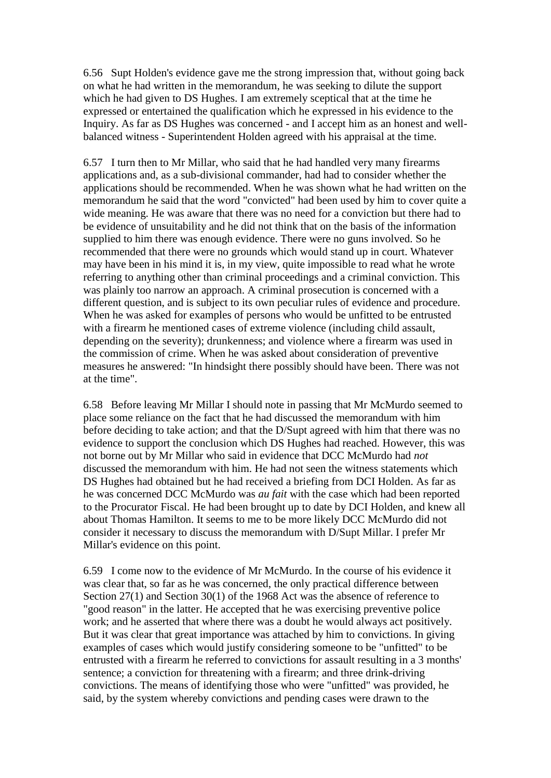6.56 Supt Holden's evidence gave me the strong impression that, without going back on what he had written in the memorandum, he was seeking to dilute the support which he had given to DS Hughes. I am extremely sceptical that at the time he expressed or entertained the qualification which he expressed in his evidence to the Inquiry. As far as DS Hughes was concerned - and I accept him as an honest and wellbalanced witness - Superintendent Holden agreed with his appraisal at the time.

6.57 I turn then to Mr Millar, who said that he had handled very many firearms applications and, as a sub-divisional commander, had had to consider whether the applications should be recommended. When he was shown what he had written on the memorandum he said that the word "convicted" had been used by him to cover quite a wide meaning. He was aware that there was no need for a conviction but there had to be evidence of unsuitability and he did not think that on the basis of the information supplied to him there was enough evidence. There were no guns involved. So he recommended that there were no grounds which would stand up in court. Whatever may have been in his mind it is, in my view, quite impossible to read what he wrote referring to anything other than criminal proceedings and a criminal conviction. This was plainly too narrow an approach. A criminal prosecution is concerned with a different question, and is subject to its own peculiar rules of evidence and procedure. When he was asked for examples of persons who would be unfitted to be entrusted with a firearm he mentioned cases of extreme violence (including child assault, depending on the severity); drunkenness; and violence where a firearm was used in the commission of crime. When he was asked about consideration of preventive measures he answered: "In hindsight there possibly should have been. There was not at the time".

6.58 Before leaving Mr Millar I should note in passing that Mr McMurdo seemed to place some reliance on the fact that he had discussed the memorandum with him before deciding to take action; and that the D/Supt agreed with him that there was no evidence to support the conclusion which DS Hughes had reached. However, this was not borne out by Mr Millar who said in evidence that DCC McMurdo had *not* discussed the memorandum with him. He had not seen the witness statements which DS Hughes had obtained but he had received a briefing from DCI Holden. As far as he was concerned DCC McMurdo was *au fait* with the case which had been reported to the Procurator Fiscal. He had been brought up to date by DCI Holden, and knew all about Thomas Hamilton. It seems to me to be more likely DCC McMurdo did not consider it necessary to discuss the memorandum with D/Supt Millar. I prefer Mr Millar's evidence on this point.

6.59 I come now to the evidence of Mr McMurdo. In the course of his evidence it was clear that, so far as he was concerned, the only practical difference between Section 27(1) and Section 30(1) of the 1968 Act was the absence of reference to "good reason" in the latter. He accepted that he was exercising preventive police work; and he asserted that where there was a doubt he would always act positively. But it was clear that great importance was attached by him to convictions. In giving examples of cases which would justify considering someone to be "unfitted" to be entrusted with a firearm he referred to convictions for assault resulting in a 3 months' sentence; a conviction for threatening with a firearm; and three drink-driving convictions. The means of identifying those who were "unfitted" was provided, he said, by the system whereby convictions and pending cases were drawn to the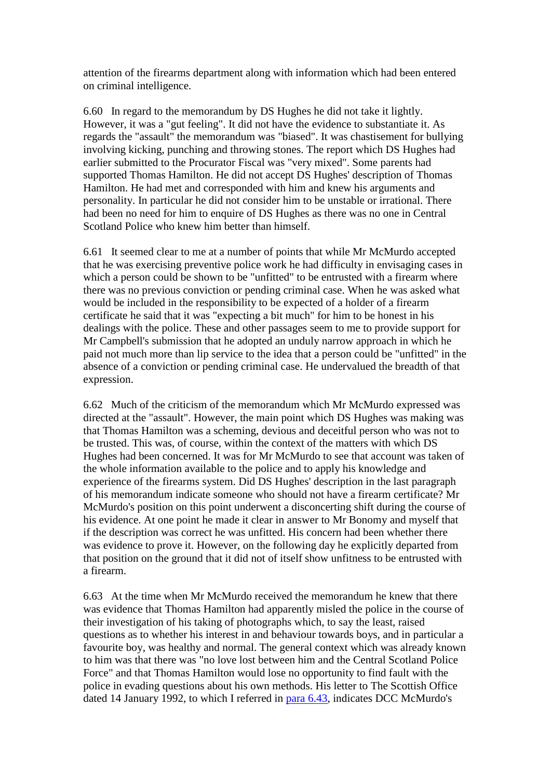attention of the firearms department along with information which had been entered on criminal intelligence.

6.60 In regard to the memorandum by DS Hughes he did not take it lightly. However, it was a "gut feeling". It did not have the evidence to substantiate it. As regards the "assault" the memorandum was "biased". It was chastisement for bullying involving kicking, punching and throwing stones. The report which DS Hughes had earlier submitted to the Procurator Fiscal was "very mixed". Some parents had supported Thomas Hamilton. He did not accept DS Hughes' description of Thomas Hamilton. He had met and corresponded with him and knew his arguments and personality. In particular he did not consider him to be unstable or irrational. There had been no need for him to enquire of DS Hughes as there was no one in Central Scotland Police who knew him better than himself.

6.61 It seemed clear to me at a number of points that while Mr McMurdo accepted that he was exercising preventive police work he had difficulty in envisaging cases in which a person could be shown to be "unfitted" to be entrusted with a firearm where there was no previous conviction or pending criminal case. When he was asked what would be included in the responsibility to be expected of a holder of a firearm certificate he said that it was "expecting a bit much" for him to be honest in his dealings with the police. These and other passages seem to me to provide support for Mr Campbell's submission that he adopted an unduly narrow approach in which he paid not much more than lip service to the idea that a person could be "unfitted" in the absence of a conviction or pending criminal case. He undervalued the breadth of that expression.

6.62 Much of the criticism of the memorandum which Mr McMurdo expressed was directed at the "assault". However, the main point which DS Hughes was making was that Thomas Hamilton was a scheming, devious and deceitful person who was not to be trusted. This was, of course, within the context of the matters with which DS Hughes had been concerned. It was for Mr McMurdo to see that account was taken of the whole information available to the police and to apply his knowledge and experience of the firearms system. Did DS Hughes' description in the last paragraph of his memorandum indicate someone who should not have a firearm certificate? Mr McMurdo's position on this point underwent a disconcerting shift during the course of his evidence. At one point he made it clear in answer to Mr Bonomy and myself that if the description was correct he was unfitted. His concern had been whether there was evidence to prove it. However, on the following day he explicitly departed from that position on the ground that it did not of itself show unfitness to be entrusted with a firearm.

6.63 At the time when Mr McMurdo received the memorandum he knew that there was evidence that Thomas Hamilton had apparently misled the police in the course of their investigation of his taking of photographs which, to say the least, raised questions as to whether his interest in and behaviour towards boys, and in particular a favourite boy, was healthy and normal. The general context which was already known to him was that there was "no love lost between him and the Central Scotland Police Force" and that Thomas Hamilton would lose no opportunity to find fault with the police in evading questions about his own methods. His letter to The Scottish Office dated 14 January 1992, to which I referred in [para 6.43,](http://www.archive.official-documents.co.uk/document/scottish/dunblane/dun6-43a.htm) indicates DCC McMurdo's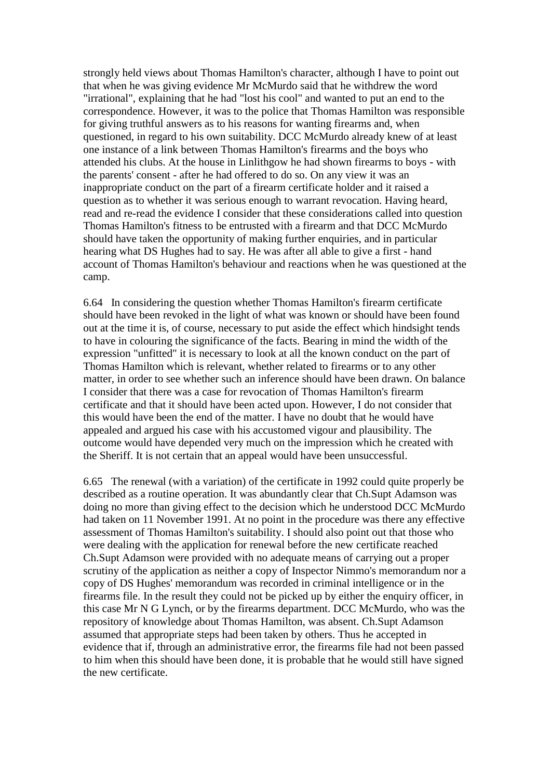strongly held views about Thomas Hamilton's character, although I have to point out that when he was giving evidence Mr McMurdo said that he withdrew the word "irrational", explaining that he had "lost his cool" and wanted to put an end to the correspondence. However, it was to the police that Thomas Hamilton was responsible for giving truthful answers as to his reasons for wanting firearms and, when questioned, in regard to his own suitability. DCC McMurdo already knew of at least one instance of a link between Thomas Hamilton's firearms and the boys who attended his clubs. At the house in Linlithgow he had shown firearms to boys - with the parents' consent - after he had offered to do so. On any view it was an inappropriate conduct on the part of a firearm certificate holder and it raised a question as to whether it was serious enough to warrant revocation. Having heard, read and re-read the evidence I consider that these considerations called into question Thomas Hamilton's fitness to be entrusted with a firearm and that DCC McMurdo should have taken the opportunity of making further enquiries, and in particular hearing what DS Hughes had to say. He was after all able to give a first - hand account of Thomas Hamilton's behaviour and reactions when he was questioned at the camp.

6.64 In considering the question whether Thomas Hamilton's firearm certificate should have been revoked in the light of what was known or should have been found out at the time it is, of course, necessary to put aside the effect which hindsight tends to have in colouring the significance of the facts. Bearing in mind the width of the expression "unfitted" it is necessary to look at all the known conduct on the part of Thomas Hamilton which is relevant, whether related to firearms or to any other matter, in order to see whether such an inference should have been drawn. On balance I consider that there was a case for revocation of Thomas Hamilton's firearm certificate and that it should have been acted upon. However, I do not consider that this would have been the end of the matter. I have no doubt that he would have appealed and argued his case with his accustomed vigour and plausibility. The outcome would have depended very much on the impression which he created with the Sheriff. It is not certain that an appeal would have been unsuccessful.

6.65 The renewal (with a variation) of the certificate in 1992 could quite properly be described as a routine operation. It was abundantly clear that Ch.Supt Adamson was doing no more than giving effect to the decision which he understood DCC McMurdo had taken on 11 November 1991. At no point in the procedure was there any effective assessment of Thomas Hamilton's suitability. I should also point out that those who were dealing with the application for renewal before the new certificate reached Ch.Supt Adamson were provided with no adequate means of carrying out a proper scrutiny of the application as neither a copy of Inspector Nimmo's memorandum nor a copy of DS Hughes' memorandum was recorded in criminal intelligence or in the firearms file. In the result they could not be picked up by either the enquiry officer, in this case Mr N G Lynch, or by the firearms department. DCC McMurdo, who was the repository of knowledge about Thomas Hamilton, was absent. Ch.Supt Adamson assumed that appropriate steps had been taken by others. Thus he accepted in evidence that if, through an administrative error, the firearms file had not been passed to him when this should have been done, it is probable that he would still have signed the new certificate.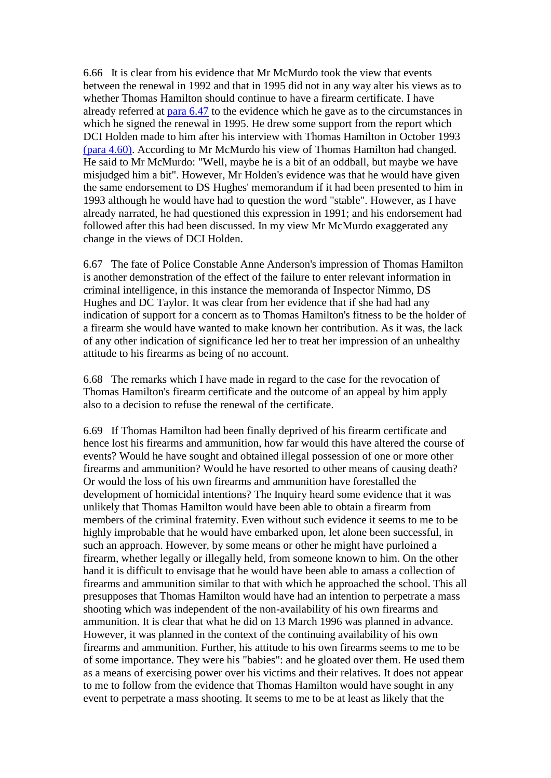6.66 It is clear from his evidence that Mr McMurdo took the view that events between the renewal in 1992 and that in 1995 did not in any way alter his views as to whether Thomas Hamilton should continue to have a firearm certificate. I have already referred at [para 6.47](http://www.archive.official-documents.co.uk/document/scottish/dunblane/dun6-47.htm) to the evidence which he gave as to the circumstances in which he signed the renewal in 1995. He drew some support from the report which DCI Holden made to him after his interview with Thomas Hamilton in October 1993 [\(para 4.60\).](http://www.archive.official-documents.co.uk/document/scottish/dunblane/dun6-47.htm) According to Mr McMurdo his view of Thomas Hamilton had changed. He said to Mr McMurdo: "Well, maybe he is a bit of an oddball, but maybe we have misjudged him a bit". However, Mr Holden's evidence was that he would have given the same endorsement to DS Hughes' memorandum if it had been presented to him in 1993 although he would have had to question the word "stable". However, as I have already narrated, he had questioned this expression in 1991; and his endorsement had followed after this had been discussed. In my view Mr McMurdo exaggerated any change in the views of DCI Holden.

6.67 The fate of Police Constable Anne Anderson's impression of Thomas Hamilton is another demonstration of the effect of the failure to enter relevant information in criminal intelligence, in this instance the memoranda of Inspector Nimmo, DS Hughes and DC Taylor. It was clear from her evidence that if she had had any indication of support for a concern as to Thomas Hamilton's fitness to be the holder of a firearm she would have wanted to make known her contribution. As it was, the lack of any other indication of significance led her to treat her impression of an unhealthy attitude to his firearms as being of no account.

6.68 The remarks which I have made in regard to the case for the revocation of Thomas Hamilton's firearm certificate and the outcome of an appeal by him apply also to a decision to refuse the renewal of the certificate.

6.69 If Thomas Hamilton had been finally deprived of his firearm certificate and hence lost his firearms and ammunition, how far would this have altered the course of events? Would he have sought and obtained illegal possession of one or more other firearms and ammunition? Would he have resorted to other means of causing death? Or would the loss of his own firearms and ammunition have forestalled the development of homicidal intentions? The Inquiry heard some evidence that it was unlikely that Thomas Hamilton would have been able to obtain a firearm from members of the criminal fraternity. Even without such evidence it seems to me to be highly improbable that he would have embarked upon, let alone been successful, in such an approach. However, by some means or other he might have purloined a firearm, whether legally or illegally held, from someone known to him. On the other hand it is difficult to envisage that he would have been able to amass a collection of firearms and ammunition similar to that with which he approached the school. This all presupposes that Thomas Hamilton would have had an intention to perpetrate a mass shooting which was independent of the non-availability of his own firearms and ammunition. It is clear that what he did on 13 March 1996 was planned in advance. However, it was planned in the context of the continuing availability of his own firearms and ammunition. Further, his attitude to his own firearms seems to me to be of some importance. They were his "babies": and he gloated over them. He used them as a means of exercising power over his victims and their relatives. It does not appear to me to follow from the evidence that Thomas Hamilton would have sought in any event to perpetrate a mass shooting. It seems to me to be at least as likely that the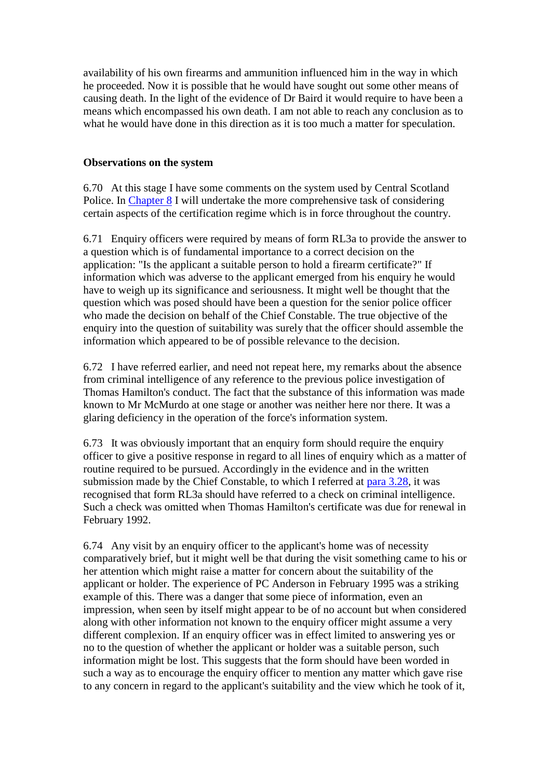availability of his own firearms and ammunition influenced him in the way in which he proceeded. Now it is possible that he would have sought out some other means of causing death. In the light of the evidence of Dr Baird it would require to have been a means which encompassed his own death. I am not able to reach any conclusion as to what he would have done in this direction as it is too much a matter for speculation.

## **Observations on the system**

6.70 At this stage I have some comments on the system used by Central Scotland Police. In [Chapter 8](http://www.archive.official-documents.co.uk/document/scottish/dunblane/dun08a.htm) I will undertake the more comprehensive task of considering certain aspects of the certification regime which is in force throughout the country.

6.71 Enquiry officers were required by means of form RL3a to provide the answer to a question which is of fundamental importance to a correct decision on the application: "Is the applicant a suitable person to hold a firearm certificate?" If information which was adverse to the applicant emerged from his enquiry he would have to weigh up its significance and seriousness. It might well be thought that the question which was posed should have been a question for the senior police officer who made the decision on behalf of the Chief Constable. The true objective of the enquiry into the question of suitability was surely that the officer should assemble the information which appeared to be of possible relevance to the decision.

6.72 I have referred earlier, and need not repeat here, my remarks about the absence from criminal intelligence of any reference to the previous police investigation of Thomas Hamilton's conduct. The fact that the substance of this information was made known to Mr McMurdo at one stage or another was neither here nor there. It was a glaring deficiency in the operation of the force's information system.

6.73 It was obviously important that an enquiry form should require the enquiry officer to give a positive response in regard to all lines of enquiry which as a matter of routine required to be pursued. Accordingly in the evidence and in the written submission made by the Chief Constable, to which I referred at [para 3.28,](http://www.archive.official-documents.co.uk/document/scottish/dunblane/dun3-28.htm) it was recognised that form RL3a should have referred to a check on criminal intelligence. Such a check was omitted when Thomas Hamilton's certificate was due for renewal in February 1992.

6.74 Any visit by an enquiry officer to the applicant's home was of necessity comparatively brief, but it might well be that during the visit something came to his or her attention which might raise a matter for concern about the suitability of the applicant or holder. The experience of PC Anderson in February 1995 was a striking example of this. There was a danger that some piece of information, even an impression, when seen by itself might appear to be of no account but when considered along with other information not known to the enquiry officer might assume a very different complexion. If an enquiry officer was in effect limited to answering yes or no to the question of whether the applicant or holder was a suitable person, such information might be lost. This suggests that the form should have been worded in such a way as to encourage the enquiry officer to mention any matter which gave rise to any concern in regard to the applicant's suitability and the view which he took of it,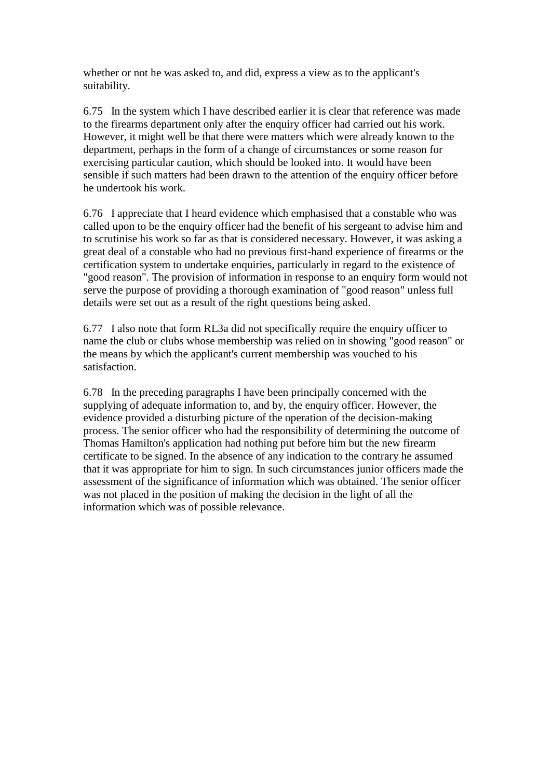whether or not he was asked to, and did, express a view as to the applicant's suitability.

6.75 In the system which I have described earlier it is clear that reference was made to the firearms department only after the enquiry officer had carried out his work. However, it might well be that there were matters which were already known to the department, perhaps in the form of a change of circumstances or some reason for exercising particular caution, which should be looked into. It would have been sensible if such matters had been drawn to the attention of the enquiry officer before he undertook his work.

6.76 I appreciate that I heard evidence which emphasised that a constable who was called upon to be the enquiry officer had the benefit of his sergeant to advise him and to scrutinise his work so far as that is considered necessary. However, it was asking a great deal of a constable who had no previous first-hand experience of firearms or the certification system to undertake enquiries, particularly in regard to the existence of "good reason". The provision of information in response to an enquiry form would not serve the purpose of providing a thorough examination of "good reason" unless full details were set out as a result of the right questions being asked.

6.77 I also note that form RL3a did not specifically require the enquiry officer to name the club or clubs whose membership was relied on in showing "good reason" or the means by which the applicant's current membership was vouched to his satisfaction.

6.78 In the preceding paragraphs I have been principally concerned with the supplying of adequate information to, and by, the enquiry officer. However, the evidence provided a disturbing picture of the operation of the decision-making process. The senior officer who had the responsibility of determining the outcome of Thomas Hamilton's application had nothing put before him but the new firearm certificate to be signed. In the absence of any indication to the contrary he assumed that it was appropriate for him to sign. In such circumstances junior officers made the assessment of the significance of information which was obtained. The senior officer was not placed in the position of making the decision in the light of all the information which was of possible relevance.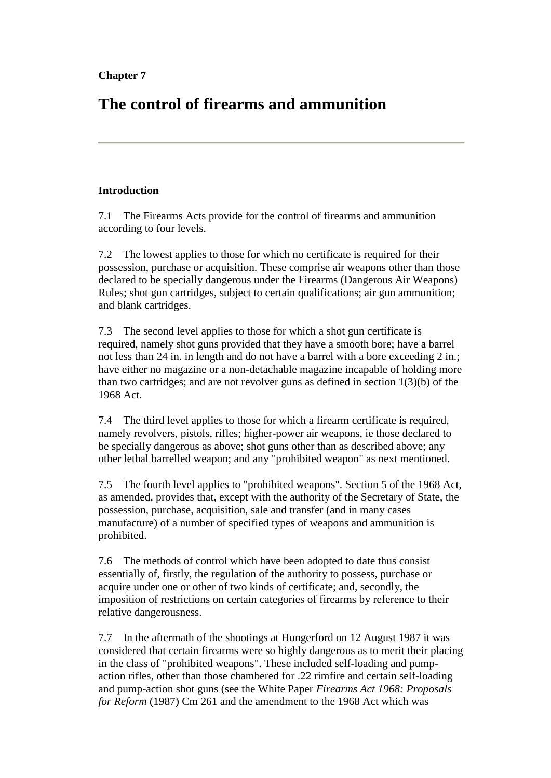# **The control of firearms and ammunition**

# **Introduction**

7.1 The Firearms Acts provide for the control of firearms and ammunition according to four levels.

7.2 The lowest applies to those for which no certificate is required for their possession, purchase or acquisition. These comprise air weapons other than those declared to be specially dangerous under the Firearms (Dangerous Air Weapons) Rules; shot gun cartridges, subject to certain qualifications; air gun ammunition; and blank cartridges.

7.3 The second level applies to those for which a shot gun certificate is required, namely shot guns provided that they have a smooth bore; have a barrel not less than 24 in. in length and do not have a barrel with a bore exceeding 2 in.; have either no magazine or a non-detachable magazine incapable of holding more than two cartridges; and are not revolver guns as defined in section 1(3)(b) of the 1968 Act.

7.4 The third level applies to those for which a firearm certificate is required, namely revolvers, pistols, rifles; higher-power air weapons, ie those declared to be specially dangerous as above; shot guns other than as described above; any other lethal barrelled weapon; and any "prohibited weapon" as next mentioned.

7.5 The fourth level applies to "prohibited weapons". Section 5 of the 1968 Act, as amended, provides that, except with the authority of the Secretary of State, the possession, purchase, acquisition, sale and transfer (and in many cases manufacture) of a number of specified types of weapons and ammunition is prohibited.

7.6 The methods of control which have been adopted to date thus consist essentially of, firstly, the regulation of the authority to possess, purchase or acquire under one or other of two kinds of certificate; and, secondly, the imposition of restrictions on certain categories of firearms by reference to their relative dangerousness.

7.7 In the aftermath of the shootings at Hungerford on 12 August 1987 it was considered that certain firearms were so highly dangerous as to merit their placing in the class of "prohibited weapons". These included self-loading and pumpaction rifles, other than those chambered for .22 rimfire and certain self-loading and pump-action shot guns (see the White Paper *Firearms Act 1968: Proposals for Reform* (1987) Cm 261 and the amendment to the 1968 Act which was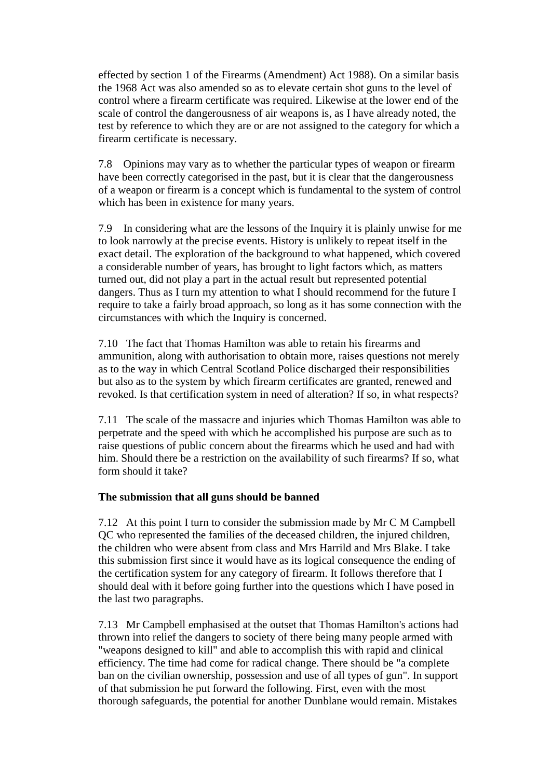effected by section 1 of the Firearms (Amendment) Act 1988). On a similar basis the 1968 Act was also amended so as to elevate certain shot guns to the level of control where a firearm certificate was required. Likewise at the lower end of the scale of control the dangerousness of air weapons is, as I have already noted, the test by reference to which they are or are not assigned to the category for which a firearm certificate is necessary.

7.8 Opinions may vary as to whether the particular types of weapon or firearm have been correctly categorised in the past, but it is clear that the dangerousness of a weapon or firearm is a concept which is fundamental to the system of control which has been in existence for many years.

7.9 In considering what are the lessons of the Inquiry it is plainly unwise for me to look narrowly at the precise events. History is unlikely to repeat itself in the exact detail. The exploration of the background to what happened, which covered a considerable number of years, has brought to light factors which, as matters turned out, did not play a part in the actual result but represented potential dangers. Thus as I turn my attention to what I should recommend for the future I require to take a fairly broad approach, so long as it has some connection with the circumstances with which the Inquiry is concerned.

7.10 The fact that Thomas Hamilton was able to retain his firearms and ammunition, along with authorisation to obtain more, raises questions not merely as to the way in which Central Scotland Police discharged their responsibilities but also as to the system by which firearm certificates are granted, renewed and revoked. Is that certification system in need of alteration? If so, in what respects?

7.11 The scale of the massacre and injuries which Thomas Hamilton was able to perpetrate and the speed with which he accomplished his purpose are such as to raise questions of public concern about the firearms which he used and had with him. Should there be a restriction on the availability of such firearms? If so, what form should it take?

# **The submission that all guns should be banned**

7.12 At this point I turn to consider the submission made by Mr C M Campbell QC who represented the families of the deceased children, the injured children, the children who were absent from class and Mrs Harrild and Mrs Blake. I take this submission first since it would have as its logical consequence the ending of the certification system for any category of firearm. It follows therefore that I should deal with it before going further into the questions which I have posed in the last two paragraphs.

7.13 Mr Campbell emphasised at the outset that Thomas Hamilton's actions had thrown into relief the dangers to society of there being many people armed with "weapons designed to kill" and able to accomplish this with rapid and clinical efficiency. The time had come for radical change. There should be "a complete ban on the civilian ownership, possession and use of all types of gun". In support of that submission he put forward the following. First, even with the most thorough safeguards, the potential for another Dunblane would remain. Mistakes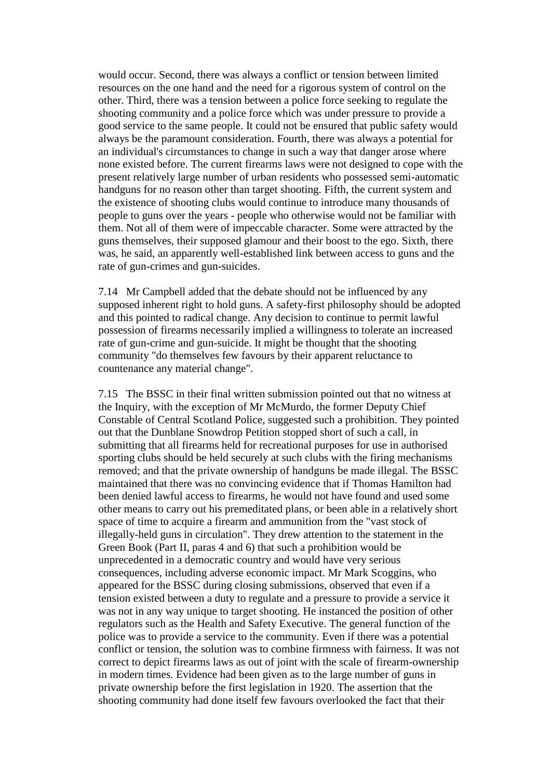would occur. Second, there was always a conflict or tension between limited resources on the one hand and the need for a rigorous system of control on the other. Third, there was a tension between a police force seeking to regulate the shooting community and a police force which was under pressure to provide a good service to the same people. It could not be ensured that public safety would always be the paramount consideration. Fourth, there was always a potential for an individual's circumstances to change in such a way that danger arose where none existed before. The current firearms laws were not designed to cope with the present relatively large number of urban residents who possessed semi-automatic handguns for no reason other than target shooting. Fifth, the current system and the existence of shooting clubs would continue to introduce many thousands of people to guns over the years - people who otherwise would not be familiar with them. Not all of them were of impeccable character. Some were attracted by the guns themselves, their supposed glamour and their boost to the ego. Sixth, there was, he said, an apparently well-established link between access to guns and the rate of gun-crimes and gun-suicides.

7.14 Mr Campbell added that the debate should not be influenced by any supposed inherent right to hold guns. A safety-first philosophy should be adopted and this pointed to radical change. Any decision to continue to permit lawful possession of firearms necessarily implied a willingness to tolerate an increased rate of gun-crime and gun-suicide. It might be thought that the shooting community "do themselves few favours by their apparent reluctance to countenance any material change".

7.15 The BSSC in their final written submission pointed out that no witness at the Inquiry, with the exception of Mr McMurdo, the former Deputy Chief Constable of Central Scotland Police, suggested such a prohibition. They pointed out that the Dunblane Snowdrop Petition stopped short of such a call, in submitting that all firearms held for recreational purposes for use in authorised sporting clubs should be held securely at such clubs with the firing mechanisms removed; and that the private ownership of handguns be made illegal. The BSSC maintained that there was no convincing evidence that if Thomas Hamilton had been denied lawful access to firearms, he would not have found and used some other means to carry out his premeditated plans, or been able in a relatively short space of time to acquire a firearm and ammunition from the "vast stock of illegally-held guns in circulation". They drew attention to the statement in the Green Book (Part II, paras 4 and 6) that such a prohibition would be unprecedented in a democratic country and would have very serious consequences, including adverse economic impact. Mr Mark Scoggins, who appeared for the BSSC during closing submissions, observed that even if a tension existed between a duty to regulate and a pressure to provide a service it was not in any way unique to target shooting. He instanced the position of other regulators such as the Health and Safety Executive. The general function of the police was to provide a service to the community. Even if there was a potential conflict or tension, the solution was to combine firmness with fairness. It was not correct to depict firearms laws as out of joint with the scale of firearm-ownership in modern times. Evidence had been given as to the large number of guns in private ownership before the first legislation in 1920. The assertion that the shooting community had done itself few favours overlooked the fact that their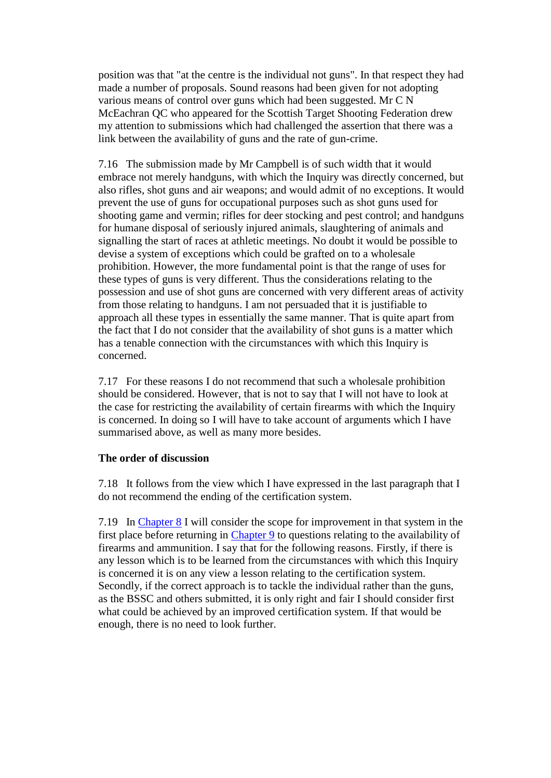position was that "at the centre is the individual not guns". In that respect they had made a number of proposals. Sound reasons had been given for not adopting various means of control over guns which had been suggested. Mr C N McEachran QC who appeared for the Scottish Target Shooting Federation drew my attention to submissions which had challenged the assertion that there was a link between the availability of guns and the rate of gun-crime.

7.16 The submission made by Mr Campbell is of such width that it would embrace not merely handguns, with which the Inquiry was directly concerned, but also rifles, shot guns and air weapons; and would admit of no exceptions. It would prevent the use of guns for occupational purposes such as shot guns used for shooting game and vermin; rifles for deer stocking and pest control; and handguns for humane disposal of seriously injured animals, slaughtering of animals and signalling the start of races at athletic meetings. No doubt it would be possible to devise a system of exceptions which could be grafted on to a wholesale prohibition. However, the more fundamental point is that the range of uses for these types of guns is very different. Thus the considerations relating to the possession and use of shot guns are concerned with very different areas of activity from those relating to handguns. I am not persuaded that it is justifiable to approach all these types in essentially the same manner. That is quite apart from the fact that I do not consider that the availability of shot guns is a matter which has a tenable connection with the circumstances with which this Inquiry is concerned.

7.17 For these reasons I do not recommend that such a wholesale prohibition should be considered. However, that is not to say that I will not have to look at the case for restricting the availability of certain firearms with which the Inquiry is concerned. In doing so I will have to take account of arguments which I have summarised above, as well as many more besides.

## **The order of discussion**

7.18 It follows from the view which I have expressed in the last paragraph that I do not recommend the ending of the certification system.

7.19 In [Chapter 8](http://www.archive.official-documents.co.uk/document/scottish/dunblane/dun08a.htm) I will consider the scope for improvement in that system in the first place before returning in [Chapter 9](http://www.archive.official-documents.co.uk/document/scottish/dunblane/dun09a.htm) to questions relating to the availability of firearms and ammunition. I say that for the following reasons. Firstly, if there is any lesson which is to be learned from the circumstances with which this Inquiry is concerned it is on any view a lesson relating to the certification system. Secondly, if the correct approach is to tackle the individual rather than the guns, as the BSSC and others submitted, it is only right and fair I should consider first what could be achieved by an improved certification system. If that would be enough, there is no need to look further.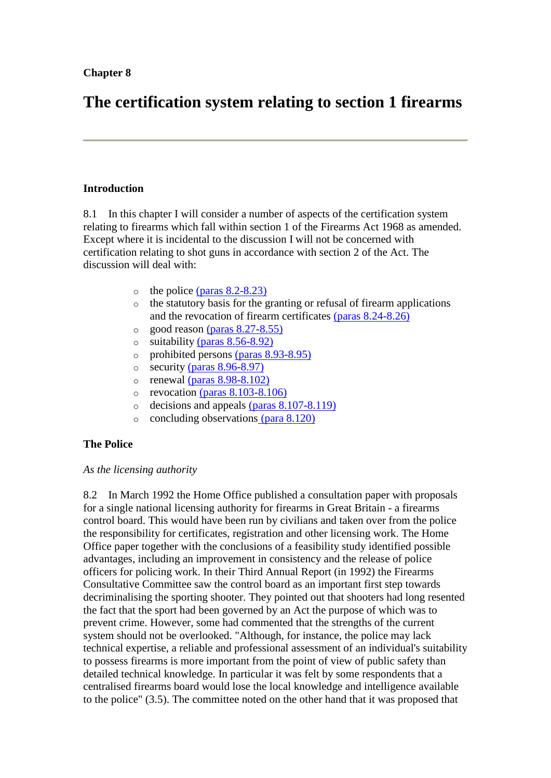# **The certification system relating to section 1 firearms**

## **Introduction**

8.1 In this chapter I will consider a number of aspects of the certification system relating to firearms which fall within section 1 of the Firearms Act 1968 as amended. Except where it is incidental to the discussion I will not be concerned with certification relating to shot guns in accordance with section 2 of the Act. The discussion will deal with:

- $\circ$  the police [\(paras 8.2-8.23\)](http://www.archive.official-documents.co.uk/document/scottish/dunblane/dun08a.htm#8.2)
- o the statutory basis for the granting or refusal of firearm applications and the revocation of firearm certificates [\(paras 8.24-8.26\)](http://www.archive.official-documents.co.uk/document/scottish/dunblane/dun08a.htm#8.24)
- $\circ$  good reason [\(paras 8.27-8.55\)](http://www.archive.official-documents.co.uk/document/scottish/dunblane/dun08a.htm#8.27)
- $\circ$  suitability [\(paras 8.56-8.92\)](http://www.archive.official-documents.co.uk/document/scottish/dunblane/dun08b.htm#8.56)
- o prohibited persons [\(paras 8.93-8.95\)](http://www.archive.official-documents.co.uk/document/scottish/dunblane/dun08d.htm#8.93)
- o security [\(paras 8.96-8.97\)](http://www.archive.official-documents.co.uk/document/scottish/dunblane/dun08d.htm#8.96)
- $\circ$  renewal [\(paras 8.98-8.102\)](http://www.archive.official-documents.co.uk/document/scottish/dunblane/dun08d.htm#8.98)
- $\circ$  revocation [\(paras 8.103-8.106\)](http://www.archive.official-documents.co.uk/document/scottish/dunblane/dun08d.htm#8.103)
- o decisions and appeals [\(paras 8.107-8.119\)](http://www.archive.official-documents.co.uk/document/scottish/dunblane/dun08d.htm#8.107)
- o concluding observations [\(para 8.120\)](http://www.archive.official-documents.co.uk/document/scottish/dunblane/dun08d.htm#8.120)

# **The Police**

## *As the licensing authority*

8.2 In March 1992 the Home Office published a consultation paper with proposals for a single national licensing authority for firearms in Great Britain - a firearms control board. This would have been run by civilians and taken over from the police the responsibility for certificates, registration and other licensing work. The Home Office paper together with the conclusions of a feasibility study identified possible advantages, including an improvement in consistency and the release of police officers for policing work. In their Third Annual Report (in 1992) the Firearms Consultative Committee saw the control board as an important first step towards decriminalising the sporting shooter. They pointed out that shooters had long resented the fact that the sport had been governed by an Act the purpose of which was to prevent crime. However, some had commented that the strengths of the current system should not be overlooked. "Although, for instance, the police may lack technical expertise, a reliable and professional assessment of an individual's suitability to possess firearms is more important from the point of view of public safety than detailed technical knowledge. In particular it was felt by some respondents that a centralised firearms board would lose the local knowledge and intelligence available to the police" (3.5). The committee noted on the other hand that it was proposed that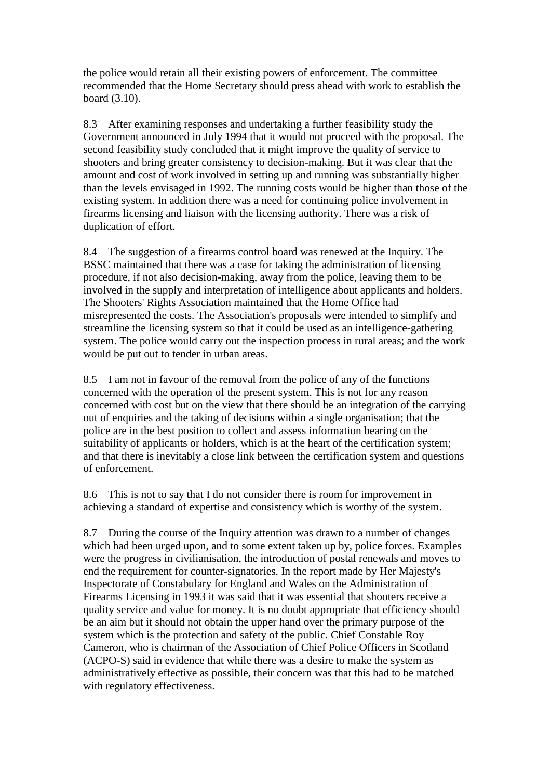the police would retain all their existing powers of enforcement. The committee recommended that the Home Secretary should press ahead with work to establish the board (3.10).

8.3 After examining responses and undertaking a further feasibility study the Government announced in July 1994 that it would not proceed with the proposal. The second feasibility study concluded that it might improve the quality of service to shooters and bring greater consistency to decision-making. But it was clear that the amount and cost of work involved in setting up and running was substantially higher than the levels envisaged in 1992. The running costs would be higher than those of the existing system. In addition there was a need for continuing police involvement in firearms licensing and liaison with the licensing authority. There was a risk of duplication of effort.

8.4 The suggestion of a firearms control board was renewed at the Inquiry. The BSSC maintained that there was a case for taking the administration of licensing procedure, if not also decision-making, away from the police, leaving them to be involved in the supply and interpretation of intelligence about applicants and holders. The Shooters' Rights Association maintained that the Home Office had misrepresented the costs. The Association's proposals were intended to simplify and streamline the licensing system so that it could be used as an intelligence-gathering system. The police would carry out the inspection process in rural areas; and the work would be put out to tender in urban areas.

8.5 I am not in favour of the removal from the police of any of the functions concerned with the operation of the present system. This is not for any reason concerned with cost but on the view that there should be an integration of the carrying out of enquiries and the taking of decisions within a single organisation; that the police are in the best position to collect and assess information bearing on the suitability of applicants or holders, which is at the heart of the certification system; and that there is inevitably a close link between the certification system and questions of enforcement.

8.6 This is not to say that I do not consider there is room for improvement in achieving a standard of expertise and consistency which is worthy of the system.

8.7 During the course of the Inquiry attention was drawn to a number of changes which had been urged upon, and to some extent taken up by, police forces. Examples were the progress in civilianisation, the introduction of postal renewals and moves to end the requirement for counter-signatories. In the report made by Her Majesty's Inspectorate of Constabulary for England and Wales on the Administration of Firearms Licensing in 1993 it was said that it was essential that shooters receive a quality service and value for money. It is no doubt appropriate that efficiency should be an aim but it should not obtain the upper hand over the primary purpose of the system which is the protection and safety of the public. Chief Constable Roy Cameron, who is chairman of the Association of Chief Police Officers in Scotland (ACPO-S) said in evidence that while there was a desire to make the system as administratively effective as possible, their concern was that this had to be matched with regulatory effectiveness.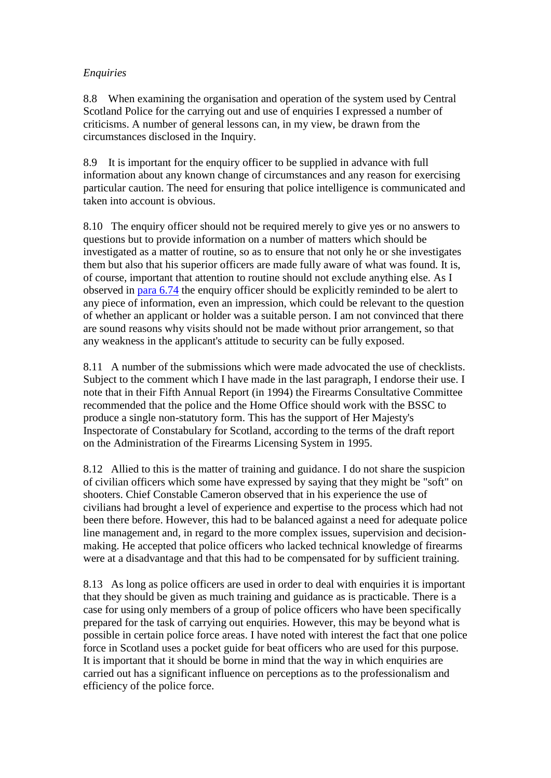# *Enquiries*

8.8 When examining the organisation and operation of the system used by Central Scotland Police for the carrying out and use of enquiries I expressed a number of criticisms. A number of general lessons can, in my view, be drawn from the circumstances disclosed in the Inquiry.

8.9 It is important for the enquiry officer to be supplied in advance with full information about any known change of circumstances and any reason for exercising particular caution. The need for ensuring that police intelligence is communicated and taken into account is obvious.

8.10 The enquiry officer should not be required merely to give yes or no answers to questions but to provide information on a number of matters which should be investigated as a matter of routine, so as to ensure that not only he or she investigates them but also that his superior officers are made fully aware of what was found. It is, of course, important that attention to routine should not exclude anything else. As I observed in [para 6.74](http://www.archive.official-documents.co.uk/document/scottish/dunblane/dun6-74.htm) the enquiry officer should be explicitly reminded to be alert to any piece of information, even an impression, which could be relevant to the question of whether an applicant or holder was a suitable person. I am not convinced that there are sound reasons why visits should not be made without prior arrangement, so that any weakness in the applicant's attitude to security can be fully exposed.

8.11 A number of the submissions which were made advocated the use of checklists. Subject to the comment which I have made in the last paragraph, I endorse their use. I note that in their Fifth Annual Report (in 1994) the Firearms Consultative Committee recommended that the police and the Home Office should work with the BSSC to produce a single non-statutory form. This has the support of Her Majesty's Inspectorate of Constabulary for Scotland, according to the terms of the draft report on the Administration of the Firearms Licensing System in 1995.

8.12 Allied to this is the matter of training and guidance. I do not share the suspicion of civilian officers which some have expressed by saying that they might be "soft" on shooters. Chief Constable Cameron observed that in his experience the use of civilians had brought a level of experience and expertise to the process which had not been there before. However, this had to be balanced against a need for adequate police line management and, in regard to the more complex issues, supervision and decisionmaking. He accepted that police officers who lacked technical knowledge of firearms were at a disadvantage and that this had to be compensated for by sufficient training.

8.13 As long as police officers are used in order to deal with enquiries it is important that they should be given as much training and guidance as is practicable. There is a case for using only members of a group of police officers who have been specifically prepared for the task of carrying out enquiries. However, this may be beyond what is possible in certain police force areas. I have noted with interest the fact that one police force in Scotland uses a pocket guide for beat officers who are used for this purpose. It is important that it should be borne in mind that the way in which enquiries are carried out has a significant influence on perceptions as to the professionalism and efficiency of the police force.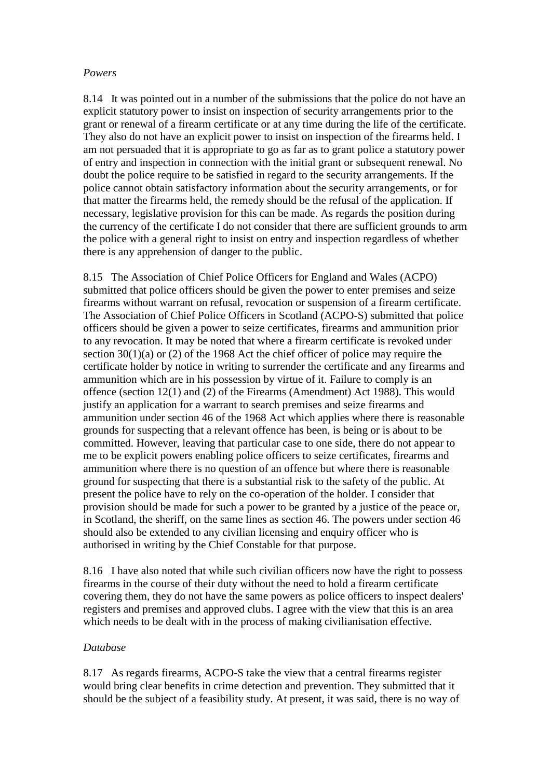### *Powers*

8.14 It was pointed out in a number of the submissions that the police do not have an explicit statutory power to insist on inspection of security arrangements prior to the grant or renewal of a firearm certificate or at any time during the life of the certificate. They also do not have an explicit power to insist on inspection of the firearms held. I am not persuaded that it is appropriate to go as far as to grant police a statutory power of entry and inspection in connection with the initial grant or subsequent renewal. No doubt the police require to be satisfied in regard to the security arrangements. If the police cannot obtain satisfactory information about the security arrangements, or for that matter the firearms held, the remedy should be the refusal of the application. If necessary, legislative provision for this can be made. As regards the position during the currency of the certificate I do not consider that there are sufficient grounds to arm the police with a general right to insist on entry and inspection regardless of whether there is any apprehension of danger to the public.

8.15 The Association of Chief Police Officers for England and Wales (ACPO) submitted that police officers should be given the power to enter premises and seize firearms without warrant on refusal, revocation or suspension of a firearm certificate. The Association of Chief Police Officers in Scotland (ACPO-S) submitted that police officers should be given a power to seize certificates, firearms and ammunition prior to any revocation. It may be noted that where a firearm certificate is revoked under section 30(1)(a) or (2) of the 1968 Act the chief officer of police may require the certificate holder by notice in writing to surrender the certificate and any firearms and ammunition which are in his possession by virtue of it. Failure to comply is an offence (section 12(1) and (2) of the Firearms (Amendment) Act 1988). This would justify an application for a warrant to search premises and seize firearms and ammunition under section 46 of the 1968 Act which applies where there is reasonable grounds for suspecting that a relevant offence has been, is being or is about to be committed. However, leaving that particular case to one side, there do not appear to me to be explicit powers enabling police officers to seize certificates, firearms and ammunition where there is no question of an offence but where there is reasonable ground for suspecting that there is a substantial risk to the safety of the public. At present the police have to rely on the co-operation of the holder. I consider that provision should be made for such a power to be granted by a justice of the peace or, in Scotland, the sheriff, on the same lines as section 46. The powers under section 46 should also be extended to any civilian licensing and enquiry officer who is authorised in writing by the Chief Constable for that purpose.

8.16 I have also noted that while such civilian officers now have the right to possess firearms in the course of their duty without the need to hold a firearm certificate covering them, they do not have the same powers as police officers to inspect dealers' registers and premises and approved clubs. I agree with the view that this is an area which needs to be dealt with in the process of making civilianisation effective.

## *Database*

8.17 As regards firearms, ACPO-S take the view that a central firearms register would bring clear benefits in crime detection and prevention. They submitted that it should be the subject of a feasibility study. At present, it was said, there is no way of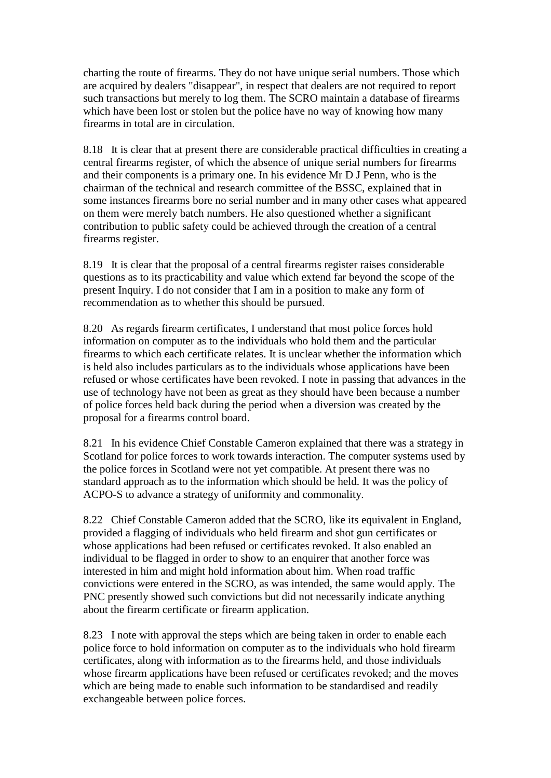charting the route of firearms. They do not have unique serial numbers. Those which are acquired by dealers "disappear", in respect that dealers are not required to report such transactions but merely to log them. The SCRO maintain a database of firearms which have been lost or stolen but the police have no way of knowing how many firearms in total are in circulation.

8.18 It is clear that at present there are considerable practical difficulties in creating a central firearms register, of which the absence of unique serial numbers for firearms and their components is a primary one. In his evidence Mr D J Penn, who is the chairman of the technical and research committee of the BSSC, explained that in some instances firearms bore no serial number and in many other cases what appeared on them were merely batch numbers. He also questioned whether a significant contribution to public safety could be achieved through the creation of a central firearms register.

8.19 It is clear that the proposal of a central firearms register raises considerable questions as to its practicability and value which extend far beyond the scope of the present Inquiry. I do not consider that I am in a position to make any form of recommendation as to whether this should be pursued.

8.20 As regards firearm certificates, I understand that most police forces hold information on computer as to the individuals who hold them and the particular firearms to which each certificate relates. It is unclear whether the information which is held also includes particulars as to the individuals whose applications have been refused or whose certificates have been revoked. I note in passing that advances in the use of technology have not been as great as they should have been because a number of police forces held back during the period when a diversion was created by the proposal for a firearms control board.

8.21 In his evidence Chief Constable Cameron explained that there was a strategy in Scotland for police forces to work towards interaction. The computer systems used by the police forces in Scotland were not yet compatible. At present there was no standard approach as to the information which should be held. It was the policy of ACPO-S to advance a strategy of uniformity and commonality.

8.22 Chief Constable Cameron added that the SCRO, like its equivalent in England, provided a flagging of individuals who held firearm and shot gun certificates or whose applications had been refused or certificates revoked. It also enabled an individual to be flagged in order to show to an enquirer that another force was interested in him and might hold information about him. When road traffic convictions were entered in the SCRO, as was intended, the same would apply. The PNC presently showed such convictions but did not necessarily indicate anything about the firearm certificate or firearm application.

8.23 I note with approval the steps which are being taken in order to enable each police force to hold information on computer as to the individuals who hold firearm certificates, along with information as to the firearms held, and those individuals whose firearm applications have been refused or certificates revoked; and the moves which are being made to enable such information to be standardised and readily exchangeable between police forces.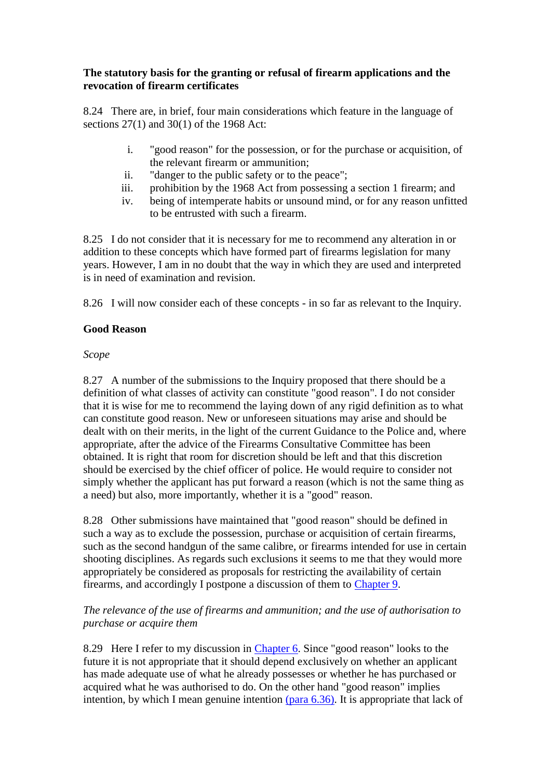## **The statutory basis for the granting or refusal of firearm applications and the revocation of firearm certificates**

8.24 There are, in brief, four main considerations which feature in the language of sections 27(1) and 30(1) of the 1968 Act:

- i. "good reason" for the possession, or for the purchase or acquisition, of the relevant firearm or ammunition;
- ii. "danger to the public safety or to the peace";
- iii. prohibition by the 1968 Act from possessing a section 1 firearm; and
- iv. being of intemperate habits or unsound mind, or for any reason unfitted to be entrusted with such a firearm.

8.25 I do not consider that it is necessary for me to recommend any alteration in or addition to these concepts which have formed part of firearms legislation for many years. However, I am in no doubt that the way in which they are used and interpreted is in need of examination and revision.

8.26 I will now consider each of these concepts - in so far as relevant to the Inquiry.

## **Good Reason**

## *Scope*

8.27 A number of the submissions to the Inquiry proposed that there should be a definition of what classes of activity can constitute "good reason". I do not consider that it is wise for me to recommend the laying down of any rigid definition as to what can constitute good reason. New or unforeseen situations may arise and should be dealt with on their merits, in the light of the current Guidance to the Police and, where appropriate, after the advice of the Firearms Consultative Committee has been obtained. It is right that room for discretion should be left and that this discretion should be exercised by the chief officer of police. He would require to consider not simply whether the applicant has put forward a reason (which is not the same thing as a need) but also, more importantly, whether it is a "good" reason.

8.28 Other submissions have maintained that "good reason" should be defined in such a way as to exclude the possession, purchase or acquisition of certain firearms, such as the second handgun of the same calibre, or firearms intended for use in certain shooting disciplines. As regards such exclusions it seems to me that they would more appropriately be considered as proposals for restricting the availability of certain firearms, and accordingly I postpone a discussion of them to [Chapter 9.](http://www.archive.official-documents.co.uk/document/scottish/dunblane/dun09a.htm)

## *The relevance of the use of firearms and ammunition; and the use of authorisation to purchase or acquire them*

8.29 Here I refer to my discussion in [Chapter 6.](http://www.archive.official-documents.co.uk/document/scottish/dunblane/dun06a.htm) Since "good reason" looks to the future it is not appropriate that it should depend exclusively on whether an applicant has made adequate use of what he already possesses or whether he has purchased or acquired what he was authorised to do. On the other hand "good reason" implies intention, by which I mean genuine intention [\(para 6.36\).](http://www.archive.official-documents.co.uk/document/scottish/dunblane/dun6-36.htm) It is appropriate that lack of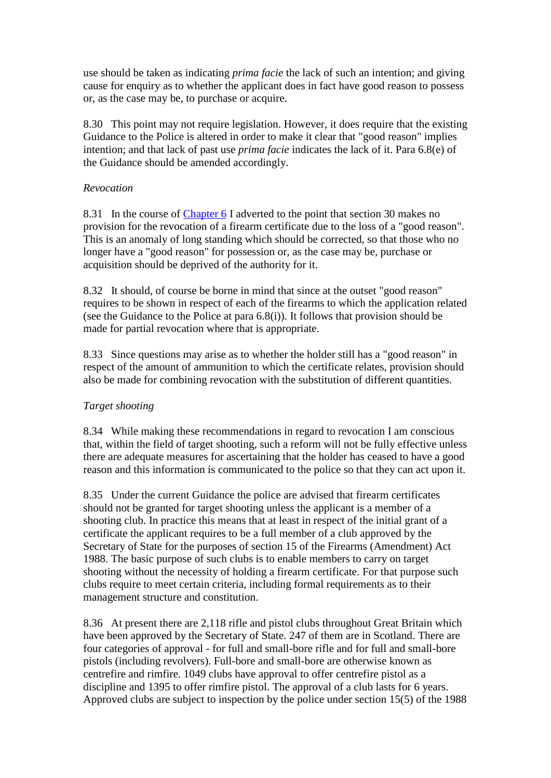use should be taken as indicating *prima facie* the lack of such an intention; and giving cause for enquiry as to whether the applicant does in fact have good reason to possess or, as the case may be, to purchase or acquire.

8.30 This point may not require legislation. However, it does require that the existing Guidance to the Police is altered in order to make it clear that "good reason" implies intention; and that lack of past use *prima facie* indicates the lack of it. Para 6.8(e) of the Guidance should be amended accordingly.

## *Revocation*

8.31 In the course of [Chapter 6](http://www.archive.official-documents.co.uk/document/scottish/dunblane/dun06a.htm) I adverted to the point that section 30 makes no provision for the revocation of a firearm certificate due to the loss of a "good reason". This is an anomaly of long standing which should be corrected, so that those who no longer have a "good reason" for possession or, as the case may be, purchase or acquisition should be deprived of the authority for it.

8.32 It should, of course be borne in mind that since at the outset "good reason" requires to be shown in respect of each of the firearms to which the application related (see the Guidance to the Police at para 6.8(i)). It follows that provision should be made for partial revocation where that is appropriate.

8.33 Since questions may arise as to whether the holder still has a "good reason" in respect of the amount of ammunition to which the certificate relates, provision should also be made for combining revocation with the substitution of different quantities.

# *Target shooting*

8.34 While making these recommendations in regard to revocation I am conscious that, within the field of target shooting, such a reform will not be fully effective unless there are adequate measures for ascertaining that the holder has ceased to have a good reason and this information is communicated to the police so that they can act upon it.

8.35 Under the current Guidance the police are advised that firearm certificates should not be granted for target shooting unless the applicant is a member of a shooting club. In practice this means that at least in respect of the initial grant of a certificate the applicant requires to be a full member of a club approved by the Secretary of State for the purposes of section 15 of the Firearms (Amendment) Act 1988. The basic purpose of such clubs is to enable members to carry on target shooting without the necessity of holding a firearm certificate. For that purpose such clubs require to meet certain criteria, including formal requirements as to their management structure and constitution.

8.36 At present there are 2,118 rifle and pistol clubs throughout Great Britain which have been approved by the Secretary of State. 247 of them are in Scotland. There are four categories of approval - for full and small-bore rifle and for full and small-bore pistols (including revolvers). Full-bore and small-bore are otherwise known as centrefire and rimfire. 1049 clubs have approval to offer centrefire pistol as a discipline and 1395 to offer rimfire pistol. The approval of a club lasts for 6 years. Approved clubs are subject to inspection by the police under section 15(5) of the 1988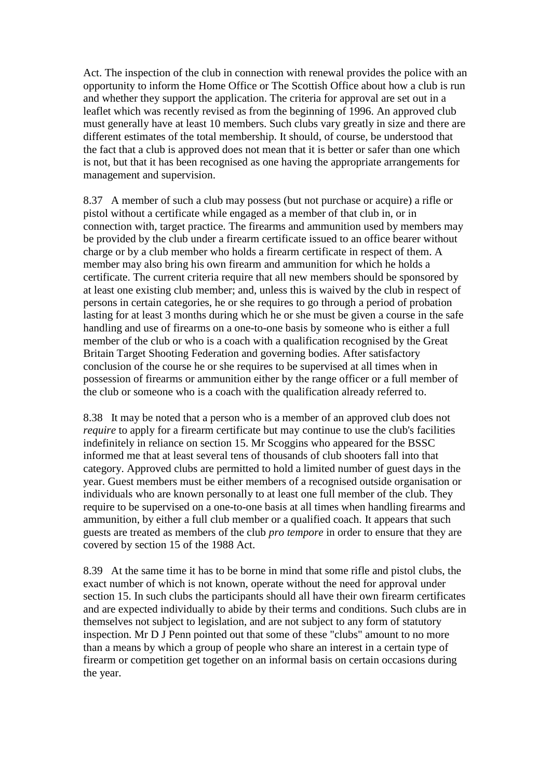Act. The inspection of the club in connection with renewal provides the police with an opportunity to inform the Home Office or The Scottish Office about how a club is run and whether they support the application. The criteria for approval are set out in a leaflet which was recently revised as from the beginning of 1996. An approved club must generally have at least 10 members. Such clubs vary greatly in size and there are different estimates of the total membership. It should, of course, be understood that the fact that a club is approved does not mean that it is better or safer than one which is not, but that it has been recognised as one having the appropriate arrangements for management and supervision.

8.37 A member of such a club may possess (but not purchase or acquire) a rifle or pistol without a certificate while engaged as a member of that club in, or in connection with, target practice. The firearms and ammunition used by members may be provided by the club under a firearm certificate issued to an office bearer without charge or by a club member who holds a firearm certificate in respect of them. A member may also bring his own firearm and ammunition for which he holds a certificate. The current criteria require that all new members should be sponsored by at least one existing club member; and, unless this is waived by the club in respect of persons in certain categories, he or she requires to go through a period of probation lasting for at least 3 months during which he or she must be given a course in the safe handling and use of firearms on a one-to-one basis by someone who is either a full member of the club or who is a coach with a qualification recognised by the Great Britain Target Shooting Federation and governing bodies. After satisfactory conclusion of the course he or she requires to be supervised at all times when in possession of firearms or ammunition either by the range officer or a full member of the club or someone who is a coach with the qualification already referred to.

8.38 It may be noted that a person who is a member of an approved club does not *require* to apply for a firearm certificate but may continue to use the club's facilities indefinitely in reliance on section 15. Mr Scoggins who appeared for the BSSC informed me that at least several tens of thousands of club shooters fall into that category. Approved clubs are permitted to hold a limited number of guest days in the year. Guest members must be either members of a recognised outside organisation or individuals who are known personally to at least one full member of the club. They require to be supervised on a one-to-one basis at all times when handling firearms and ammunition, by either a full club member or a qualified coach. It appears that such guests are treated as members of the club *pro tempore* in order to ensure that they are covered by section 15 of the 1988 Act.

8.39 At the same time it has to be borne in mind that some rifle and pistol clubs, the exact number of which is not known, operate without the need for approval under section 15. In such clubs the participants should all have their own firearm certificates and are expected individually to abide by their terms and conditions. Such clubs are in themselves not subject to legislation, and are not subject to any form of statutory inspection. Mr D J Penn pointed out that some of these "clubs" amount to no more than a means by which a group of people who share an interest in a certain type of firearm or competition get together on an informal basis on certain occasions during the year.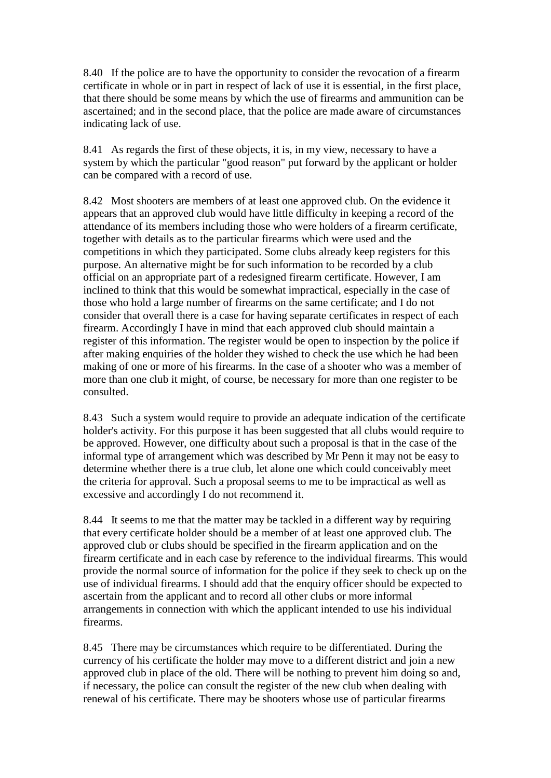8.40 If the police are to have the opportunity to consider the revocation of a firearm certificate in whole or in part in respect of lack of use it is essential, in the first place, that there should be some means by which the use of firearms and ammunition can be ascertained; and in the second place, that the police are made aware of circumstances indicating lack of use.

8.41 As regards the first of these objects, it is, in my view, necessary to have a system by which the particular "good reason" put forward by the applicant or holder can be compared with a record of use.

8.42 Most shooters are members of at least one approved club. On the evidence it appears that an approved club would have little difficulty in keeping a record of the attendance of its members including those who were holders of a firearm certificate, together with details as to the particular firearms which were used and the competitions in which they participated. Some clubs already keep registers for this purpose. An alternative might be for such information to be recorded by a club official on an appropriate part of a redesigned firearm certificate. However, I am inclined to think that this would be somewhat impractical, especially in the case of those who hold a large number of firearms on the same certificate; and I do not consider that overall there is a case for having separate certificates in respect of each firearm. Accordingly I have in mind that each approved club should maintain a register of this information. The register would be open to inspection by the police if after making enquiries of the holder they wished to check the use which he had been making of one or more of his firearms. In the case of a shooter who was a member of more than one club it might, of course, be necessary for more than one register to be consulted.

8.43 Such a system would require to provide an adequate indication of the certificate holder's activity. For this purpose it has been suggested that all clubs would require to be approved. However, one difficulty about such a proposal is that in the case of the informal type of arrangement which was described by Mr Penn it may not be easy to determine whether there is a true club, let alone one which could conceivably meet the criteria for approval. Such a proposal seems to me to be impractical as well as excessive and accordingly I do not recommend it.

8.44 It seems to me that the matter may be tackled in a different way by requiring that every certificate holder should be a member of at least one approved club. The approved club or clubs should be specified in the firearm application and on the firearm certificate and in each case by reference to the individual firearms. This would provide the normal source of information for the police if they seek to check up on the use of individual firearms. I should add that the enquiry officer should be expected to ascertain from the applicant and to record all other clubs or more informal arrangements in connection with which the applicant intended to use his individual firearms.

8.45 There may be circumstances which require to be differentiated. During the currency of his certificate the holder may move to a different district and join a new approved club in place of the old. There will be nothing to prevent him doing so and, if necessary, the police can consult the register of the new club when dealing with renewal of his certificate. There may be shooters whose use of particular firearms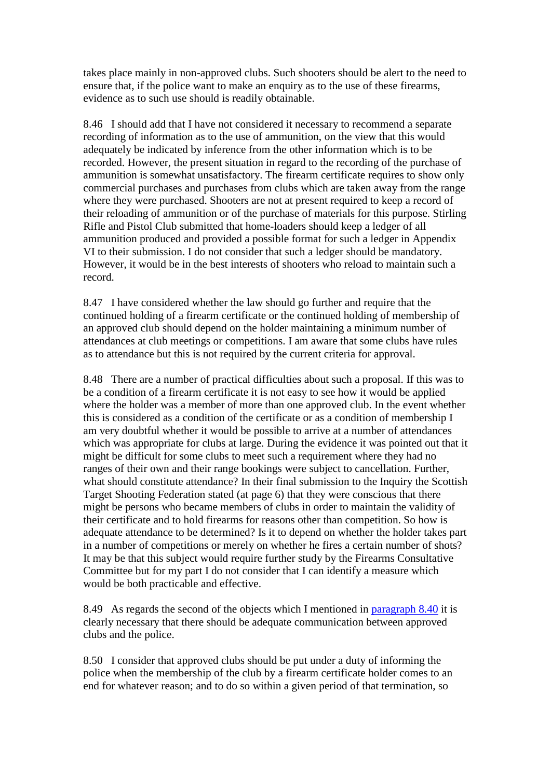takes place mainly in non-approved clubs. Such shooters should be alert to the need to ensure that, if the police want to make an enquiry as to the use of these firearms, evidence as to such use should is readily obtainable.

8.46 I should add that I have not considered it necessary to recommend a separate recording of information as to the use of ammunition, on the view that this would adequately be indicated by inference from the other information which is to be recorded. However, the present situation in regard to the recording of the purchase of ammunition is somewhat unsatisfactory. The firearm certificate requires to show only commercial purchases and purchases from clubs which are taken away from the range where they were purchased. Shooters are not at present required to keep a record of their reloading of ammunition or of the purchase of materials for this purpose. Stirling Rifle and Pistol Club submitted that home-loaders should keep a ledger of all ammunition produced and provided a possible format for such a ledger in Appendix VI to their submission. I do not consider that such a ledger should be mandatory. However, it would be in the best interests of shooters who reload to maintain such a record.

8.47 I have considered whether the law should go further and require that the continued holding of a firearm certificate or the continued holding of membership of an approved club should depend on the holder maintaining a minimum number of attendances at club meetings or competitions. I am aware that some clubs have rules as to attendance but this is not required by the current criteria for approval.

8.48 There are a number of practical difficulties about such a proposal. If this was to be a condition of a firearm certificate it is not easy to see how it would be applied where the holder was a member of more than one approved club. In the event whether this is considered as a condition of the certificate or as a condition of membership I am very doubtful whether it would be possible to arrive at a number of attendances which was appropriate for clubs at large. During the evidence it was pointed out that it might be difficult for some clubs to meet such a requirement where they had no ranges of their own and their range bookings were subject to cancellation. Further, what should constitute attendance? In their final submission to the Inquiry the Scottish Target Shooting Federation stated (at page 6) that they were conscious that there might be persons who became members of clubs in order to maintain the validity of their certificate and to hold firearms for reasons other than competition. So how is adequate attendance to be determined? Is it to depend on whether the holder takes part in a number of competitions or merely on whether he fires a certain number of shots? It may be that this subject would require further study by the Firearms Consultative Committee but for my part I do not consider that I can identify a measure which would be both practicable and effective.

8.49 As regards the second of the objects which I mentioned in [paragraph 8.40](http://www.archive.official-documents.co.uk/document/scottish/dunblane/dun08b.htm#8.40) it is clearly necessary that there should be adequate communication between approved clubs and the police.

8.50 I consider that approved clubs should be put under a duty of informing the police when the membership of the club by a firearm certificate holder comes to an end for whatever reason; and to do so within a given period of that termination, so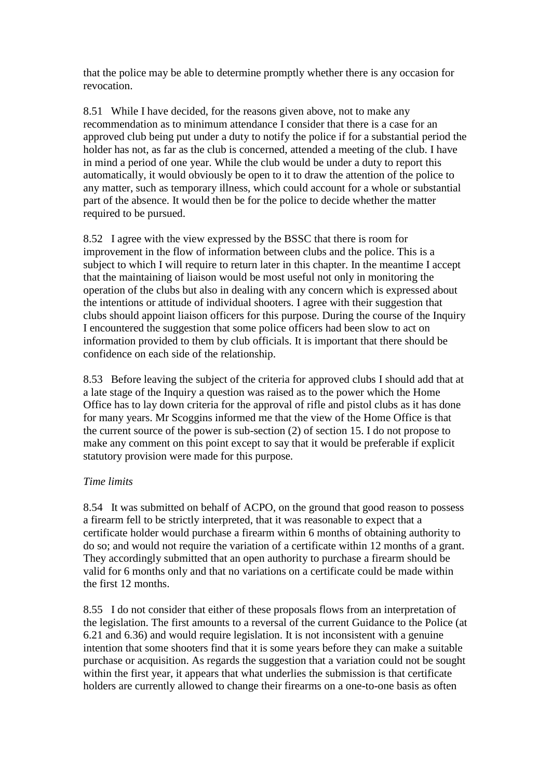that the police may be able to determine promptly whether there is any occasion for revocation.

8.51 While I have decided, for the reasons given above, not to make any recommendation as to minimum attendance I consider that there is a case for an approved club being put under a duty to notify the police if for a substantial period the holder has not, as far as the club is concerned, attended a meeting of the club. I have in mind a period of one year. While the club would be under a duty to report this automatically, it would obviously be open to it to draw the attention of the police to any matter, such as temporary illness, which could account for a whole or substantial part of the absence. It would then be for the police to decide whether the matter required to be pursued.

8.52 I agree with the view expressed by the BSSC that there is room for improvement in the flow of information between clubs and the police. This is a subject to which I will require to return later in this chapter. In the meantime I accept that the maintaining of liaison would be most useful not only in monitoring the operation of the clubs but also in dealing with any concern which is expressed about the intentions or attitude of individual shooters. I agree with their suggestion that clubs should appoint liaison officers for this purpose. During the course of the Inquiry I encountered the suggestion that some police officers had been slow to act on information provided to them by club officials. It is important that there should be confidence on each side of the relationship.

8.53 Before leaving the subject of the criteria for approved clubs I should add that at a late stage of the Inquiry a question was raised as to the power which the Home Office has to lay down criteria for the approval of rifle and pistol clubs as it has done for many years. Mr Scoggins informed me that the view of the Home Office is that the current source of the power is sub-section (2) of section 15. I do not propose to make any comment on this point except to say that it would be preferable if explicit statutory provision were made for this purpose.

## *Time limits*

8.54 It was submitted on behalf of ACPO, on the ground that good reason to possess a firearm fell to be strictly interpreted, that it was reasonable to expect that a certificate holder would purchase a firearm within 6 months of obtaining authority to do so; and would not require the variation of a certificate within 12 months of a grant. They accordingly submitted that an open authority to purchase a firearm should be valid for 6 months only and that no variations on a certificate could be made within the first 12 months.

8.55 I do not consider that either of these proposals flows from an interpretation of the legislation. The first amounts to a reversal of the current Guidance to the Police (at 6.21 and 6.36) and would require legislation. It is not inconsistent with a genuine intention that some shooters find that it is some years before they can make a suitable purchase or acquisition. As regards the suggestion that a variation could not be sought within the first year, it appears that what underlies the submission is that certificate holders are currently allowed to change their firearms on a one-to-one basis as often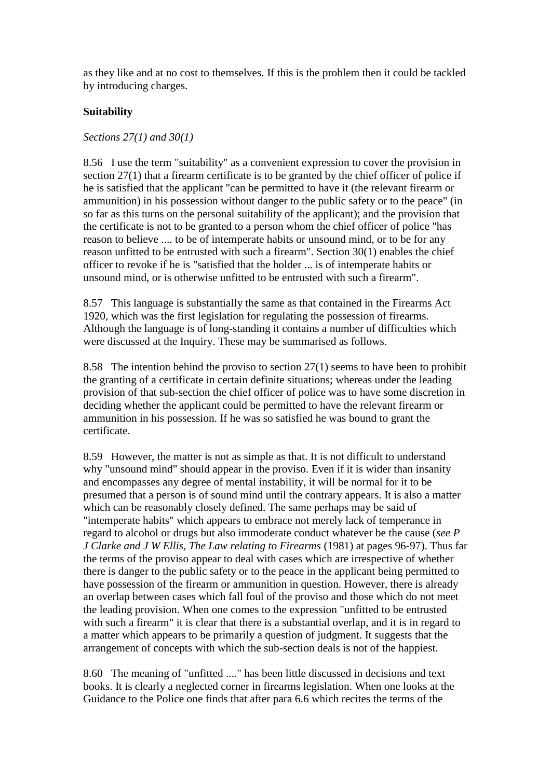as they like and at no cost to themselves. If this is the problem then it could be tackled by introducing charges.

# **Suitability**

# *Sections 27(1) and 30(1)*

8.56 I use the term "suitability" as a convenient expression to cover the provision in section 27(1) that a firearm certificate is to be granted by the chief officer of police if he is satisfied that the applicant "can be permitted to have it (the relevant firearm or ammunition) in his possession without danger to the public safety or to the peace" (in so far as this turns on the personal suitability of the applicant); and the provision that the certificate is not to be granted to a person whom the chief officer of police "has reason to believe .... to be of intemperate habits or unsound mind, or to be for any reason unfitted to be entrusted with such a firearm". Section 30(1) enables the chief officer to revoke if he is "satisfied that the holder ... is of intemperate habits or unsound mind, or is otherwise unfitted to be entrusted with such a firearm".

8.57 This language is substantially the same as that contained in the Firearms Act 1920, which was the first legislation for regulating the possession of firearms. Although the language is of long-standing it contains a number of difficulties which were discussed at the Inquiry. These may be summarised as follows.

8.58 The intention behind the proviso to section 27(1) seems to have been to prohibit the granting of a certificate in certain definite situations; whereas under the leading provision of that sub-section the chief officer of police was to have some discretion in deciding whether the applicant could be permitted to have the relevant firearm or ammunition in his possession. If he was so satisfied he was bound to grant the certificate.

8.59 However, the matter is not as simple as that. It is not difficult to understand why "unsound mind" should appear in the proviso. Even if it is wider than insanity and encompasses any degree of mental instability, it will be normal for it to be presumed that a person is of sound mind until the contrary appears. It is also a matter which can be reasonably closely defined. The same perhaps may be said of "intemperate habits" which appears to embrace not merely lack of temperance in regard to alcohol or drugs but also immoderate conduct whatever be the cause (*see P J Clarke and J W Ellis, The Law relating to Firearms* (1981) at pages 96-97). Thus far the terms of the proviso appear to deal with cases which are irrespective of whether there is danger to the public safety or to the peace in the applicant being permitted to have possession of the firearm or ammunition in question. However, there is already an overlap between cases which fall foul of the proviso and those which do not meet the leading provision. When one comes to the expression "unfitted to be entrusted with such a firearm" it is clear that there is a substantial overlap, and it is in regard to a matter which appears to be primarily a question of judgment. It suggests that the arrangement of concepts with which the sub-section deals is not of the happiest.

8.60 The meaning of "unfitted ...." has been little discussed in decisions and text books. It is clearly a neglected corner in firearms legislation. When one looks at the Guidance to the Police one finds that after para 6.6 which recites the terms of the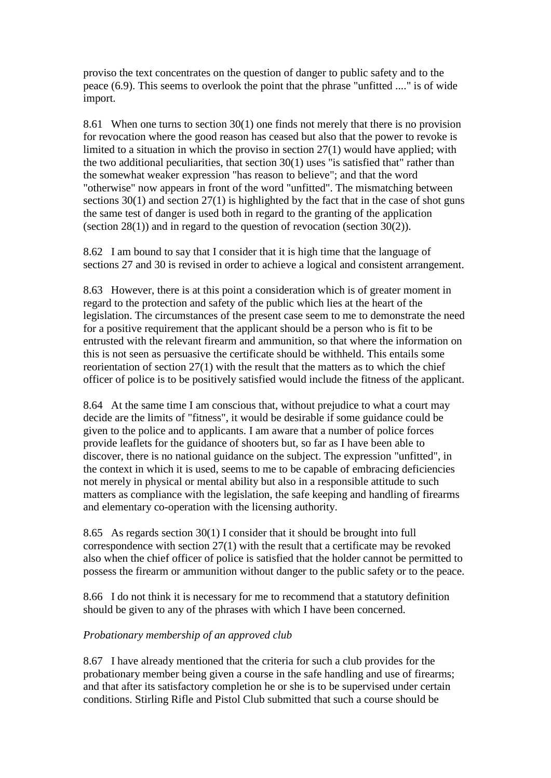proviso the text concentrates on the question of danger to public safety and to the peace (6.9). This seems to overlook the point that the phrase "unfitted ...." is of wide import.

8.61 When one turns to section 30(1) one finds not merely that there is no provision for revocation where the good reason has ceased but also that the power to revoke is limited to a situation in which the proviso in section 27(1) would have applied; with the two additional peculiarities, that section 30(1) uses "is satisfied that" rather than the somewhat weaker expression "has reason to believe"; and that the word "otherwise" now appears in front of the word "unfitted". The mismatching between sections  $30(1)$  and section  $27(1)$  is highlighted by the fact that in the case of shot guns the same test of danger is used both in regard to the granting of the application (section 28(1)) and in regard to the question of revocation (section 30(2)).

8.62 I am bound to say that I consider that it is high time that the language of sections 27 and 30 is revised in order to achieve a logical and consistent arrangement.

8.63 However, there is at this point a consideration which is of greater moment in regard to the protection and safety of the public which lies at the heart of the legislation. The circumstances of the present case seem to me to demonstrate the need for a positive requirement that the applicant should be a person who is fit to be entrusted with the relevant firearm and ammunition, so that where the information on this is not seen as persuasive the certificate should be withheld. This entails some reorientation of section 27(1) with the result that the matters as to which the chief officer of police is to be positively satisfied would include the fitness of the applicant.

8.64 At the same time I am conscious that, without prejudice to what a court may decide are the limits of "fitness", it would be desirable if some guidance could be given to the police and to applicants. I am aware that a number of police forces provide leaflets for the guidance of shooters but, so far as I have been able to discover, there is no national guidance on the subject. The expression "unfitted", in the context in which it is used, seems to me to be capable of embracing deficiencies not merely in physical or mental ability but also in a responsible attitude to such matters as compliance with the legislation, the safe keeping and handling of firearms and elementary co-operation with the licensing authority.

8.65 As regards section 30(1) I consider that it should be brought into full correspondence with section 27(1) with the result that a certificate may be revoked also when the chief officer of police is satisfied that the holder cannot be permitted to possess the firearm or ammunition without danger to the public safety or to the peace.

8.66 I do not think it is necessary for me to recommend that a statutory definition should be given to any of the phrases with which I have been concerned.

# *Probationary membership of an approved club*

8.67 I have already mentioned that the criteria for such a club provides for the probationary member being given a course in the safe handling and use of firearms; and that after its satisfactory completion he or she is to be supervised under certain conditions. Stirling Rifle and Pistol Club submitted that such a course should be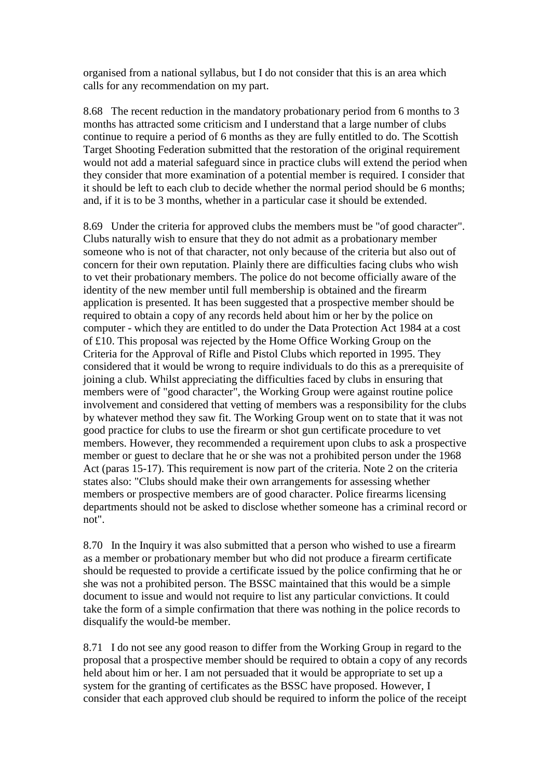organised from a national syllabus, but I do not consider that this is an area which calls for any recommendation on my part.

8.68 The recent reduction in the mandatory probationary period from 6 months to 3 months has attracted some criticism and I understand that a large number of clubs continue to require a period of 6 months as they are fully entitled to do. The Scottish Target Shooting Federation submitted that the restoration of the original requirement would not add a material safeguard since in practice clubs will extend the period when they consider that more examination of a potential member is required. I consider that it should be left to each club to decide whether the normal period should be 6 months; and, if it is to be 3 months, whether in a particular case it should be extended.

8.69 Under the criteria for approved clubs the members must be "of good character". Clubs naturally wish to ensure that they do not admit as a probationary member someone who is not of that character, not only because of the criteria but also out of concern for their own reputation. Plainly there are difficulties facing clubs who wish to vet their probationary members. The police do not become officially aware of the identity of the new member until full membership is obtained and the firearm application is presented. It has been suggested that a prospective member should be required to obtain a copy of any records held about him or her by the police on computer - which they are entitled to do under the Data Protection Act 1984 at a cost of £10. This proposal was rejected by the Home Office Working Group on the Criteria for the Approval of Rifle and Pistol Clubs which reported in 1995. They considered that it would be wrong to require individuals to do this as a prerequisite of joining a club. Whilst appreciating the difficulties faced by clubs in ensuring that members were of "good character", the Working Group were against routine police involvement and considered that vetting of members was a responsibility for the clubs by whatever method they saw fit. The Working Group went on to state that it was not good practice for clubs to use the firearm or shot gun certificate procedure to vet members. However, they recommended a requirement upon clubs to ask a prospective member or guest to declare that he or she was not a prohibited person under the 1968 Act (paras 15-17). This requirement is now part of the criteria. Note 2 on the criteria states also: "Clubs should make their own arrangements for assessing whether members or prospective members are of good character. Police firearms licensing departments should not be asked to disclose whether someone has a criminal record or not".

8.70 In the Inquiry it was also submitted that a person who wished to use a firearm as a member or probationary member but who did not produce a firearm certificate should be requested to provide a certificate issued by the police confirming that he or she was not a prohibited person. The BSSC maintained that this would be a simple document to issue and would not require to list any particular convictions. It could take the form of a simple confirmation that there was nothing in the police records to disqualify the would-be member.

8.71 I do not see any good reason to differ from the Working Group in regard to the proposal that a prospective member should be required to obtain a copy of any records held about him or her. I am not persuaded that it would be appropriate to set up a system for the granting of certificates as the BSSC have proposed. However, I consider that each approved club should be required to inform the police of the receipt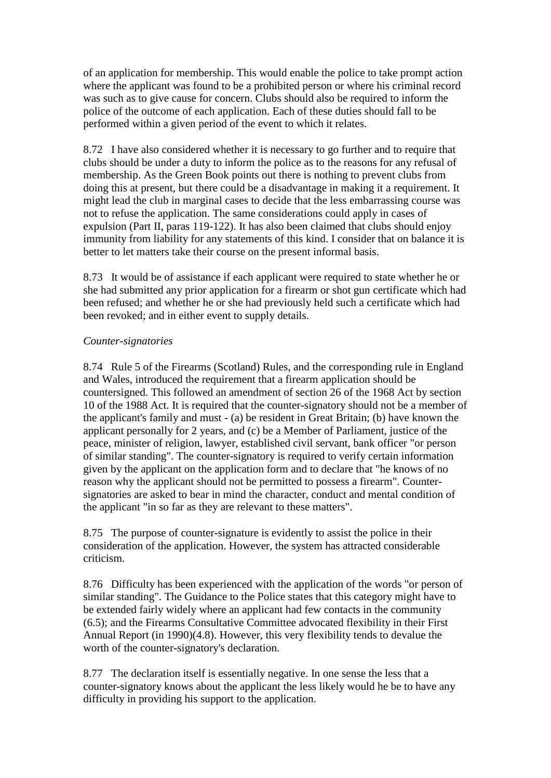of an application for membership. This would enable the police to take prompt action where the applicant was found to be a prohibited person or where his criminal record was such as to give cause for concern. Clubs should also be required to inform the police of the outcome of each application. Each of these duties should fall to be performed within a given period of the event to which it relates.

8.72 I have also considered whether it is necessary to go further and to require that clubs should be under a duty to inform the police as to the reasons for any refusal of membership. As the Green Book points out there is nothing to prevent clubs from doing this at present, but there could be a disadvantage in making it a requirement. It might lead the club in marginal cases to decide that the less embarrassing course was not to refuse the application. The same considerations could apply in cases of expulsion (Part II, paras 119-122). It has also been claimed that clubs should enjoy immunity from liability for any statements of this kind. I consider that on balance it is better to let matters take their course on the present informal basis.

8.73 It would be of assistance if each applicant were required to state whether he or she had submitted any prior application for a firearm or shot gun certificate which had been refused; and whether he or she had previously held such a certificate which had been revoked; and in either event to supply details.

## *Counter-signatories*

8.74 Rule 5 of the Firearms (Scotland) Rules, and the corresponding rule in England and Wales, introduced the requirement that a firearm application should be countersigned. This followed an amendment of section 26 of the 1968 Act by section 10 of the 1988 Act. It is required that the counter-signatory should not be a member of the applicant's family and must - (a) be resident in Great Britain; (b) have known the applicant personally for 2 years, and (c) be a Member of Parliament, justice of the peace, minister of religion, lawyer, established civil servant, bank officer "or person of similar standing". The counter-signatory is required to verify certain information given by the applicant on the application form and to declare that "he knows of no reason why the applicant should not be permitted to possess a firearm". Countersignatories are asked to bear in mind the character, conduct and mental condition of the applicant "in so far as they are relevant to these matters".

8.75 The purpose of counter-signature is evidently to assist the police in their consideration of the application. However, the system has attracted considerable criticism.

8.76 Difficulty has been experienced with the application of the words "or person of similar standing". The Guidance to the Police states that this category might have to be extended fairly widely where an applicant had few contacts in the community (6.5); and the Firearms Consultative Committee advocated flexibility in their First Annual Report (in 1990)(4.8). However, this very flexibility tends to devalue the worth of the counter-signatory's declaration.

8.77 The declaration itself is essentially negative. In one sense the less that a counter-signatory knows about the applicant the less likely would he be to have any difficulty in providing his support to the application.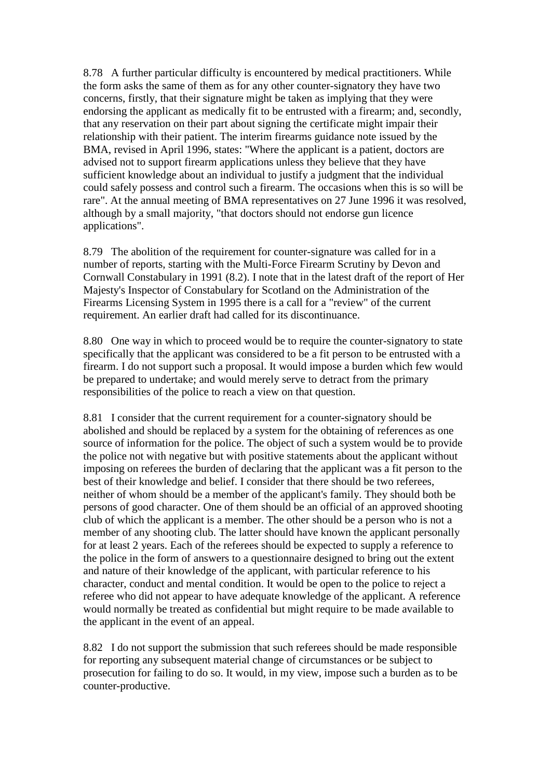8.78 A further particular difficulty is encountered by medical practitioners. While the form asks the same of them as for any other counter-signatory they have two concerns, firstly, that their signature might be taken as implying that they were endorsing the applicant as medically fit to be entrusted with a firearm; and, secondly, that any reservation on their part about signing the certificate might impair their relationship with their patient. The interim firearms guidance note issued by the BMA, revised in April 1996, states: "Where the applicant is a patient, doctors are advised not to support firearm applications unless they believe that they have sufficient knowledge about an individual to justify a judgment that the individual could safely possess and control such a firearm. The occasions when this is so will be rare". At the annual meeting of BMA representatives on 27 June 1996 it was resolved, although by a small majority, "that doctors should not endorse gun licence applications".

8.79 The abolition of the requirement for counter-signature was called for in a number of reports, starting with the Multi-Force Firearm Scrutiny by Devon and Cornwall Constabulary in 1991 (8.2). I note that in the latest draft of the report of Her Majesty's Inspector of Constabulary for Scotland on the Administration of the Firearms Licensing System in 1995 there is a call for a "review" of the current requirement. An earlier draft had called for its discontinuance.

8.80 One way in which to proceed would be to require the counter-signatory to state specifically that the applicant was considered to be a fit person to be entrusted with a firearm. I do not support such a proposal. It would impose a burden which few would be prepared to undertake; and would merely serve to detract from the primary responsibilities of the police to reach a view on that question.

8.81 I consider that the current requirement for a counter-signatory should be abolished and should be replaced by a system for the obtaining of references as one source of information for the police. The object of such a system would be to provide the police not with negative but with positive statements about the applicant without imposing on referees the burden of declaring that the applicant was a fit person to the best of their knowledge and belief. I consider that there should be two referees, neither of whom should be a member of the applicant's family. They should both be persons of good character. One of them should be an official of an approved shooting club of which the applicant is a member. The other should be a person who is not a member of any shooting club. The latter should have known the applicant personally for at least 2 years. Each of the referees should be expected to supply a reference to the police in the form of answers to a questionnaire designed to bring out the extent and nature of their knowledge of the applicant, with particular reference to his character, conduct and mental condition. It would be open to the police to reject a referee who did not appear to have adequate knowledge of the applicant. A reference would normally be treated as confidential but might require to be made available to the applicant in the event of an appeal.

8.82 I do not support the submission that such referees should be made responsible for reporting any subsequent material change of circumstances or be subject to prosecution for failing to do so. It would, in my view, impose such a burden as to be counter-productive.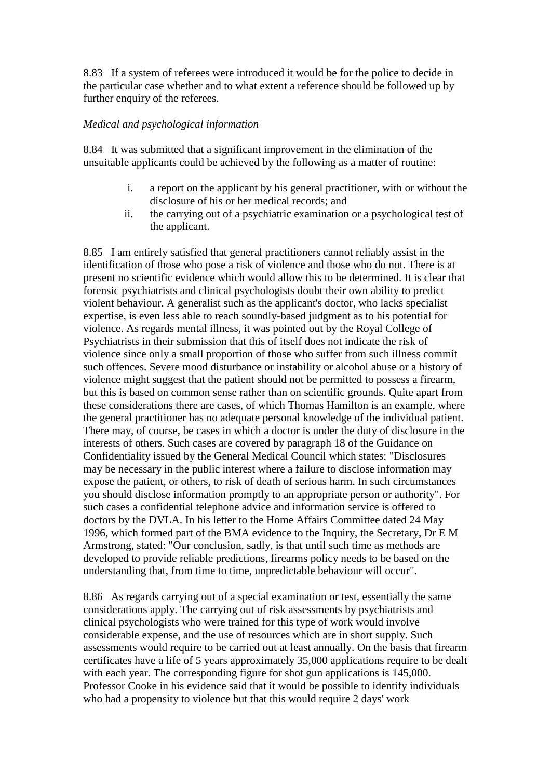8.83 If a system of referees were introduced it would be for the police to decide in the particular case whether and to what extent a reference should be followed up by further enquiry of the referees.

#### *Medical and psychological information*

8.84 It was submitted that a significant improvement in the elimination of the unsuitable applicants could be achieved by the following as a matter of routine:

- i. a report on the applicant by his general practitioner, with or without the disclosure of his or her medical records; and
- ii. the carrying out of a psychiatric examination or a psychological test of the applicant.

8.85 I am entirely satisfied that general practitioners cannot reliably assist in the identification of those who pose a risk of violence and those who do not. There is at present no scientific evidence which would allow this to be determined. It is clear that forensic psychiatrists and clinical psychologists doubt their own ability to predict violent behaviour. A generalist such as the applicant's doctor, who lacks specialist expertise, is even less able to reach soundly-based judgment as to his potential for violence. As regards mental illness, it was pointed out by the Royal College of Psychiatrists in their submission that this of itself does not indicate the risk of violence since only a small proportion of those who suffer from such illness commit such offences. Severe mood disturbance or instability or alcohol abuse or a history of violence might suggest that the patient should not be permitted to possess a firearm, but this is based on common sense rather than on scientific grounds. Quite apart from these considerations there are cases, of which Thomas Hamilton is an example, where the general practitioner has no adequate personal knowledge of the individual patient. There may, of course, be cases in which a doctor is under the duty of disclosure in the interests of others. Such cases are covered by paragraph 18 of the Guidance on Confidentiality issued by the General Medical Council which states: "Disclosures may be necessary in the public interest where a failure to disclose information may expose the patient, or others, to risk of death of serious harm. In such circumstances you should disclose information promptly to an appropriate person or authority". For such cases a confidential telephone advice and information service is offered to doctors by the DVLA. In his letter to the Home Affairs Committee dated 24 May 1996, which formed part of the BMA evidence to the Inquiry, the Secretary, Dr E M Armstrong, stated: "Our conclusion, sadly, is that until such time as methods are developed to provide reliable predictions, firearms policy needs to be based on the understanding that, from time to time, unpredictable behaviour will occur".

8.86 As regards carrying out of a special examination or test, essentially the same considerations apply. The carrying out of risk assessments by psychiatrists and clinical psychologists who were trained for this type of work would involve considerable expense, and the use of resources which are in short supply. Such assessments would require to be carried out at least annually. On the basis that firearm certificates have a life of 5 years approximately 35,000 applications require to be dealt with each year. The corresponding figure for shot gun applications is 145,000. Professor Cooke in his evidence said that it would be possible to identify individuals who had a propensity to violence but that this would require 2 days' work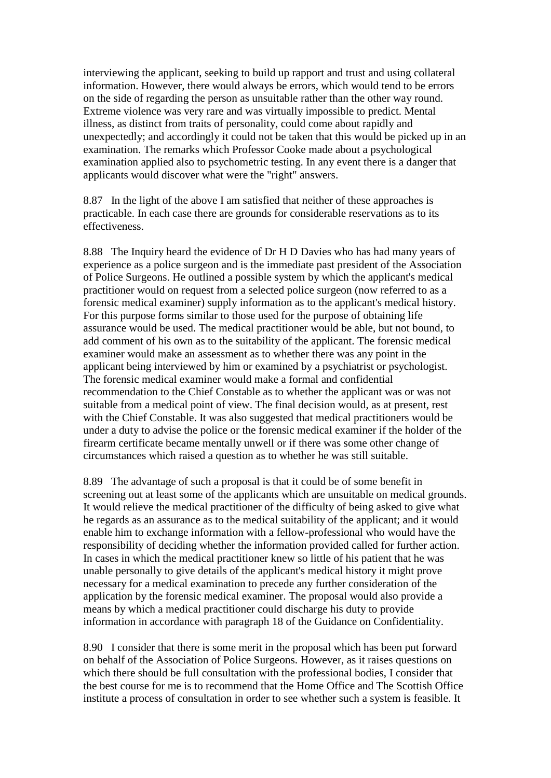interviewing the applicant, seeking to build up rapport and trust and using collateral information. However, there would always be errors, which would tend to be errors on the side of regarding the person as unsuitable rather than the other way round. Extreme violence was very rare and was virtually impossible to predict. Mental illness, as distinct from traits of personality, could come about rapidly and unexpectedly; and accordingly it could not be taken that this would be picked up in an examination. The remarks which Professor Cooke made about a psychological examination applied also to psychometric testing. In any event there is a danger that applicants would discover what were the "right" answers.

8.87 In the light of the above I am satisfied that neither of these approaches is practicable. In each case there are grounds for considerable reservations as to its effectiveness.

8.88 The Inquiry heard the evidence of Dr H D Davies who has had many years of experience as a police surgeon and is the immediate past president of the Association of Police Surgeons. He outlined a possible system by which the applicant's medical practitioner would on request from a selected police surgeon (now referred to as a forensic medical examiner) supply information as to the applicant's medical history. For this purpose forms similar to those used for the purpose of obtaining life assurance would be used. The medical practitioner would be able, but not bound, to add comment of his own as to the suitability of the applicant. The forensic medical examiner would make an assessment as to whether there was any point in the applicant being interviewed by him or examined by a psychiatrist or psychologist. The forensic medical examiner would make a formal and confidential recommendation to the Chief Constable as to whether the applicant was or was not suitable from a medical point of view. The final decision would, as at present, rest with the Chief Constable. It was also suggested that medical practitioners would be under a duty to advise the police or the forensic medical examiner if the holder of the firearm certificate became mentally unwell or if there was some other change of circumstances which raised a question as to whether he was still suitable.

8.89 The advantage of such a proposal is that it could be of some benefit in screening out at least some of the applicants which are unsuitable on medical grounds. It would relieve the medical practitioner of the difficulty of being asked to give what he regards as an assurance as to the medical suitability of the applicant; and it would enable him to exchange information with a fellow-professional who would have the responsibility of deciding whether the information provided called for further action. In cases in which the medical practitioner knew so little of his patient that he was unable personally to give details of the applicant's medical history it might prove necessary for a medical examination to precede any further consideration of the application by the forensic medical examiner. The proposal would also provide a means by which a medical practitioner could discharge his duty to provide information in accordance with paragraph 18 of the Guidance on Confidentiality.

8.90 I consider that there is some merit in the proposal which has been put forward on behalf of the Association of Police Surgeons. However, as it raises questions on which there should be full consultation with the professional bodies, I consider that the best course for me is to recommend that the Home Office and The Scottish Office institute a process of consultation in order to see whether such a system is feasible. It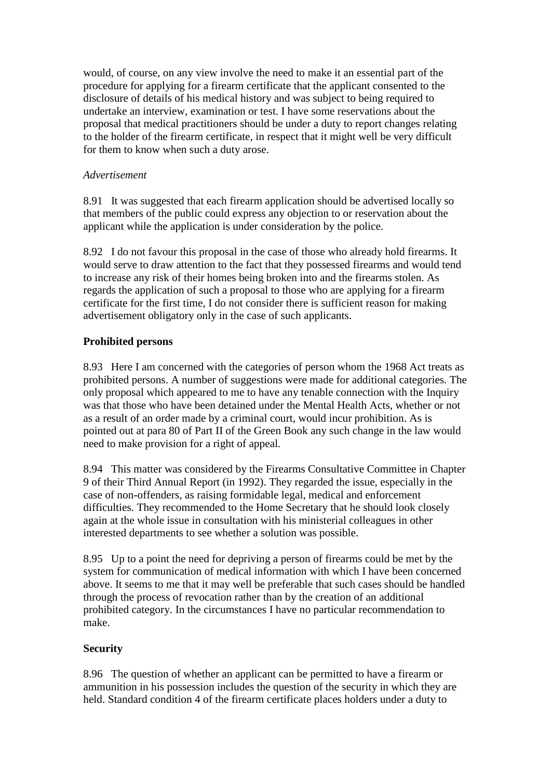would, of course, on any view involve the need to make it an essential part of the procedure for applying for a firearm certificate that the applicant consented to the disclosure of details of his medical history and was subject to being required to undertake an interview, examination or test. I have some reservations about the proposal that medical practitioners should be under a duty to report changes relating to the holder of the firearm certificate, in respect that it might well be very difficult for them to know when such a duty arose.

# *Advertisement*

8.91 It was suggested that each firearm application should be advertised locally so that members of the public could express any objection to or reservation about the applicant while the application is under consideration by the police.

8.92 I do not favour this proposal in the case of those who already hold firearms. It would serve to draw attention to the fact that they possessed firearms and would tend to increase any risk of their homes being broken into and the firearms stolen. As regards the application of such a proposal to those who are applying for a firearm certificate for the first time, I do not consider there is sufficient reason for making advertisement obligatory only in the case of such applicants.

# **Prohibited persons**

8.93 Here I am concerned with the categories of person whom the 1968 Act treats as prohibited persons. A number of suggestions were made for additional categories. The only proposal which appeared to me to have any tenable connection with the Inquiry was that those who have been detained under the Mental Health Acts, whether or not as a result of an order made by a criminal court, would incur prohibition. As is pointed out at para 80 of Part II of the Green Book any such change in the law would need to make provision for a right of appeal.

8.94 This matter was considered by the Firearms Consultative Committee in Chapter 9 of their Third Annual Report (in 1992). They regarded the issue, especially in the case of non-offenders, as raising formidable legal, medical and enforcement difficulties. They recommended to the Home Secretary that he should look closely again at the whole issue in consultation with his ministerial colleagues in other interested departments to see whether a solution was possible.

8.95 Up to a point the need for depriving a person of firearms could be met by the system for communication of medical information with which I have been concerned above. It seems to me that it may well be preferable that such cases should be handled through the process of revocation rather than by the creation of an additional prohibited category. In the circumstances I have no particular recommendation to make.

# **Security**

8.96 The question of whether an applicant can be permitted to have a firearm or ammunition in his possession includes the question of the security in which they are held. Standard condition 4 of the firearm certificate places holders under a duty to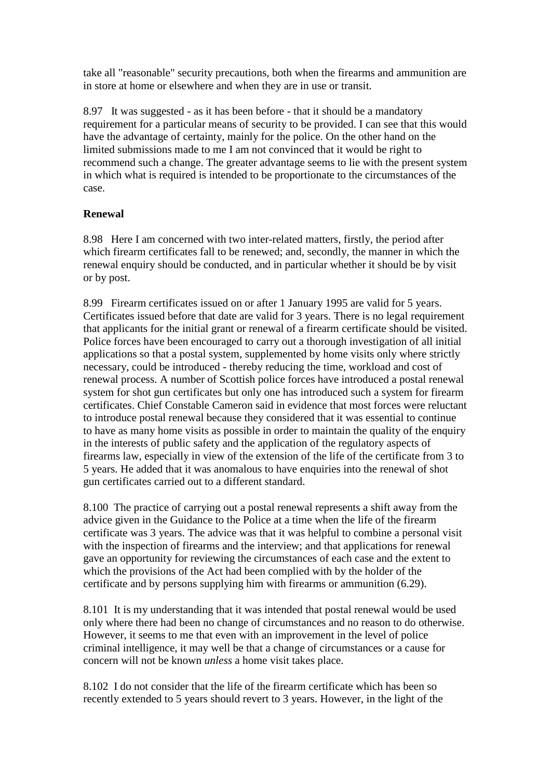take all "reasonable" security precautions, both when the firearms and ammunition are in store at home or elsewhere and when they are in use or transit.

8.97 It was suggested - as it has been before - that it should be a mandatory requirement for a particular means of security to be provided. I can see that this would have the advantage of certainty, mainly for the police. On the other hand on the limited submissions made to me I am not convinced that it would be right to recommend such a change. The greater advantage seems to lie with the present system in which what is required is intended to be proportionate to the circumstances of the case.

# **Renewal**

8.98 Here I am concerned with two inter-related matters, firstly, the period after which firearm certificates fall to be renewed; and, secondly, the manner in which the renewal enquiry should be conducted, and in particular whether it should be by visit or by post.

8.99 Firearm certificates issued on or after 1 January 1995 are valid for 5 years. Certificates issued before that date are valid for 3 years. There is no legal requirement that applicants for the initial grant or renewal of a firearm certificate should be visited. Police forces have been encouraged to carry out a thorough investigation of all initial applications so that a postal system, supplemented by home visits only where strictly necessary, could be introduced - thereby reducing the time, workload and cost of renewal process. A number of Scottish police forces have introduced a postal renewal system for shot gun certificates but only one has introduced such a system for firearm certificates. Chief Constable Cameron said in evidence that most forces were reluctant to introduce postal renewal because they considered that it was essential to continue to have as many home visits as possible in order to maintain the quality of the enquiry in the interests of public safety and the application of the regulatory aspects of firearms law, especially in view of the extension of the life of the certificate from 3 to 5 years. He added that it was anomalous to have enquiries into the renewal of shot gun certificates carried out to a different standard.

8.100 The practice of carrying out a postal renewal represents a shift away from the advice given in the Guidance to the Police at a time when the life of the firearm certificate was 3 years. The advice was that it was helpful to combine a personal visit with the inspection of firearms and the interview; and that applications for renewal gave an opportunity for reviewing the circumstances of each case and the extent to which the provisions of the Act had been complied with by the holder of the certificate and by persons supplying him with firearms or ammunition (6.29).

8.101 It is my understanding that it was intended that postal renewal would be used only where there had been no change of circumstances and no reason to do otherwise. However, it seems to me that even with an improvement in the level of police criminal intelligence, it may well be that a change of circumstances or a cause for concern will not be known *unless* a home visit takes place.

8.102 I do not consider that the life of the firearm certificate which has been so recently extended to 5 years should revert to 3 years. However, in the light of the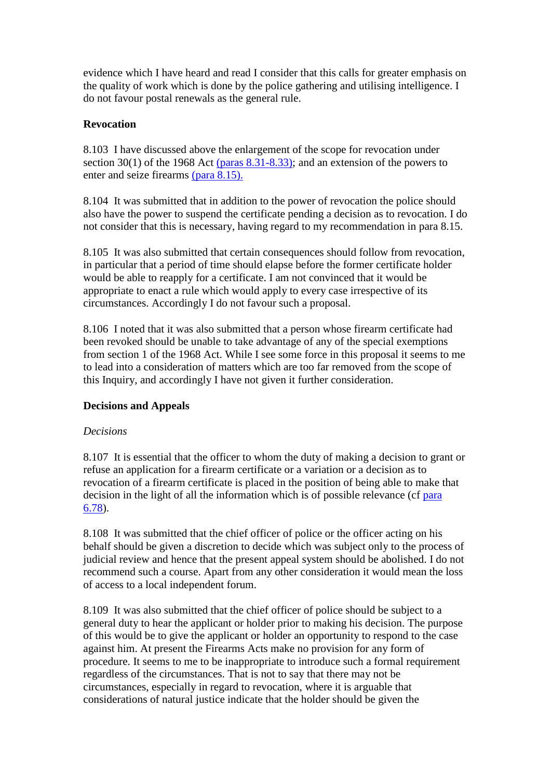evidence which I have heard and read I consider that this calls for greater emphasis on the quality of work which is done by the police gathering and utilising intelligence. I do not favour postal renewals as the general rule.

# **Revocation**

8.103 I have discussed above the enlargement of the scope for revocation under section 30(1) of the 1968 Act [\(paras 8.31-8.33\);](http://www.archive.official-documents.co.uk/document/scottish/dunblane/dun8-31.htm) and an extension of the powers to enter and seize firearms [\(para 8.15\).](http://www.archive.official-documents.co.uk/document/scottish/dunblane/dun8-15.htm)

8.104 It was submitted that in addition to the power of revocation the police should also have the power to suspend the certificate pending a decision as to revocation. I do not consider that this is necessary, having regard to my recommendation in para 8.15.

8.105 It was also submitted that certain consequences should follow from revocation, in particular that a period of time should elapse before the former certificate holder would be able to reapply for a certificate. I am not convinced that it would be appropriate to enact a rule which would apply to every case irrespective of its circumstances. Accordingly I do not favour such a proposal.

8.106 I noted that it was also submitted that a person whose firearm certificate had been revoked should be unable to take advantage of any of the special exemptions from section 1 of the 1968 Act. While I see some force in this proposal it seems to me to lead into a consideration of matters which are too far removed from the scope of this Inquiry, and accordingly I have not given it further consideration.

# **Decisions and Appeals**

# *Decisions*

8.107 It is essential that the officer to whom the duty of making a decision to grant or refuse an application for a firearm certificate or a variation or a decision as to revocation of a firearm certificate is placed in the position of being able to make that decision in the light of all the information which is of possible relevance (cf para [6.78\)](http://www.archive.official-documents.co.uk/document/scottish/dunblane/dun6-78.htm).

8.108 It was submitted that the chief officer of police or the officer acting on his behalf should be given a discretion to decide which was subject only to the process of judicial review and hence that the present appeal system should be abolished. I do not recommend such a course. Apart from any other consideration it would mean the loss of access to a local independent forum.

8.109 It was also submitted that the chief officer of police should be subject to a general duty to hear the applicant or holder prior to making his decision. The purpose of this would be to give the applicant or holder an opportunity to respond to the case against him. At present the Firearms Acts make no provision for any form of procedure. It seems to me to be inappropriate to introduce such a formal requirement regardless of the circumstances. That is not to say that there may not be circumstances, especially in regard to revocation, where it is arguable that considerations of natural justice indicate that the holder should be given the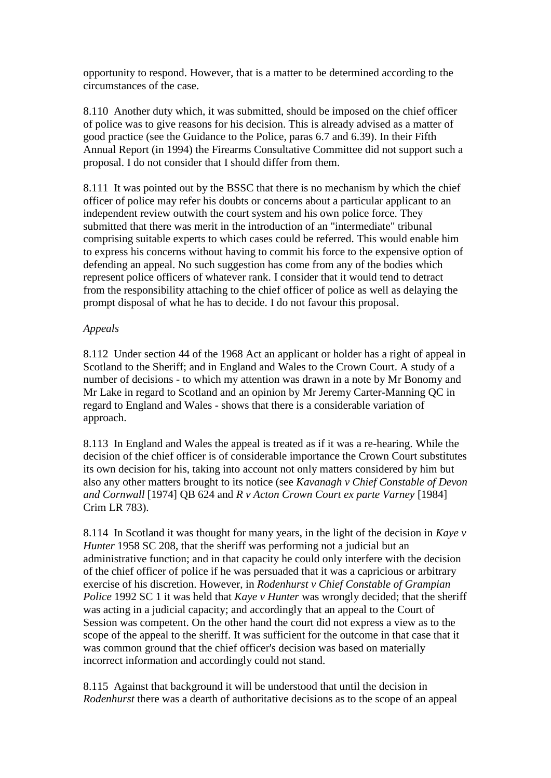opportunity to respond. However, that is a matter to be determined according to the circumstances of the case.

8.110 Another duty which, it was submitted, should be imposed on the chief officer of police was to give reasons for his decision. This is already advised as a matter of good practice (see the Guidance to the Police, paras 6.7 and 6.39). In their Fifth Annual Report (in 1994) the Firearms Consultative Committee did not support such a proposal. I do not consider that I should differ from them.

8.111 It was pointed out by the BSSC that there is no mechanism by which the chief officer of police may refer his doubts or concerns about a particular applicant to an independent review outwith the court system and his own police force. They submitted that there was merit in the introduction of an "intermediate" tribunal comprising suitable experts to which cases could be referred. This would enable him to express his concerns without having to commit his force to the expensive option of defending an appeal. No such suggestion has come from any of the bodies which represent police officers of whatever rank. I consider that it would tend to detract from the responsibility attaching to the chief officer of police as well as delaying the prompt disposal of what he has to decide. I do not favour this proposal.

## *Appeals*

8.112 Under section 44 of the 1968 Act an applicant or holder has a right of appeal in Scotland to the Sheriff; and in England and Wales to the Crown Court. A study of a number of decisions - to which my attention was drawn in a note by Mr Bonomy and Mr Lake in regard to Scotland and an opinion by Mr Jeremy Carter-Manning QC in regard to England and Wales - shows that there is a considerable variation of approach.

8.113 In England and Wales the appeal is treated as if it was a re-hearing. While the decision of the chief officer is of considerable importance the Crown Court substitutes its own decision for his, taking into account not only matters considered by him but also any other matters brought to its notice (see *Kavanagh v Chief Constable of Devon and Cornwall* [1974] QB 624 and *R v Acton Crown Court ex parte Varney* [1984] Crim LR 783).

8.114 In Scotland it was thought for many years, in the light of the decision in *Kaye v Hunter* 1958 SC 208, that the sheriff was performing not a judicial but an administrative function; and in that capacity he could only interfere with the decision of the chief officer of police if he was persuaded that it was a capricious or arbitrary exercise of his discretion. However, in *Rodenhurst v Chief Constable of Grampian Police* 1992 SC 1 it was held that *Kaye v Hunter* was wrongly decided; that the sheriff was acting in a judicial capacity; and accordingly that an appeal to the Court of Session was competent. On the other hand the court did not express a view as to the scope of the appeal to the sheriff. It was sufficient for the outcome in that case that it was common ground that the chief officer's decision was based on materially incorrect information and accordingly could not stand.

8.115 Against that background it will be understood that until the decision in *Rodenhurst* there was a dearth of authoritative decisions as to the scope of an appeal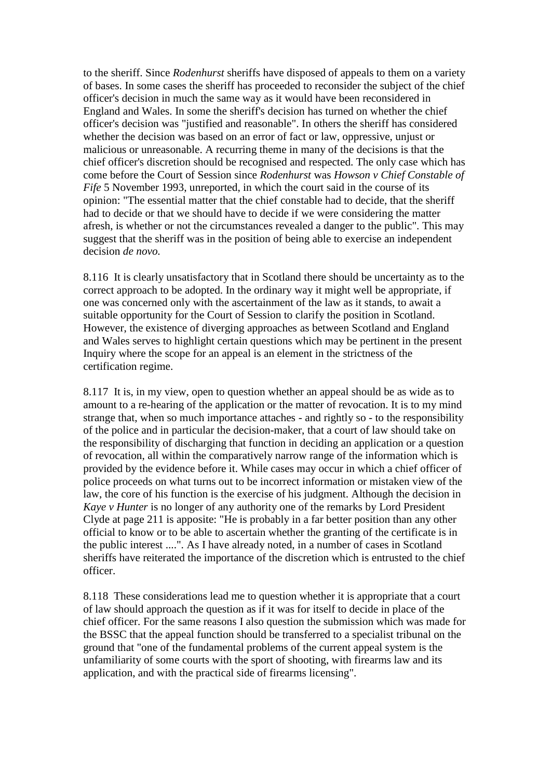to the sheriff. Since *Rodenhurst* sheriffs have disposed of appeals to them on a variety of bases. In some cases the sheriff has proceeded to reconsider the subject of the chief officer's decision in much the same way as it would have been reconsidered in England and Wales. In some the sheriff's decision has turned on whether the chief officer's decision was "justified and reasonable". In others the sheriff has considered whether the decision was based on an error of fact or law, oppressive, unjust or malicious or unreasonable. A recurring theme in many of the decisions is that the chief officer's discretion should be recognised and respected. The only case which has come before the Court of Session since *Rodenhurst* was *Howson v Chief Constable of Fife* 5 November 1993, unreported, in which the court said in the course of its opinion: "The essential matter that the chief constable had to decide, that the sheriff had to decide or that we should have to decide if we were considering the matter afresh, is whether or not the circumstances revealed a danger to the public". This may suggest that the sheriff was in the position of being able to exercise an independent decision *de novo.*

8.116 It is clearly unsatisfactory that in Scotland there should be uncertainty as to the correct approach to be adopted. In the ordinary way it might well be appropriate, if one was concerned only with the ascertainment of the law as it stands, to await a suitable opportunity for the Court of Session to clarify the position in Scotland. However, the existence of diverging approaches as between Scotland and England and Wales serves to highlight certain questions which may be pertinent in the present Inquiry where the scope for an appeal is an element in the strictness of the certification regime.

8.117 It is, in my view, open to question whether an appeal should be as wide as to amount to a re-hearing of the application or the matter of revocation. It is to my mind strange that, when so much importance attaches - and rightly so - to the responsibility of the police and in particular the decision-maker, that a court of law should take on the responsibility of discharging that function in deciding an application or a question of revocation, all within the comparatively narrow range of the information which is provided by the evidence before it. While cases may occur in which a chief officer of police proceeds on what turns out to be incorrect information or mistaken view of the law, the core of his function is the exercise of his judgment. Although the decision in *Kaye v Hunter* is no longer of any authority one of the remarks by Lord President Clyde at page 211 is apposite: "He is probably in a far better position than any other official to know or to be able to ascertain whether the granting of the certificate is in the public interest ....". As I have already noted, in a number of cases in Scotland sheriffs have reiterated the importance of the discretion which is entrusted to the chief officer.

8.118 These considerations lead me to question whether it is appropriate that a court of law should approach the question as if it was for itself to decide in place of the chief officer. For the same reasons I also question the submission which was made for the BSSC that the appeal function should be transferred to a specialist tribunal on the ground that "one of the fundamental problems of the current appeal system is the unfamiliarity of some courts with the sport of shooting, with firearms law and its application, and with the practical side of firearms licensing".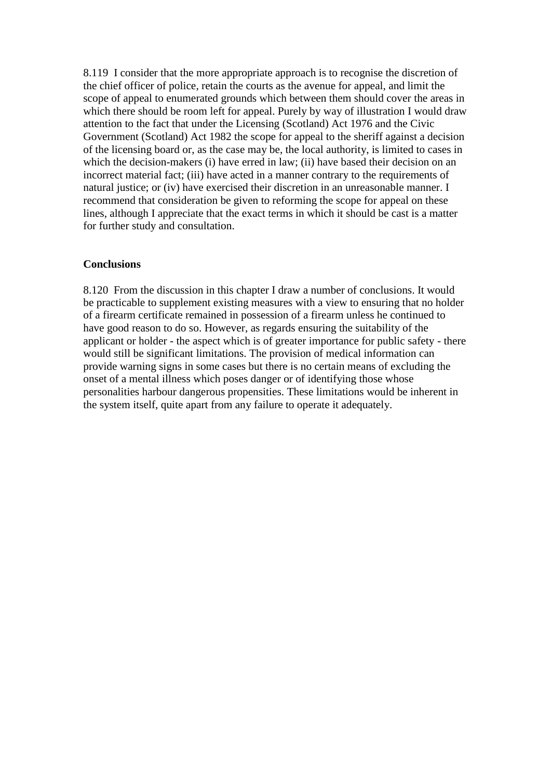8.119 I consider that the more appropriate approach is to recognise the discretion of the chief officer of police, retain the courts as the avenue for appeal, and limit the scope of appeal to enumerated grounds which between them should cover the areas in which there should be room left for appeal. Purely by way of illustration I would draw attention to the fact that under the Licensing (Scotland) Act 1976 and the Civic Government (Scotland) Act 1982 the scope for appeal to the sheriff against a decision of the licensing board or, as the case may be, the local authority, is limited to cases in which the decision-makers (i) have erred in law; (ii) have based their decision on an incorrect material fact; (iii) have acted in a manner contrary to the requirements of natural justice; or (iv) have exercised their discretion in an unreasonable manner. I recommend that consideration be given to reforming the scope for appeal on these lines, although I appreciate that the exact terms in which it should be cast is a matter for further study and consultation.

#### **Conclusions**

8.120 From the discussion in this chapter I draw a number of conclusions. It would be practicable to supplement existing measures with a view to ensuring that no holder of a firearm certificate remained in possession of a firearm unless he continued to have good reason to do so. However, as regards ensuring the suitability of the applicant or holder - the aspect which is of greater importance for public safety - there would still be significant limitations. The provision of medical information can provide warning signs in some cases but there is no certain means of excluding the onset of a mental illness which poses danger or of identifying those whose personalities harbour dangerous propensities. These limitations would be inherent in the system itself, quite apart from any failure to operate it adequately.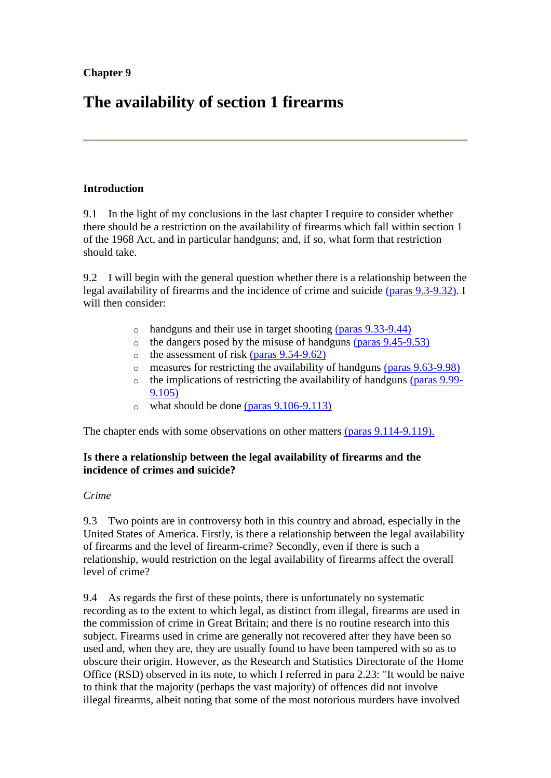# **The availability of section 1 firearms**

# **Introduction**

9.1 In the light of my conclusions in the last chapter I require to consider whether there should be a restriction on the availability of firearms which fall within section 1 of the 1968 Act, and in particular handguns; and, if so, what form that restriction should take.

9.2 I will begin with the general question whether there is a relationship between the legal availability of firearms and the incidence of crime and suicide [\(paras 9.3-9.32\).](http://www.archive.official-documents.co.uk/document/scottish/dunblane/dun09a.htm#9.3) I will then consider:

- o handguns and their use in target shooting [\(paras 9.33-9.44\)](http://www.archive.official-documents.co.uk/document/scottish/dunblane/dun09c.htm)
- $\circ$  the dangers posed by the misuse of handguns [\(paras 9.45-9.53\)](http://www.archive.official-documents.co.uk/document/scottish/dunblane/dun09c.htm#9.45)
- $\circ$  the assessment of risk [\(paras 9.54-9.62\)](http://www.archive.official-documents.co.uk/document/scottish/dunblane/dun09d.htm)
- o measures for restricting the availability of handguns [\(paras 9.63-9.98\)](http://www.archive.official-documents.co.uk/document/scottish/dunblane/dun09d.htm#9.63)
- the implications of restricting the availability of handguns [\(paras 9.99-](http://www.archive.official-documents.co.uk/document/scottish/dunblane/dun09f.htm) [9.105\)](http://www.archive.official-documents.co.uk/document/scottish/dunblane/dun09f.htm)
- $\circ$  what should be done [\(paras 9.106-9.113\)](http://www.archive.official-documents.co.uk/document/scottish/dunblane/dun09f.htm#9.106)

The chapter ends with some observations on other matters [\(paras 9.114-9.119\).](http://www.archive.official-documents.co.uk/document/scottish/dunblane/dun09f.htm#9.114)

# **Is there a relationship between the legal availability of firearms and the incidence of crimes and suicide?**

# *Crime*

9.3 Two points are in controversy both in this country and abroad, especially in the United States of America. Firstly, is there a relationship between the legal availability of firearms and the level of firearm-crime? Secondly, even if there is such a relationship, would restriction on the legal availability of firearms affect the overall level of crime?

9.4 As regards the first of these points, there is unfortunately no systematic recording as to the extent to which legal, as distinct from illegal, firearms are used in the commission of crime in Great Britain; and there is no routine research into this subject. Firearms used in crime are generally not recovered after they have been so used and, when they are, they are usually found to have been tampered with so as to obscure their origin. However, as the Research and Statistics Directorate of the Home Office (RSD) observed in its note, to which I referred in para 2.23: "It would be naive to think that the majority (perhaps the vast majority) of offences did not involve illegal firearms, albeit noting that some of the most notorious murders have involved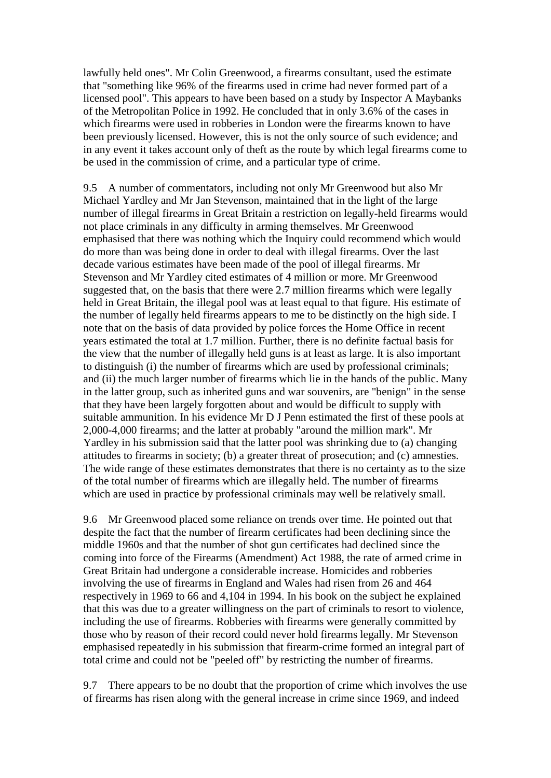lawfully held ones". Mr Colin Greenwood, a firearms consultant, used the estimate that "something like 96% of the firearms used in crime had never formed part of a licensed pool". This appears to have been based on a study by Inspector A Maybanks of the Metropolitan Police in 1992. He concluded that in only 3.6% of the cases in which firearms were used in robberies in London were the firearms known to have been previously licensed. However, this is not the only source of such evidence; and in any event it takes account only of theft as the route by which legal firearms come to be used in the commission of crime, and a particular type of crime.

9.5 A number of commentators, including not only Mr Greenwood but also Mr Michael Yardley and Mr Jan Stevenson, maintained that in the light of the large number of illegal firearms in Great Britain a restriction on legally-held firearms would not place criminals in any difficulty in arming themselves. Mr Greenwood emphasised that there was nothing which the Inquiry could recommend which would do more than was being done in order to deal with illegal firearms. Over the last decade various estimates have been made of the pool of illegal firearms. Mr Stevenson and Mr Yardley cited estimates of 4 million or more. Mr Greenwood suggested that, on the basis that there were 2.7 million firearms which were legally held in Great Britain, the illegal pool was at least equal to that figure. His estimate of the number of legally held firearms appears to me to be distinctly on the high side. I note that on the basis of data provided by police forces the Home Office in recent years estimated the total at 1.7 million. Further, there is no definite factual basis for the view that the number of illegally held guns is at least as large. It is also important to distinguish (i) the number of firearms which are used by professional criminals; and (ii) the much larger number of firearms which lie in the hands of the public. Many in the latter group, such as inherited guns and war souvenirs, are "benign" in the sense that they have been largely forgotten about and would be difficult to supply with suitable ammunition. In his evidence Mr D J Penn estimated the first of these pools at 2,000-4,000 firearms; and the latter at probably "around the million mark". Mr Yardley in his submission said that the latter pool was shrinking due to (a) changing attitudes to firearms in society; (b) a greater threat of prosecution; and (c) amnesties. The wide range of these estimates demonstrates that there is no certainty as to the size of the total number of firearms which are illegally held. The number of firearms which are used in practice by professional criminals may well be relatively small.

9.6 Mr Greenwood placed some reliance on trends over time. He pointed out that despite the fact that the number of firearm certificates had been declining since the middle 1960s and that the number of shot gun certificates had declined since the coming into force of the Firearms (Amendment) Act 1988, the rate of armed crime in Great Britain had undergone a considerable increase. Homicides and robberies involving the use of firearms in England and Wales had risen from 26 and 464 respectively in 1969 to 66 and 4,104 in 1994. In his book on the subject he explained that this was due to a greater willingness on the part of criminals to resort to violence, including the use of firearms. Robberies with firearms were generally committed by those who by reason of their record could never hold firearms legally. Mr Stevenson emphasised repeatedly in his submission that firearm-crime formed an integral part of total crime and could not be "peeled off" by restricting the number of firearms.

9.7 There appears to be no doubt that the proportion of crime which involves the use of firearms has risen along with the general increase in crime since 1969, and indeed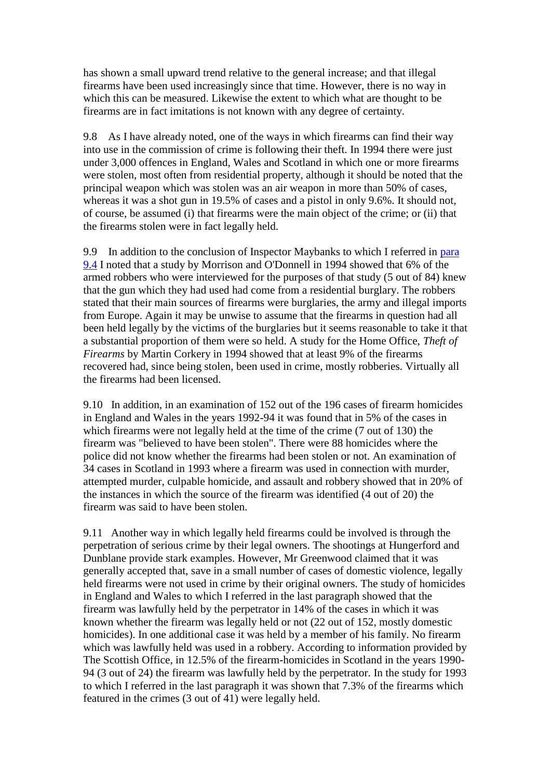has shown a small upward trend relative to the general increase; and that illegal firearms have been used increasingly since that time. However, there is no way in which this can be measured. Likewise the extent to which what are thought to be firearms are in fact imitations is not known with any degree of certainty.

9.8 As I have already noted, one of the ways in which firearms can find their way into use in the commission of crime is following their theft. In 1994 there were just under 3,000 offences in England, Wales and Scotland in which one or more firearms were stolen, most often from residential property, although it should be noted that the principal weapon which was stolen was an air weapon in more than 50% of cases, whereas it was a shot gun in 19.5% of cases and a pistol in only 9.6%. It should not, of course, be assumed (i) that firearms were the main object of the crime; or (ii) that the firearms stolen were in fact legally held.

9.9 In addition to the conclusion of Inspector Maybanks to which I referred in para [9.4](http://www.archive.official-documents.co.uk/document/scottish/dunblane/dun09a.htm#9.4) I noted that a study by Morrison and O'Donnell in 1994 showed that 6% of the armed robbers who were interviewed for the purposes of that study (5 out of 84) knew that the gun which they had used had come from a residential burglary. The robbers stated that their main sources of firearms were burglaries, the army and illegal imports from Europe. Again it may be unwise to assume that the firearms in question had all been held legally by the victims of the burglaries but it seems reasonable to take it that a substantial proportion of them were so held. A study for the Home Office, *Theft of Firearms* by Martin Corkery in 1994 showed that at least 9% of the firearms recovered had, since being stolen, been used in crime, mostly robberies. Virtually all the firearms had been licensed.

9.10 In addition, in an examination of 152 out of the 196 cases of firearm homicides in England and Wales in the years 1992-94 it was found that in 5% of the cases in which firearms were not legally held at the time of the crime (7 out of 130) the firearm was "believed to have been stolen". There were 88 homicides where the police did not know whether the firearms had been stolen or not. An examination of 34 cases in Scotland in 1993 where a firearm was used in connection with murder, attempted murder, culpable homicide, and assault and robbery showed that in 20% of the instances in which the source of the firearm was identified (4 out of 20) the firearm was said to have been stolen.

9.11 Another way in which legally held firearms could be involved is through the perpetration of serious crime by their legal owners. The shootings at Hungerford and Dunblane provide stark examples. However, Mr Greenwood claimed that it was generally accepted that, save in a small number of cases of domestic violence, legally held firearms were not used in crime by their original owners. The study of homicides in England and Wales to which I referred in the last paragraph showed that the firearm was lawfully held by the perpetrator in 14% of the cases in which it was known whether the firearm was legally held or not (22 out of 152, mostly domestic homicides). In one additional case it was held by a member of his family. No firearm which was lawfully held was used in a robbery. According to information provided by The Scottish Office, in 12.5% of the firearm-homicides in Scotland in the years 1990- 94 (3 out of 24) the firearm was lawfully held by the perpetrator. In the study for 1993 to which I referred in the last paragraph it was shown that 7.3% of the firearms which featured in the crimes (3 out of 41) were legally held.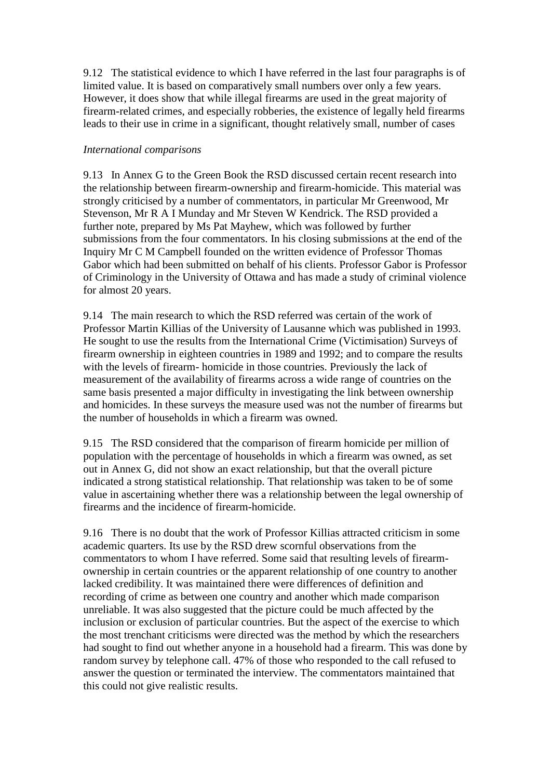9.12 The statistical evidence to which I have referred in the last four paragraphs is of limited value. It is based on comparatively small numbers over only a few years. However, it does show that while illegal firearms are used in the great majority of firearm-related crimes, and especially robberies, the existence of legally held firearms leads to their use in crime in a significant, thought relatively small, number of cases

## *International comparisons*

9.13 In Annex G to the Green Book the RSD discussed certain recent research into the relationship between firearm-ownership and firearm-homicide. This material was strongly criticised by a number of commentators, in particular Mr Greenwood, Mr Stevenson, Mr R A I Munday and Mr Steven W Kendrick. The RSD provided a further note, prepared by Ms Pat Mayhew, which was followed by further submissions from the four commentators. In his closing submissions at the end of the Inquiry Mr C M Campbell founded on the written evidence of Professor Thomas Gabor which had been submitted on behalf of his clients. Professor Gabor is Professor of Criminology in the University of Ottawa and has made a study of criminal violence for almost 20 years.

9.14 The main research to which the RSD referred was certain of the work of Professor Martin Killias of the University of Lausanne which was published in 1993. He sought to use the results from the International Crime (Victimisation) Surveys of firearm ownership in eighteen countries in 1989 and 1992; and to compare the results with the levels of firearm- homicide in those countries. Previously the lack of measurement of the availability of firearms across a wide range of countries on the same basis presented a major difficulty in investigating the link between ownership and homicides. In these surveys the measure used was not the number of firearms but the number of households in which a firearm was owned.

9.15 The RSD considered that the comparison of firearm homicide per million of population with the percentage of households in which a firearm was owned, as set out in Annex G, did not show an exact relationship, but that the overall picture indicated a strong statistical relationship. That relationship was taken to be of some value in ascertaining whether there was a relationship between the legal ownership of firearms and the incidence of firearm-homicide.

9.16 There is no doubt that the work of Professor Killias attracted criticism in some academic quarters. Its use by the RSD drew scornful observations from the commentators to whom I have referred. Some said that resulting levels of firearmownership in certain countries or the apparent relationship of one country to another lacked credibility. It was maintained there were differences of definition and recording of crime as between one country and another which made comparison unreliable. It was also suggested that the picture could be much affected by the inclusion or exclusion of particular countries. But the aspect of the exercise to which the most trenchant criticisms were directed was the method by which the researchers had sought to find out whether anyone in a household had a firearm. This was done by random survey by telephone call. 47% of those who responded to the call refused to answer the question or terminated the interview. The commentators maintained that this could not give realistic results.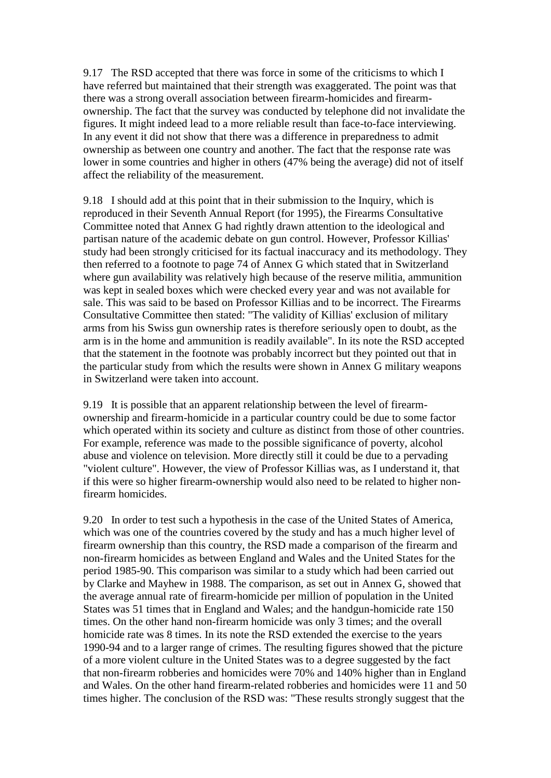9.17 The RSD accepted that there was force in some of the criticisms to which I have referred but maintained that their strength was exaggerated. The point was that there was a strong overall association between firearm-homicides and firearmownership. The fact that the survey was conducted by telephone did not invalidate the figures. It might indeed lead to a more reliable result than face-to-face interviewing. In any event it did not show that there was a difference in preparedness to admit ownership as between one country and another. The fact that the response rate was lower in some countries and higher in others (47% being the average) did not of itself affect the reliability of the measurement.

9.18 I should add at this point that in their submission to the Inquiry, which is reproduced in their Seventh Annual Report (for 1995), the Firearms Consultative Committee noted that Annex G had rightly drawn attention to the ideological and partisan nature of the academic debate on gun control. However, Professor Killias' study had been strongly criticised for its factual inaccuracy and its methodology. They then referred to a footnote to page 74 of Annex G which stated that in Switzerland where gun availability was relatively high because of the reserve militia, ammunition was kept in sealed boxes which were checked every year and was not available for sale. This was said to be based on Professor Killias and to be incorrect. The Firearms Consultative Committee then stated: "The validity of Killias' exclusion of military arms from his Swiss gun ownership rates is therefore seriously open to doubt, as the arm is in the home and ammunition is readily available". In its note the RSD accepted that the statement in the footnote was probably incorrect but they pointed out that in the particular study from which the results were shown in Annex G military weapons in Switzerland were taken into account.

9.19 It is possible that an apparent relationship between the level of firearmownership and firearm-homicide in a particular country could be due to some factor which operated within its society and culture as distinct from those of other countries. For example, reference was made to the possible significance of poverty, alcohol abuse and violence on television. More directly still it could be due to a pervading "violent culture". However, the view of Professor Killias was, as I understand it, that if this were so higher firearm-ownership would also need to be related to higher nonfirearm homicides.

9.20 In order to test such a hypothesis in the case of the United States of America, which was one of the countries covered by the study and has a much higher level of firearm ownership than this country, the RSD made a comparison of the firearm and non-firearm homicides as between England and Wales and the United States for the period 1985-90. This comparison was similar to a study which had been carried out by Clarke and Mayhew in 1988. The comparison, as set out in Annex G, showed that the average annual rate of firearm-homicide per million of population in the United States was 51 times that in England and Wales; and the handgun-homicide rate 150 times. On the other hand non-firearm homicide was only 3 times; and the overall homicide rate was 8 times. In its note the RSD extended the exercise to the years 1990-94 and to a larger range of crimes. The resulting figures showed that the picture of a more violent culture in the United States was to a degree suggested by the fact that non-firearm robberies and homicides were 70% and 140% higher than in England and Wales. On the other hand firearm-related robberies and homicides were 11 and 50 times higher. The conclusion of the RSD was: "These results strongly suggest that the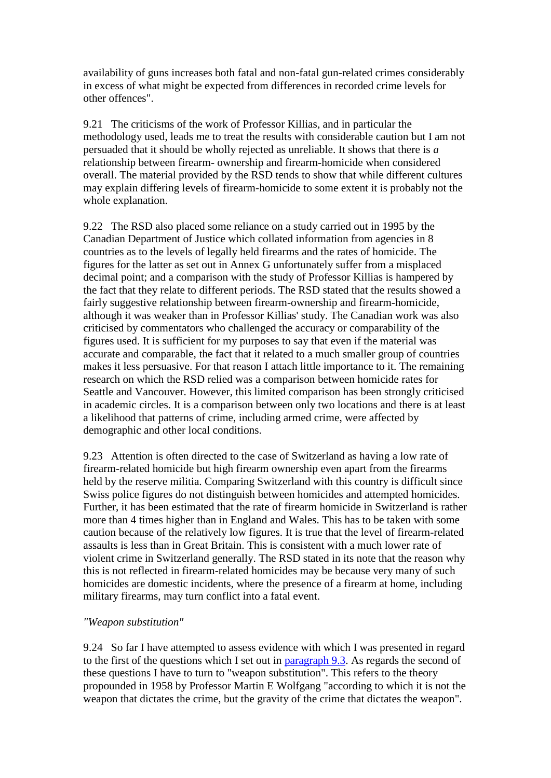availability of guns increases both fatal and non-fatal gun-related crimes considerably in excess of what might be expected from differences in recorded crime levels for other offences".

9.21 The criticisms of the work of Professor Killias, and in particular the methodology used, leads me to treat the results with considerable caution but I am not persuaded that it should be wholly rejected as unreliable. It shows that there is *a* relationship between firearm- ownership and firearm-homicide when considered overall. The material provided by the RSD tends to show that while different cultures may explain differing levels of firearm-homicide to some extent it is probably not the whole explanation.

9.22 The RSD also placed some reliance on a study carried out in 1995 by the Canadian Department of Justice which collated information from agencies in 8 countries as to the levels of legally held firearms and the rates of homicide. The figures for the latter as set out in Annex G unfortunately suffer from a misplaced decimal point; and a comparison with the study of Professor Killias is hampered by the fact that they relate to different periods. The RSD stated that the results showed a fairly suggestive relationship between firearm-ownership and firearm-homicide, although it was weaker than in Professor Killias' study. The Canadian work was also criticised by commentators who challenged the accuracy or comparability of the figures used. It is sufficient for my purposes to say that even if the material was accurate and comparable, the fact that it related to a much smaller group of countries makes it less persuasive. For that reason I attach little importance to it. The remaining research on which the RSD relied was a comparison between homicide rates for Seattle and Vancouver. However, this limited comparison has been strongly criticised in academic circles. It is a comparison between only two locations and there is at least a likelihood that patterns of crime, including armed crime, were affected by demographic and other local conditions.

9.23 Attention is often directed to the case of Switzerland as having a low rate of firearm-related homicide but high firearm ownership even apart from the firearms held by the reserve militia. Comparing Switzerland with this country is difficult since Swiss police figures do not distinguish between homicides and attempted homicides. Further, it has been estimated that the rate of firearm homicide in Switzerland is rather more than 4 times higher than in England and Wales. This has to be taken with some caution because of the relatively low figures. It is true that the level of firearm-related assaults is less than in Great Britain. This is consistent with a much lower rate of violent crime in Switzerland generally. The RSD stated in its note that the reason why this is not reflected in firearm-related homicides may be because very many of such homicides are domestic incidents, where the presence of a firearm at home, including military firearms, may turn conflict into a fatal event.

## *"Weapon substitution"*

9.24 So far I have attempted to assess evidence with which I was presented in regard to the first of the questions which I set out in [paragraph 9.3.](http://www.archive.official-documents.co.uk/document/scottish/dunblane/dun9-3.htm) As regards the second of these questions I have to turn to "weapon substitution". This refers to the theory propounded in 1958 by Professor Martin E Wolfgang "according to which it is not the weapon that dictates the crime, but the gravity of the crime that dictates the weapon".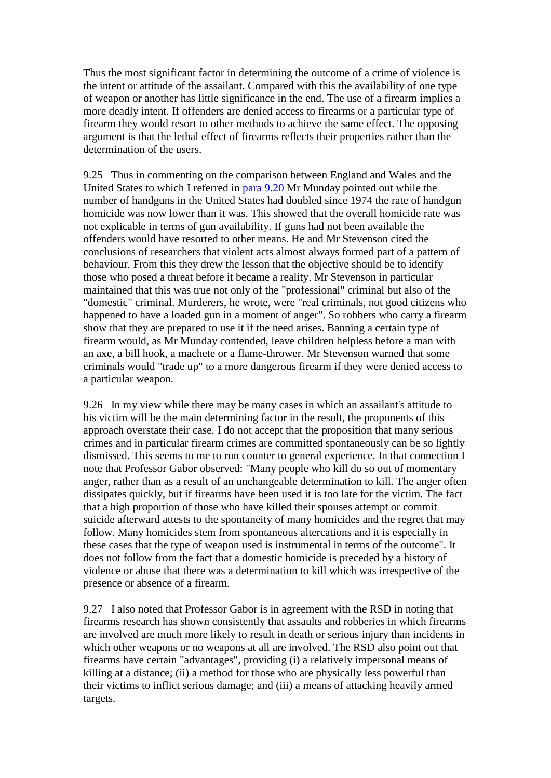Thus the most significant factor in determining the outcome of a crime of violence is the intent or attitude of the assailant. Compared with this the availability of one type of weapon or another has little significance in the end. The use of a firearm implies a more deadly intent. If offenders are denied access to firearms or a particular type of firearm they would resort to other methods to achieve the same effect. The opposing argument is that the lethal effect of firearms reflects their properties rather than the determination of the users.

9.25 Thus in commenting on the comparison between England and Wales and the United States to which I referred in [para 9.20](http://www.archive.official-documents.co.uk/document/scottish/dunblane/dun09b.htm#9.20) Mr Munday pointed out while the number of handguns in the United States had doubled since 1974 the rate of handgun homicide was now lower than it was. This showed that the overall homicide rate was not explicable in terms of gun availability. If guns had not been available the offenders would have resorted to other means. He and Mr Stevenson cited the conclusions of researchers that violent acts almost always formed part of a pattern of behaviour. From this they drew the lesson that the objective should be to identify those who posed a threat before it became a reality. Mr Stevenson in particular maintained that this was true not only of the "professional" criminal but also of the "domestic" criminal. Murderers, he wrote, were "real criminals, not good citizens who happened to have a loaded gun in a moment of anger". So robbers who carry a firearm show that they are prepared to use it if the need arises. Banning a certain type of firearm would, as Mr Munday contended, leave children helpless before a man with an axe, a bill hook, a machete or a flame-thrower. Mr Stevenson warned that some criminals would "trade up" to a more dangerous firearm if they were denied access to a particular weapon.

9.26 In my view while there may be many cases in which an assailant's attitude to his victim will be the main determining factor in the result, the proponents of this approach overstate their case. I do not accept that the proposition that many serious crimes and in particular firearm crimes are committed spontaneously can be so lightly dismissed. This seems to me to run counter to general experience. In that connection I note that Professor Gabor observed: "Many people who kill do so out of momentary anger, rather than as a result of an unchangeable determination to kill. The anger often dissipates quickly, but if firearms have been used it is too late for the victim. The fact that a high proportion of those who have killed their spouses attempt or commit suicide afterward attests to the spontaneity of many homicides and the regret that may follow. Many homicides stem from spontaneous altercations and it is especially in these cases that the type of weapon used is instrumental in terms of the outcome". It does not follow from the fact that a domestic homicide is preceded by a history of violence or abuse that there was a determination to kill which was irrespective of the presence or absence of a firearm.

9.27 I also noted that Professor Gabor is in agreement with the RSD in noting that firearms research has shown consistently that assaults and robberies in which firearms are involved are much more likely to result in death or serious injury than incidents in which other weapons or no weapons at all are involved. The RSD also point out that firearms have certain "advantages", providing (i) a relatively impersonal means of killing at a distance; (ii) a method for those who are physically less powerful than their victims to inflict serious damage; and (iii) a means of attacking heavily armed targets.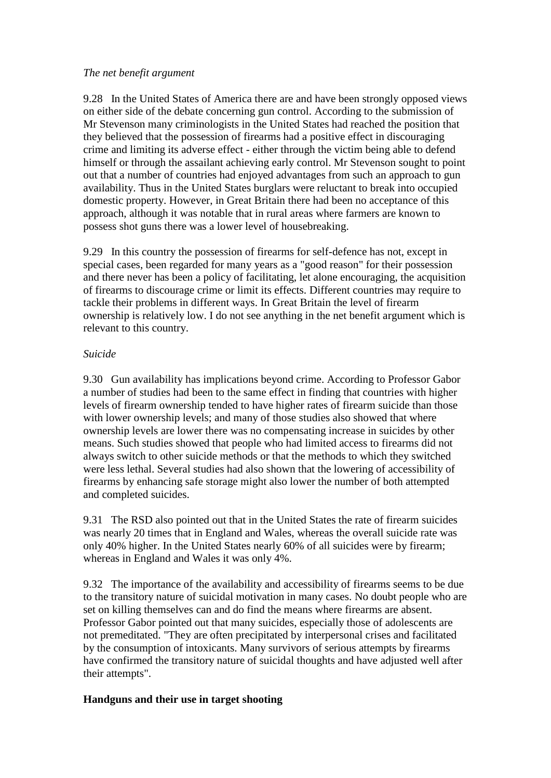#### *The net benefit argument*

9.28 In the United States of America there are and have been strongly opposed views on either side of the debate concerning gun control. According to the submission of Mr Stevenson many criminologists in the United States had reached the position that they believed that the possession of firearms had a positive effect in discouraging crime and limiting its adverse effect - either through the victim being able to defend himself or through the assailant achieving early control. Mr Stevenson sought to point out that a number of countries had enjoyed advantages from such an approach to gun availability. Thus in the United States burglars were reluctant to break into occupied domestic property. However, in Great Britain there had been no acceptance of this approach, although it was notable that in rural areas where farmers are known to possess shot guns there was a lower level of housebreaking.

9.29 In this country the possession of firearms for self-defence has not, except in special cases, been regarded for many years as a "good reason" for their possession and there never has been a policy of facilitating, let alone encouraging, the acquisition of firearms to discourage crime or limit its effects. Different countries may require to tackle their problems in different ways. In Great Britain the level of firearm ownership is relatively low. I do not see anything in the net benefit argument which is relevant to this country.

# *Suicide*

9.30 Gun availability has implications beyond crime. According to Professor Gabor a number of studies had been to the same effect in finding that countries with higher levels of firearm ownership tended to have higher rates of firearm suicide than those with lower ownership levels; and many of those studies also showed that where ownership levels are lower there was no compensating increase in suicides by other means. Such studies showed that people who had limited access to firearms did not always switch to other suicide methods or that the methods to which they switched were less lethal. Several studies had also shown that the lowering of accessibility of firearms by enhancing safe storage might also lower the number of both attempted and completed suicides.

9.31 The RSD also pointed out that in the United States the rate of firearm suicides was nearly 20 times that in England and Wales, whereas the overall suicide rate was only 40% higher. In the United States nearly 60% of all suicides were by firearm; whereas in England and Wales it was only 4%.

9.32 The importance of the availability and accessibility of firearms seems to be due to the transitory nature of suicidal motivation in many cases. No doubt people who are set on killing themselves can and do find the means where firearms are absent. Professor Gabor pointed out that many suicides, especially those of adolescents are not premeditated. "They are often precipitated by interpersonal crises and facilitated by the consumption of intoxicants. Many survivors of serious attempts by firearms have confirmed the transitory nature of suicidal thoughts and have adjusted well after their attempts".

# **Handguns and their use in target shooting**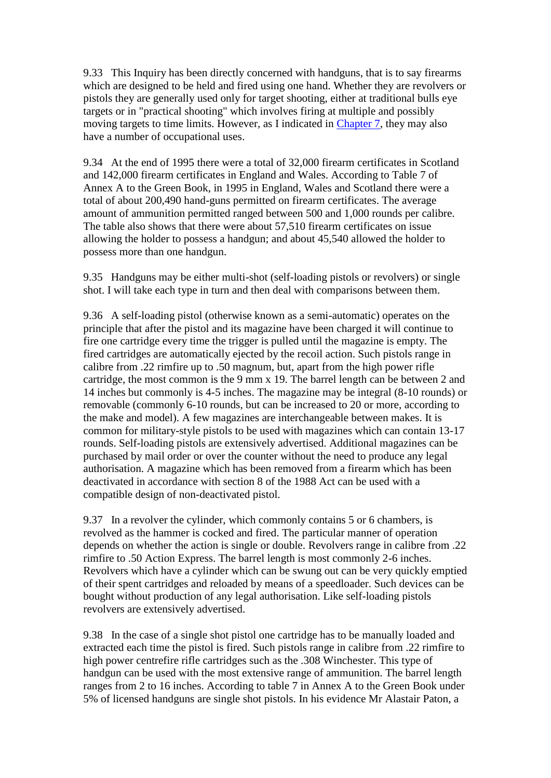9.33 This Inquiry has been directly concerned with handguns, that is to say firearms which are designed to be held and fired using one hand. Whether they are revolvers or pistols they are generally used only for target shooting, either at traditional bulls eye targets or in "practical shooting" which involves firing at multiple and possibly moving targets to time limits. However, as I indicated in [Chapter 7,](http://www.archive.official-documents.co.uk/document/scottish/dunblane/dun07.htm) they may also have a number of occupational uses.

9.34 At the end of 1995 there were a total of 32,000 firearm certificates in Scotland and 142,000 firearm certificates in England and Wales. According to Table 7 of Annex A to the Green Book, in 1995 in England, Wales and Scotland there were a total of about 200,490 hand-guns permitted on firearm certificates. The average amount of ammunition permitted ranged between 500 and 1,000 rounds per calibre. The table also shows that there were about 57,510 firearm certificates on issue allowing the holder to possess a handgun; and about 45,540 allowed the holder to possess more than one handgun.

9.35 Handguns may be either multi-shot (self-loading pistols or revolvers) or single shot. I will take each type in turn and then deal with comparisons between them.

9.36 A self-loading pistol (otherwise known as a semi-automatic) operates on the principle that after the pistol and its magazine have been charged it will continue to fire one cartridge every time the trigger is pulled until the magazine is empty. The fired cartridges are automatically ejected by the recoil action. Such pistols range in calibre from .22 rimfire up to .50 magnum, but, apart from the high power rifle cartridge, the most common is the 9 mm x 19. The barrel length can be between 2 and 14 inches but commonly is 4-5 inches. The magazine may be integral (8-10 rounds) or removable (commonly 6-10 rounds, but can be increased to 20 or more, according to the make and model). A few magazines are interchangeable between makes. It is common for military-style pistols to be used with magazines which can contain 13-17 rounds. Self-loading pistols are extensively advertised. Additional magazines can be purchased by mail order or over the counter without the need to produce any legal authorisation. A magazine which has been removed from a firearm which has been deactivated in accordance with section 8 of the 1988 Act can be used with a compatible design of non-deactivated pistol.

9.37 In a revolver the cylinder, which commonly contains 5 or 6 chambers, is revolved as the hammer is cocked and fired. The particular manner of operation depends on whether the action is single or double. Revolvers range in calibre from .22 rimfire to .50 Action Express. The barrel length is most commonly 2-6 inches. Revolvers which have a cylinder which can be swung out can be very quickly emptied of their spent cartridges and reloaded by means of a speedloader. Such devices can be bought without production of any legal authorisation. Like self-loading pistols revolvers are extensively advertised.

9.38 In the case of a single shot pistol one cartridge has to be manually loaded and extracted each time the pistol is fired. Such pistols range in calibre from .22 rimfire to high power centrefire rifle cartridges such as the .308 Winchester. This type of handgun can be used with the most extensive range of ammunition. The barrel length ranges from 2 to 16 inches. According to table 7 in Annex A to the Green Book under 5% of licensed handguns are single shot pistols. In his evidence Mr Alastair Paton, a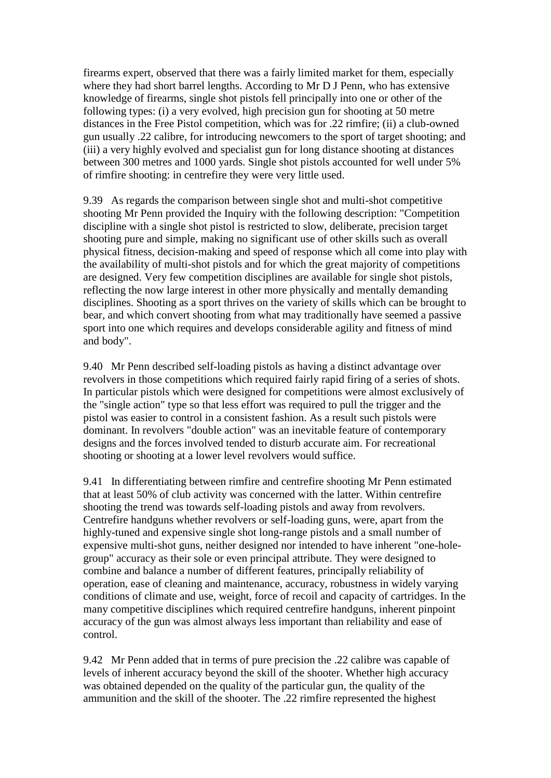firearms expert, observed that there was a fairly limited market for them, especially where they had short barrel lengths. According to Mr D J Penn, who has extensive knowledge of firearms, single shot pistols fell principally into one or other of the following types: (i) a very evolved, high precision gun for shooting at 50 metre distances in the Free Pistol competition, which was for .22 rimfire; (ii) a club-owned gun usually .22 calibre, for introducing newcomers to the sport of target shooting; and (iii) a very highly evolved and specialist gun for long distance shooting at distances between 300 metres and 1000 yards. Single shot pistols accounted for well under 5% of rimfire shooting: in centrefire they were very little used.

9.39 As regards the comparison between single shot and multi-shot competitive shooting Mr Penn provided the Inquiry with the following description: "Competition discipline with a single shot pistol is restricted to slow, deliberate, precision target shooting pure and simple, making no significant use of other skills such as overall physical fitness, decision-making and speed of response which all come into play with the availability of multi-shot pistols and for which the great majority of competitions are designed. Very few competition disciplines are available for single shot pistols, reflecting the now large interest in other more physically and mentally demanding disciplines. Shooting as a sport thrives on the variety of skills which can be brought to bear, and which convert shooting from what may traditionally have seemed a passive sport into one which requires and develops considerable agility and fitness of mind and body".

9.40 Mr Penn described self-loading pistols as having a distinct advantage over revolvers in those competitions which required fairly rapid firing of a series of shots. In particular pistols which were designed for competitions were almost exclusively of the "single action" type so that less effort was required to pull the trigger and the pistol was easier to control in a consistent fashion. As a result such pistols were dominant. In revolvers "double action" was an inevitable feature of contemporary designs and the forces involved tended to disturb accurate aim. For recreational shooting or shooting at a lower level revolvers would suffice.

9.41 In differentiating between rimfire and centrefire shooting Mr Penn estimated that at least 50% of club activity was concerned with the latter. Within centrefire shooting the trend was towards self-loading pistols and away from revolvers. Centrefire handguns whether revolvers or self-loading guns, were, apart from the highly-tuned and expensive single shot long-range pistols and a small number of expensive multi-shot guns, neither designed nor intended to have inherent "one-holegroup" accuracy as their sole or even principal attribute. They were designed to combine and balance a number of different features, principally reliability of operation, ease of cleaning and maintenance, accuracy, robustness in widely varying conditions of climate and use, weight, force of recoil and capacity of cartridges. In the many competitive disciplines which required centrefire handguns, inherent pinpoint accuracy of the gun was almost always less important than reliability and ease of control.

9.42 Mr Penn added that in terms of pure precision the .22 calibre was capable of levels of inherent accuracy beyond the skill of the shooter. Whether high accuracy was obtained depended on the quality of the particular gun, the quality of the ammunition and the skill of the shooter. The .22 rimfire represented the highest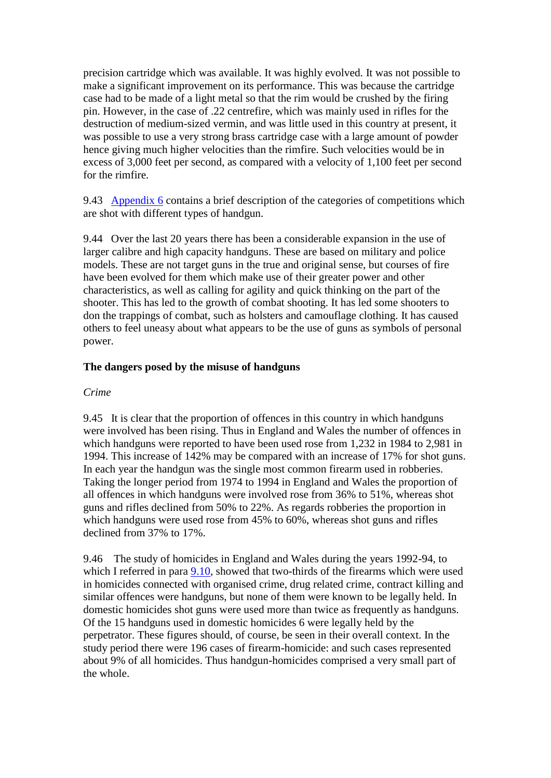precision cartridge which was available. It was highly evolved. It was not possible to make a significant improvement on its performance. This was because the cartridge case had to be made of a light metal so that the rim would be crushed by the firing pin. However, in the case of .22 centrefire, which was mainly used in rifles for the destruction of medium-sized vermin, and was little used in this country at present, it was possible to use a very strong brass cartridge case with a large amount of powder hence giving much higher velocities than the rimfire. Such velocities would be in excess of 3,000 feet per second, as compared with a velocity of 1,100 feet per second for the rimfire.

9.43 [Appendix 6](http://www.archive.official-documents.co.uk/document/scottish/dunblane/dunappa6.htm) contains a brief description of the categories of competitions which are shot with different types of handgun.

9.44 Over the last 20 years there has been a considerable expansion in the use of larger calibre and high capacity handguns. These are based on military and police models. These are not target guns in the true and original sense, but courses of fire have been evolved for them which make use of their greater power and other characteristics, as well as calling for agility and quick thinking on the part of the shooter. This has led to the growth of combat shooting. It has led some shooters to don the trappings of combat, such as holsters and camouflage clothing. It has caused others to feel uneasy about what appears to be the use of guns as symbols of personal power.

# **The dangers posed by the misuse of handguns**

#### *Crime*

9.45 It is clear that the proportion of offences in this country in which handguns were involved has been rising. Thus in England and Wales the number of offences in which handguns were reported to have been used rose from 1,232 in 1984 to 2,981 in 1994. This increase of 142% may be compared with an increase of 17% for shot guns. In each year the handgun was the single most common firearm used in robberies. Taking the longer period from 1974 to 1994 in England and Wales the proportion of all offences in which handguns were involved rose from 36% to 51%, whereas shot guns and rifles declined from 50% to 22%. As regards robberies the proportion in which handguns were used rose from 45% to 60%, whereas shot guns and rifles declined from 37% to 17%.

9.46 The study of homicides in England and Wales during the years 1992-94, to which I referred in para [9.10,](http://www.archive.official-documents.co.uk/document/scottish/dunblane/dun9-10.htm) showed that two-thirds of the firearms which were used in homicides connected with organised crime, drug related crime, contract killing and similar offences were handguns, but none of them were known to be legally held. In domestic homicides shot guns were used more than twice as frequently as handguns. Of the 15 handguns used in domestic homicides 6 were legally held by the perpetrator. These figures should, of course, be seen in their overall context. In the study period there were 196 cases of firearm-homicide: and such cases represented about 9% of all homicides. Thus handgun-homicides comprised a very small part of the whole.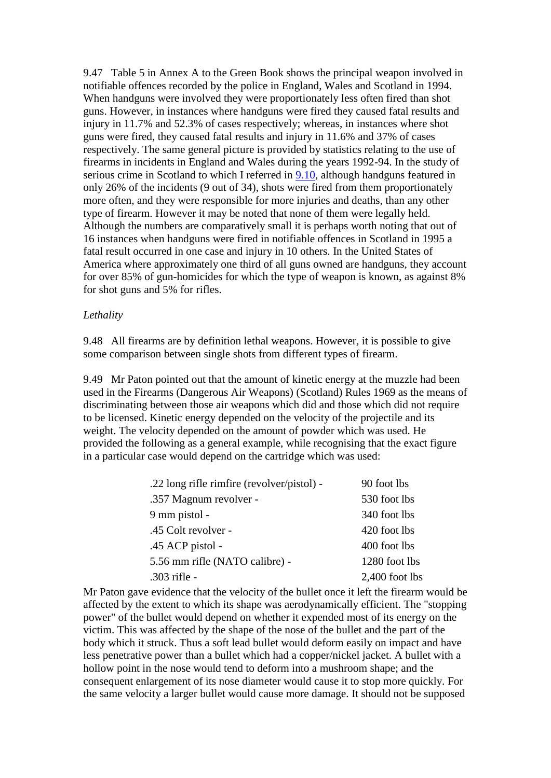9.47 Table 5 in Annex A to the Green Book shows the principal weapon involved in notifiable offences recorded by the police in England, Wales and Scotland in 1994. When handguns were involved they were proportionately less often fired than shot guns. However, in instances where handguns were fired they caused fatal results and injury in 11.7% and 52.3% of cases respectively; whereas, in instances where shot guns were fired, they caused fatal results and injury in 11.6% and 37% of cases respectively. The same general picture is provided by statistics relating to the use of firearms in incidents in England and Wales during the years 1992-94. In the study of serious crime in Scotland to which I referred in  $9.10$ , although handguns featured in only 26% of the incidents (9 out of 34), shots were fired from them proportionately more often, and they were responsible for more injuries and deaths, than any other type of firearm. However it may be noted that none of them were legally held. Although the numbers are comparatively small it is perhaps worth noting that out of 16 instances when handguns were fired in notifiable offences in Scotland in 1995 a fatal result occurred in one case and injury in 10 others. In the United States of America where approximately one third of all guns owned are handguns, they account for over 85% of gun-homicides for which the type of weapon is known, as against 8% for shot guns and 5% for rifles.

#### *Lethality*

9.48 All firearms are by definition lethal weapons. However, it is possible to give some comparison between single shots from different types of firearm.

9.49 Mr Paton pointed out that the amount of kinetic energy at the muzzle had been used in the Firearms (Dangerous Air Weapons) (Scotland) Rules 1969 as the means of discriminating between those air weapons which did and those which did not require to be licensed. Kinetic energy depended on the velocity of the projectile and its weight. The velocity depended on the amount of powder which was used. He provided the following as a general example, while recognising that the exact figure in a particular case would depend on the cartridge which was used:

| .22 long rifle rimfire (revolver/pistol) - | 90 foot lbs      |
|--------------------------------------------|------------------|
| .357 Magnum revolver -                     | 530 foot lbs     |
| 9 mm pistol -                              | 340 foot lbs     |
| .45 Colt revolver -                        | 420 foot lbs     |
| .45 ACP pistol -                           | 400 foot lbs     |
| 5.56 mm rifle (NATO calibre) -             | 1280 foot lbs    |
| $.303$ rifle -                             | $2,400$ foot lbs |

Mr Paton gave evidence that the velocity of the bullet once it left the firearm would be affected by the extent to which its shape was aerodynamically efficient. The "stopping power" of the bullet would depend on whether it expended most of its energy on the victim. This was affected by the shape of the nose of the bullet and the part of the body which it struck. Thus a soft lead bullet would deform easily on impact and have less penetrative power than a bullet which had a copper/nickel jacket. A bullet with a hollow point in the nose would tend to deform into a mushroom shape; and the consequent enlargement of its nose diameter would cause it to stop more quickly. For the same velocity a larger bullet would cause more damage. It should not be supposed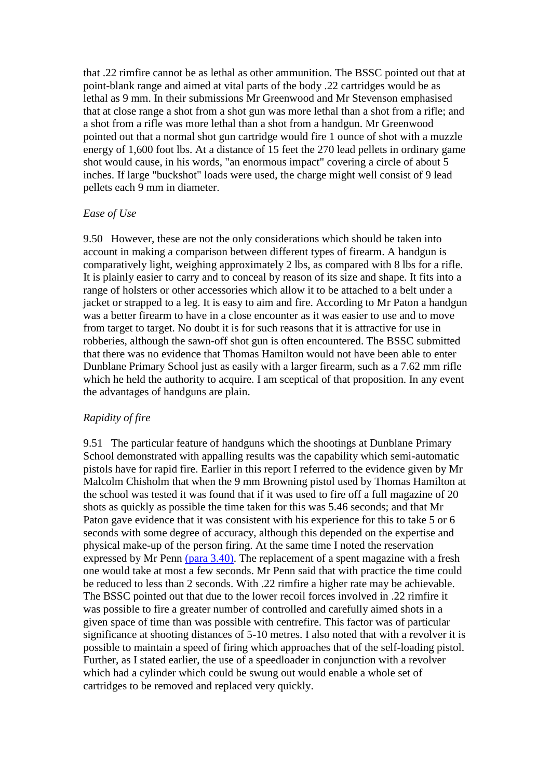that .22 rimfire cannot be as lethal as other ammunition. The BSSC pointed out that at point-blank range and aimed at vital parts of the body .22 cartridges would be as lethal as 9 mm. In their submissions Mr Greenwood and Mr Stevenson emphasised that at close range a shot from a shot gun was more lethal than a shot from a rifle; and a shot from a rifle was more lethal than a shot from a handgun. Mr Greenwood pointed out that a normal shot gun cartridge would fire 1 ounce of shot with a muzzle energy of 1,600 foot lbs. At a distance of 15 feet the 270 lead pellets in ordinary game shot would cause, in his words, "an enormous impact" covering a circle of about 5 inches. If large "buckshot" loads were used, the charge might well consist of 9 lead pellets each 9 mm in diameter.

## *Ease of Use*

9.50 However, these are not the only considerations which should be taken into account in making a comparison between different types of firearm. A handgun is comparatively light, weighing approximately 2 lbs, as compared with 8 lbs for a rifle. It is plainly easier to carry and to conceal by reason of its size and shape. It fits into a range of holsters or other accessories which allow it to be attached to a belt under a jacket or strapped to a leg. It is easy to aim and fire. According to Mr Paton a handgun was a better firearm to have in a close encounter as it was easier to use and to move from target to target. No doubt it is for such reasons that it is attractive for use in robberies, although the sawn-off shot gun is often encountered. The BSSC submitted that there was no evidence that Thomas Hamilton would not have been able to enter Dunblane Primary School just as easily with a larger firearm, such as a 7.62 mm rifle which he held the authority to acquire. I am sceptical of that proposition. In any event the advantages of handguns are plain.

## *Rapidity of fire*

9.51 The particular feature of handguns which the shootings at Dunblane Primary School demonstrated with appalling results was the capability which semi-automatic pistols have for rapid fire. Earlier in this report I referred to the evidence given by Mr Malcolm Chisholm that when the 9 mm Browning pistol used by Thomas Hamilton at the school was tested it was found that if it was used to fire off a full magazine of 20 shots as quickly as possible the time taken for this was 5.46 seconds; and that Mr Paton gave evidence that it was consistent with his experience for this to take 5 or 6 seconds with some degree of accuracy, although this depended on the expertise and physical make-up of the person firing. At the same time I noted the reservation expressed by Mr Penn [\(para 3.40\).](http://www.archive.official-documents.co.uk/document/scottish/dunblane/dun3-40.htm) The replacement of a spent magazine with a fresh one would take at most a few seconds. Mr Penn said that with practice the time could be reduced to less than 2 seconds. With .22 rimfire a higher rate may be achievable. The BSSC pointed out that due to the lower recoil forces involved in .22 rimfire it was possible to fire a greater number of controlled and carefully aimed shots in a given space of time than was possible with centrefire. This factor was of particular significance at shooting distances of 5-10 metres. I also noted that with a revolver it is possible to maintain a speed of firing which approaches that of the self-loading pistol. Further, as I stated earlier, the use of a speedloader in conjunction with a revolver which had a cylinder which could be swung out would enable a whole set of cartridges to be removed and replaced very quickly.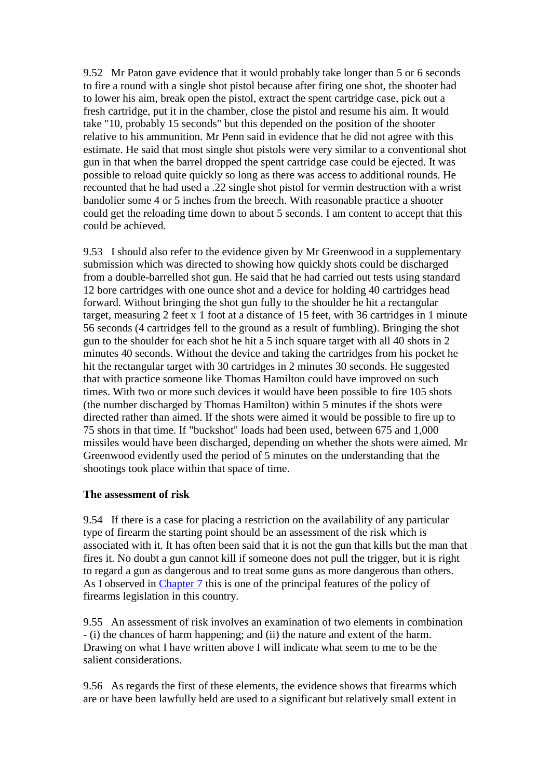9.52 Mr Paton gave evidence that it would probably take longer than 5 or 6 seconds to fire a round with a single shot pistol because after firing one shot, the shooter had to lower his aim, break open the pistol, extract the spent cartridge case, pick out a fresh cartridge, put it in the chamber, close the pistol and resume his aim. It would take "10, probably 15 seconds" but this depended on the position of the shooter relative to his ammunition. Mr Penn said in evidence that he did not agree with this estimate. He said that most single shot pistols were very similar to a conventional shot gun in that when the barrel dropped the spent cartridge case could be ejected. It was possible to reload quite quickly so long as there was access to additional rounds. He recounted that he had used a .22 single shot pistol for vermin destruction with a wrist bandolier some 4 or 5 inches from the breech. With reasonable practice a shooter could get the reloading time down to about 5 seconds. I am content to accept that this could be achieved.

9.53 I should also refer to the evidence given by Mr Greenwood in a supplementary submission which was directed to showing how quickly shots could be discharged from a double-barrelled shot gun. He said that he had carried out tests using standard 12 bore cartridges with one ounce shot and a device for holding 40 cartridges head forward. Without bringing the shot gun fully to the shoulder he hit a rectangular target, measuring 2 feet x 1 foot at a distance of 15 feet, with 36 cartridges in 1 minute 56 seconds (4 cartridges fell to the ground as a result of fumbling). Bringing the shot gun to the shoulder for each shot he hit a 5 inch square target with all 40 shots in 2 minutes 40 seconds. Without the device and taking the cartridges from his pocket he hit the rectangular target with 30 cartridges in 2 minutes 30 seconds. He suggested that with practice someone like Thomas Hamilton could have improved on such times. With two or more such devices it would have been possible to fire 105 shots (the number discharged by Thomas Hamilton) within 5 minutes if the shots were directed rather than aimed. If the shots were aimed it would be possible to fire up to 75 shots in that time. If "buckshot" loads had been used, between 675 and 1,000 missiles would have been discharged, depending on whether the shots were aimed. Mr Greenwood evidently used the period of 5 minutes on the understanding that the shootings took place within that space of time.

## **The assessment of risk**

9.54 If there is a case for placing a restriction on the availability of any particular type of firearm the starting point should be an assessment of the risk which is associated with it. It has often been said that it is not the gun that kills but the man that fires it. No doubt a gun cannot kill if someone does not pull the trigger, but it is right to regard a gun as dangerous and to treat some guns as more dangerous than others. As I observed in [Chapter 7](http://www.archive.official-documents.co.uk/document/scottish/dunblane/dun07.htm) this is one of the principal features of the policy of firearms legislation in this country.

9.55 An assessment of risk involves an examination of two elements in combination - (i) the chances of harm happening; and (ii) the nature and extent of the harm. Drawing on what I have written above I will indicate what seem to me to be the salient considerations.

9.56 As regards the first of these elements, the evidence shows that firearms which are or have been lawfully held are used to a significant but relatively small extent in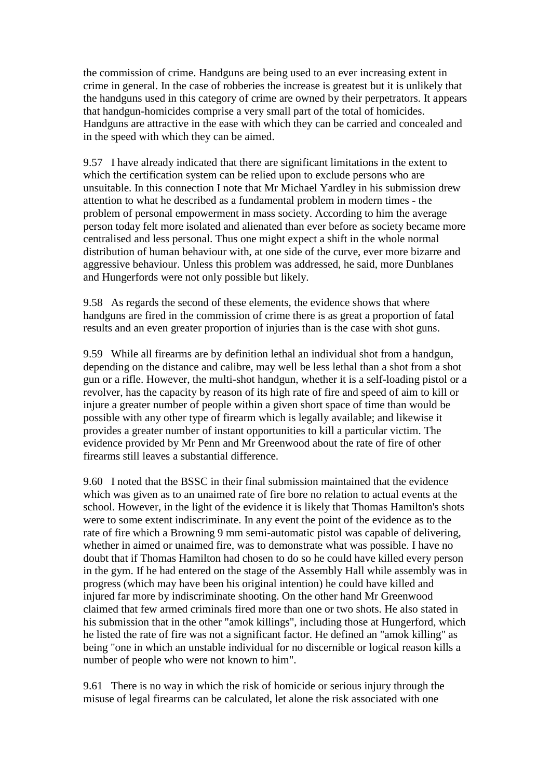the commission of crime. Handguns are being used to an ever increasing extent in crime in general. In the case of robberies the increase is greatest but it is unlikely that the handguns used in this category of crime are owned by their perpetrators. It appears that handgun-homicides comprise a very small part of the total of homicides. Handguns are attractive in the ease with which they can be carried and concealed and in the speed with which they can be aimed.

9.57 I have already indicated that there are significant limitations in the extent to which the certification system can be relied upon to exclude persons who are unsuitable. In this connection I note that Mr Michael Yardley in his submission drew attention to what he described as a fundamental problem in modern times - the problem of personal empowerment in mass society. According to him the average person today felt more isolated and alienated than ever before as society became more centralised and less personal. Thus one might expect a shift in the whole normal distribution of human behaviour with, at one side of the curve, ever more bizarre and aggressive behaviour. Unless this problem was addressed, he said, more Dunblanes and Hungerfords were not only possible but likely.

9.58 As regards the second of these elements, the evidence shows that where handguns are fired in the commission of crime there is as great a proportion of fatal results and an even greater proportion of injuries than is the case with shot guns.

9.59 While all firearms are by definition lethal an individual shot from a handgun, depending on the distance and calibre, may well be less lethal than a shot from a shot gun or a rifle. However, the multi-shot handgun, whether it is a self-loading pistol or a revolver, has the capacity by reason of its high rate of fire and speed of aim to kill or injure a greater number of people within a given short space of time than would be possible with any other type of firearm which is legally available; and likewise it provides a greater number of instant opportunities to kill a particular victim. The evidence provided by Mr Penn and Mr Greenwood about the rate of fire of other firearms still leaves a substantial difference.

9.60 I noted that the BSSC in their final submission maintained that the evidence which was given as to an unaimed rate of fire bore no relation to actual events at the school. However, in the light of the evidence it is likely that Thomas Hamilton's shots were to some extent indiscriminate. In any event the point of the evidence as to the rate of fire which a Browning 9 mm semi-automatic pistol was capable of delivering, whether in aimed or unaimed fire, was to demonstrate what was possible. I have no doubt that if Thomas Hamilton had chosen to do so he could have killed every person in the gym. If he had entered on the stage of the Assembly Hall while assembly was in progress (which may have been his original intention) he could have killed and injured far more by indiscriminate shooting. On the other hand Mr Greenwood claimed that few armed criminals fired more than one or two shots. He also stated in his submission that in the other "amok killings", including those at Hungerford, which he listed the rate of fire was not a significant factor. He defined an "amok killing" as being "one in which an unstable individual for no discernible or logical reason kills a number of people who were not known to him".

9.61 There is no way in which the risk of homicide or serious injury through the misuse of legal firearms can be calculated, let alone the risk associated with one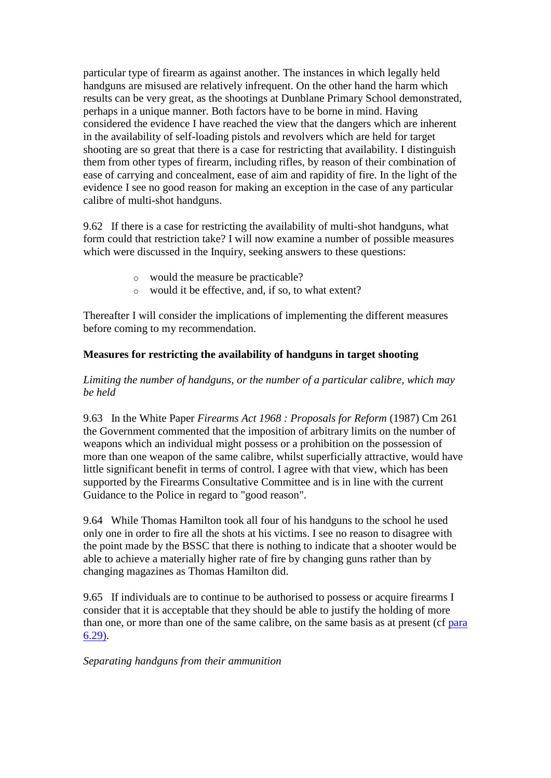particular type of firearm as against another. The instances in which legally held handguns are misused are relatively infrequent. On the other hand the harm which results can be very great, as the shootings at Dunblane Primary School demonstrated, perhaps in a unique manner. Both factors have to be borne in mind. Having considered the evidence I have reached the view that the dangers which are inherent in the availability of self-loading pistols and revolvers which are held for target shooting are so great that there is a case for restricting that availability. I distinguish them from other types of firearm, including rifles, by reason of their combination of ease of carrying and concealment, ease of aim and rapidity of fire. In the light of the evidence I see no good reason for making an exception in the case of any particular calibre of multi-shot handguns.

9.62 If there is a case for restricting the availability of multi-shot handguns, what form could that restriction take? I will now examine a number of possible measures which were discussed in the Inquiry, seeking answers to these questions:

- o would the measure be practicable?
- o would it be effective, and, if so, to what extent?

Thereafter I will consider the implications of implementing the different measures before coming to my recommendation.

# **Measures for restricting the availability of handguns in target shooting**

# *Limiting the number of handguns, or the number of a particular calibre, which may be held*

9.63 In the White Paper *Firearms Act 1968 : Proposals for Reform* (1987) Cm 261 the Government commented that the imposition of arbitrary limits on the number of weapons which an individual might possess or a prohibition on the possession of more than one weapon of the same calibre, whilst superficially attractive, would have little significant benefit in terms of control. I agree with that view, which has been supported by the Firearms Consultative Committee and is in line with the current Guidance to the Police in regard to "good reason".

9.64 While Thomas Hamilton took all four of his handguns to the school he used only one in order to fire all the shots at his victims. I see no reason to disagree with the point made by the BSSC that there is nothing to indicate that a shooter would be able to achieve a materially higher rate of fire by changing guns rather than by changing magazines as Thomas Hamilton did.

9.65 If individuals are to continue to be authorised to possess or acquire firearms I consider that it is acceptable that they should be able to justify the holding of more than one, or more than one of the same calibre, on the same basis as at present (cf [para](http://www.archive.official-documents.co.uk/document/scottish/dunblane/dun6-29.htm)  [6.29\).](http://www.archive.official-documents.co.uk/document/scottish/dunblane/dun6-29.htm)

*Separating handguns from their ammunition*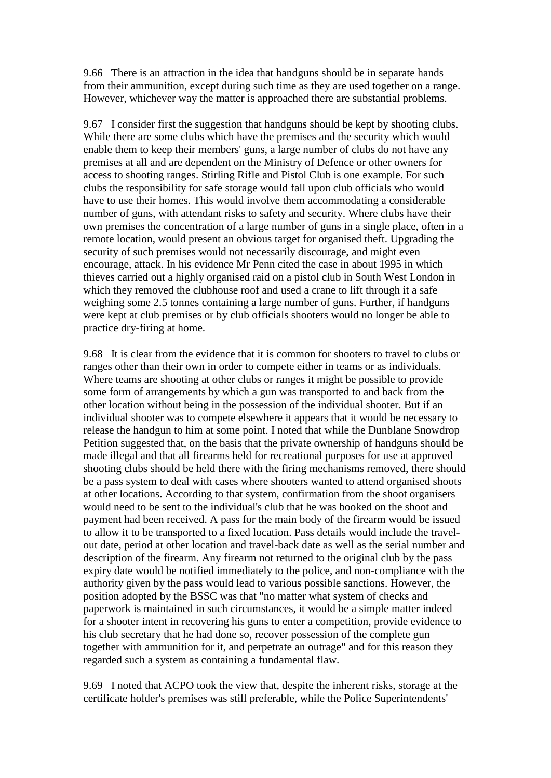9.66 There is an attraction in the idea that handguns should be in separate hands from their ammunition, except during such time as they are used together on a range. However, whichever way the matter is approached there are substantial problems.

9.67 I consider first the suggestion that handguns should be kept by shooting clubs. While there are some clubs which have the premises and the security which would enable them to keep their members' guns, a large number of clubs do not have any premises at all and are dependent on the Ministry of Defence or other owners for access to shooting ranges. Stirling Rifle and Pistol Club is one example. For such clubs the responsibility for safe storage would fall upon club officials who would have to use their homes. This would involve them accommodating a considerable number of guns, with attendant risks to safety and security. Where clubs have their own premises the concentration of a large number of guns in a single place, often in a remote location, would present an obvious target for organised theft. Upgrading the security of such premises would not necessarily discourage, and might even encourage, attack. In his evidence Mr Penn cited the case in about 1995 in which thieves carried out a highly organised raid on a pistol club in South West London in which they removed the clubhouse roof and used a crane to lift through it a safe weighing some 2.5 tonnes containing a large number of guns. Further, if handguns were kept at club premises or by club officials shooters would no longer be able to practice dry-firing at home.

9.68 It is clear from the evidence that it is common for shooters to travel to clubs or ranges other than their own in order to compete either in teams or as individuals. Where teams are shooting at other clubs or ranges it might be possible to provide some form of arrangements by which a gun was transported to and back from the other location without being in the possession of the individual shooter. But if an individual shooter was to compete elsewhere it appears that it would be necessary to release the handgun to him at some point. I noted that while the Dunblane Snowdrop Petition suggested that, on the basis that the private ownership of handguns should be made illegal and that all firearms held for recreational purposes for use at approved shooting clubs should be held there with the firing mechanisms removed, there should be a pass system to deal with cases where shooters wanted to attend organised shoots at other locations. According to that system, confirmation from the shoot organisers would need to be sent to the individual's club that he was booked on the shoot and payment had been received. A pass for the main body of the firearm would be issued to allow it to be transported to a fixed location. Pass details would include the travelout date, period at other location and travel-back date as well as the serial number and description of the firearm. Any firearm not returned to the original club by the pass expiry date would be notified immediately to the police, and non-compliance with the authority given by the pass would lead to various possible sanctions. However, the position adopted by the BSSC was that "no matter what system of checks and paperwork is maintained in such circumstances, it would be a simple matter indeed for a shooter intent in recovering his guns to enter a competition, provide evidence to his club secretary that he had done so, recover possession of the complete gun together with ammunition for it, and perpetrate an outrage" and for this reason they regarded such a system as containing a fundamental flaw.

9.69 I noted that ACPO took the view that, despite the inherent risks, storage at the certificate holder's premises was still preferable, while the Police Superintendents'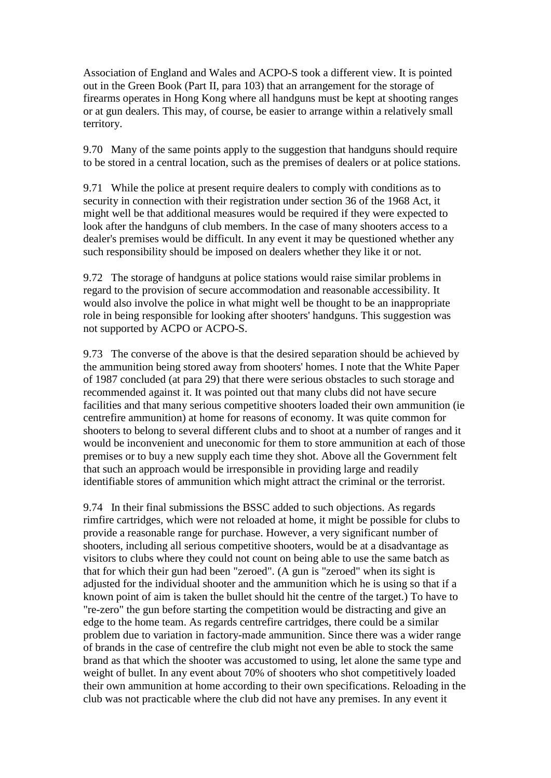Association of England and Wales and ACPO-S took a different view. It is pointed out in the Green Book (Part II, para 103) that an arrangement for the storage of firearms operates in Hong Kong where all handguns must be kept at shooting ranges or at gun dealers. This may, of course, be easier to arrange within a relatively small territory.

9.70 Many of the same points apply to the suggestion that handguns should require to be stored in a central location, such as the premises of dealers or at police stations.

9.71 While the police at present require dealers to comply with conditions as to security in connection with their registration under section 36 of the 1968 Act, it might well be that additional measures would be required if they were expected to look after the handguns of club members. In the case of many shooters access to a dealer's premises would be difficult. In any event it may be questioned whether any such responsibility should be imposed on dealers whether they like it or not.

9.72 The storage of handguns at police stations would raise similar problems in regard to the provision of secure accommodation and reasonable accessibility. It would also involve the police in what might well be thought to be an inappropriate role in being responsible for looking after shooters' handguns. This suggestion was not supported by ACPO or ACPO-S.

9.73 The converse of the above is that the desired separation should be achieved by the ammunition being stored away from shooters' homes. I note that the White Paper of 1987 concluded (at para 29) that there were serious obstacles to such storage and recommended against it. It was pointed out that many clubs did not have secure facilities and that many serious competitive shooters loaded their own ammunition (ie centrefire ammunition) at home for reasons of economy. It was quite common for shooters to belong to several different clubs and to shoot at a number of ranges and it would be inconvenient and uneconomic for them to store ammunition at each of those premises or to buy a new supply each time they shot. Above all the Government felt that such an approach would be irresponsible in providing large and readily identifiable stores of ammunition which might attract the criminal or the terrorist.

9.74 In their final submissions the BSSC added to such objections. As regards rimfire cartridges, which were not reloaded at home, it might be possible for clubs to provide a reasonable range for purchase. However, a very significant number of shooters, including all serious competitive shooters, would be at a disadvantage as visitors to clubs where they could not count on being able to use the same batch as that for which their gun had been "zeroed". (A gun is "zeroed" when its sight is adjusted for the individual shooter and the ammunition which he is using so that if a known point of aim is taken the bullet should hit the centre of the target.) To have to "re-zero" the gun before starting the competition would be distracting and give an edge to the home team. As regards centrefire cartridges, there could be a similar problem due to variation in factory-made ammunition. Since there was a wider range of brands in the case of centrefire the club might not even be able to stock the same brand as that which the shooter was accustomed to using, let alone the same type and weight of bullet. In any event about 70% of shooters who shot competitively loaded their own ammunition at home according to their own specifications. Reloading in the club was not practicable where the club did not have any premises. In any event it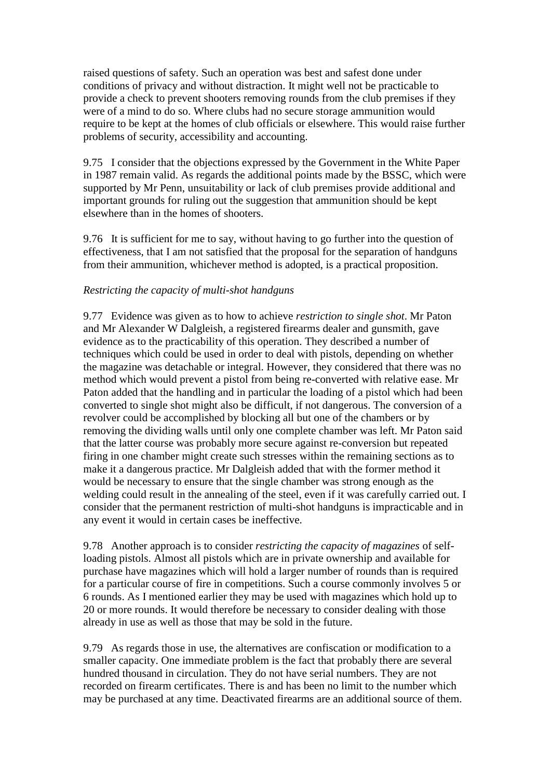raised questions of safety. Such an operation was best and safest done under conditions of privacy and without distraction. It might well not be practicable to provide a check to prevent shooters removing rounds from the club premises if they were of a mind to do so. Where clubs had no secure storage ammunition would require to be kept at the homes of club officials or elsewhere. This would raise further problems of security, accessibility and accounting.

9.75 I consider that the objections expressed by the Government in the White Paper in 1987 remain valid. As regards the additional points made by the BSSC, which were supported by Mr Penn, unsuitability or lack of club premises provide additional and important grounds for ruling out the suggestion that ammunition should be kept elsewhere than in the homes of shooters.

9.76 It is sufficient for me to say, without having to go further into the question of effectiveness, that I am not satisfied that the proposal for the separation of handguns from their ammunition, whichever method is adopted, is a practical proposition.

## *Restricting the capacity of multi-shot handguns*

9.77 Evidence was given as to how to achieve *restriction to single shot*. Mr Paton and Mr Alexander W Dalgleish, a registered firearms dealer and gunsmith, gave evidence as to the practicability of this operation. They described a number of techniques which could be used in order to deal with pistols, depending on whether the magazine was detachable or integral. However, they considered that there was no method which would prevent a pistol from being re-converted with relative ease. Mr Paton added that the handling and in particular the loading of a pistol which had been converted to single shot might also be difficult, if not dangerous. The conversion of a revolver could be accomplished by blocking all but one of the chambers or by removing the dividing walls until only one complete chamber was left. Mr Paton said that the latter course was probably more secure against re-conversion but repeated firing in one chamber might create such stresses within the remaining sections as to make it a dangerous practice. Mr Dalgleish added that with the former method it would be necessary to ensure that the single chamber was strong enough as the welding could result in the annealing of the steel, even if it was carefully carried out. I consider that the permanent restriction of multi-shot handguns is impracticable and in any event it would in certain cases be ineffective.

9.78 Another approach is to consider *restricting the capacity of magazines* of selfloading pistols. Almost all pistols which are in private ownership and available for purchase have magazines which will hold a larger number of rounds than is required for a particular course of fire in competitions. Such a course commonly involves 5 or 6 rounds. As I mentioned earlier they may be used with magazines which hold up to 20 or more rounds. It would therefore be necessary to consider dealing with those already in use as well as those that may be sold in the future.

9.79 As regards those in use, the alternatives are confiscation or modification to a smaller capacity. One immediate problem is the fact that probably there are several hundred thousand in circulation. They do not have serial numbers. They are not recorded on firearm certificates. There is and has been no limit to the number which may be purchased at any time. Deactivated firearms are an additional source of them.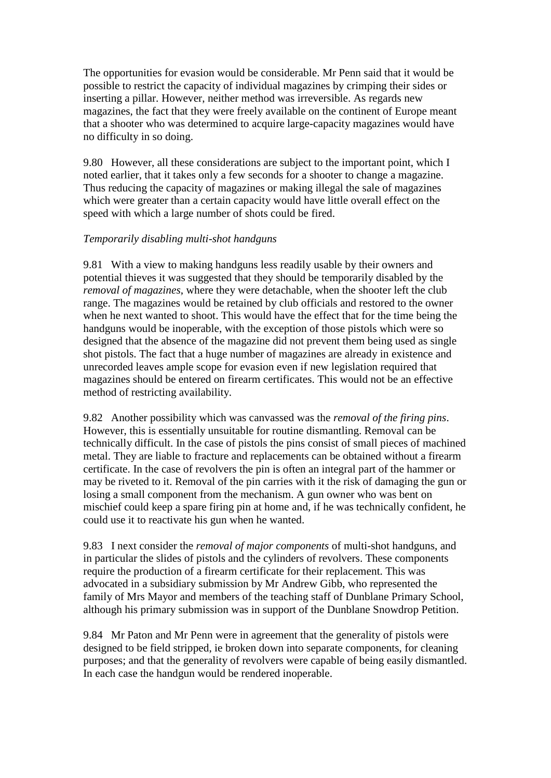The opportunities for evasion would be considerable. Mr Penn said that it would be possible to restrict the capacity of individual magazines by crimping their sides or inserting a pillar. However, neither method was irreversible. As regards new magazines, the fact that they were freely available on the continent of Europe meant that a shooter who was determined to acquire large-capacity magazines would have no difficulty in so doing.

9.80 However, all these considerations are subject to the important point, which I noted earlier, that it takes only a few seconds for a shooter to change a magazine. Thus reducing the capacity of magazines or making illegal the sale of magazines which were greater than a certain capacity would have little overall effect on the speed with which a large number of shots could be fired.

# *Temporarily disabling multi-shot handguns*

9.81 With a view to making handguns less readily usable by their owners and potential thieves it was suggested that they should be temporarily disabled by the *removal of magazines*, where they were detachable, when the shooter left the club range. The magazines would be retained by club officials and restored to the owner when he next wanted to shoot. This would have the effect that for the time being the handguns would be inoperable, with the exception of those pistols which were so designed that the absence of the magazine did not prevent them being used as single shot pistols. The fact that a huge number of magazines are already in existence and unrecorded leaves ample scope for evasion even if new legislation required that magazines should be entered on firearm certificates. This would not be an effective method of restricting availability.

9.82 Another possibility which was canvassed was the *removal of the firing pins*. However, this is essentially unsuitable for routine dismantling. Removal can be technically difficult. In the case of pistols the pins consist of small pieces of machined metal. They are liable to fracture and replacements can be obtained without a firearm certificate. In the case of revolvers the pin is often an integral part of the hammer or may be riveted to it. Removal of the pin carries with it the risk of damaging the gun or losing a small component from the mechanism. A gun owner who was bent on mischief could keep a spare firing pin at home and, if he was technically confident, he could use it to reactivate his gun when he wanted.

9.83 I next consider the *removal of major components* of multi-shot handguns, and in particular the slides of pistols and the cylinders of revolvers. These components require the production of a firearm certificate for their replacement. This was advocated in a subsidiary submission by Mr Andrew Gibb, who represented the family of Mrs Mayor and members of the teaching staff of Dunblane Primary School, although his primary submission was in support of the Dunblane Snowdrop Petition.

9.84 Mr Paton and Mr Penn were in agreement that the generality of pistols were designed to be field stripped, ie broken down into separate components, for cleaning purposes; and that the generality of revolvers were capable of being easily dismantled. In each case the handgun would be rendered inoperable.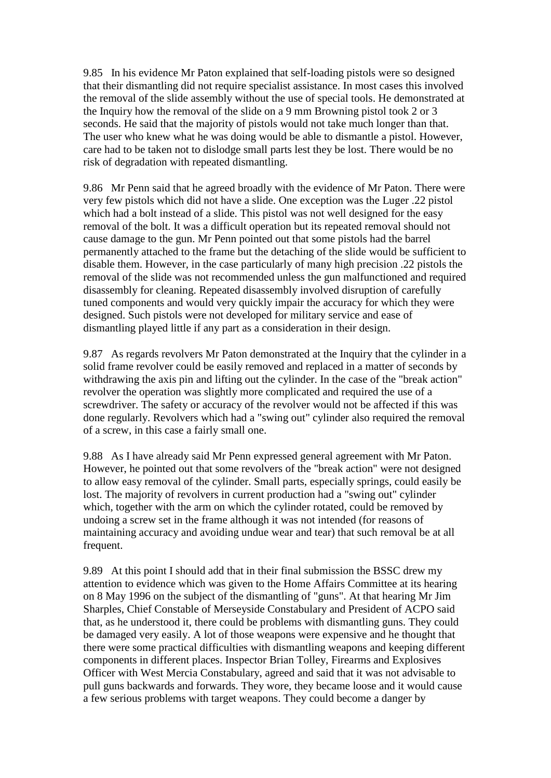9.85 In his evidence Mr Paton explained that self-loading pistols were so designed that their dismantling did not require specialist assistance. In most cases this involved the removal of the slide assembly without the use of special tools. He demonstrated at the Inquiry how the removal of the slide on a 9 mm Browning pistol took 2 or 3 seconds. He said that the majority of pistols would not take much longer than that. The user who knew what he was doing would be able to dismantle a pistol. However, care had to be taken not to dislodge small parts lest they be lost. There would be no risk of degradation with repeated dismantling.

9.86 Mr Penn said that he agreed broadly with the evidence of Mr Paton. There were very few pistols which did not have a slide. One exception was the Luger .22 pistol which had a bolt instead of a slide. This pistol was not well designed for the easy removal of the bolt. It was a difficult operation but its repeated removal should not cause damage to the gun. Mr Penn pointed out that some pistols had the barrel permanently attached to the frame but the detaching of the slide would be sufficient to disable them. However, in the case particularly of many high precision .22 pistols the removal of the slide was not recommended unless the gun malfunctioned and required disassembly for cleaning. Repeated disassembly involved disruption of carefully tuned components and would very quickly impair the accuracy for which they were designed. Such pistols were not developed for military service and ease of dismantling played little if any part as a consideration in their design.

9.87 As regards revolvers Mr Paton demonstrated at the Inquiry that the cylinder in a solid frame revolver could be easily removed and replaced in a matter of seconds by withdrawing the axis pin and lifting out the cylinder. In the case of the "break action" revolver the operation was slightly more complicated and required the use of a screwdriver. The safety or accuracy of the revolver would not be affected if this was done regularly. Revolvers which had a "swing out" cylinder also required the removal of a screw, in this case a fairly small one.

9.88 As I have already said Mr Penn expressed general agreement with Mr Paton. However, he pointed out that some revolvers of the "break action" were not designed to allow easy removal of the cylinder. Small parts, especially springs, could easily be lost. The majority of revolvers in current production had a "swing out" cylinder which, together with the arm on which the cylinder rotated, could be removed by undoing a screw set in the frame although it was not intended (for reasons of maintaining accuracy and avoiding undue wear and tear) that such removal be at all frequent.

9.89 At this point I should add that in their final submission the BSSC drew my attention to evidence which was given to the Home Affairs Committee at its hearing on 8 May 1996 on the subject of the dismantling of "guns". At that hearing Mr Jim Sharples, Chief Constable of Merseyside Constabulary and President of ACPO said that, as he understood it, there could be problems with dismantling guns. They could be damaged very easily. A lot of those weapons were expensive and he thought that there were some practical difficulties with dismantling weapons and keeping different components in different places. Inspector Brian Tolley, Firearms and Explosives Officer with West Mercia Constabulary, agreed and said that it was not advisable to pull guns backwards and forwards. They wore, they became loose and it would cause a few serious problems with target weapons. They could become a danger by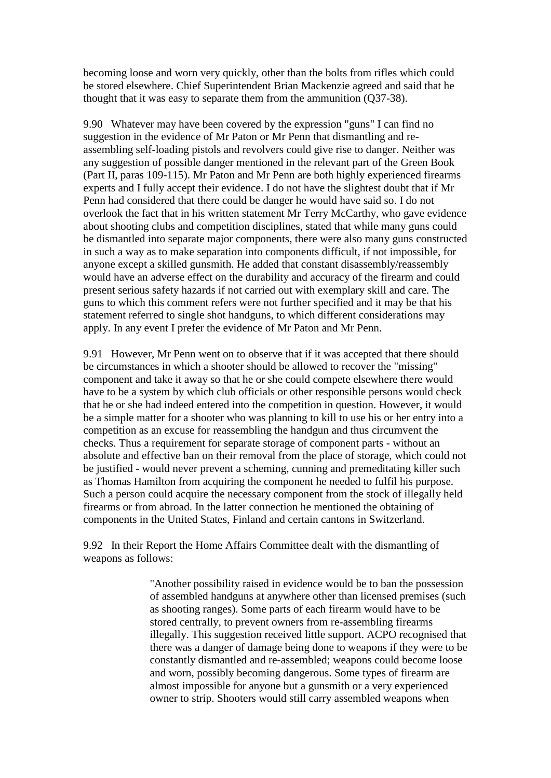becoming loose and worn very quickly, other than the bolts from rifles which could be stored elsewhere. Chief Superintendent Brian Mackenzie agreed and said that he thought that it was easy to separate them from the ammunition (Q37-38).

9.90 Whatever may have been covered by the expression "guns" I can find no suggestion in the evidence of Mr Paton or Mr Penn that dismantling and reassembling self-loading pistols and revolvers could give rise to danger. Neither was any suggestion of possible danger mentioned in the relevant part of the Green Book (Part II, paras 109-115). Mr Paton and Mr Penn are both highly experienced firearms experts and I fully accept their evidence. I do not have the slightest doubt that if Mr Penn had considered that there could be danger he would have said so. I do not overlook the fact that in his written statement Mr Terry McCarthy, who gave evidence about shooting clubs and competition disciplines, stated that while many guns could be dismantled into separate major components, there were also many guns constructed in such a way as to make separation into components difficult, if not impossible, for anyone except a skilled gunsmith. He added that constant disassembly/reassembly would have an adverse effect on the durability and accuracy of the firearm and could present serious safety hazards if not carried out with exemplary skill and care. The guns to which this comment refers were not further specified and it may be that his statement referred to single shot handguns, to which different considerations may apply. In any event I prefer the evidence of Mr Paton and Mr Penn.

9.91 However, Mr Penn went on to observe that if it was accepted that there should be circumstances in which a shooter should be allowed to recover the "missing" component and take it away so that he or she could compete elsewhere there would have to be a system by which club officials or other responsible persons would check that he or she had indeed entered into the competition in question. However, it would be a simple matter for a shooter who was planning to kill to use his or her entry into a competition as an excuse for reassembling the handgun and thus circumvent the checks. Thus a requirement for separate storage of component parts - without an absolute and effective ban on their removal from the place of storage, which could not be justified - would never prevent a scheming, cunning and premeditating killer such as Thomas Hamilton from acquiring the component he needed to fulfil his purpose. Such a person could acquire the necessary component from the stock of illegally held firearms or from abroad. In the latter connection he mentioned the obtaining of components in the United States, Finland and certain cantons in Switzerland.

9.92 In their Report the Home Affairs Committee dealt with the dismantling of weapons as follows:

> "Another possibility raised in evidence would be to ban the possession of assembled handguns at anywhere other than licensed premises (such as shooting ranges). Some parts of each firearm would have to be stored centrally, to prevent owners from re-assembling firearms illegally. This suggestion received little support. ACPO recognised that there was a danger of damage being done to weapons if they were to be constantly dismantled and re-assembled; weapons could become loose and worn, possibly becoming dangerous. Some types of firearm are almost impossible for anyone but a gunsmith or a very experienced owner to strip. Shooters would still carry assembled weapons when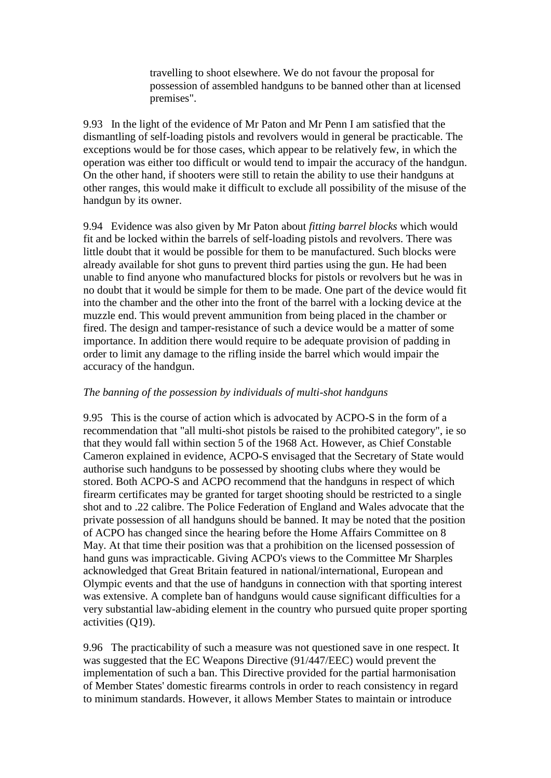travelling to shoot elsewhere. We do not favour the proposal for possession of assembled handguns to be banned other than at licensed premises".

9.93 In the light of the evidence of Mr Paton and Mr Penn I am satisfied that the dismantling of self-loading pistols and revolvers would in general be practicable. The exceptions would be for those cases, which appear to be relatively few, in which the operation was either too difficult or would tend to impair the accuracy of the handgun. On the other hand, if shooters were still to retain the ability to use their handguns at other ranges, this would make it difficult to exclude all possibility of the misuse of the handgun by its owner.

9.94 Evidence was also given by Mr Paton about *fitting barrel blocks* which would fit and be locked within the barrels of self-loading pistols and revolvers. There was little doubt that it would be possible for them to be manufactured. Such blocks were already available for shot guns to prevent third parties using the gun. He had been unable to find anyone who manufactured blocks for pistols or revolvers but he was in no doubt that it would be simple for them to be made. One part of the device would fit into the chamber and the other into the front of the barrel with a locking device at the muzzle end. This would prevent ammunition from being placed in the chamber or fired. The design and tamper-resistance of such a device would be a matter of some importance. In addition there would require to be adequate provision of padding in order to limit any damage to the rifling inside the barrel which would impair the accuracy of the handgun.

## *The banning of the possession by individuals of multi-shot handguns*

9.95 This is the course of action which is advocated by ACPO-S in the form of a recommendation that "all multi-shot pistols be raised to the prohibited category", ie so that they would fall within section 5 of the 1968 Act. However, as Chief Constable Cameron explained in evidence, ACPO-S envisaged that the Secretary of State would authorise such handguns to be possessed by shooting clubs where they would be stored. Both ACPO-S and ACPO recommend that the handguns in respect of which firearm certificates may be granted for target shooting should be restricted to a single shot and to .22 calibre. The Police Federation of England and Wales advocate that the private possession of all handguns should be banned. It may be noted that the position of ACPO has changed since the hearing before the Home Affairs Committee on 8 May. At that time their position was that a prohibition on the licensed possession of hand guns was impracticable. Giving ACPO's views to the Committee Mr Sharples acknowledged that Great Britain featured in national/international, European and Olympic events and that the use of handguns in connection with that sporting interest was extensive. A complete ban of handguns would cause significant difficulties for a very substantial law-abiding element in the country who pursued quite proper sporting activities (Q19).

9.96 The practicability of such a measure was not questioned save in one respect. It was suggested that the EC Weapons Directive (91/447/EEC) would prevent the implementation of such a ban. This Directive provided for the partial harmonisation of Member States' domestic firearms controls in order to reach consistency in regard to minimum standards. However, it allows Member States to maintain or introduce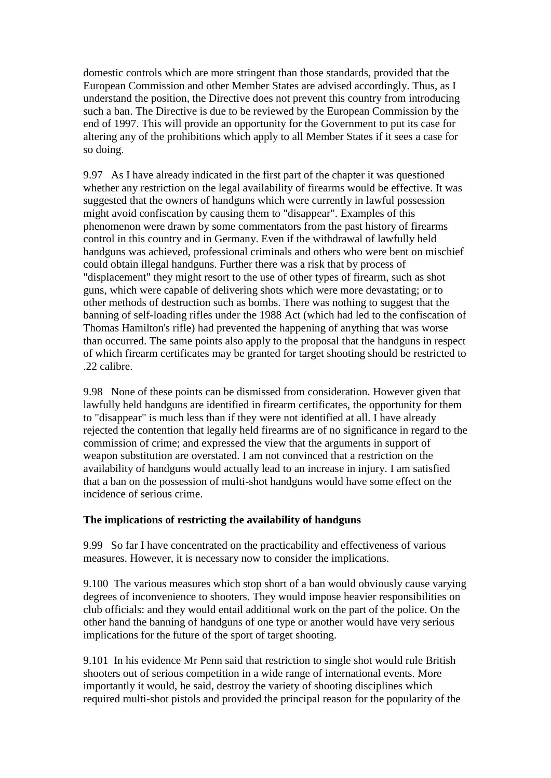domestic controls which are more stringent than those standards, provided that the European Commission and other Member States are advised accordingly. Thus, as I understand the position, the Directive does not prevent this country from introducing such a ban. The Directive is due to be reviewed by the European Commission by the end of 1997. This will provide an opportunity for the Government to put its case for altering any of the prohibitions which apply to all Member States if it sees a case for so doing.

9.97 As I have already indicated in the first part of the chapter it was questioned whether any restriction on the legal availability of firearms would be effective. It was suggested that the owners of handguns which were currently in lawful possession might avoid confiscation by causing them to "disappear". Examples of this phenomenon were drawn by some commentators from the past history of firearms control in this country and in Germany. Even if the withdrawal of lawfully held handguns was achieved, professional criminals and others who were bent on mischief could obtain illegal handguns. Further there was a risk that by process of "displacement" they might resort to the use of other types of firearm, such as shot guns, which were capable of delivering shots which were more devastating; or to other methods of destruction such as bombs. There was nothing to suggest that the banning of self-loading rifles under the 1988 Act (which had led to the confiscation of Thomas Hamilton's rifle) had prevented the happening of anything that was worse than occurred. The same points also apply to the proposal that the handguns in respect of which firearm certificates may be granted for target shooting should be restricted to .22 calibre.

9.98 None of these points can be dismissed from consideration. However given that lawfully held handguns are identified in firearm certificates, the opportunity for them to "disappear" is much less than if they were not identified at all. I have already rejected the contention that legally held firearms are of no significance in regard to the commission of crime; and expressed the view that the arguments in support of weapon substitution are overstated. I am not convinced that a restriction on the availability of handguns would actually lead to an increase in injury. I am satisfied that a ban on the possession of multi-shot handguns would have some effect on the incidence of serious crime.

## **The implications of restricting the availability of handguns**

9.99 So far I have concentrated on the practicability and effectiveness of various measures. However, it is necessary now to consider the implications.

9.100 The various measures which stop short of a ban would obviously cause varying degrees of inconvenience to shooters. They would impose heavier responsibilities on club officials: and they would entail additional work on the part of the police. On the other hand the banning of handguns of one type or another would have very serious implications for the future of the sport of target shooting.

9.101 In his evidence Mr Penn said that restriction to single shot would rule British shooters out of serious competition in a wide range of international events. More importantly it would, he said, destroy the variety of shooting disciplines which required multi-shot pistols and provided the principal reason for the popularity of the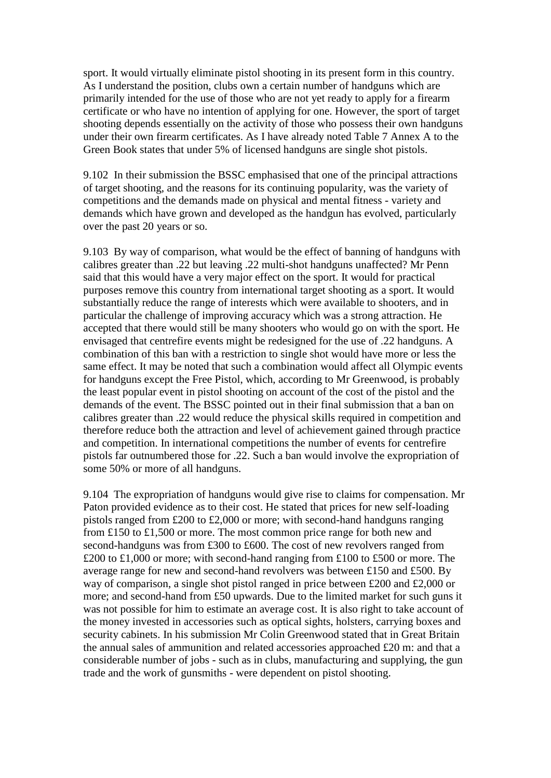sport. It would virtually eliminate pistol shooting in its present form in this country. As I understand the position, clubs own a certain number of handguns which are primarily intended for the use of those who are not yet ready to apply for a firearm certificate or who have no intention of applying for one. However, the sport of target shooting depends essentially on the activity of those who possess their own handguns under their own firearm certificates. As I have already noted Table 7 Annex A to the Green Book states that under 5% of licensed handguns are single shot pistols.

9.102 In their submission the BSSC emphasised that one of the principal attractions of target shooting, and the reasons for its continuing popularity, was the variety of competitions and the demands made on physical and mental fitness - variety and demands which have grown and developed as the handgun has evolved, particularly over the past 20 years or so.

9.103 By way of comparison, what would be the effect of banning of handguns with calibres greater than .22 but leaving .22 multi-shot handguns unaffected? Mr Penn said that this would have a very major effect on the sport. It would for practical purposes remove this country from international target shooting as a sport. It would substantially reduce the range of interests which were available to shooters, and in particular the challenge of improving accuracy which was a strong attraction. He accepted that there would still be many shooters who would go on with the sport. He envisaged that centrefire events might be redesigned for the use of .22 handguns. A combination of this ban with a restriction to single shot would have more or less the same effect. It may be noted that such a combination would affect all Olympic events for handguns except the Free Pistol, which, according to Mr Greenwood, is probably the least popular event in pistol shooting on account of the cost of the pistol and the demands of the event. The BSSC pointed out in their final submission that a ban on calibres greater than .22 would reduce the physical skills required in competition and therefore reduce both the attraction and level of achievement gained through practice and competition. In international competitions the number of events for centrefire pistols far outnumbered those for .22. Such a ban would involve the expropriation of some 50% or more of all handguns.

9.104 The expropriation of handguns would give rise to claims for compensation. Mr Paton provided evidence as to their cost. He stated that prices for new self-loading pistols ranged from £200 to £2,000 or more; with second-hand handguns ranging from £150 to £1,500 or more. The most common price range for both new and second-handguns was from £300 to £600. The cost of new revolvers ranged from £200 to £1,000 or more; with second-hand ranging from £100 to £500 or more. The average range for new and second-hand revolvers was between £150 and £500. By way of comparison, a single shot pistol ranged in price between £200 and £2,000 or more; and second-hand from £50 upwards. Due to the limited market for such guns it was not possible for him to estimate an average cost. It is also right to take account of the money invested in accessories such as optical sights, holsters, carrying boxes and security cabinets. In his submission Mr Colin Greenwood stated that in Great Britain the annual sales of ammunition and related accessories approached £20 m: and that a considerable number of jobs - such as in clubs, manufacturing and supplying, the gun trade and the work of gunsmiths - were dependent on pistol shooting.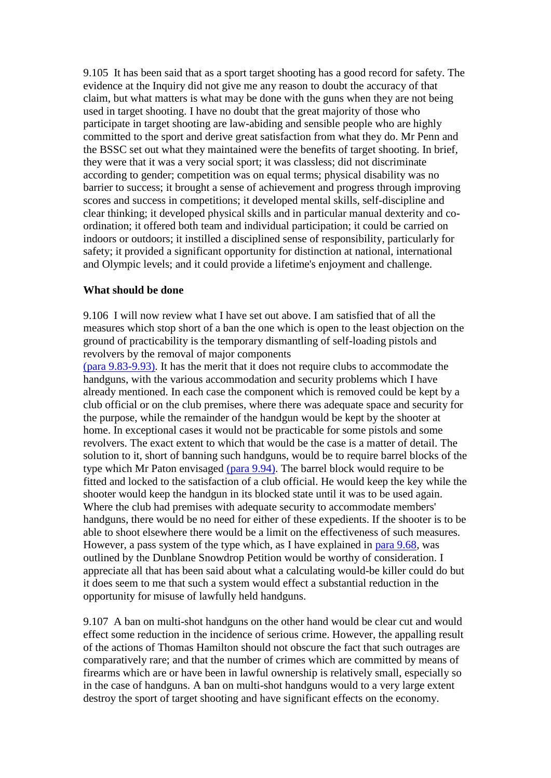9.105 It has been said that as a sport target shooting has a good record for safety. The evidence at the Inquiry did not give me any reason to doubt the accuracy of that claim, but what matters is what may be done with the guns when they are not being used in target shooting. I have no doubt that the great majority of those who participate in target shooting are law-abiding and sensible people who are highly committed to the sport and derive great satisfaction from what they do. Mr Penn and the BSSC set out what they maintained were the benefits of target shooting. In brief, they were that it was a very social sport; it was classless; did not discriminate according to gender; competition was on equal terms; physical disability was no barrier to success; it brought a sense of achievement and progress through improving scores and success in competitions; it developed mental skills, self-discipline and clear thinking; it developed physical skills and in particular manual dexterity and coordination; it offered both team and individual participation; it could be carried on indoors or outdoors; it instilled a disciplined sense of responsibility, particularly for safety; it provided a significant opportunity for distinction at national, international and Olympic levels; and it could provide a lifetime's enjoyment and challenge.

#### **What should be done**

9.106 I will now review what I have set out above. I am satisfied that of all the measures which stop short of a ban the one which is open to the least objection on the ground of practicability is the temporary dismantling of self-loading pistols and revolvers by the removal of major components

[\(para 9.83-9.93\).](http://www.archive.official-documents.co.uk/document/scottish/dunblane/dun9-83.htm) It has the merit that it does not require clubs to accommodate the handguns, with the various accommodation and security problems which I have already mentioned. In each case the component which is removed could be kept by a club official or on the club premises, where there was adequate space and security for the purpose, while the remainder of the handgun would be kept by the shooter at home. In exceptional cases it would not be practicable for some pistols and some revolvers. The exact extent to which that would be the case is a matter of detail. The solution to it, short of banning such handguns, would be to require barrel blocks of the type which Mr Paton envisaged [\(para 9.94\).](http://www.archive.official-documents.co.uk/document/scottish/dunblane/dun9-94.htm) The barrel block would require to be fitted and locked to the satisfaction of a club official. He would keep the key while the shooter would keep the handgun in its blocked state until it was to be used again. Where the club had premises with adequate security to accommodate members' handguns, there would be no need for either of these expedients. If the shooter is to be able to shoot elsewhere there would be a limit on the effectiveness of such measures. However, a pass system of the type which, as I have explained in [para 9.68,](http://www.archive.official-documents.co.uk/document/scottish/dunblane/dun9-68.htm) was outlined by the Dunblane Snowdrop Petition would be worthy of consideration. I appreciate all that has been said about what a calculating would-be killer could do but it does seem to me that such a system would effect a substantial reduction in the opportunity for misuse of lawfully held handguns.

9.107 A ban on multi-shot handguns on the other hand would be clear cut and would effect some reduction in the incidence of serious crime. However, the appalling result of the actions of Thomas Hamilton should not obscure the fact that such outrages are comparatively rare; and that the number of crimes which are committed by means of firearms which are or have been in lawful ownership is relatively small, especially so in the case of handguns. A ban on multi-shot handguns would to a very large extent destroy the sport of target shooting and have significant effects on the economy.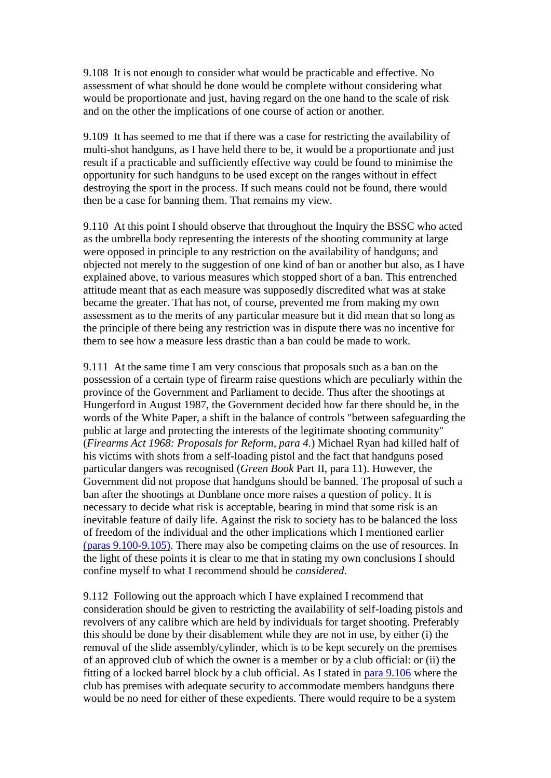9.108 It is not enough to consider what would be practicable and effective. No assessment of what should be done would be complete without considering what would be proportionate and just, having regard on the one hand to the scale of risk and on the other the implications of one course of action or another.

9.109 It has seemed to me that if there was a case for restricting the availability of multi-shot handguns, as I have held there to be, it would be a proportionate and just result if a practicable and sufficiently effective way could be found to minimise the opportunity for such handguns to be used except on the ranges without in effect destroying the sport in the process. If such means could not be found, there would then be a case for banning them. That remains my view.

9.110 At this point I should observe that throughout the Inquiry the BSSC who acted as the umbrella body representing the interests of the shooting community at large were opposed in principle to any restriction on the availability of handguns; and objected not merely to the suggestion of one kind of ban or another but also, as I have explained above, to various measures which stopped short of a ban. This entrenched attitude meant that as each measure was supposedly discredited what was at stake became the greater. That has not, of course, prevented me from making my own assessment as to the merits of any particular measure but it did mean that so long as the principle of there being any restriction was in dispute there was no incentive for them to see how a measure less drastic than a ban could be made to work.

9.111 At the same time I am very conscious that proposals such as a ban on the possession of a certain type of firearm raise questions which are peculiarly within the province of the Government and Parliament to decide. Thus after the shootings at Hungerford in August 1987, the Government decided how far there should be, in the words of the White Paper, a shift in the balance of controls "between safeguarding the public at large and protecting the interests of the legitimate shooting community" (*Firearms Act 1968: Proposals for Reform, para 4.*) Michael Ryan had killed half of his victims with shots from a self-loading pistol and the fact that handguns posed particular dangers was recognised (*Green Book* Part II, para 11). However, the Government did not propose that handguns should be banned. The proposal of such a ban after the shootings at Dunblane once more raises a question of policy. It is necessary to decide what risk is acceptable, bearing in mind that some risk is an inevitable feature of daily life. Against the risk to society has to be balanced the loss of freedom of the individual and the other implications which I mentioned earlier [\(paras 9.100-9.105\).](http://www.archive.official-documents.co.uk/document/scottish/dunblane/dun09f.htm#9.100) There may also be competing claims on the use of resources. In the light of these points it is clear to me that in stating my own conclusions I should confine myself to what I recommend should be *considered*.

9.112 Following out the approach which I have explained I recommend that consideration should be given to restricting the availability of self-loading pistols and revolvers of any calibre which are held by individuals for target shooting. Preferably this should be done by their disablement while they are not in use, by either (i) the removal of the slide assembly/cylinder, which is to be kept securely on the premises of an approved club of which the owner is a member or by a club official: or (ii) the fitting of a locked barrel block by a club official. As I stated in [para 9.106](http://www.archive.official-documents.co.uk/document/scottish/dunblane/dun09f.htm#9.106) where the club has premises with adequate security to accommodate members handguns there would be no need for either of these expedients. There would require to be a system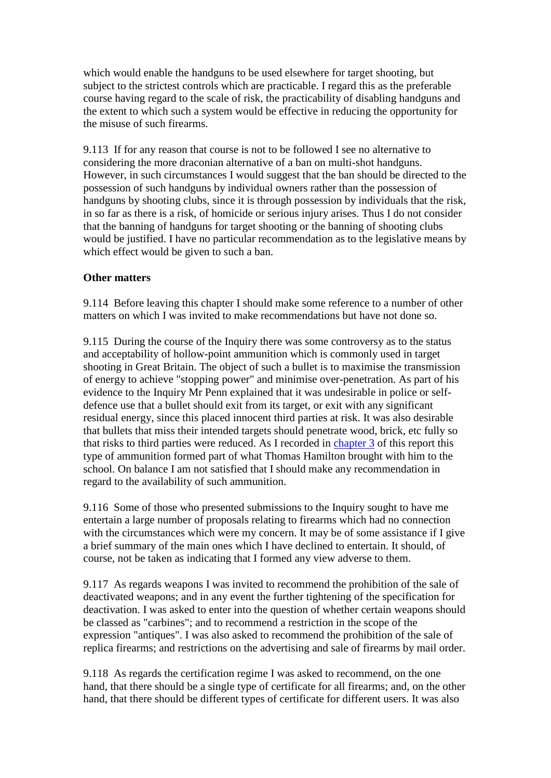which would enable the handguns to be used elsewhere for target shooting, but subject to the strictest controls which are practicable. I regard this as the preferable course having regard to the scale of risk, the practicability of disabling handguns and the extent to which such a system would be effective in reducing the opportunity for the misuse of such firearms.

9.113 If for any reason that course is not to be followed I see no alternative to considering the more draconian alternative of a ban on multi-shot handguns. However, in such circumstances I would suggest that the ban should be directed to the possession of such handguns by individual owners rather than the possession of handguns by shooting clubs, since it is through possession by individuals that the risk, in so far as there is a risk, of homicide or serious injury arises. Thus I do not consider that the banning of handguns for target shooting or the banning of shooting clubs would be justified. I have no particular recommendation as to the legislative means by which effect would be given to such a ban.

# **Other matters**

9.114 Before leaving this chapter I should make some reference to a number of other matters on which I was invited to make recommendations but have not done so.

9.115 During the course of the Inquiry there was some controversy as to the status and acceptability of hollow-point ammunition which is commonly used in target shooting in Great Britain. The object of such a bullet is to maximise the transmission of energy to achieve "stopping power" and minimise over-penetration. As part of his evidence to the Inquiry Mr Penn explained that it was undesirable in police or selfdefence use that a bullet should exit from its target, or exit with any significant residual energy, since this placed innocent third parties at risk. It was also desirable that bullets that miss their intended targets should penetrate wood, brick, etc fully so that risks to third parties were reduced. As I recorded in [chapter 3](http://www.archive.official-documents.co.uk/document/scottish/dunblane/dun03a.htm) of this report this type of ammunition formed part of what Thomas Hamilton brought with him to the school. On balance I am not satisfied that I should make any recommendation in regard to the availability of such ammunition.

9.116 Some of those who presented submissions to the Inquiry sought to have me entertain a large number of proposals relating to firearms which had no connection with the circumstances which were my concern. It may be of some assistance if I give a brief summary of the main ones which I have declined to entertain. It should, of course, not be taken as indicating that I formed any view adverse to them.

9.117 As regards weapons I was invited to recommend the prohibition of the sale of deactivated weapons; and in any event the further tightening of the specification for deactivation. I was asked to enter into the question of whether certain weapons should be classed as "carbines"; and to recommend a restriction in the scope of the expression "antiques". I was also asked to recommend the prohibition of the sale of replica firearms; and restrictions on the advertising and sale of firearms by mail order.

9.118 As regards the certification regime I was asked to recommend, on the one hand, that there should be a single type of certificate for all firearms; and, on the other hand, that there should be different types of certificate for different users. It was also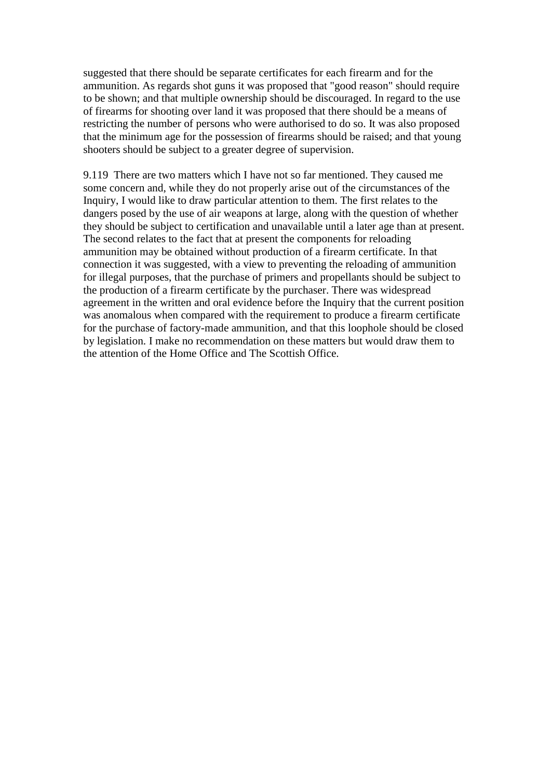suggested that there should be separate certificates for each firearm and for the ammunition. As regards shot guns it was proposed that "good reason" should require to be shown; and that multiple ownership should be discouraged. In regard to the use of firearms for shooting over land it was proposed that there should be a means of restricting the number of persons who were authorised to do so. It was also proposed that the minimum age for the possession of firearms should be raised; and that young shooters should be subject to a greater degree of supervision.

9.119 There are two matters which I have not so far mentioned. They caused me some concern and, while they do not properly arise out of the circumstances of the Inquiry, I would like to draw particular attention to them. The first relates to the dangers posed by the use of air weapons at large, along with the question of whether they should be subject to certification and unavailable until a later age than at present. The second relates to the fact that at present the components for reloading ammunition may be obtained without production of a firearm certificate. In that connection it was suggested, with a view to preventing the reloading of ammunition for illegal purposes, that the purchase of primers and propellants should be subject to the production of a firearm certificate by the purchaser. There was widespread agreement in the written and oral evidence before the Inquiry that the current position was anomalous when compared with the requirement to produce a firearm certificate for the purchase of factory-made ammunition, and that this loophole should be closed by legislation. I make no recommendation on these matters but would draw them to the attention of the Home Office and The Scottish Office.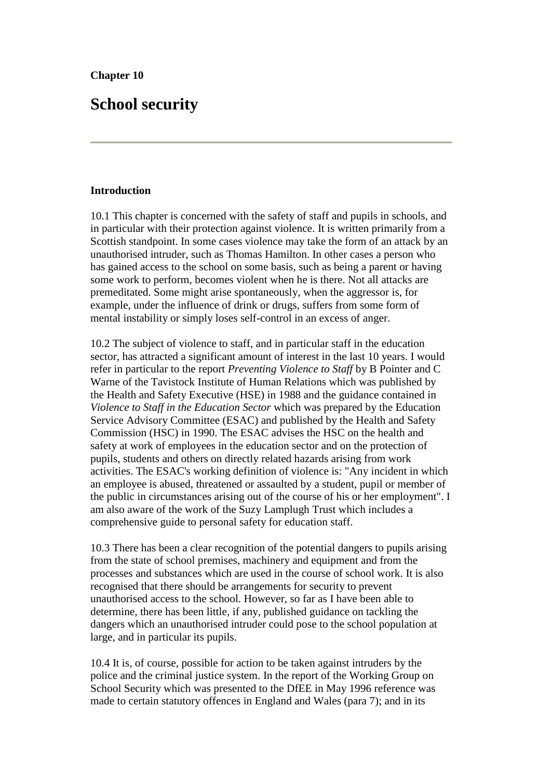# **School security**

## **Introduction**

10.1 This chapter is concerned with the safety of staff and pupils in schools, and in particular with their protection against violence. It is written primarily from a Scottish standpoint. In some cases violence may take the form of an attack by an unauthorised intruder, such as Thomas Hamilton. In other cases a person who has gained access to the school on some basis, such as being a parent or having some work to perform, becomes violent when he is there. Not all attacks are premeditated. Some might arise spontaneously, when the aggressor is, for example, under the influence of drink or drugs, suffers from some form of mental instability or simply loses self-control in an excess of anger.

10.2 The subject of violence to staff, and in particular staff in the education sector, has attracted a significant amount of interest in the last 10 years. I would refer in particular to the report *Preventing Violence to Staff* by B Pointer and C Warne of the Tavistock Institute of Human Relations which was published by the Health and Safety Executive (HSE) in 1988 and the guidance contained in *Violence to Staff in the Education Sector* which was prepared by the Education Service Advisory Committee (ESAC) and published by the Health and Safety Commission (HSC) in 1990. The ESAC advises the HSC on the health and safety at work of employees in the education sector and on the protection of pupils, students and others on directly related hazards arising from work activities. The ESAC's working definition of violence is: "Any incident in which an employee is abused, threatened or assaulted by a student, pupil or member of the public in circumstances arising out of the course of his or her employment". I am also aware of the work of the Suzy Lamplugh Trust which includes a comprehensive guide to personal safety for education staff.

10.3 There has been a clear recognition of the potential dangers to pupils arising from the state of school premises, machinery and equipment and from the processes and substances which are used in the course of school work. It is also recognised that there should be arrangements for security to prevent unauthorised access to the school. However, so far as I have been able to determine, there has been little, if any, published guidance on tackling the dangers which an unauthorised intruder could pose to the school population at large, and in particular its pupils.

10.4 It is, of course, possible for action to be taken against intruders by the police and the criminal justice system. In the report of the Working Group on School Security which was presented to the DfEE in May 1996 reference was made to certain statutory offences in England and Wales (para 7); and in its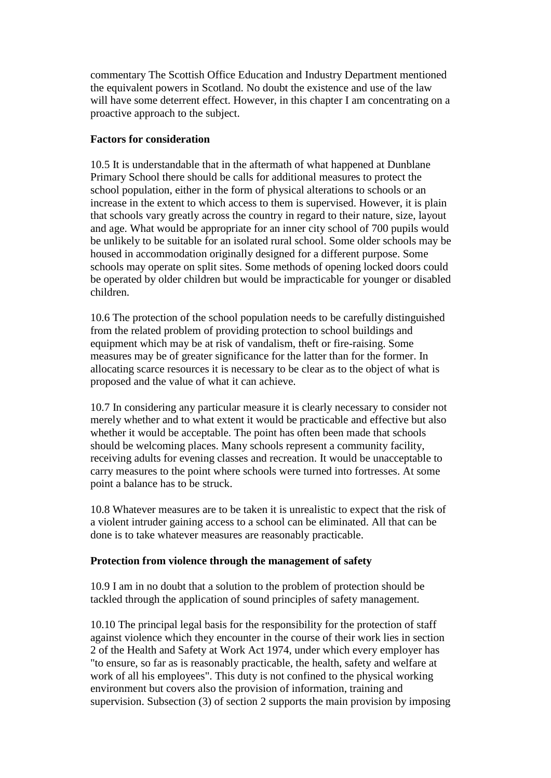commentary The Scottish Office Education and Industry Department mentioned the equivalent powers in Scotland. No doubt the existence and use of the law will have some deterrent effect. However, in this chapter I am concentrating on a proactive approach to the subject.

## **Factors for consideration**

10.5 It is understandable that in the aftermath of what happened at Dunblane Primary School there should be calls for additional measures to protect the school population, either in the form of physical alterations to schools or an increase in the extent to which access to them is supervised. However, it is plain that schools vary greatly across the country in regard to their nature, size, layout and age. What would be appropriate for an inner city school of 700 pupils would be unlikely to be suitable for an isolated rural school. Some older schools may be housed in accommodation originally designed for a different purpose. Some schools may operate on split sites. Some methods of opening locked doors could be operated by older children but would be impracticable for younger or disabled children.

10.6 The protection of the school population needs to be carefully distinguished from the related problem of providing protection to school buildings and equipment which may be at risk of vandalism, theft or fire-raising. Some measures may be of greater significance for the latter than for the former. In allocating scarce resources it is necessary to be clear as to the object of what is proposed and the value of what it can achieve.

10.7 In considering any particular measure it is clearly necessary to consider not merely whether and to what extent it would be practicable and effective but also whether it would be acceptable. The point has often been made that schools should be welcoming places. Many schools represent a community facility, receiving adults for evening classes and recreation. It would be unacceptable to carry measures to the point where schools were turned into fortresses. At some point a balance has to be struck.

10.8 Whatever measures are to be taken it is unrealistic to expect that the risk of a violent intruder gaining access to a school can be eliminated. All that can be done is to take whatever measures are reasonably practicable.

## **Protection from violence through the management of safety**

10.9 I am in no doubt that a solution to the problem of protection should be tackled through the application of sound principles of safety management.

10.10 The principal legal basis for the responsibility for the protection of staff against violence which they encounter in the course of their work lies in section 2 of the Health and Safety at Work Act 1974, under which every employer has "to ensure, so far as is reasonably practicable, the health, safety and welfare at work of all his employees". This duty is not confined to the physical working environment but covers also the provision of information, training and supervision. Subsection (3) of section 2 supports the main provision by imposing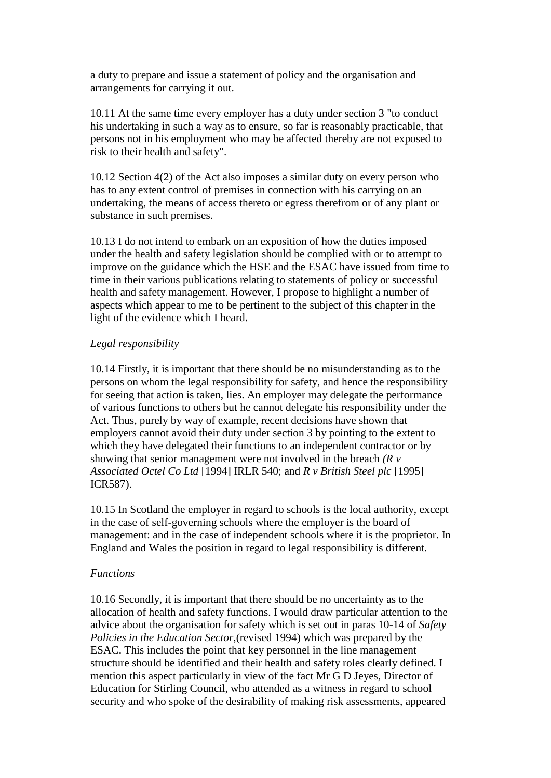a duty to prepare and issue a statement of policy and the organisation and arrangements for carrying it out.

10.11 At the same time every employer has a duty under section 3 "to conduct his undertaking in such a way as to ensure, so far is reasonably practicable, that persons not in his employment who may be affected thereby are not exposed to risk to their health and safety".

10.12 Section 4(2) of the Act also imposes a similar duty on every person who has to any extent control of premises in connection with his carrying on an undertaking, the means of access thereto or egress therefrom or of any plant or substance in such premises.

10.13 I do not intend to embark on an exposition of how the duties imposed under the health and safety legislation should be complied with or to attempt to improve on the guidance which the HSE and the ESAC have issued from time to time in their various publications relating to statements of policy or successful health and safety management. However, I propose to highlight a number of aspects which appear to me to be pertinent to the subject of this chapter in the light of the evidence which I heard.

## *Legal responsibility*

10.14 Firstly, it is important that there should be no misunderstanding as to the persons on whom the legal responsibility for safety, and hence the responsibility for seeing that action is taken, lies. An employer may delegate the performance of various functions to others but he cannot delegate his responsibility under the Act. Thus, purely by way of example, recent decisions have shown that employers cannot avoid their duty under section 3 by pointing to the extent to which they have delegated their functions to an independent contractor or by showing that senior management were not involved in the breach *(R v Associated Octel Co Ltd* [1994] IRLR 540; and *R v British Steel plc* [1995] ICR587).

10.15 In Scotland the employer in regard to schools is the local authority, except in the case of self-governing schools where the employer is the board of management: and in the case of independent schools where it is the proprietor. In England and Wales the position in regard to legal responsibility is different.

## *Functions*

10.16 Secondly, it is important that there should be no uncertainty as to the allocation of health and safety functions. I would draw particular attention to the advice about the organisation for safety which is set out in paras 10-14 of *Safety Policies in the Education Sector*,(revised 1994) which was prepared by the ESAC. This includes the point that key personnel in the line management structure should be identified and their health and safety roles clearly defined. I mention this aspect particularly in view of the fact Mr G D Jeyes, Director of Education for Stirling Council, who attended as a witness in regard to school security and who spoke of the desirability of making risk assessments, appeared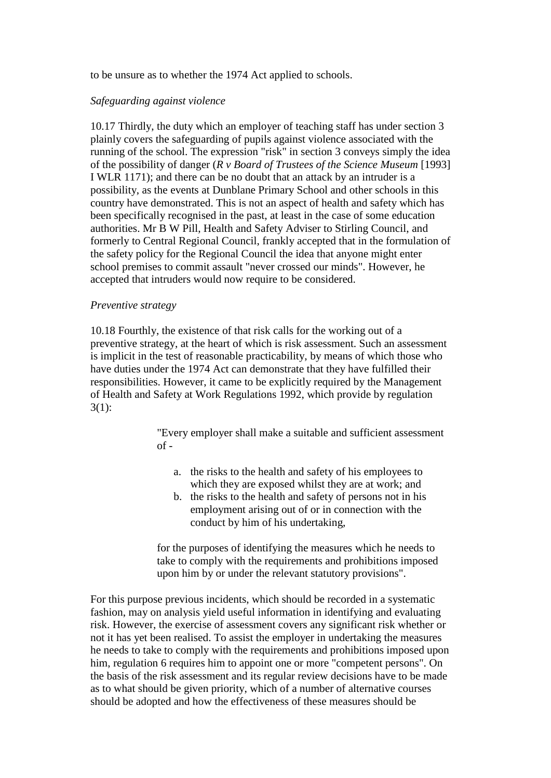to be unsure as to whether the 1974 Act applied to schools.

## *Safeguarding against violence*

10.17 Thirdly, the duty which an employer of teaching staff has under section 3 plainly covers the safeguarding of pupils against violence associated with the running of the school. The expression "risk" in section 3 conveys simply the idea of the possibility of danger (*R v Board of Trustees of the Science Museum* [1993] I WLR 1171); and there can be no doubt that an attack by an intruder is a possibility, as the events at Dunblane Primary School and other schools in this country have demonstrated. This is not an aspect of health and safety which has been specifically recognised in the past, at least in the case of some education authorities. Mr B W Pill, Health and Safety Adviser to Stirling Council, and formerly to Central Regional Council, frankly accepted that in the formulation of the safety policy for the Regional Council the idea that anyone might enter school premises to commit assault "never crossed our minds". However, he accepted that intruders would now require to be considered.

#### *Preventive strategy*

10.18 Fourthly, the existence of that risk calls for the working out of a preventive strategy, at the heart of which is risk assessment. Such an assessment is implicit in the test of reasonable practicability, by means of which those who have duties under the 1974 Act can demonstrate that they have fulfilled their responsibilities. However, it came to be explicitly required by the Management of Health and Safety at Work Regulations 1992, which provide by regulation 3(1):

> "Every employer shall make a suitable and sufficient assessment of -

- a. the risks to the health and safety of his employees to which they are exposed whilst they are at work; and
- b. the risks to the health and safety of persons not in his employment arising out of or in connection with the conduct by him of his undertaking,

for the purposes of identifying the measures which he needs to take to comply with the requirements and prohibitions imposed upon him by or under the relevant statutory provisions".

For this purpose previous incidents, which should be recorded in a systematic fashion, may on analysis yield useful information in identifying and evaluating risk. However, the exercise of assessment covers any significant risk whether or not it has yet been realised. To assist the employer in undertaking the measures he needs to take to comply with the requirements and prohibitions imposed upon him, regulation 6 requires him to appoint one or more "competent persons". On the basis of the risk assessment and its regular review decisions have to be made as to what should be given priority, which of a number of alternative courses should be adopted and how the effectiveness of these measures should be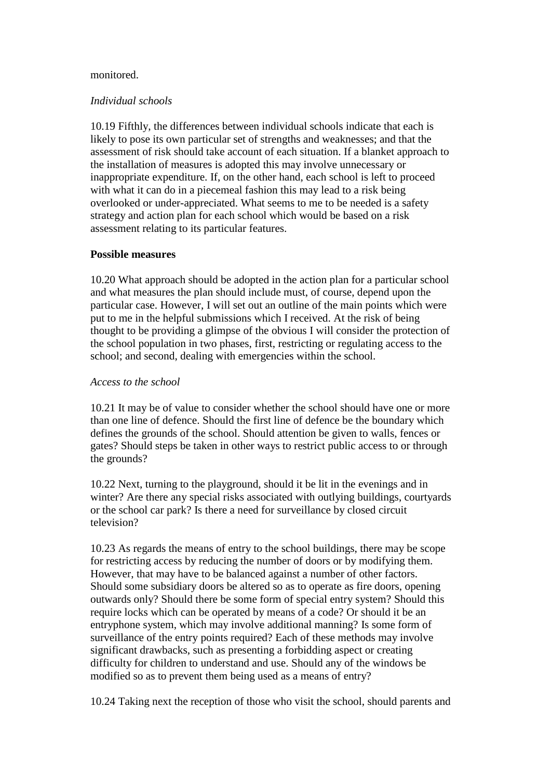#### monitored.

#### *Individual schools*

10.19 Fifthly, the differences between individual schools indicate that each is likely to pose its own particular set of strengths and weaknesses; and that the assessment of risk should take account of each situation. If a blanket approach to the installation of measures is adopted this may involve unnecessary or inappropriate expenditure. If, on the other hand, each school is left to proceed with what it can do in a piecemeal fashion this may lead to a risk being overlooked or under-appreciated. What seems to me to be needed is a safety strategy and action plan for each school which would be based on a risk assessment relating to its particular features.

#### **Possible measures**

10.20 What approach should be adopted in the action plan for a particular school and what measures the plan should include must, of course, depend upon the particular case. However, I will set out an outline of the main points which were put to me in the helpful submissions which I received. At the risk of being thought to be providing a glimpse of the obvious I will consider the protection of the school population in two phases, first, restricting or regulating access to the school; and second, dealing with emergencies within the school.

#### *Access to the school*

10.21 It may be of value to consider whether the school should have one or more than one line of defence. Should the first line of defence be the boundary which defines the grounds of the school. Should attention be given to walls, fences or gates? Should steps be taken in other ways to restrict public access to or through the grounds?

10.22 Next, turning to the playground, should it be lit in the evenings and in winter? Are there any special risks associated with outlying buildings, courtyards or the school car park? Is there a need for surveillance by closed circuit television?

10.23 As regards the means of entry to the school buildings, there may be scope for restricting access by reducing the number of doors or by modifying them. However, that may have to be balanced against a number of other factors. Should some subsidiary doors be altered so as to operate as fire doors, opening outwards only? Should there be some form of special entry system? Should this require locks which can be operated by means of a code? Or should it be an entryphone system, which may involve additional manning? Is some form of surveillance of the entry points required? Each of these methods may involve significant drawbacks, such as presenting a forbidding aspect or creating difficulty for children to understand and use. Should any of the windows be modified so as to prevent them being used as a means of entry?

10.24 Taking next the reception of those who visit the school, should parents and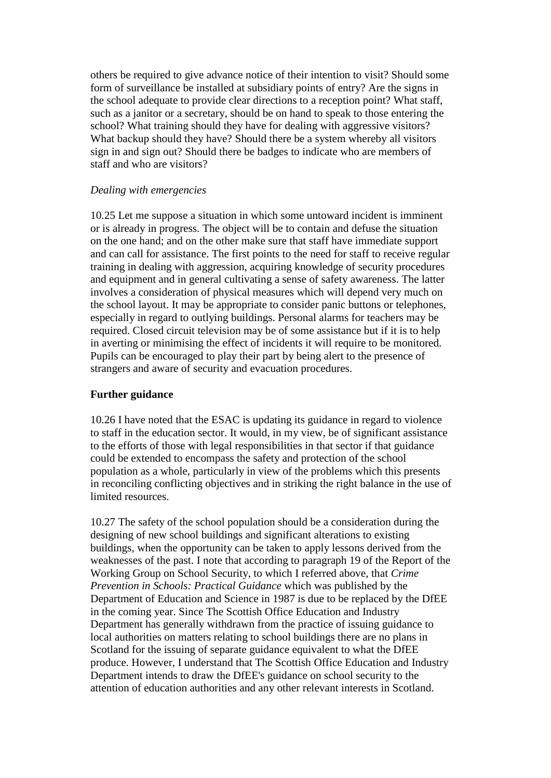others be required to give advance notice of their intention to visit? Should some form of surveillance be installed at subsidiary points of entry? Are the signs in the school adequate to provide clear directions to a reception point? What staff, such as a janitor or a secretary, should be on hand to speak to those entering the school? What training should they have for dealing with aggressive visitors? What backup should they have? Should there be a system whereby all visitors sign in and sign out? Should there be badges to indicate who are members of staff and who are visitors?

## *Dealing with emergencies*

10.25 Let me suppose a situation in which some untoward incident is imminent or is already in progress. The object will be to contain and defuse the situation on the one hand; and on the other make sure that staff have immediate support and can call for assistance. The first points to the need for staff to receive regular training in dealing with aggression, acquiring knowledge of security procedures and equipment and in general cultivating a sense of safety awareness. The latter involves a consideration of physical measures which will depend very much on the school layout. It may be appropriate to consider panic buttons or telephones, especially in regard to outlying buildings. Personal alarms for teachers may be required. Closed circuit television may be of some assistance but if it is to help in averting or minimising the effect of incidents it will require to be monitored. Pupils can be encouraged to play their part by being alert to the presence of strangers and aware of security and evacuation procedures.

## **Further guidance**

10.26 I have noted that the ESAC is updating its guidance in regard to violence to staff in the education sector. It would, in my view, be of significant assistance to the efforts of those with legal responsibilities in that sector if that guidance could be extended to encompass the safety and protection of the school population as a whole, particularly in view of the problems which this presents in reconciling conflicting objectives and in striking the right balance in the use of limited resources.

10.27 The safety of the school population should be a consideration during the designing of new school buildings and significant alterations to existing buildings, when the opportunity can be taken to apply lessons derived from the weaknesses of the past. I note that according to paragraph 19 of the Report of the Working Group on School Security, to which I referred above, that *Crime Prevention in Schools: Practical Guidance* which was published by the Department of Education and Science in 1987 is due to be replaced by the DfEE in the coming year. Since The Scottish Office Education and Industry Department has generally withdrawn from the practice of issuing guidance to local authorities on matters relating to school buildings there are no plans in Scotland for the issuing of separate guidance equivalent to what the DfEE produce. However, I understand that The Scottish Office Education and Industry Department intends to draw the DfEE's guidance on school security to the attention of education authorities and any other relevant interests in Scotland.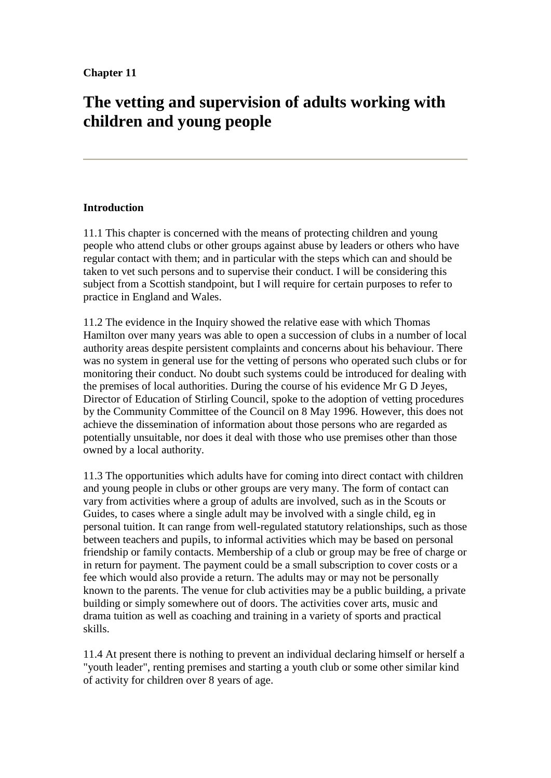# **The vetting and supervision of adults working with children and young people**

# **Introduction**

11.1 This chapter is concerned with the means of protecting children and young people who attend clubs or other groups against abuse by leaders or others who have regular contact with them; and in particular with the steps which can and should be taken to vet such persons and to supervise their conduct. I will be considering this subject from a Scottish standpoint, but I will require for certain purposes to refer to practice in England and Wales.

11.2 The evidence in the Inquiry showed the relative ease with which Thomas Hamilton over many years was able to open a succession of clubs in a number of local authority areas despite persistent complaints and concerns about his behaviour. There was no system in general use for the vetting of persons who operated such clubs or for monitoring their conduct. No doubt such systems could be introduced for dealing with the premises of local authorities. During the course of his evidence Mr G D Jeyes, Director of Education of Stirling Council, spoke to the adoption of vetting procedures by the Community Committee of the Council on 8 May 1996. However, this does not achieve the dissemination of information about those persons who are regarded as potentially unsuitable, nor does it deal with those who use premises other than those owned by a local authority.

11.3 The opportunities which adults have for coming into direct contact with children and young people in clubs or other groups are very many. The form of contact can vary from activities where a group of adults are involved, such as in the Scouts or Guides, to cases where a single adult may be involved with a single child, eg in personal tuition. It can range from well-regulated statutory relationships, such as those between teachers and pupils, to informal activities which may be based on personal friendship or family contacts. Membership of a club or group may be free of charge or in return for payment. The payment could be a small subscription to cover costs or a fee which would also provide a return. The adults may or may not be personally known to the parents. The venue for club activities may be a public building, a private building or simply somewhere out of doors. The activities cover arts, music and drama tuition as well as coaching and training in a variety of sports and practical skills.

11.4 At present there is nothing to prevent an individual declaring himself or herself a "youth leader", renting premises and starting a youth club or some other similar kind of activity for children over 8 years of age.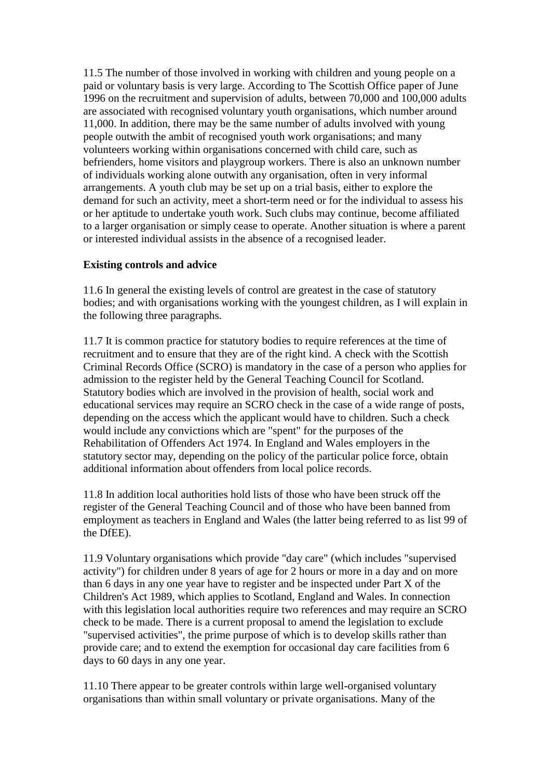11.5 The number of those involved in working with children and young people on a paid or voluntary basis is very large. According to The Scottish Office paper of June 1996 on the recruitment and supervision of adults, between 70,000 and 100,000 adults are associated with recognised voluntary youth organisations, which number around 11,000. In addition, there may be the same number of adults involved with young people outwith the ambit of recognised youth work organisations; and many volunteers working within organisations concerned with child care, such as befrienders, home visitors and playgroup workers. There is also an unknown number of individuals working alone outwith any organisation, often in very informal arrangements. A youth club may be set up on a trial basis, either to explore the demand for such an activity, meet a short-term need or for the individual to assess his or her aptitude to undertake youth work. Such clubs may continue, become affiliated to a larger organisation or simply cease to operate. Another situation is where a parent or interested individual assists in the absence of a recognised leader.

# **Existing controls and advice**

11.6 In general the existing levels of control are greatest in the case of statutory bodies; and with organisations working with the youngest children, as I will explain in the following three paragraphs.

11.7 It is common practice for statutory bodies to require references at the time of recruitment and to ensure that they are of the right kind. A check with the Scottish Criminal Records Office (SCRO) is mandatory in the case of a person who applies for admission to the register held by the General Teaching Council for Scotland. Statutory bodies which are involved in the provision of health, social work and educational services may require an SCRO check in the case of a wide range of posts, depending on the access which the applicant would have to children. Such a check would include any convictions which are "spent" for the purposes of the Rehabilitation of Offenders Act 1974. In England and Wales employers in the statutory sector may, depending on the policy of the particular police force, obtain additional information about offenders from local police records.

11.8 In addition local authorities hold lists of those who have been struck off the register of the General Teaching Council and of those who have been banned from employment as teachers in England and Wales (the latter being referred to as list 99 of the DfEE).

11.9 Voluntary organisations which provide "day care" (which includes "supervised activity") for children under 8 years of age for 2 hours or more in a day and on more than 6 days in any one year have to register and be inspected under Part X of the Children's Act 1989, which applies to Scotland, England and Wales. In connection with this legislation local authorities require two references and may require an SCRO check to be made. There is a current proposal to amend the legislation to exclude "supervised activities", the prime purpose of which is to develop skills rather than provide care; and to extend the exemption for occasional day care facilities from 6 days to 60 days in any one year.

11.10 There appear to be greater controls within large well-organised voluntary organisations than within small voluntary or private organisations. Many of the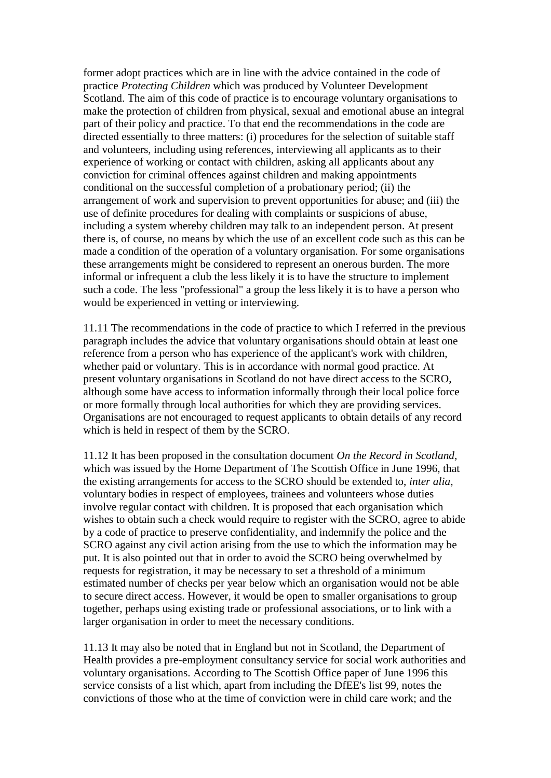former adopt practices which are in line with the advice contained in the code of practice *Protecting Children* which was produced by Volunteer Development Scotland. The aim of this code of practice is to encourage voluntary organisations to make the protection of children from physical, sexual and emotional abuse an integral part of their policy and practice. To that end the recommendations in the code are directed essentially to three matters: (i) procedures for the selection of suitable staff and volunteers, including using references, interviewing all applicants as to their experience of working or contact with children, asking all applicants about any conviction for criminal offences against children and making appointments conditional on the successful completion of a probationary period; (ii) the arrangement of work and supervision to prevent opportunities for abuse; and (iii) the use of definite procedures for dealing with complaints or suspicions of abuse, including a system whereby children may talk to an independent person. At present there is, of course, no means by which the use of an excellent code such as this can be made a condition of the operation of a voluntary organisation. For some organisations these arrangements might be considered to represent an onerous burden. The more informal or infrequent a club the less likely it is to have the structure to implement such a code. The less "professional" a group the less likely it is to have a person who would be experienced in vetting or interviewing.

11.11 The recommendations in the code of practice to which I referred in the previous paragraph includes the advice that voluntary organisations should obtain at least one reference from a person who has experience of the applicant's work with children, whether paid or voluntary. This is in accordance with normal good practice. At present voluntary organisations in Scotland do not have direct access to the SCRO, although some have access to information informally through their local police force or more formally through local authorities for which they are providing services. Organisations are not encouraged to request applicants to obtain details of any record which is held in respect of them by the SCRO.

11.12 It has been proposed in the consultation document *On the Record in Scotland*, which was issued by the Home Department of The Scottish Office in June 1996, that the existing arrangements for access to the SCRO should be extended to, *inter alia*, voluntary bodies in respect of employees, trainees and volunteers whose duties involve regular contact with children. It is proposed that each organisation which wishes to obtain such a check would require to register with the SCRO, agree to abide by a code of practice to preserve confidentiality, and indemnify the police and the SCRO against any civil action arising from the use to which the information may be put. It is also pointed out that in order to avoid the SCRO being overwhelmed by requests for registration, it may be necessary to set a threshold of a minimum estimated number of checks per year below which an organisation would not be able to secure direct access. However, it would be open to smaller organisations to group together, perhaps using existing trade or professional associations, or to link with a larger organisation in order to meet the necessary conditions.

11.13 It may also be noted that in England but not in Scotland, the Department of Health provides a pre-employment consultancy service for social work authorities and voluntary organisations. According to The Scottish Office paper of June 1996 this service consists of a list which, apart from including the DfEE's list 99, notes the convictions of those who at the time of conviction were in child care work; and the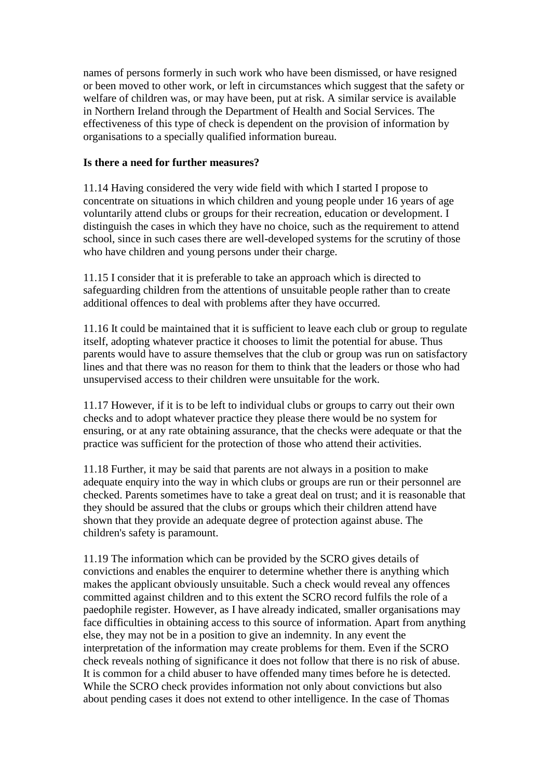names of persons formerly in such work who have been dismissed, or have resigned or been moved to other work, or left in circumstances which suggest that the safety or welfare of children was, or may have been, put at risk. A similar service is available in Northern Ireland through the Department of Health and Social Services. The effectiveness of this type of check is dependent on the provision of information by organisations to a specially qualified information bureau.

# **Is there a need for further measures?**

11.14 Having considered the very wide field with which I started I propose to concentrate on situations in which children and young people under 16 years of age voluntarily attend clubs or groups for their recreation, education or development. I distinguish the cases in which they have no choice, such as the requirement to attend school, since in such cases there are well-developed systems for the scrutiny of those who have children and young persons under their charge.

11.15 I consider that it is preferable to take an approach which is directed to safeguarding children from the attentions of unsuitable people rather than to create additional offences to deal with problems after they have occurred.

11.16 It could be maintained that it is sufficient to leave each club or group to regulate itself, adopting whatever practice it chooses to limit the potential for abuse. Thus parents would have to assure themselves that the club or group was run on satisfactory lines and that there was no reason for them to think that the leaders or those who had unsupervised access to their children were unsuitable for the work.

11.17 However, if it is to be left to individual clubs or groups to carry out their own checks and to adopt whatever practice they please there would be no system for ensuring, or at any rate obtaining assurance, that the checks were adequate or that the practice was sufficient for the protection of those who attend their activities.

11.18 Further, it may be said that parents are not always in a position to make adequate enquiry into the way in which clubs or groups are run or their personnel are checked. Parents sometimes have to take a great deal on trust; and it is reasonable that they should be assured that the clubs or groups which their children attend have shown that they provide an adequate degree of protection against abuse. The children's safety is paramount.

11.19 The information which can be provided by the SCRO gives details of convictions and enables the enquirer to determine whether there is anything which makes the applicant obviously unsuitable. Such a check would reveal any offences committed against children and to this extent the SCRO record fulfils the role of a paedophile register. However, as I have already indicated, smaller organisations may face difficulties in obtaining access to this source of information. Apart from anything else, they may not be in a position to give an indemnity. In any event the interpretation of the information may create problems for them. Even if the SCRO check reveals nothing of significance it does not follow that there is no risk of abuse. It is common for a child abuser to have offended many times before he is detected. While the SCRO check provides information not only about convictions but also about pending cases it does not extend to other intelligence. In the case of Thomas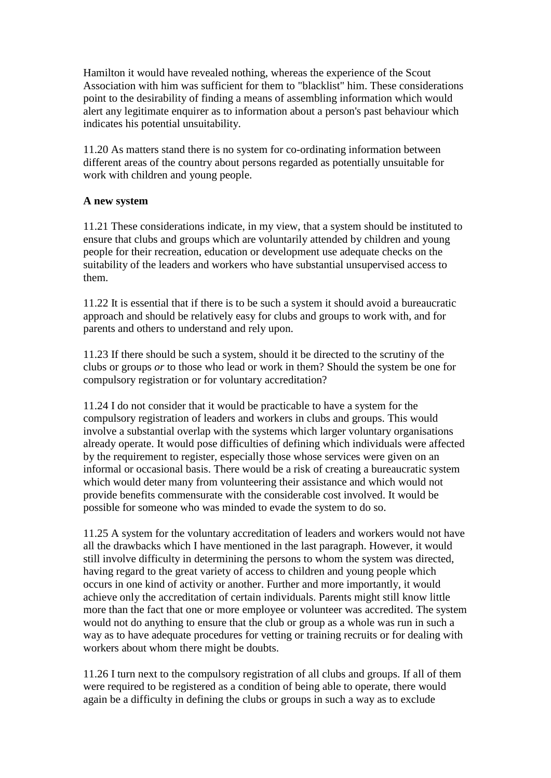Hamilton it would have revealed nothing, whereas the experience of the Scout Association with him was sufficient for them to "blacklist" him. These considerations point to the desirability of finding a means of assembling information which would alert any legitimate enquirer as to information about a person's past behaviour which indicates his potential unsuitability.

11.20 As matters stand there is no system for co-ordinating information between different areas of the country about persons regarded as potentially unsuitable for work with children and young people.

# **A new system**

11.21 These considerations indicate, in my view, that a system should be instituted to ensure that clubs and groups which are voluntarily attended by children and young people for their recreation, education or development use adequate checks on the suitability of the leaders and workers who have substantial unsupervised access to them.

11.22 It is essential that if there is to be such a system it should avoid a bureaucratic approach and should be relatively easy for clubs and groups to work with, and for parents and others to understand and rely upon.

11.23 If there should be such a system, should it be directed to the scrutiny of the clubs or groups *or* to those who lead or work in them? Should the system be one for compulsory registration or for voluntary accreditation?

11.24 I do not consider that it would be practicable to have a system for the compulsory registration of leaders and workers in clubs and groups. This would involve a substantial overlap with the systems which larger voluntary organisations already operate. It would pose difficulties of defining which individuals were affected by the requirement to register, especially those whose services were given on an informal or occasional basis. There would be a risk of creating a bureaucratic system which would deter many from volunteering their assistance and which would not provide benefits commensurate with the considerable cost involved. It would be possible for someone who was minded to evade the system to do so.

11.25 A system for the voluntary accreditation of leaders and workers would not have all the drawbacks which I have mentioned in the last paragraph. However, it would still involve difficulty in determining the persons to whom the system was directed, having regard to the great variety of access to children and young people which occurs in one kind of activity or another. Further and more importantly, it would achieve only the accreditation of certain individuals. Parents might still know little more than the fact that one or more employee or volunteer was accredited. The system would not do anything to ensure that the club or group as a whole was run in such a way as to have adequate procedures for vetting or training recruits or for dealing with workers about whom there might be doubts.

11.26 I turn next to the compulsory registration of all clubs and groups. If all of them were required to be registered as a condition of being able to operate, there would again be a difficulty in defining the clubs or groups in such a way as to exclude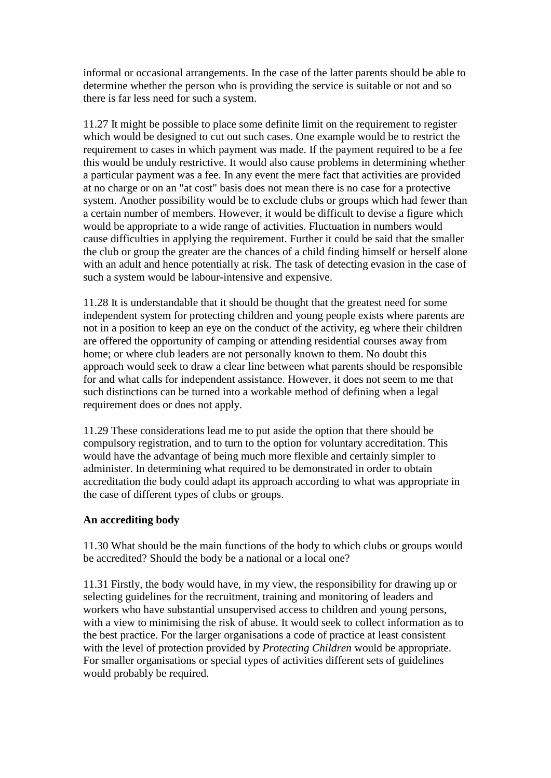informal or occasional arrangements. In the case of the latter parents should be able to determine whether the person who is providing the service is suitable or not and so there is far less need for such a system.

11.27 It might be possible to place some definite limit on the requirement to register which would be designed to cut out such cases. One example would be to restrict the requirement to cases in which payment was made. If the payment required to be a fee this would be unduly restrictive. It would also cause problems in determining whether a particular payment was a fee. In any event the mere fact that activities are provided at no charge or on an "at cost" basis does not mean there is no case for a protective system. Another possibility would be to exclude clubs or groups which had fewer than a certain number of members. However, it would be difficult to devise a figure which would be appropriate to a wide range of activities. Fluctuation in numbers would cause difficulties in applying the requirement. Further it could be said that the smaller the club or group the greater are the chances of a child finding himself or herself alone with an adult and hence potentially at risk. The task of detecting evasion in the case of such a system would be labour-intensive and expensive.

11.28 It is understandable that it should be thought that the greatest need for some independent system for protecting children and young people exists where parents are not in a position to keep an eye on the conduct of the activity, eg where their children are offered the opportunity of camping or attending residential courses away from home; or where club leaders are not personally known to them. No doubt this approach would seek to draw a clear line between what parents should be responsible for and what calls for independent assistance. However, it does not seem to me that such distinctions can be turned into a workable method of defining when a legal requirement does or does not apply.

11.29 These considerations lead me to put aside the option that there should be compulsory registration, and to turn to the option for voluntary accreditation. This would have the advantage of being much more flexible and certainly simpler to administer. In determining what required to be demonstrated in order to obtain accreditation the body could adapt its approach according to what was appropriate in the case of different types of clubs or groups.

# **An accrediting body**

11.30 What should be the main functions of the body to which clubs or groups would be accredited? Should the body be a national or a local one?

11.31 Firstly, the body would have, in my view, the responsibility for drawing up or selecting guidelines for the recruitment, training and monitoring of leaders and workers who have substantial unsupervised access to children and young persons, with a view to minimising the risk of abuse. It would seek to collect information as to the best practice. For the larger organisations a code of practice at least consistent with the level of protection provided by *Protecting Children* would be appropriate. For smaller organisations or special types of activities different sets of guidelines would probably be required.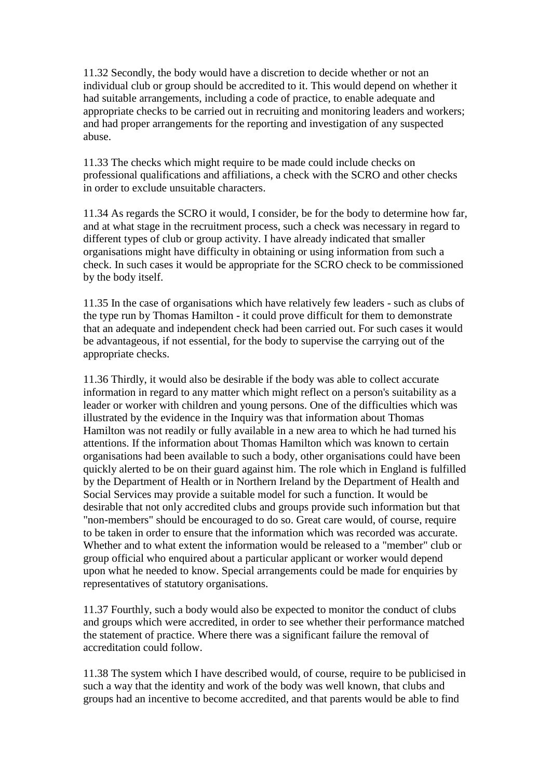11.32 Secondly, the body would have a discretion to decide whether or not an individual club or group should be accredited to it. This would depend on whether it had suitable arrangements, including a code of practice, to enable adequate and appropriate checks to be carried out in recruiting and monitoring leaders and workers; and had proper arrangements for the reporting and investigation of any suspected abuse.

11.33 The checks which might require to be made could include checks on professional qualifications and affiliations, a check with the SCRO and other checks in order to exclude unsuitable characters.

11.34 As regards the SCRO it would, I consider, be for the body to determine how far, and at what stage in the recruitment process, such a check was necessary in regard to different types of club or group activity. I have already indicated that smaller organisations might have difficulty in obtaining or using information from such a check. In such cases it would be appropriate for the SCRO check to be commissioned by the body itself.

11.35 In the case of organisations which have relatively few leaders - such as clubs of the type run by Thomas Hamilton - it could prove difficult for them to demonstrate that an adequate and independent check had been carried out. For such cases it would be advantageous, if not essential, for the body to supervise the carrying out of the appropriate checks.

11.36 Thirdly, it would also be desirable if the body was able to collect accurate information in regard to any matter which might reflect on a person's suitability as a leader or worker with children and young persons. One of the difficulties which was illustrated by the evidence in the Inquiry was that information about Thomas Hamilton was not readily or fully available in a new area to which he had turned his attentions. If the information about Thomas Hamilton which was known to certain organisations had been available to such a body, other organisations could have been quickly alerted to be on their guard against him. The role which in England is fulfilled by the Department of Health or in Northern Ireland by the Department of Health and Social Services may provide a suitable model for such a function. It would be desirable that not only accredited clubs and groups provide such information but that "non-members" should be encouraged to do so. Great care would, of course, require to be taken in order to ensure that the information which was recorded was accurate. Whether and to what extent the information would be released to a "member" club or group official who enquired about a particular applicant or worker would depend upon what he needed to know. Special arrangements could be made for enquiries by representatives of statutory organisations.

11.37 Fourthly, such a body would also be expected to monitor the conduct of clubs and groups which were accredited, in order to see whether their performance matched the statement of practice. Where there was a significant failure the removal of accreditation could follow.

11.38 The system which I have described would, of course, require to be publicised in such a way that the identity and work of the body was well known, that clubs and groups had an incentive to become accredited, and that parents would be able to find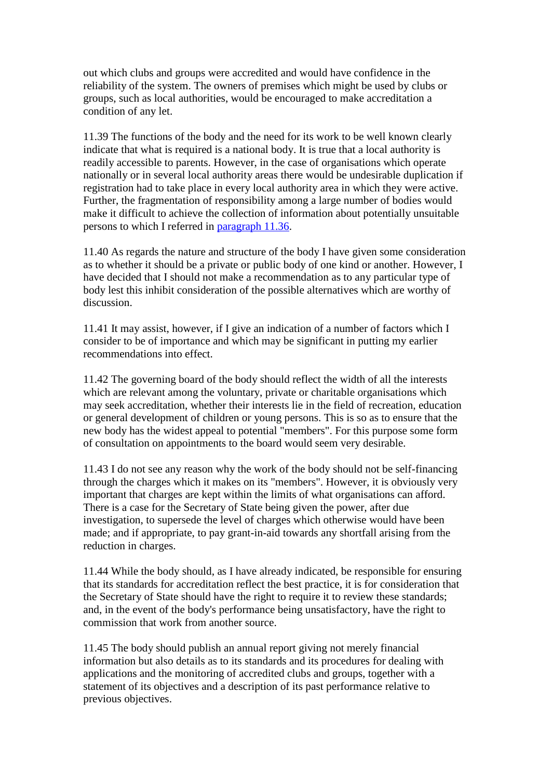out which clubs and groups were accredited and would have confidence in the reliability of the system. The owners of premises which might be used by clubs or groups, such as local authorities, would be encouraged to make accreditation a condition of any let.

11.39 The functions of the body and the need for its work to be well known clearly indicate that what is required is a national body. It is true that a local authority is readily accessible to parents. However, in the case of organisations which operate nationally or in several local authority areas there would be undesirable duplication if registration had to take place in every local authority area in which they were active. Further, the fragmentation of responsibility among a large number of bodies would make it difficult to achieve the collection of information about potentially unsuitable persons to which I referred in [paragraph 11.36.](http://www.archive.official-documents.co.uk/document/scottish/dunblane/dun11b.htm#11.36)

11.40 As regards the nature and structure of the body I have given some consideration as to whether it should be a private or public body of one kind or another. However, I have decided that I should not make a recommendation as to any particular type of body lest this inhibit consideration of the possible alternatives which are worthy of discussion.

11.41 It may assist, however, if I give an indication of a number of factors which I consider to be of importance and which may be significant in putting my earlier recommendations into effect.

11.42 The governing board of the body should reflect the width of all the interests which are relevant among the voluntary, private or charitable organisations which may seek accreditation, whether their interests lie in the field of recreation, education or general development of children or young persons. This is so as to ensure that the new body has the widest appeal to potential "members". For this purpose some form of consultation on appointments to the board would seem very desirable.

11.43 I do not see any reason why the work of the body should not be self-financing through the charges which it makes on its "members". However, it is obviously very important that charges are kept within the limits of what organisations can afford. There is a case for the Secretary of State being given the power, after due investigation, to supersede the level of charges which otherwise would have been made; and if appropriate, to pay grant-in-aid towards any shortfall arising from the reduction in charges.

11.44 While the body should, as I have already indicated, be responsible for ensuring that its standards for accreditation reflect the best practice, it is for consideration that the Secretary of State should have the right to require it to review these standards; and, in the event of the body's performance being unsatisfactory, have the right to commission that work from another source.

11.45 The body should publish an annual report giving not merely financial information but also details as to its standards and its procedures for dealing with applications and the monitoring of accredited clubs and groups, together with a statement of its objectives and a description of its past performance relative to previous objectives.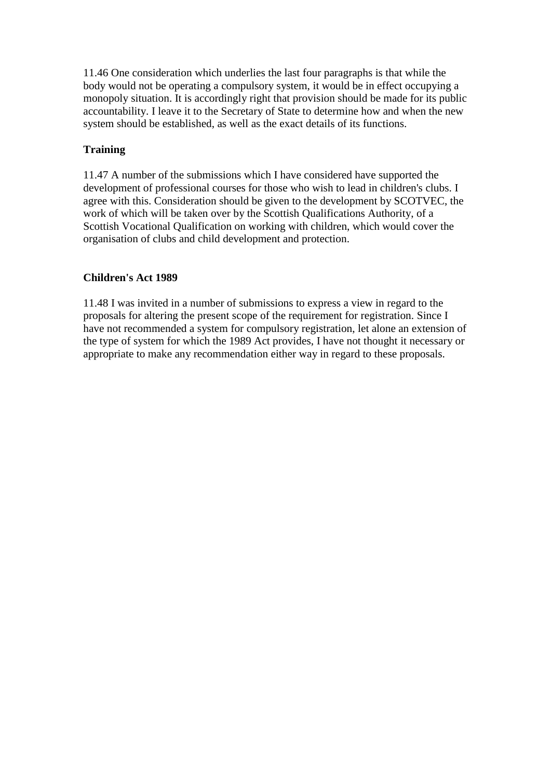11.46 One consideration which underlies the last four paragraphs is that while the body would not be operating a compulsory system, it would be in effect occupying a monopoly situation. It is accordingly right that provision should be made for its public accountability. I leave it to the Secretary of State to determine how and when the new system should be established, as well as the exact details of its functions.

# **Training**

11.47 A number of the submissions which I have considered have supported the development of professional courses for those who wish to lead in children's clubs. I agree with this. Consideration should be given to the development by SCOTVEC, the work of which will be taken over by the Scottish Qualifications Authority, of a Scottish Vocational Qualification on working with children, which would cover the organisation of clubs and child development and protection.

# **Children's Act 1989**

11.48 I was invited in a number of submissions to express a view in regard to the proposals for altering the present scope of the requirement for registration. Since I have not recommended a system for compulsory registration, let alone an extension of the type of system for which the 1989 Act provides, I have not thought it necessary or appropriate to make any recommendation either way in regard to these proposals.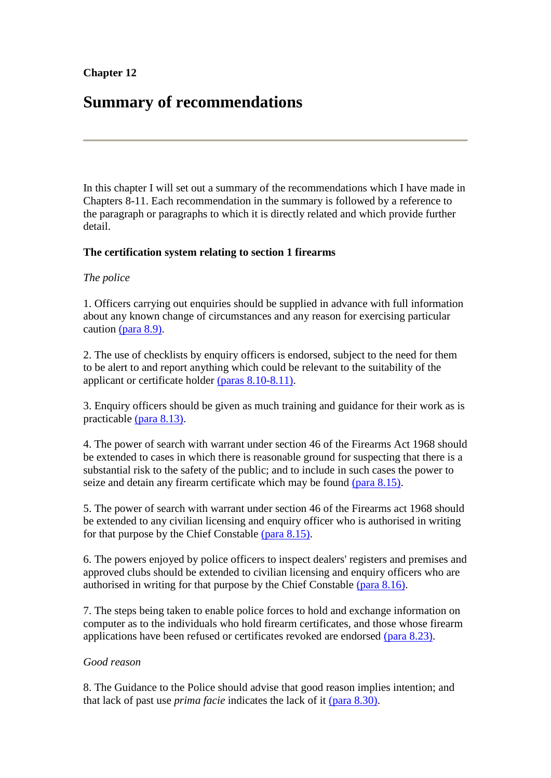# **Chapter 12**

# **Summary of recommendations**

In this chapter I will set out a summary of the recommendations which I have made in Chapters 8-11. Each recommendation in the summary is followed by a reference to the paragraph or paragraphs to which it is directly related and which provide further detail.

# **The certification system relating to section 1 firearms**

# *The police*

1. Officers carrying out enquiries should be supplied in advance with full information about any known change of circumstances and any reason for exercising particular caution [\(para 8.9\).](http://www.archive.official-documents.co.uk/document/scottish/dunblane/dun8-9.htm)

2. The use of checklists by enquiry officers is endorsed, subject to the need for them to be alert to and report anything which could be relevant to the suitability of the applicant or certificate holder [\(paras 8.10-8.11\).](http://www.archive.official-documents.co.uk/document/scottish/dunblane/dun8-10.htm)

3. Enquiry officers should be given as much training and guidance for their work as is practicable [\(para 8.13\).](http://www.archive.official-documents.co.uk/document/scottish/dunblane/dun8-13.htm)

4. The power of search with warrant under section 46 of the Firearms Act 1968 should be extended to cases in which there is reasonable ground for suspecting that there is a substantial risk to the safety of the public; and to include in such cases the power to seize and detain any firearm certificate which may be found [\(para 8.15\).](http://www.archive.official-documents.co.uk/document/scottish/dunblane/dun8-15a.htm)

5. The power of search with warrant under section 46 of the Firearms act 1968 should be extended to any civilian licensing and enquiry officer who is authorised in writing for that purpose by the Chief Constable [\(para 8.15\).](http://www.archive.official-documents.co.uk/document/scottish/dunblane/dun8-15b.htm)

6. The powers enjoyed by police officers to inspect dealers' registers and premises and approved clubs should be extended to civilian licensing and enquiry officers who are authorised in writing for that purpose by the Chief Constable [\(para 8.16\).](http://www.archive.official-documents.co.uk/document/scottish/dunblane/dun8-16.htm)

7. The steps being taken to enable police forces to hold and exchange information on computer as to the individuals who hold firearm certificates, and those whose firearm applications have been refused or certificates revoked are endorsed [\(para 8.23\).](http://www.archive.official-documents.co.uk/document/scottish/dunblane/dun8-23.htm)

## *Good reason*

8. The Guidance to the Police should advise that good reason implies intention; and that lack of past use *prima facie* indicates the lack of it [\(para 8.30\).](http://www.archive.official-documents.co.uk/document/scottish/dunblane/dun8-30.htm)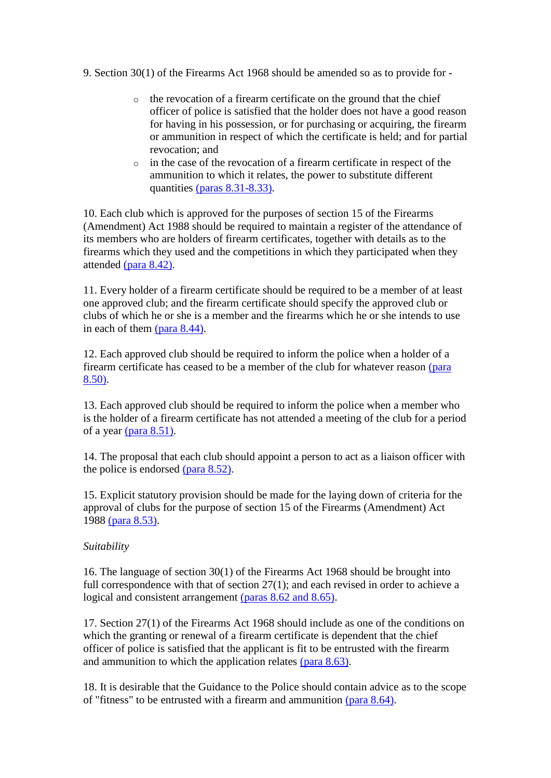- 9. Section 30(1) of the Firearms Act 1968 should be amended so as to provide for
	- o the revocation of a firearm certificate on the ground that the chief officer of police is satisfied that the holder does not have a good reason for having in his possession, or for purchasing or acquiring, the firearm or ammunition in respect of which the certificate is held; and for partial revocation; and
	- o in the case of the revocation of a firearm certificate in respect of the ammunition to which it relates, the power to substitute different quantities [\(paras 8.31-8.33\).](http://www.archive.official-documents.co.uk/document/scottish/dunblane/dun8-31a.htm)

10. Each club which is approved for the purposes of section 15 of the Firearms (Amendment) Act 1988 should be required to maintain a register of the attendance of its members who are holders of firearm certificates, together with details as to the firearms which they used and the competitions in which they participated when they attended [\(para 8.42\).](http://www.archive.official-documents.co.uk/document/scottish/dunblane/dun8-42.htm)

11. Every holder of a firearm certificate should be required to be a member of at least one approved club; and the firearm certificate should specify the approved club or clubs of which he or she is a member and the firearms which he or she intends to use in each of them [\(para 8.44\).](http://www.archive.official-documents.co.uk/document/scottish/dunblane/dun8-44.htm)

12. Each approved club should be required to inform the police when a holder of a firearm certificate has ceased to be a member of the club for whatever reason [\(para](http://www.archive.official-documents.co.uk/document/scottish/dunblane/dun8-50.htm)  [8.50\).](http://www.archive.official-documents.co.uk/document/scottish/dunblane/dun8-50.htm)

13. Each approved club should be required to inform the police when a member who is the holder of a firearm certificate has not attended a meeting of the club for a period of a year [\(para 8.51\).](http://www.archive.official-documents.co.uk/document/scottish/dunblane/dun8-51.htm)

14. The proposal that each club should appoint a person to act as a liaison officer with the police is endorsed [\(para 8.52\).](http://www.archive.official-documents.co.uk/document/scottish/dunblane/dun8-52.htm)

15. Explicit statutory provision should be made for the laying down of criteria for the approval of clubs for the purpose of section 15 of the Firearms (Amendment) Act 1988 [\(para 8.53\).](http://www.archive.official-documents.co.uk/document/scottish/dunblane/dun8-53.htm)

# *Suitability*

16. The language of section 30(1) of the Firearms Act 1968 should be brought into full correspondence with that of section 27(1); and each revised in order to achieve a logical and consistent arrangement [\(paras 8.62 and 8.65\).](http://www.archive.official-documents.co.uk/document/scottish/dunblane/dun8-62.htm)

17. Section 27(1) of the Firearms Act 1968 should include as one of the conditions on which the granting or renewal of a firearm certificate is dependent that the chief officer of police is satisfied that the applicant is fit to be entrusted with the firearm and ammunition to which the application relates [\(para 8.63\).](http://www.archive.official-documents.co.uk/document/scottish/dunblane/dun8-63.htm)

18. It is desirable that the Guidance to the Police should contain advice as to the scope of "fitness" to be entrusted with a firearm and ammunition [\(para 8.64\).](http://www.archive.official-documents.co.uk/document/scottish/dunblane/dun8-64.htm)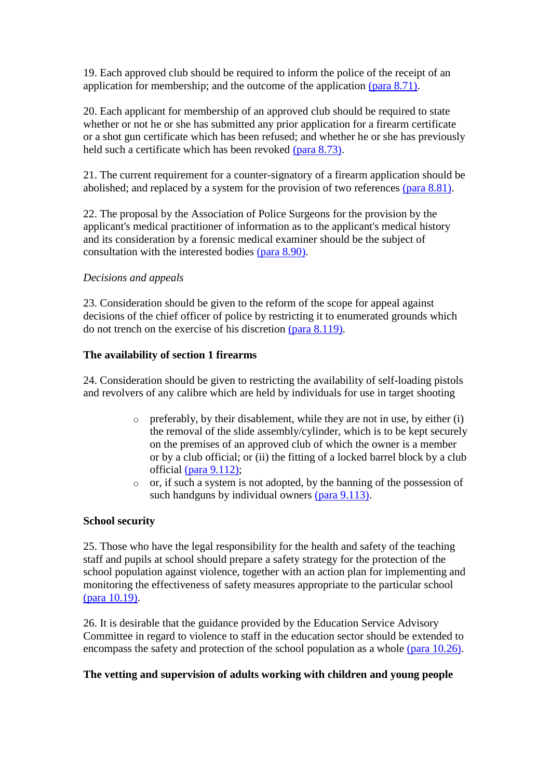19. Each approved club should be required to inform the police of the receipt of an application for membership; and the outcome of the application [\(para 8.71\).](http://www.archive.official-documents.co.uk/document/scottish/dunblane/dun8-71.htm)

20. Each applicant for membership of an approved club should be required to state whether or not he or she has submitted any prior application for a firearm certificate or a shot gun certificate which has been refused; and whether he or she has previously held such a certificate which has been revoked [\(para 8.73\).](http://www.archive.official-documents.co.uk/document/scottish/dunblane/dun8-73.htm)

21. The current requirement for a counter-signatory of a firearm application should be abolished; and replaced by a system for the provision of two references [\(para 8.81\).](http://www.archive.official-documents.co.uk/document/scottish/dunblane/dun8-81.htm)

22. The proposal by the Association of Police Surgeons for the provision by the applicant's medical practitioner of information as to the applicant's medical history and its consideration by a forensic medical examiner should be the subject of consultation with the interested bodies [\(para 8.90\).](http://www.archive.official-documents.co.uk/document/scottish/dunblane/dun8-90.htm)

# *Decisions and appeals*

23. Consideration should be given to the reform of the scope for appeal against decisions of the chief officer of police by restricting it to enumerated grounds which do not trench on the exercise of his discretion [\(para 8.119\).](http://www.archive.official-documents.co.uk/document/scottish/dunblane/dun8-119.htm)

# **The availability of section 1 firearms**

24. Consideration should be given to restricting the availability of self-loading pistols and revolvers of any calibre which are held by individuals for use in target shooting

- o preferably, by their disablement, while they are not in use, by either (i) the removal of the slide assembly/cylinder, which is to be kept securely on the premises of an approved club of which the owner is a member or by a club official; or (ii) the fitting of a locked barrel block by a club official [\(para 9.112\);](http://www.archive.official-documents.co.uk/document/scottish/dunblane/dun9-112.htm)
- o or, if such a system is not adopted, by the banning of the possession of such handguns by individual owners [\(para 9.113\).](http://www.archive.official-documents.co.uk/document/scottish/dunblane/dun9-113.htm)

# **School security**

25. Those who have the legal responsibility for the health and safety of the teaching staff and pupils at school should prepare a safety strategy for the protection of the school population against violence, together with an action plan for implementing and monitoring the effectiveness of safety measures appropriate to the particular school [\(para 10.19\).](http://www.archive.official-documents.co.uk/document/scottish/dunblane/dun10-19.htm)

26. It is desirable that the guidance provided by the Education Service Advisory Committee in regard to violence to staff in the education sector should be extended to encompass the safety and protection of the school population as a whole [\(para 10.26\).](http://www.archive.official-documents.co.uk/document/scottish/dunblane/dun10-26.htm)

# **The vetting and supervision of adults working with children and young people**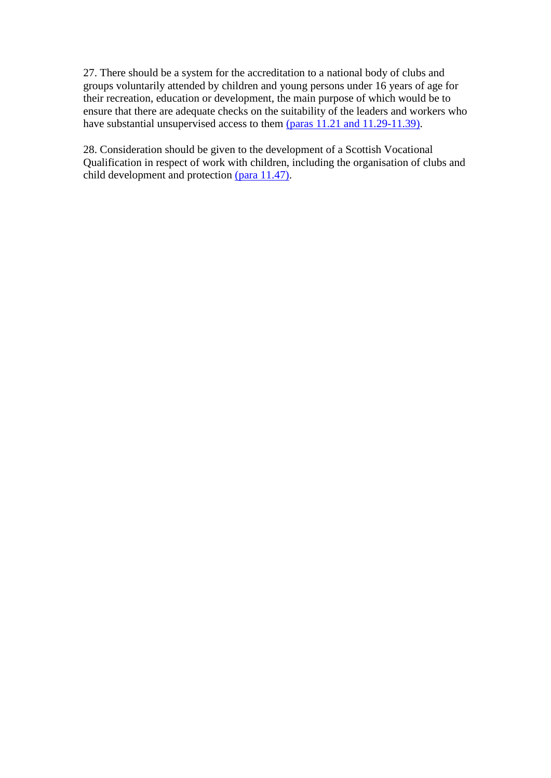27. There should be a system for the accreditation to a national body of clubs and groups voluntarily attended by children and young persons under 16 years of age for their recreation, education or development, the main purpose of which would be to ensure that there are adequate checks on the suitability of the leaders and workers who have substantial unsupervised access to them [\(paras 11.21 and 11.29-11.39\).](http://www.archive.official-documents.co.uk/document/scottish/dunblane/dun11-21.htm)

28. Consideration should be given to the development of a Scottish Vocational Qualification in respect of work with children, including the organisation of clubs and child development and protection [\(para 11.47\).](http://www.archive.official-documents.co.uk/document/scottish/dunblane/dun11-47.htm)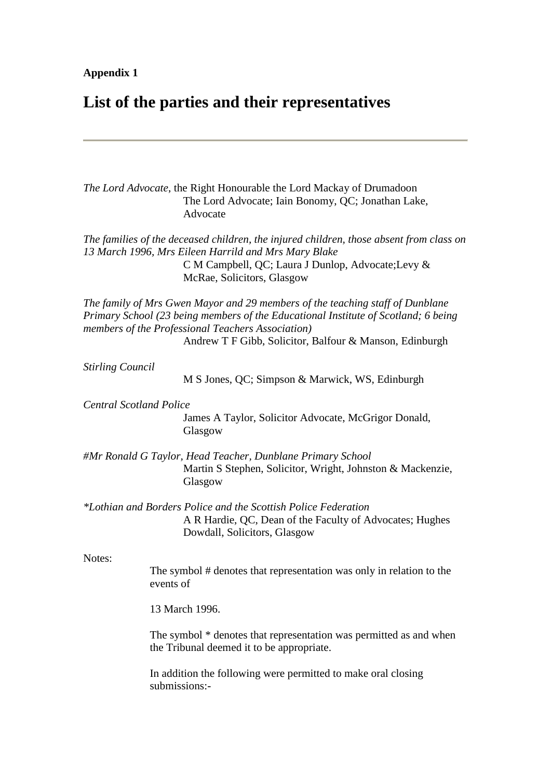#### **Appendix 1**

# **List of the parties and their representatives**

*The Lord Advocate*, the Right Honourable the Lord Mackay of Drumadoon The Lord Advocate; Iain Bonomy, QC; Jonathan Lake, Advocate

*The families of the deceased children, the injured children, those absent from class on 13 March 1996, Mrs Eileen Harrild and Mrs Mary Blake* C M Campbell, QC; Laura J Dunlop, Advocate;Levy & McRae, Solicitors, Glasgow

*The family of Mrs Gwen Mayor and 29 members of the teaching staff of Dunblane Primary School (23 being members of the Educational Institute of Scotland; 6 being members of the Professional Teachers Association)*

Andrew T F Gibb, Solicitor, Balfour & Manson, Edinburgh

*Stirling Council*

M S Jones, QC; Simpson & Marwick, WS, Edinburgh

*Central Scotland Police*

James A Taylor, Solicitor Advocate, McGrigor Donald, Glasgow

*#Mr Ronald G Taylor, Head Teacher, Dunblane Primary School* Martin S Stephen, Solicitor, Wright, Johnston & Mackenzie, Glasgow

*\*Lothian and Borders Police and the Scottish Police Federation*

A R Hardie, QC, Dean of the Faculty of Advocates; Hughes Dowdall, Solicitors, Glasgow

#### Notes:

The symbol # denotes that representation was only in relation to the events of

13 March 1996.

The symbol \* denotes that representation was permitted as and when the Tribunal deemed it to be appropriate.

In addition the following were permitted to make oral closing submissions:-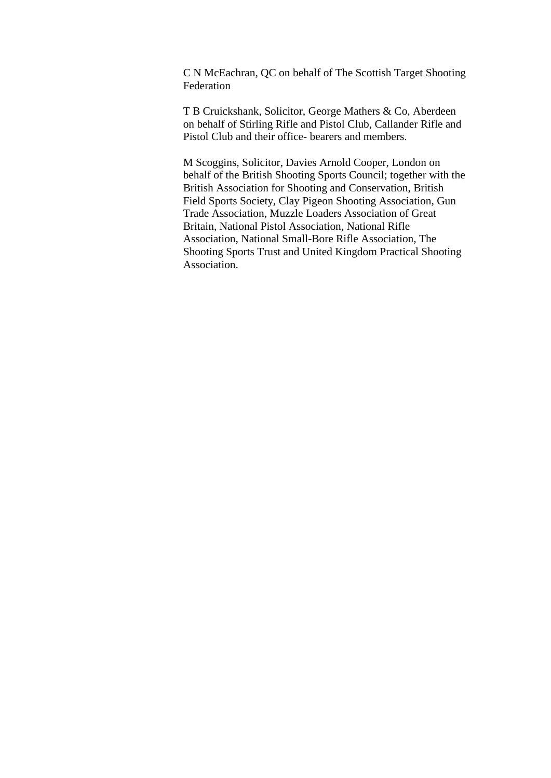C N McEachran, QC on behalf of The Scottish Target Shooting Federation

T B Cruickshank, Solicitor, George Mathers & Co, Aberdeen on behalf of Stirling Rifle and Pistol Club, Callander Rifle and Pistol Club and their office- bearers and members.

M Scoggins, Solicitor, Davies Arnold Cooper, London on behalf of the British Shooting Sports Council; together with the British Association for Shooting and Conservation, British Field Sports Society, Clay Pigeon Shooting Association, Gun Trade Association, Muzzle Loaders Association of Great Britain, National Pistol Association, National Rifle Association, National Small-Bore Rifle Association, The Shooting Sports Trust and United Kingdom Practical Shooting Association.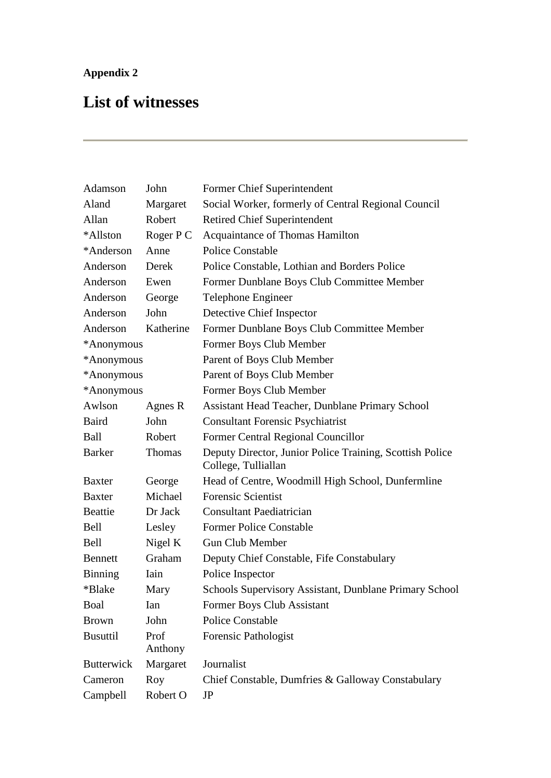# **Appendix 2**

# **List of witnesses**

| Adamson           | John            | Former Chief Superintendent                                                     |
|-------------------|-----------------|---------------------------------------------------------------------------------|
| Aland             | Margaret        | Social Worker, formerly of Central Regional Council                             |
| Allan             | Robert          | <b>Retired Chief Superintendent</b>                                             |
| *Allston          | Roger P C       | Acquaintance of Thomas Hamilton                                                 |
| *Anderson         | Anne            | <b>Police Constable</b>                                                         |
| Anderson          | Derek           | Police Constable, Lothian and Borders Police                                    |
| Anderson          | Ewen            | Former Dunblane Boys Club Committee Member                                      |
| Anderson          | George          | Telephone Engineer                                                              |
| Anderson          | John            | Detective Chief Inspector                                                       |
| Anderson          | Katherine       | Former Dunblane Boys Club Committee Member                                      |
| *Anonymous        |                 | Former Boys Club Member                                                         |
| *Anonymous        |                 | Parent of Boys Club Member                                                      |
| *Anonymous        |                 | Parent of Boys Club Member                                                      |
| *Anonymous        |                 | Former Boys Club Member                                                         |
| Awlson            | Agnes R         | <b>Assistant Head Teacher, Dunblane Primary School</b>                          |
| <b>Baird</b>      | John            | <b>Consultant Forensic Psychiatrist</b>                                         |
| Ball              | Robert          | Former Central Regional Councillor                                              |
| <b>Barker</b>     | <b>Thomas</b>   | Deputy Director, Junior Police Training, Scottish Police<br>College, Tulliallan |
| <b>Baxter</b>     | George          | Head of Centre, Woodmill High School, Dunfermline                               |
| <b>Baxter</b>     | Michael         | <b>Forensic Scientist</b>                                                       |
| <b>Beattie</b>    | Dr Jack         | <b>Consultant Paediatrician</b>                                                 |
| Bell              | Lesley          | <b>Former Police Constable</b>                                                  |
| Bell              | Nigel K         | <b>Gun Club Member</b>                                                          |
| <b>Bennett</b>    | Graham          | Deputy Chief Constable, Fife Constabulary                                       |
| Binning           | Iain            | Police Inspector                                                                |
| *Blake            | Mary            | Schools Supervisory Assistant, Dunblane Primary School                          |
| Boal              | Ian             | Former Boys Club Assistant                                                      |
| <b>Brown</b>      | John            | <b>Police Constable</b>                                                         |
| <b>Busuttil</b>   | Prof<br>Anthony | Forensic Pathologist                                                            |
| <b>Butterwick</b> | Margaret        | Journalist                                                                      |
| Cameron           | Roy             | Chief Constable, Dumfries & Galloway Constabulary                               |
| Campbell          | Robert O        | JP                                                                              |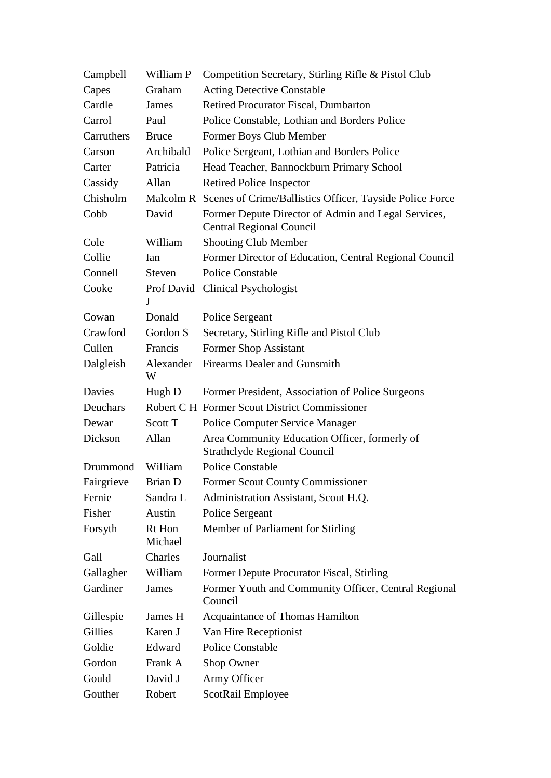| Campbell   | William P         | Competition Secretary, Stirling Rifle & Pistol Club                                    |
|------------|-------------------|----------------------------------------------------------------------------------------|
| Capes      | Graham            | <b>Acting Detective Constable</b>                                                      |
| Cardle     | James             | Retired Procurator Fiscal, Dumbarton                                                   |
| Carrol     | Paul              | Police Constable, Lothian and Borders Police                                           |
| Carruthers | <b>Bruce</b>      | Former Boys Club Member                                                                |
| Carson     | Archibald         | Police Sergeant, Lothian and Borders Police                                            |
| Carter     | Patricia          | Head Teacher, Bannockburn Primary School                                               |
| Cassidy    | Allan             | <b>Retired Police Inspector</b>                                                        |
| Chisholm   |                   | Malcolm R Scenes of Crime/Ballistics Officer, Tayside Police Force                     |
| Cobb       | David             | Former Depute Director of Admin and Legal Services,<br><b>Central Regional Council</b> |
| Cole       | William           | <b>Shooting Club Member</b>                                                            |
| Collie     | Ian               | Former Director of Education, Central Regional Council                                 |
| Connell    | <b>Steven</b>     | <b>Police Constable</b>                                                                |
| Cooke      | J                 | Prof David Clinical Psychologist                                                       |
| Cowan      | Donald            | Police Sergeant                                                                        |
| Crawford   | Gordon S          | Secretary, Stirling Rifle and Pistol Club                                              |
| Cullen     | Francis           | Former Shop Assistant                                                                  |
| Dalgleish  | Alexander<br>W    | <b>Firearms Dealer and Gunsmith</b>                                                    |
| Davies     | Hugh D            | Former President, Association of Police Surgeons                                       |
| Deuchars   |                   | Robert C H Former Scout District Commissioner                                          |
| Dewar      | Scott T           | <b>Police Computer Service Manager</b>                                                 |
| Dickson    | Allan             | Area Community Education Officer, formerly of<br><b>Strathclyde Regional Council</b>   |
| Drummond   | William           | <b>Police Constable</b>                                                                |
| Fairgrieve | Brian D           | <b>Former Scout County Commissioner</b>                                                |
| Fernie     | Sandra L          | Administration Assistant, Scout H.Q.                                                   |
| Fisher     | Austin            | Police Sergeant                                                                        |
| Forsyth    | Rt Hon<br>Michael | Member of Parliament for Stirling                                                      |
| Gall       | Charles           | Journalist                                                                             |
| Gallagher  | William           | Former Depute Procurator Fiscal, Stirling                                              |
| Gardiner   | James             | Former Youth and Community Officer, Central Regional<br>Council                        |
| Gillespie  | James H           | Acquaintance of Thomas Hamilton                                                        |
| Gillies    | Karen J           | Van Hire Receptionist                                                                  |
| Goldie     | Edward            | <b>Police Constable</b>                                                                |
| Gordon     | Frank A           | Shop Owner                                                                             |
| Gould      | David J           | Army Officer                                                                           |
| Gouther    | Robert            | ScotRail Employee                                                                      |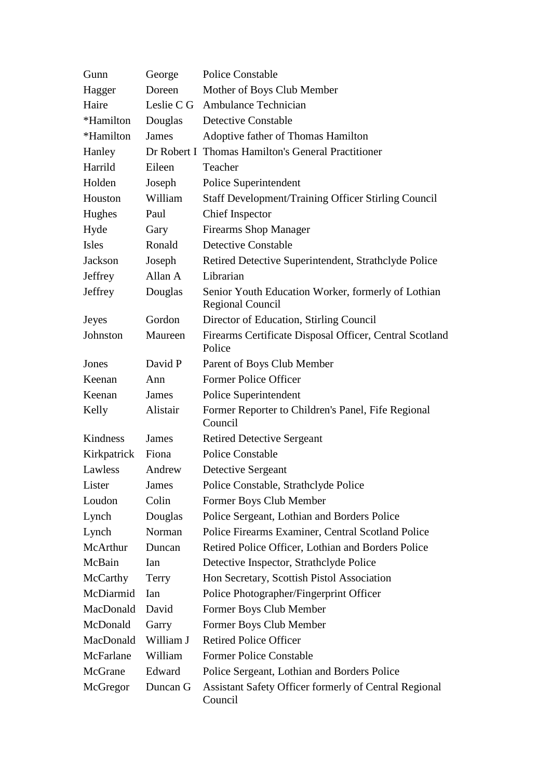| Gunn         | George     | <b>Police Constable</b>                                                       |
|--------------|------------|-------------------------------------------------------------------------------|
| Hagger       | Doreen     | Mother of Boys Club Member                                                    |
| Haire        | Leslie C G | Ambulance Technician                                                          |
| *Hamilton    | Douglas    | <b>Detective Constable</b>                                                    |
| *Hamilton    | James      | Adoptive father of Thomas Hamilton                                            |
| Hanley       |            | Dr Robert I Thomas Hamilton's General Practitioner                            |
| Harrild      | Eileen     | Teacher                                                                       |
| Holden       | Joseph     | Police Superintendent                                                         |
| Houston      | William    | <b>Staff Development/Training Officer Stirling Council</b>                    |
| Hughes       | Paul       | <b>Chief Inspector</b>                                                        |
| Hyde         | Gary       | <b>Firearms Shop Manager</b>                                                  |
| Isles        | Ronald     | <b>Detective Constable</b>                                                    |
| Jackson      | Joseph     | Retired Detective Superintendent, Strathclyde Police                          |
| Jeffrey      | Allan A    | Librarian                                                                     |
| Jeffrey      | Douglas    | Senior Youth Education Worker, formerly of Lothian<br><b>Regional Council</b> |
| <b>Jeyes</b> | Gordon     | Director of Education, Stirling Council                                       |
| Johnston     | Maureen    | Firearms Certificate Disposal Officer, Central Scotland<br>Police             |
| Jones        | David P    | Parent of Boys Club Member                                                    |
| Keenan       | Ann        | Former Police Officer                                                         |
| Keenan       | James      | Police Superintendent                                                         |
| Kelly        | Alistair   | Former Reporter to Children's Panel, Fife Regional<br>Council                 |
| Kindness     | James      | <b>Retired Detective Sergeant</b>                                             |
| Kirkpatrick  | Fiona      | <b>Police Constable</b>                                                       |
| Lawless      | Andrew     | Detective Sergeant                                                            |
| Lister       | James      | Police Constable, Strathclyde Police                                          |
| Loudon       | Colin      | Former Boys Club Member                                                       |
| Lynch        | Douglas    | Police Sergeant, Lothian and Borders Police                                   |
| Lynch        | Norman     | Police Firearms Examiner, Central Scotland Police                             |
| McArthur     | Duncan     | Retired Police Officer, Lothian and Borders Police                            |
| McBain       | Ian        | Detective Inspector, Strathclyde Police                                       |
| McCarthy     | Terry      | Hon Secretary, Scottish Pistol Association                                    |
| McDiarmid    | Ian        | Police Photographer/Fingerprint Officer                                       |
| MacDonald    | David      | Former Boys Club Member                                                       |
| McDonald     | Garry      | Former Boys Club Member                                                       |
| MacDonald    | William J  | <b>Retired Police Officer</b>                                                 |
| McFarlane    | William    | <b>Former Police Constable</b>                                                |
| McGrane      | Edward     | Police Sergeant, Lothian and Borders Police                                   |
| McGregor     | Duncan G   | Assistant Safety Officer formerly of Central Regional<br>Council              |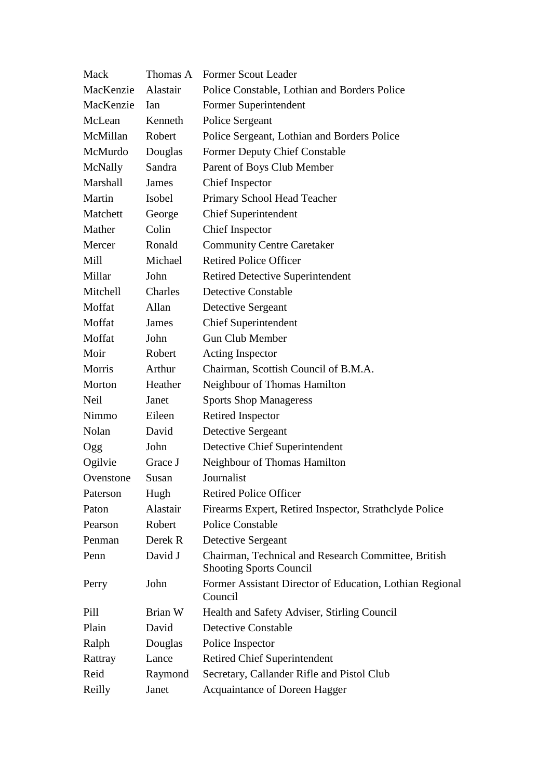| Mack      | Thomas A | <b>Former Scout Leader</b>                                                            |
|-----------|----------|---------------------------------------------------------------------------------------|
| MacKenzie | Alastair | Police Constable, Lothian and Borders Police                                          |
| MacKenzie | Ian      | Former Superintendent                                                                 |
| McLean    | Kenneth  | Police Sergeant                                                                       |
| McMillan  | Robert   | Police Sergeant, Lothian and Borders Police                                           |
| McMurdo   | Douglas  | <b>Former Deputy Chief Constable</b>                                                  |
| McNally   | Sandra   | Parent of Boys Club Member                                                            |
| Marshall  | James    | <b>Chief Inspector</b>                                                                |
| Martin    | Isobel   | Primary School Head Teacher                                                           |
| Matchett  | George   | <b>Chief Superintendent</b>                                                           |
| Mather    | Colin    | <b>Chief Inspector</b>                                                                |
| Mercer    | Ronald   | <b>Community Centre Caretaker</b>                                                     |
| Mill      | Michael  | <b>Retired Police Officer</b>                                                         |
| Millar    | John     | <b>Retired Detective Superintendent</b>                                               |
| Mitchell  | Charles  | <b>Detective Constable</b>                                                            |
| Moffat    | Allan    | Detective Sergeant                                                                    |
| Moffat    | James    | <b>Chief Superintendent</b>                                                           |
| Moffat    | John     | <b>Gun Club Member</b>                                                                |
| Moir      | Robert   | Acting Inspector                                                                      |
| Morris    | Arthur   | Chairman, Scottish Council of B.M.A.                                                  |
| Morton    | Heather  | Neighbour of Thomas Hamilton                                                          |
| Neil      | Janet    | <b>Sports Shop Manageress</b>                                                         |
| Nimmo     | Eileen   | Retired Inspector                                                                     |
| Nolan     | David    | Detective Sergeant                                                                    |
| Ogg       | John     | Detective Chief Superintendent                                                        |
| Ogilvie   | Grace J  | Neighbour of Thomas Hamilton                                                          |
| Ovenstone | Susan    | Journalist                                                                            |
| Paterson  | Hugh     | <b>Retired Police Officer</b>                                                         |
| Paton     | Alastair | Firearms Expert, Retired Inspector, Strathclyde Police                                |
| Pearson   | Robert   | <b>Police Constable</b>                                                               |
| Penman    | Derek R  | Detective Sergeant                                                                    |
| Penn      | David J  | Chairman, Technical and Research Committee, British<br><b>Shooting Sports Council</b> |
| Perry     | John     | Former Assistant Director of Education, Lothian Regional<br>Council                   |
| Pill      | Brian W  | Health and Safety Adviser, Stirling Council                                           |
| Plain     | David    | <b>Detective Constable</b>                                                            |
| Ralph     | Douglas  | Police Inspector                                                                      |
| Rattray   | Lance    | <b>Retired Chief Superintendent</b>                                                   |
| Reid      | Raymond  | Secretary, Callander Rifle and Pistol Club                                            |
| Reilly    | Janet    | Acquaintance of Doreen Hagger                                                         |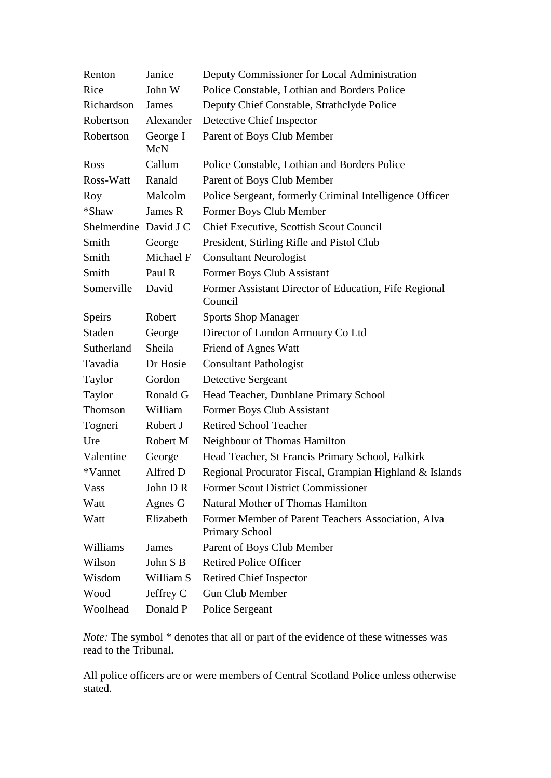| Renton                | Janice          | Deputy Commissioner for Local Administration                                |
|-----------------------|-----------------|-----------------------------------------------------------------------------|
| Rice                  | John W          | Police Constable, Lothian and Borders Police                                |
| Richardson            | James           | Deputy Chief Constable, Strathclyde Police                                  |
| Robertson             | Alexander       | Detective Chief Inspector                                                   |
| Robertson             | George I<br>McN | Parent of Boys Club Member                                                  |
| <b>Ross</b>           | Callum          | Police Constable, Lothian and Borders Police                                |
| Ross-Watt             | Ranald          | Parent of Boys Club Member                                                  |
| Roy                   | Malcolm         | Police Sergeant, formerly Criminal Intelligence Officer                     |
| *Shaw                 | James R         | Former Boys Club Member                                                     |
| Shelmerdine David J C |                 | Chief Executive, Scottish Scout Council                                     |
| Smith                 | George          | President, Stirling Rifle and Pistol Club                                   |
| Smith                 | Michael F       | <b>Consultant Neurologist</b>                                               |
| Smith                 | Paul R          | Former Boys Club Assistant                                                  |
| Somerville            | David           | Former Assistant Director of Education, Fife Regional<br>Council            |
| Speirs                | Robert          | <b>Sports Shop Manager</b>                                                  |
| <b>Staden</b>         | George          | Director of London Armoury Co Ltd                                           |
| Sutherland            | Sheila          | Friend of Agnes Watt                                                        |
| Tavadia               | Dr Hosie        | <b>Consultant Pathologist</b>                                               |
| Taylor                | Gordon          | Detective Sergeant                                                          |
| Taylor                | Ronald G        | Head Teacher, Dunblane Primary School                                       |
| Thomson               | William         | Former Boys Club Assistant                                                  |
| Togneri               | Robert J        | <b>Retired School Teacher</b>                                               |
| Ure                   | Robert M        | Neighbour of Thomas Hamilton                                                |
| Valentine             | George          | Head Teacher, St Francis Primary School, Falkirk                            |
| *Vannet               | Alfred D        | Regional Procurator Fiscal, Grampian Highland & Islands                     |
| Vass                  | John DR         | Former Scout District Commissioner                                          |
| Watt                  | Agnes G         | <b>Natural Mother of Thomas Hamilton</b>                                    |
| Watt                  | Elizabeth       | Former Member of Parent Teachers Association, Alva<br><b>Primary School</b> |
| Williams              | James           | Parent of Boys Club Member                                                  |
| Wilson                | John S B        | <b>Retired Police Officer</b>                                               |
| Wisdom                | William S       | <b>Retired Chief Inspector</b>                                              |
| Wood                  | Jeffrey C       | <b>Gun Club Member</b>                                                      |
| Woolhead              | Donald P        | Police Sergeant                                                             |

*Note:* The symbol \* denotes that all or part of the evidence of these witnesses was read to the Tribunal.

All police officers are or were members of Central Scotland Police unless otherwise stated.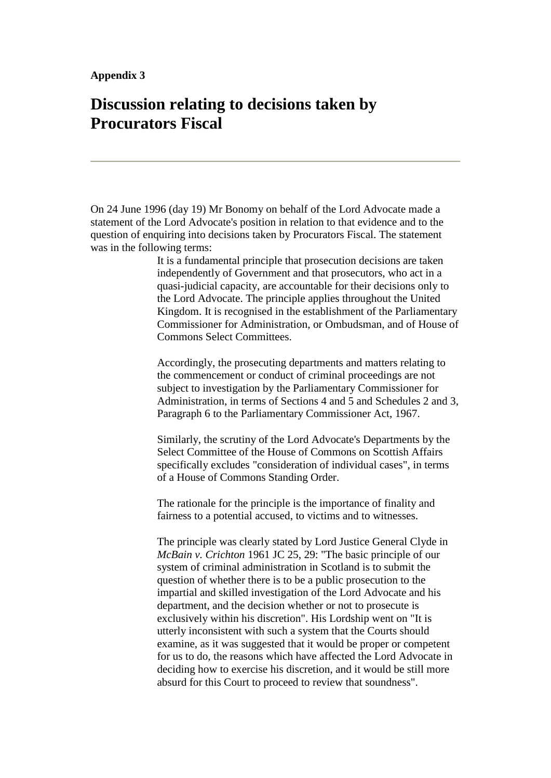# **Discussion relating to decisions taken by Procurators Fiscal**

On 24 June 1996 (day 19) Mr Bonomy on behalf of the Lord Advocate made a statement of the Lord Advocate's position in relation to that evidence and to the question of enquiring into decisions taken by Procurators Fiscal. The statement was in the following terms:

> It is a fundamental principle that prosecution decisions are taken independently of Government and that prosecutors, who act in a quasi-judicial capacity, are accountable for their decisions only to the Lord Advocate. The principle applies throughout the United Kingdom. It is recognised in the establishment of the Parliamentary Commissioner for Administration, or Ombudsman, and of House of Commons Select Committees.

> Accordingly, the prosecuting departments and matters relating to the commencement or conduct of criminal proceedings are not subject to investigation by the Parliamentary Commissioner for Administration, in terms of Sections 4 and 5 and Schedules 2 and 3, Paragraph 6 to the Parliamentary Commissioner Act, 1967.

Similarly, the scrutiny of the Lord Advocate's Departments by the Select Committee of the House of Commons on Scottish Affairs specifically excludes "consideration of individual cases", in terms of a House of Commons Standing Order.

The rationale for the principle is the importance of finality and fairness to a potential accused, to victims and to witnesses.

The principle was clearly stated by Lord Justice General Clyde in *McBain v. Crichton* 1961 JC 25, 29: "The basic principle of our system of criminal administration in Scotland is to submit the question of whether there is to be a public prosecution to the impartial and skilled investigation of the Lord Advocate and his department, and the decision whether or not to prosecute is exclusively within his discretion". His Lordship went on "It is utterly inconsistent with such a system that the Courts should examine, as it was suggested that it would be proper or competent for us to do, the reasons which have affected the Lord Advocate in deciding how to exercise his discretion, and it would be still more absurd for this Court to proceed to review that soundness".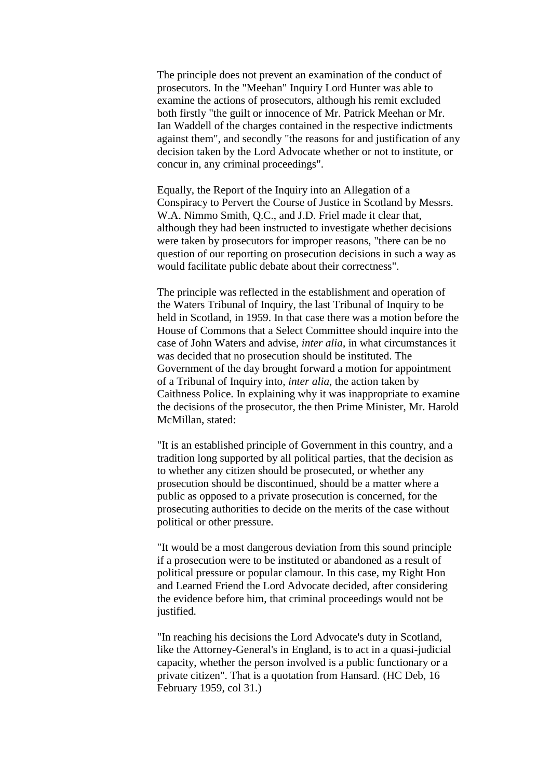The principle does not prevent an examination of the conduct of prosecutors. In the "Meehan" Inquiry Lord Hunter was able to examine the actions of prosecutors, although his remit excluded both firstly "the guilt or innocence of Mr. Patrick Meehan or Mr. Ian Waddell of the charges contained in the respective indictments against them", and secondly "the reasons for and justification of any decision taken by the Lord Advocate whether or not to institute, or concur in, any criminal proceedings".

Equally, the Report of the Inquiry into an Allegation of a Conspiracy to Pervert the Course of Justice in Scotland by Messrs. W.A. Nimmo Smith, Q.C., and J.D. Friel made it clear that, although they had been instructed to investigate whether decisions were taken by prosecutors for improper reasons, "there can be no question of our reporting on prosecution decisions in such a way as would facilitate public debate about their correctness".

The principle was reflected in the establishment and operation of the Waters Tribunal of Inquiry, the last Tribunal of Inquiry to be held in Scotland, in 1959. In that case there was a motion before the House of Commons that a Select Committee should inquire into the case of John Waters and advise, *inter alia*, in what circumstances it was decided that no prosecution should be instituted. The Government of the day brought forward a motion for appointment of a Tribunal of Inquiry into, *inter alia*, the action taken by Caithness Police. In explaining why it was inappropriate to examine the decisions of the prosecutor, the then Prime Minister, Mr. Harold McMillan, stated:

"It is an established principle of Government in this country, and a tradition long supported by all political parties, that the decision as to whether any citizen should be prosecuted, or whether any prosecution should be discontinued, should be a matter where a public as opposed to a private prosecution is concerned, for the prosecuting authorities to decide on the merits of the case without political or other pressure.

"It would be a most dangerous deviation from this sound principle if a prosecution were to be instituted or abandoned as a result of political pressure or popular clamour. In this case, my Right Hon and Learned Friend the Lord Advocate decided, after considering the evidence before him, that criminal proceedings would not be justified.

"In reaching his decisions the Lord Advocate's duty in Scotland, like the Attorney-General's in England, is to act in a quasi-judicial capacity, whether the person involved is a public functionary or a private citizen". That is a quotation from Hansard. (HC Deb, 16 February 1959, col 31.)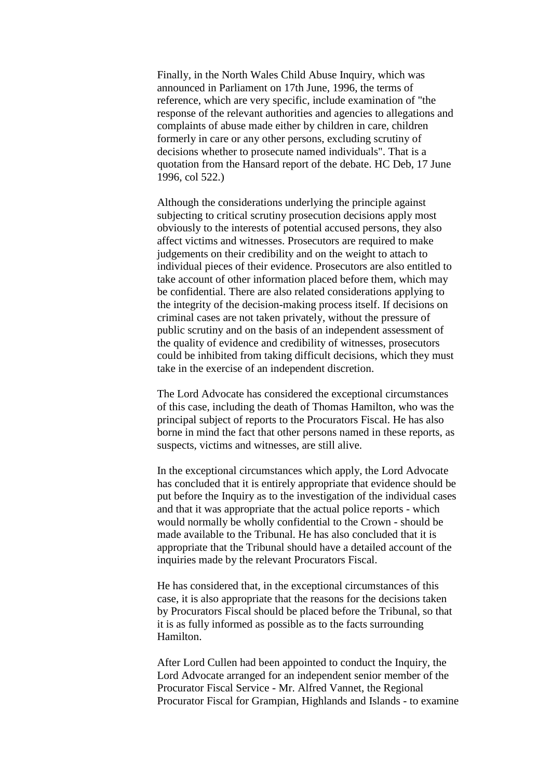Finally, in the North Wales Child Abuse Inquiry, which was announced in Parliament on 17th June, 1996, the terms of reference, which are very specific, include examination of "the response of the relevant authorities and agencies to allegations and complaints of abuse made either by children in care, children formerly in care or any other persons, excluding scrutiny of decisions whether to prosecute named individuals". That is a quotation from the Hansard report of the debate. HC Deb, 17 June 1996, col 522.)

Although the considerations underlying the principle against subjecting to critical scrutiny prosecution decisions apply most obviously to the interests of potential accused persons, they also affect victims and witnesses. Prosecutors are required to make judgements on their credibility and on the weight to attach to individual pieces of their evidence. Prosecutors are also entitled to take account of other information placed before them, which may be confidential. There are also related considerations applying to the integrity of the decision-making process itself. If decisions on criminal cases are not taken privately, without the pressure of public scrutiny and on the basis of an independent assessment of the quality of evidence and credibility of witnesses, prosecutors could be inhibited from taking difficult decisions, which they must take in the exercise of an independent discretion.

The Lord Advocate has considered the exceptional circumstances of this case, including the death of Thomas Hamilton, who was the principal subject of reports to the Procurators Fiscal. He has also borne in mind the fact that other persons named in these reports, as suspects, victims and witnesses, are still alive.

In the exceptional circumstances which apply, the Lord Advocate has concluded that it is entirely appropriate that evidence should be put before the Inquiry as to the investigation of the individual cases and that it was appropriate that the actual police reports - which would normally be wholly confidential to the Crown - should be made available to the Tribunal. He has also concluded that it is appropriate that the Tribunal should have a detailed account of the inquiries made by the relevant Procurators Fiscal.

He has considered that, in the exceptional circumstances of this case, it is also appropriate that the reasons for the decisions taken by Procurators Fiscal should be placed before the Tribunal, so that it is as fully informed as possible as to the facts surrounding Hamilton.

After Lord Cullen had been appointed to conduct the Inquiry, the Lord Advocate arranged for an independent senior member of the Procurator Fiscal Service - Mr. Alfred Vannet, the Regional Procurator Fiscal for Grampian, Highlands and Islands - to examine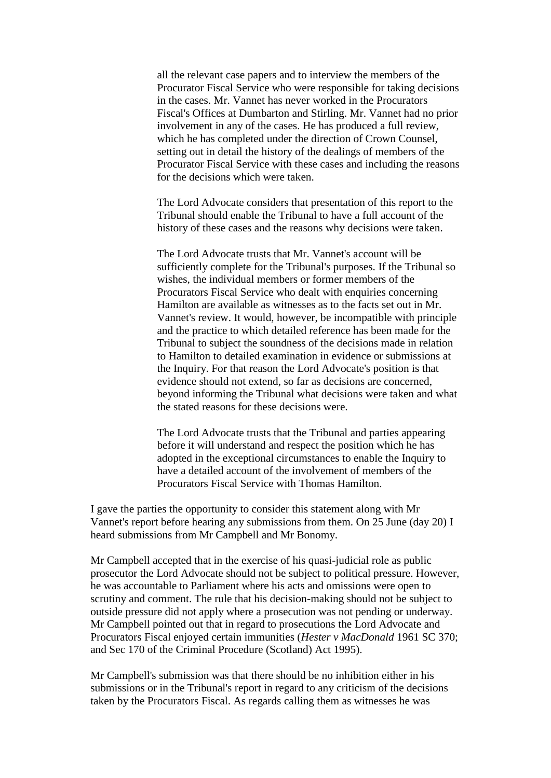all the relevant case papers and to interview the members of the Procurator Fiscal Service who were responsible for taking decisions in the cases. Mr. Vannet has never worked in the Procurators Fiscal's Offices at Dumbarton and Stirling. Mr. Vannet had no prior involvement in any of the cases. He has produced a full review, which he has completed under the direction of Crown Counsel, setting out in detail the history of the dealings of members of the Procurator Fiscal Service with these cases and including the reasons for the decisions which were taken.

The Lord Advocate considers that presentation of this report to the Tribunal should enable the Tribunal to have a full account of the history of these cases and the reasons why decisions were taken.

The Lord Advocate trusts that Mr. Vannet's account will be sufficiently complete for the Tribunal's purposes. If the Tribunal so wishes, the individual members or former members of the Procurators Fiscal Service who dealt with enquiries concerning Hamilton are available as witnesses as to the facts set out in Mr. Vannet's review. It would, however, be incompatible with principle and the practice to which detailed reference has been made for the Tribunal to subject the soundness of the decisions made in relation to Hamilton to detailed examination in evidence or submissions at the Inquiry. For that reason the Lord Advocate's position is that evidence should not extend, so far as decisions are concerned, beyond informing the Tribunal what decisions were taken and what the stated reasons for these decisions were.

The Lord Advocate trusts that the Tribunal and parties appearing before it will understand and respect the position which he has adopted in the exceptional circumstances to enable the Inquiry to have a detailed account of the involvement of members of the Procurators Fiscal Service with Thomas Hamilton.

I gave the parties the opportunity to consider this statement along with Mr Vannet's report before hearing any submissions from them. On 25 June (day 20) I heard submissions from Mr Campbell and Mr Bonomy.

Mr Campbell accepted that in the exercise of his quasi-judicial role as public prosecutor the Lord Advocate should not be subject to political pressure. However, he was accountable to Parliament where his acts and omissions were open to scrutiny and comment. The rule that his decision-making should not be subject to outside pressure did not apply where a prosecution was not pending or underway. Mr Campbell pointed out that in regard to prosecutions the Lord Advocate and Procurators Fiscal enjoyed certain immunities (*Hester v MacDonald* 1961 SC 370; and Sec 170 of the Criminal Procedure (Scotland) Act 1995).

Mr Campbell's submission was that there should be no inhibition either in his submissions or in the Tribunal's report in regard to any criticism of the decisions taken by the Procurators Fiscal. As regards calling them as witnesses he was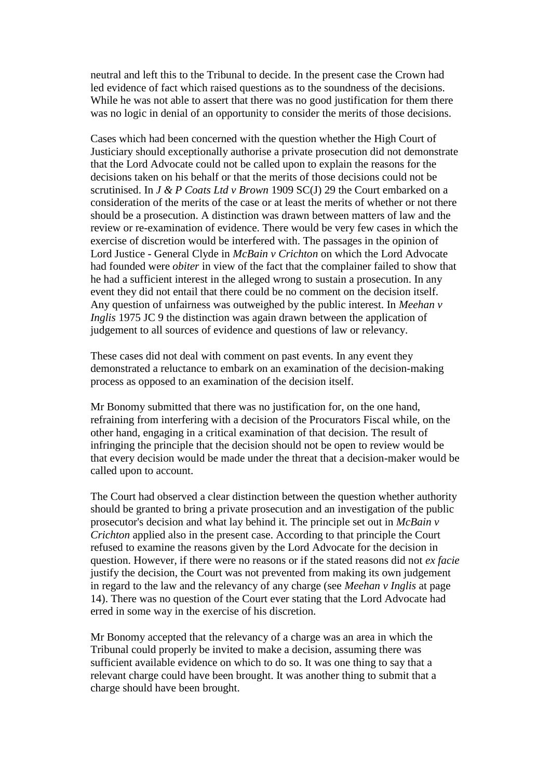neutral and left this to the Tribunal to decide. In the present case the Crown had led evidence of fact which raised questions as to the soundness of the decisions. While he was not able to assert that there was no good justification for them there was no logic in denial of an opportunity to consider the merits of those decisions.

Cases which had been concerned with the question whether the High Court of Justiciary should exceptionally authorise a private prosecution did not demonstrate that the Lord Advocate could not be called upon to explain the reasons for the decisions taken on his behalf or that the merits of those decisions could not be scrutinised. In *J & P Coats Ltd v Brown* 1909 SC(J) 29 the Court embarked on a consideration of the merits of the case or at least the merits of whether or not there should be a prosecution. A distinction was drawn between matters of law and the review or re-examination of evidence. There would be very few cases in which the exercise of discretion would be interfered with. The passages in the opinion of Lord Justice - General Clyde in *McBain v Crichton* on which the Lord Advocate had founded were *obiter* in view of the fact that the complainer failed to show that he had a sufficient interest in the alleged wrong to sustain a prosecution. In any event they did not entail that there could be no comment on the decision itself. Any question of unfairness was outweighed by the public interest. In *Meehan v Inglis* 1975 JC 9 the distinction was again drawn between the application of judgement to all sources of evidence and questions of law or relevancy.

These cases did not deal with comment on past events. In any event they demonstrated a reluctance to embark on an examination of the decision-making process as opposed to an examination of the decision itself.

Mr Bonomy submitted that there was no justification for, on the one hand, refraining from interfering with a decision of the Procurators Fiscal while, on the other hand, engaging in a critical examination of that decision. The result of infringing the principle that the decision should not be open to review would be that every decision would be made under the threat that a decision-maker would be called upon to account.

The Court had observed a clear distinction between the question whether authority should be granted to bring a private prosecution and an investigation of the public prosecutor's decision and what lay behind it. The principle set out in *McBain v Crichton* applied also in the present case. According to that principle the Court refused to examine the reasons given by the Lord Advocate for the decision in question. However, if there were no reasons or if the stated reasons did not *ex facie* justify the decision, the Court was not prevented from making its own judgement in regard to the law and the relevancy of any charge (see *Meehan v Inglis* at page 14). There was no question of the Court ever stating that the Lord Advocate had erred in some way in the exercise of his discretion.

Mr Bonomy accepted that the relevancy of a charge was an area in which the Tribunal could properly be invited to make a decision, assuming there was sufficient available evidence on which to do so. It was one thing to say that a relevant charge could have been brought. It was another thing to submit that a charge should have been brought.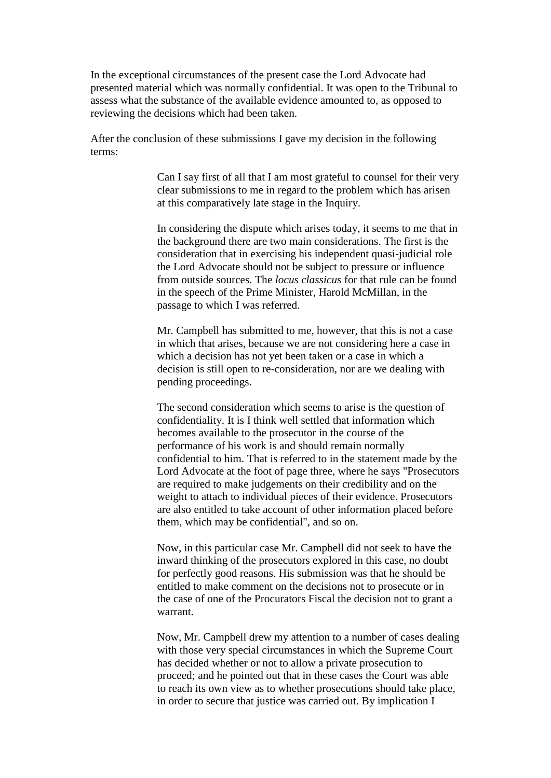In the exceptional circumstances of the present case the Lord Advocate had presented material which was normally confidential. It was open to the Tribunal to assess what the substance of the available evidence amounted to, as opposed to reviewing the decisions which had been taken.

After the conclusion of these submissions I gave my decision in the following terms:

> Can I say first of all that I am most grateful to counsel for their very clear submissions to me in regard to the problem which has arisen at this comparatively late stage in the Inquiry.

> In considering the dispute which arises today, it seems to me that in the background there are two main considerations. The first is the consideration that in exercising his independent quasi-judicial role the Lord Advocate should not be subject to pressure or influence from outside sources. The *locus classicus* for that rule can be found in the speech of the Prime Minister, Harold McMillan, in the passage to which I was referred.

Mr. Campbell has submitted to me, however, that this is not a case in which that arises, because we are not considering here a case in which a decision has not yet been taken or a case in which a decision is still open to re-consideration, nor are we dealing with pending proceedings.

The second consideration which seems to arise is the question of confidentiality. It is I think well settled that information which becomes available to the prosecutor in the course of the performance of his work is and should remain normally confidential to him. That is referred to in the statement made by the Lord Advocate at the foot of page three, where he says "Prosecutors are required to make judgements on their credibility and on the weight to attach to individual pieces of their evidence. Prosecutors are also entitled to take account of other information placed before them, which may be confidential", and so on.

Now, in this particular case Mr. Campbell did not seek to have the inward thinking of the prosecutors explored in this case, no doubt for perfectly good reasons. His submission was that he should be entitled to make comment on the decisions not to prosecute or in the case of one of the Procurators Fiscal the decision not to grant a warrant.

Now, Mr. Campbell drew my attention to a number of cases dealing with those very special circumstances in which the Supreme Court has decided whether or not to allow a private prosecution to proceed; and he pointed out that in these cases the Court was able to reach its own view as to whether prosecutions should take place, in order to secure that justice was carried out. By implication I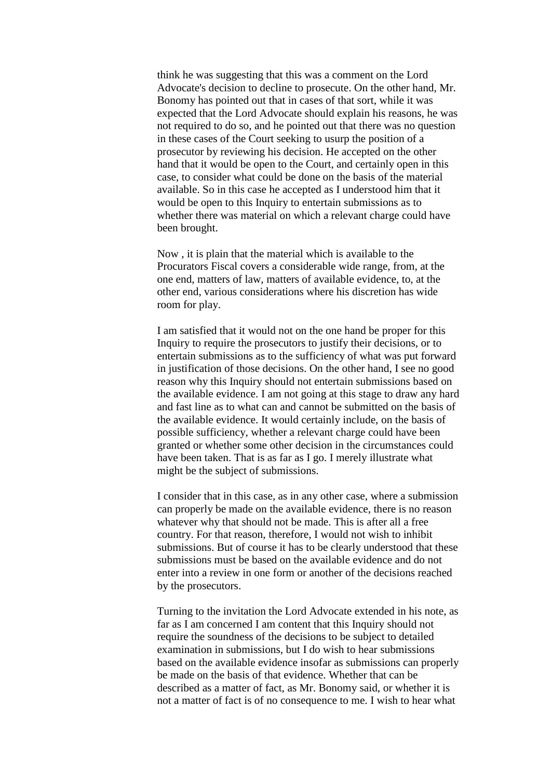think he was suggesting that this was a comment on the Lord Advocate's decision to decline to prosecute. On the other hand, Mr. Bonomy has pointed out that in cases of that sort, while it was expected that the Lord Advocate should explain his reasons, he was not required to do so, and he pointed out that there was no question in these cases of the Court seeking to usurp the position of a prosecutor by reviewing his decision. He accepted on the other hand that it would be open to the Court, and certainly open in this case, to consider what could be done on the basis of the material available. So in this case he accepted as I understood him that it would be open to this Inquiry to entertain submissions as to whether there was material on which a relevant charge could have been brought.

Now , it is plain that the material which is available to the Procurators Fiscal covers a considerable wide range, from, at the one end, matters of law, matters of available evidence, to, at the other end, various considerations where his discretion has wide room for play.

I am satisfied that it would not on the one hand be proper for this Inquiry to require the prosecutors to justify their decisions, or to entertain submissions as to the sufficiency of what was put forward in justification of those decisions. On the other hand, I see no good reason why this Inquiry should not entertain submissions based on the available evidence. I am not going at this stage to draw any hard and fast line as to what can and cannot be submitted on the basis of the available evidence. It would certainly include, on the basis of possible sufficiency, whether a relevant charge could have been granted or whether some other decision in the circumstances could have been taken. That is as far as I go. I merely illustrate what might be the subject of submissions.

I consider that in this case, as in any other case, where a submission can properly be made on the available evidence, there is no reason whatever why that should not be made. This is after all a free country. For that reason, therefore, I would not wish to inhibit submissions. But of course it has to be clearly understood that these submissions must be based on the available evidence and do not enter into a review in one form or another of the decisions reached by the prosecutors.

Turning to the invitation the Lord Advocate extended in his note, as far as I am concerned I am content that this Inquiry should not require the soundness of the decisions to be subject to detailed examination in submissions, but I do wish to hear submissions based on the available evidence insofar as submissions can properly be made on the basis of that evidence. Whether that can be described as a matter of fact, as Mr. Bonomy said, or whether it is not a matter of fact is of no consequence to me. I wish to hear what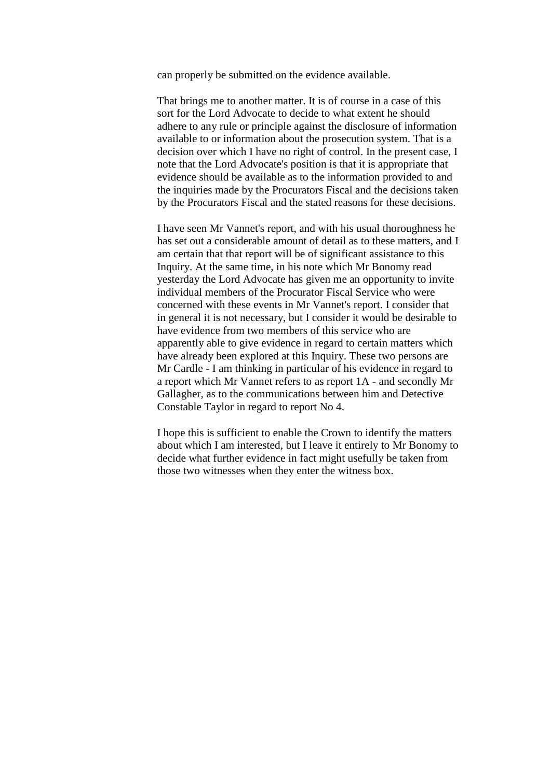can properly be submitted on the evidence available.

That brings me to another matter. It is of course in a case of this sort for the Lord Advocate to decide to what extent he should adhere to any rule or principle against the disclosure of information available to or information about the prosecution system. That is a decision over which I have no right of control. In the present case, I note that the Lord Advocate's position is that it is appropriate that evidence should be available as to the information provided to and the inquiries made by the Procurators Fiscal and the decisions taken by the Procurators Fiscal and the stated reasons for these decisions.

I have seen Mr Vannet's report, and with his usual thoroughness he has set out a considerable amount of detail as to these matters, and I am certain that that report will be of significant assistance to this Inquiry. At the same time, in his note which Mr Bonomy read yesterday the Lord Advocate has given me an opportunity to invite individual members of the Procurator Fiscal Service who were concerned with these events in Mr Vannet's report. I consider that in general it is not necessary, but I consider it would be desirable to have evidence from two members of this service who are apparently able to give evidence in regard to certain matters which have already been explored at this Inquiry. These two persons are Mr Cardle - I am thinking in particular of his evidence in regard to a report which Mr Vannet refers to as report 1A - and secondly Mr Gallagher, as to the communications between him and Detective Constable Taylor in regard to report No 4.

I hope this is sufficient to enable the Crown to identify the matters about which I am interested, but I leave it entirely to Mr Bonomy to decide what further evidence in fact might usefully be taken from those two witnesses when they enter the witness box.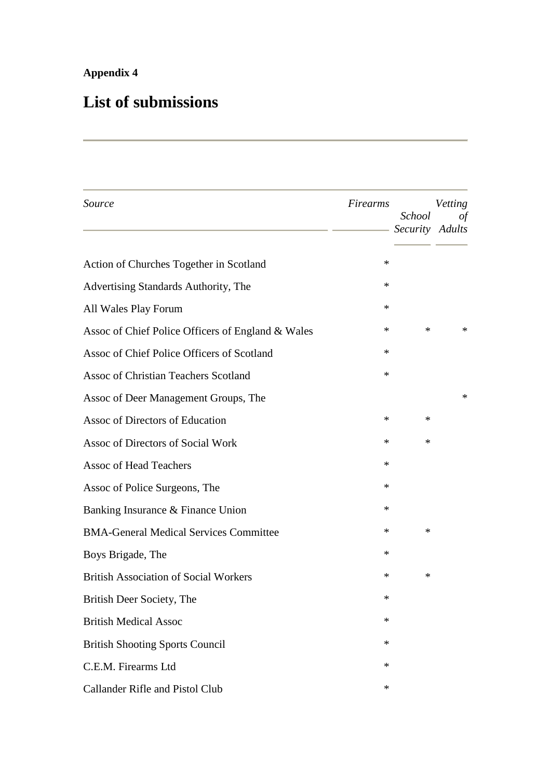# **Appendix 4**

# **List of submissions**

| Source                                            | Firearms | <b>School</b><br>Security Adults | Vetting<br>οf |
|---------------------------------------------------|----------|----------------------------------|---------------|
| Action of Churches Together in Scotland           | ∗        |                                  |               |
| Advertising Standards Authority, The              | ∗        |                                  |               |
| All Wales Play Forum                              | ∗        |                                  |               |
| Assoc of Chief Police Officers of England & Wales | ∗        | ∗                                | ∗             |
| Assoc of Chief Police Officers of Scotland        | ∗        |                                  |               |
| Assoc of Christian Teachers Scotland              | ∗        |                                  |               |
| Assoc of Deer Management Groups, The              |          |                                  | ∗             |
| Assoc of Directors of Education                   | ∗        | ∗                                |               |
| Assoc of Directors of Social Work                 | ∗        | ∗                                |               |
| Assoc of Head Teachers                            | ∗        |                                  |               |
| Assoc of Police Surgeons, The                     | ∗        |                                  |               |
| Banking Insurance & Finance Union                 | ∗        |                                  |               |
| <b>BMA-General Medical Services Committee</b>     | ∗        | ∗                                |               |
| Boys Brigade, The                                 | ∗        |                                  |               |
| <b>British Association of Social Workers</b>      | ∗        | ∗                                |               |
| British Deer Society, The                         | ∗        |                                  |               |
| <b>British Medical Assoc</b>                      | ∗        |                                  |               |
| <b>British Shooting Sports Council</b>            | ∗        |                                  |               |
| C.E.M. Firearms Ltd                               | ∗        |                                  |               |
| Callander Rifle and Pistol Club                   | ∗        |                                  |               |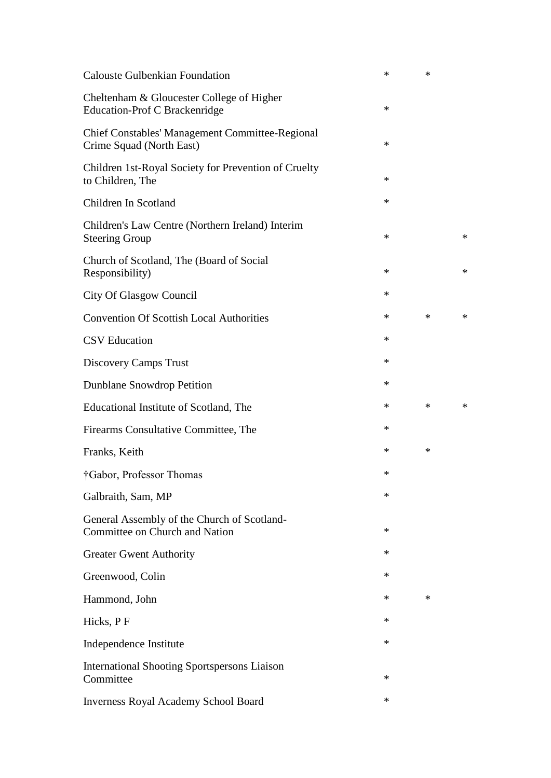| <b>Calouste Gulbenkian Foundation</b>                                         | $\ast$ | $\ast$ |   |
|-------------------------------------------------------------------------------|--------|--------|---|
| Cheltenham & Gloucester College of Higher<br>Education-Prof C Brackenridge    | ∗      |        |   |
| Chief Constables' Management Committee-Regional<br>Crime Squad (North East)   | $\ast$ |        |   |
| Children 1st-Royal Society for Prevention of Cruelty<br>to Children, The      | ∗      |        |   |
| Children In Scotland                                                          | $\ast$ |        |   |
| Children's Law Centre (Northern Ireland) Interim<br><b>Steering Group</b>     | ∗      |        | * |
| Church of Scotland, The (Board of Social<br>Responsibility)                   | ∗      |        | ∗ |
| City Of Glasgow Council                                                       | ∗      |        |   |
| <b>Convention Of Scottish Local Authorities</b>                               | $\ast$ | $\ast$ | * |
| <b>CSV</b> Education                                                          | ∗      |        |   |
| Discovery Camps Trust                                                         | ∗      |        |   |
| Dunblane Snowdrop Petition                                                    | ∗      |        |   |
| Educational Institute of Scotland, The                                        | $\ast$ | $\ast$ | * |
| Firearms Consultative Committee, The                                          | ∗      |        |   |
| Franks, Keith                                                                 | ∗      | ∗      |   |
| †Gabor, Professor Thomas                                                      | ∗      |        |   |
| Galbraith, Sam, MP                                                            | ∗      |        |   |
| General Assembly of the Church of Scotland-<br>Committee on Church and Nation | ∗      |        |   |
| <b>Greater Gwent Authority</b>                                                | ∗      |        |   |
| Greenwood, Colin                                                              | ∗      |        |   |
| Hammond, John                                                                 | ∗      | ∗      |   |
| Hicks, PF                                                                     | ∗      |        |   |
| Independence Institute                                                        | ∗      |        |   |
| <b>International Shooting Sportspersons Liaison</b><br>Committee              | ∗      |        |   |
| Inverness Royal Academy School Board                                          | ∗      |        |   |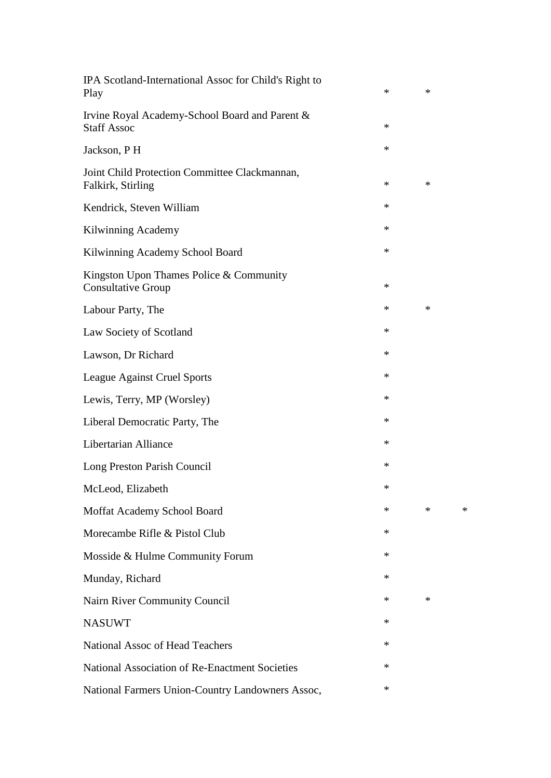| IPA Scotland-International Assoc for Child's Right to<br>Play        | $\ast$ | ∗      |   |
|----------------------------------------------------------------------|--------|--------|---|
| Irvine Royal Academy-School Board and Parent &<br><b>Staff Assoc</b> | $\ast$ |        |   |
| Jackson, PH                                                          | $\ast$ |        |   |
| Joint Child Protection Committee Clackmannan,<br>Falkirk, Stirling   | $\ast$ | $\ast$ |   |
| Kendrick, Steven William                                             | ∗      |        |   |
| Kilwinning Academy                                                   | ∗      |        |   |
| Kilwinning Academy School Board                                      | $\ast$ |        |   |
| Kingston Upon Thames Police & Community<br><b>Consultative Group</b> | $\ast$ |        |   |
| Labour Party, The                                                    | $\ast$ | ∗      |   |
| Law Society of Scotland                                              | $\ast$ |        |   |
| Lawson, Dr Richard                                                   | $\ast$ |        |   |
| League Against Cruel Sports                                          | $\ast$ |        |   |
| Lewis, Terry, MP (Worsley)                                           | ∗      |        |   |
| Liberal Democratic Party, The                                        | ∗      |        |   |
| Libertarian Alliance                                                 | $\ast$ |        |   |
| Long Preston Parish Council                                          | ∗      |        |   |
| McLeod, Elizabeth                                                    |        |        |   |
| Moffat Academy School Board                                          | ∗      | $\ast$ | ∗ |
| Morecambe Rifle & Pistol Club                                        | ∗      |        |   |
| Mosside & Hulme Community Forum                                      | $\ast$ |        |   |
| Munday, Richard                                                      | ∗      |        |   |
| Nairn River Community Council                                        | $\ast$ | ∗      |   |
| <b>NASUWT</b>                                                        | $\ast$ |        |   |
| <b>National Assoc of Head Teachers</b>                               | $\ast$ |        |   |
| National Association of Re-Enactment Societies                       | $\ast$ |        |   |
| National Farmers Union-Country Landowners Assoc,                     | $\ast$ |        |   |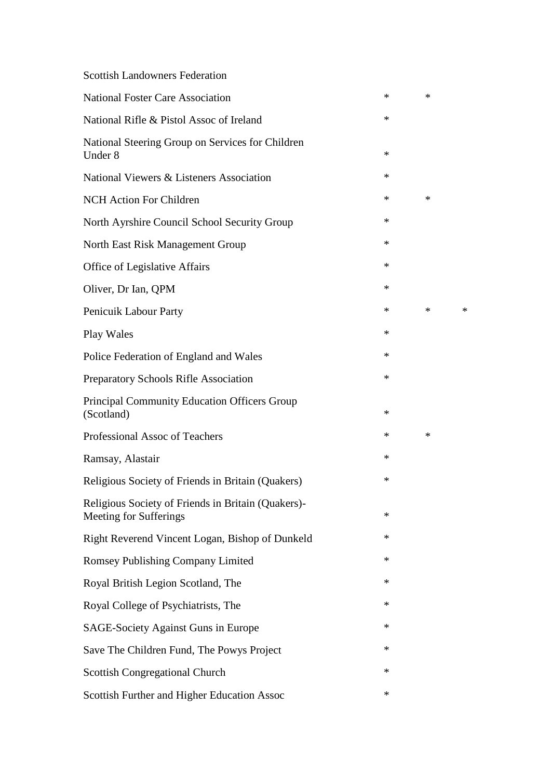## Scottish Landowners Federation

| <b>National Foster Care Association</b>                                      | ∗      | ∗      |        |
|------------------------------------------------------------------------------|--------|--------|--------|
| National Rifle & Pistol Assoc of Ireland                                     | $\ast$ |        |        |
| National Steering Group on Services for Children<br>Under 8                  | $\ast$ |        |        |
| National Viewers & Listeners Association                                     | $\ast$ |        |        |
| <b>NCH Action For Children</b>                                               | $\ast$ | ∗      |        |
| North Ayrshire Council School Security Group                                 | $\ast$ |        |        |
| North East Risk Management Group                                             | $\ast$ |        |        |
| Office of Legislative Affairs                                                | $\ast$ |        |        |
| Oliver, Dr Ian, QPM                                                          | $\ast$ |        |        |
| Penicuik Labour Party                                                        | ∗      | $\ast$ | $\ast$ |
| Play Wales                                                                   | $\ast$ |        |        |
| Police Federation of England and Wales                                       | $\ast$ |        |        |
| <b>Preparatory Schools Rifle Association</b>                                 | $\ast$ |        |        |
| <b>Principal Community Education Officers Group</b><br>(Scotland)            | $\ast$ |        |        |
| Professional Assoc of Teachers                                               | $\ast$ | ∗      |        |
| Ramsay, Alastair                                                             | $\ast$ |        |        |
| Religious Society of Friends in Britain (Quakers)                            | $\ast$ |        |        |
| Religious Society of Friends in Britain (Quakers)-<br>Meeting for Sufferings | ∗      |        |        |
| Right Reverend Vincent Logan, Bishop of Dunkeld                              | $\ast$ |        |        |
| Romsey Publishing Company Limited                                            | $\ast$ |        |        |
| Royal British Legion Scotland, The                                           | $\ast$ |        |        |
| Royal College of Psychiatrists, The                                          | $\ast$ |        |        |
| <b>SAGE-Society Against Guns in Europe</b>                                   | $\ast$ |        |        |
| Save The Children Fund, The Powys Project                                    | $\ast$ |        |        |
| <b>Scottish Congregational Church</b>                                        | $\ast$ |        |        |
| Scottish Further and Higher Education Assoc                                  | $\ast$ |        |        |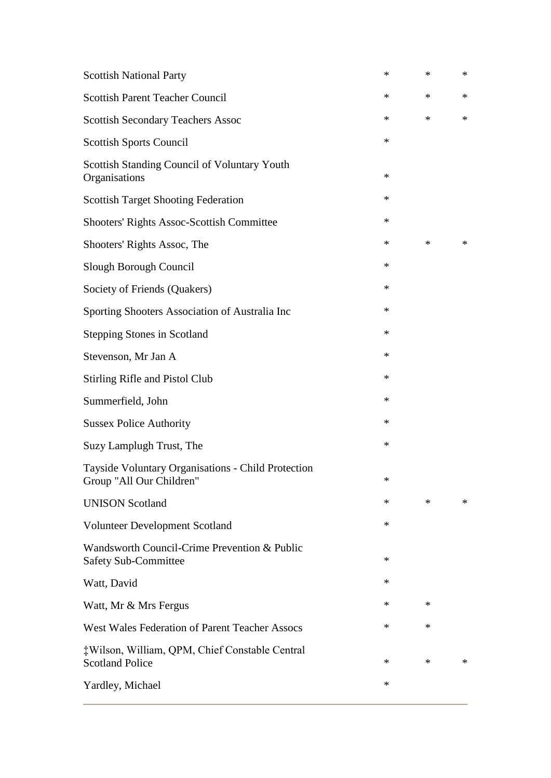| $\ast$ | $\ast$ | $\ast$ |
|--------|--------|--------|
| $\ast$ | $\ast$ | ∗      |
| $\ast$ | $\ast$ | ∗      |
| $\ast$ |        |        |
| $\ast$ |        |        |
| ∗      |        |        |
| ∗      |        |        |
| $\ast$ | $\ast$ | $\ast$ |
| ∗      |        |        |
| ∗      |        |        |
| $\ast$ |        |        |
| $\ast$ |        |        |
| ∗      |        |        |
| ∗      |        |        |
| $\ast$ |        |        |
| $\ast$ |        |        |
| $\ast$ |        |        |
| $\ast$ |        |        |
| $\ast$ | $\ast$ | *      |
| $\ast$ |        |        |
| ∗      |        |        |
| ∗      |        |        |
| $\ast$ | ∗      |        |
| $\ast$ | ∗      |        |
| $\ast$ | ∗      | $\ast$ |
| ∗      |        |        |
|        |        |        |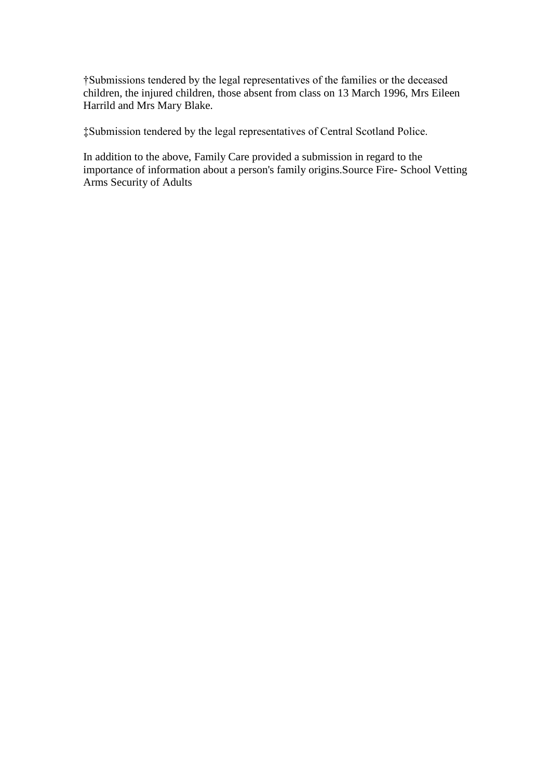†Submissions tendered by the legal representatives of the families or the deceased children, the injured children, those absent from class on 13 March 1996, Mrs Eileen Harrild and Mrs Mary Blake.

‡Submission tendered by the legal representatives of Central Scotland Police.

In addition to the above, Family Care provided a submission in regard to the importance of information about a person's family origins.Source Fire- School Vetting Arms Security of Adults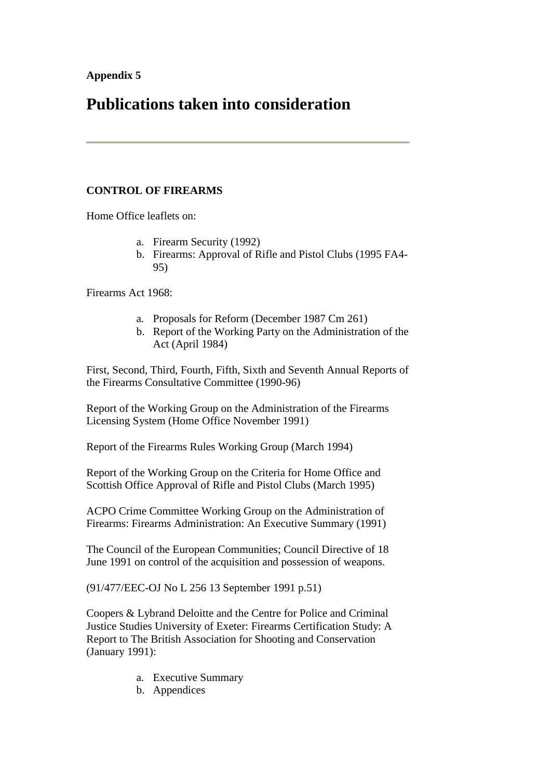# **Publications taken into consideration**

### **CONTROL OF FIREARMS**

Home Office leaflets on:

- a. Firearm Security (1992)
- b. Firearms: Approval of Rifle and Pistol Clubs (1995 FA4- 95)

Firearms Act 1968:

- a. Proposals for Reform (December 1987 Cm 261)
- b. Report of the Working Party on the Administration of the Act (April 1984)

First, Second, Third, Fourth, Fifth, Sixth and Seventh Annual Reports of the Firearms Consultative Committee (1990-96)

Report of the Working Group on the Administration of the Firearms Licensing System (Home Office November 1991)

Report of the Firearms Rules Working Group (March 1994)

Report of the Working Group on the Criteria for Home Office and Scottish Office Approval of Rifle and Pistol Clubs (March 1995)

ACPO Crime Committee Working Group on the Administration of Firearms: Firearms Administration: An Executive Summary (1991)

The Council of the European Communities; Council Directive of 18 June 1991 on control of the acquisition and possession of weapons.

(91/477/EEC-OJ No L 256 13 September 1991 p.51)

Coopers & Lybrand Deloitte and the Centre for Police and Criminal Justice Studies University of Exeter: Firearms Certification Study: A Report to The British Association for Shooting and Conservation (January 1991):

- a. Executive Summary
- b. Appendices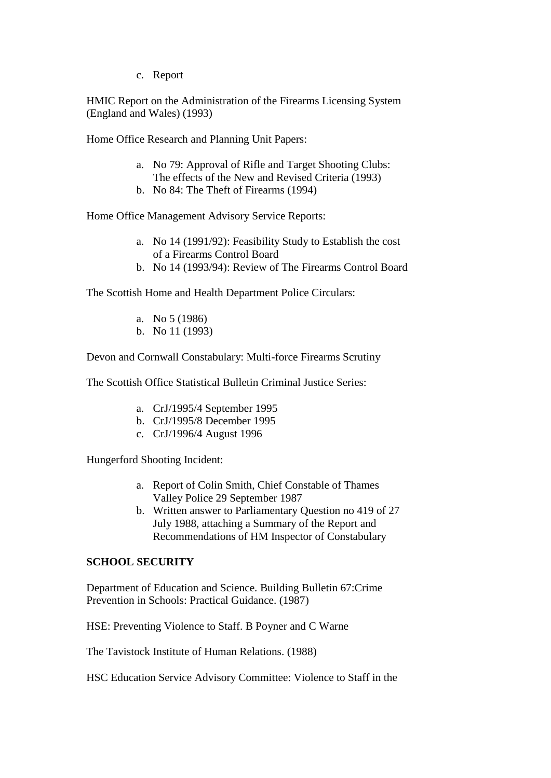c. Report

HMIC Report on the Administration of the Firearms Licensing System (England and Wales) (1993)

Home Office Research and Planning Unit Papers:

- a. No 79: Approval of Rifle and Target Shooting Clubs: The effects of the New and Revised Criteria (1993)
- b. No 84: The Theft of Firearms (1994)

Home Office Management Advisory Service Reports:

- a. No 14 (1991/92): Feasibility Study to Establish the cost of a Firearms Control Board
- b. No 14 (1993/94): Review of The Firearms Control Board

The Scottish Home and Health Department Police Circulars:

- a. No 5 (1986)
- b. No 11 (1993)

Devon and Cornwall Constabulary: Multi-force Firearms Scrutiny

The Scottish Office Statistical Bulletin Criminal Justice Series:

- a. CrJ/1995/4 September 1995
- b. CrJ/1995/8 December 1995
- c. CrJ/1996/4 August 1996

Hungerford Shooting Incident:

- a. Report of Colin Smith, Chief Constable of Thames Valley Police 29 September 1987
- b. Written answer to Parliamentary Question no 419 of 27 July 1988, attaching a Summary of the Report and Recommendations of HM Inspector of Constabulary

### **SCHOOL SECURITY**

Department of Education and Science. Building Bulletin 67:Crime Prevention in Schools: Practical Guidance. (1987)

HSE: Preventing Violence to Staff. B Poyner and C Warne

The Tavistock Institute of Human Relations. (1988)

HSC Education Service Advisory Committee: Violence to Staff in the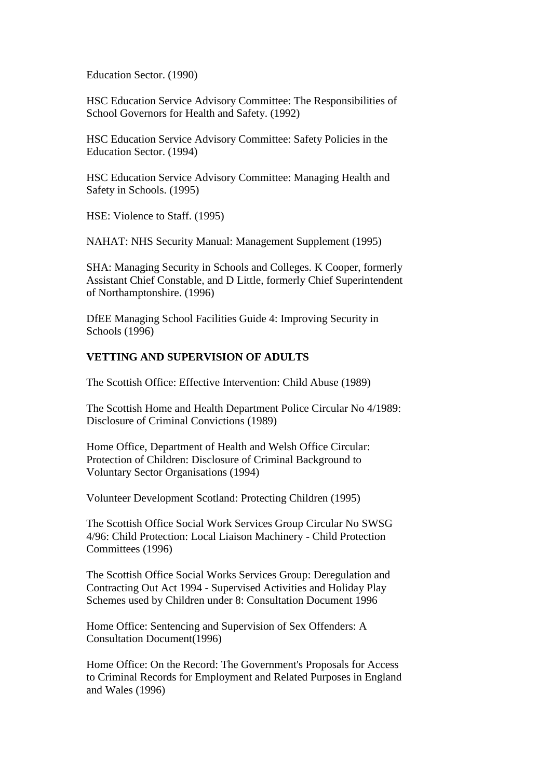Education Sector. (1990)

HSC Education Service Advisory Committee: The Responsibilities of School Governors for Health and Safety. (1992)

HSC Education Service Advisory Committee: Safety Policies in the Education Sector. (1994)

HSC Education Service Advisory Committee: Managing Health and Safety in Schools. (1995)

HSE: Violence to Staff. (1995)

NAHAT: NHS Security Manual: Management Supplement (1995)

SHA: Managing Security in Schools and Colleges. K Cooper, formerly Assistant Chief Constable, and D Little, formerly Chief Superintendent of Northamptonshire. (1996)

DfEE Managing School Facilities Guide 4: Improving Security in Schools (1996)

### **VETTING AND SUPERVISION OF ADULTS**

The Scottish Office: Effective Intervention: Child Abuse (1989)

The Scottish Home and Health Department Police Circular No 4/1989: Disclosure of Criminal Convictions (1989)

Home Office, Department of Health and Welsh Office Circular: Protection of Children: Disclosure of Criminal Background to Voluntary Sector Organisations (1994)

Volunteer Development Scotland: Protecting Children (1995)

The Scottish Office Social Work Services Group Circular No SWSG 4/96: Child Protection: Local Liaison Machinery - Child Protection Committees (1996)

The Scottish Office Social Works Services Group: Deregulation and Contracting Out Act 1994 - Supervised Activities and Holiday Play Schemes used by Children under 8: Consultation Document 1996

Home Office: Sentencing and Supervision of Sex Offenders: A Consultation Document(1996)

Home Office: On the Record: The Government's Proposals for Access to Criminal Records for Employment and Related Purposes in England and Wales (1996)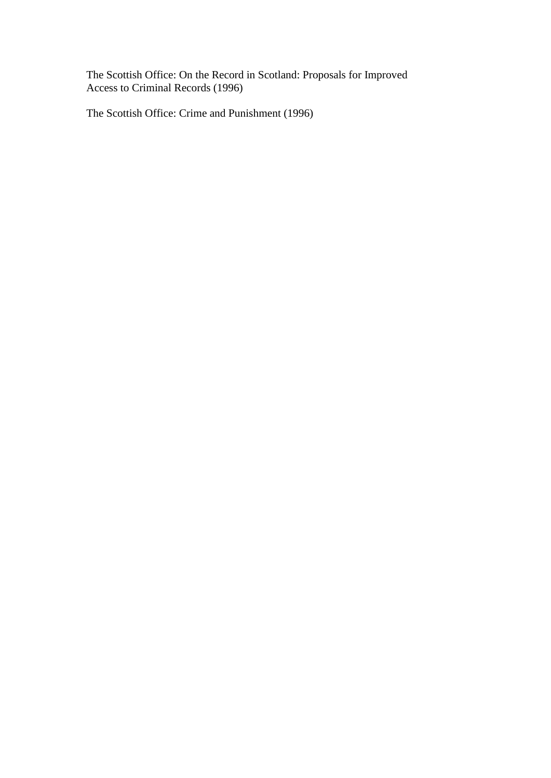The Scottish Office: On the Record in Scotland: Proposals for Improved Access to Criminal Records (1996)

The Scottish Office: Crime and Punishment (1996)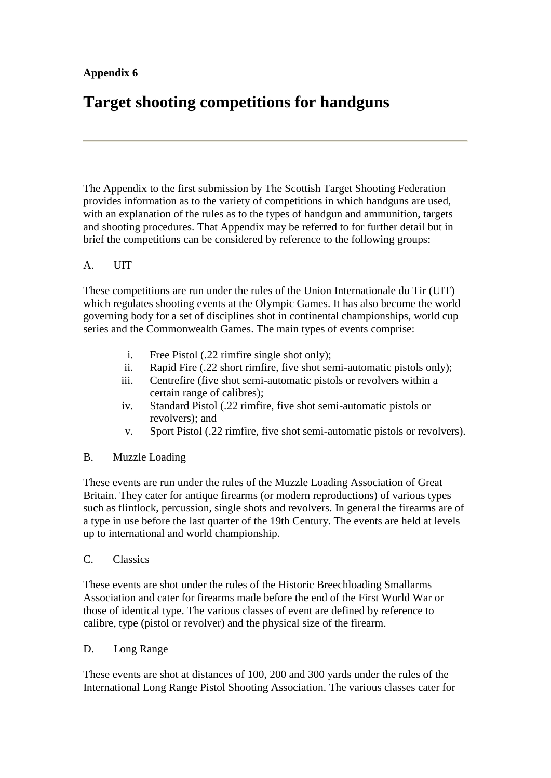# **Appendix 6**

# **Target shooting competitions for handguns**

The Appendix to the first submission by The Scottish Target Shooting Federation provides information as to the variety of competitions in which handguns are used, with an explanation of the rules as to the types of handgun and ammunition, targets and shooting procedures. That Appendix may be referred to for further detail but in brief the competitions can be considered by reference to the following groups:

### A. UIT

These competitions are run under the rules of the Union Internationale du Tir (UIT) which regulates shooting events at the Olympic Games. It has also become the world governing body for a set of disciplines shot in continental championships, world cup series and the Commonwealth Games. The main types of events comprise:

- i. Free Pistol (.22 rimfire single shot only);
- ii. Rapid Fire (.22 short rimfire, five shot semi-automatic pistols only);
- iii. Centrefire (five shot semi-automatic pistols or revolvers within a certain range of calibres);
- iv. Standard Pistol (.22 rimfire, five shot semi-automatic pistols or revolvers); and
- v. Sport Pistol (.22 rimfire, five shot semi-automatic pistols or revolvers).

### B. Muzzle Loading

These events are run under the rules of the Muzzle Loading Association of Great Britain. They cater for antique firearms (or modern reproductions) of various types such as flintlock, percussion, single shots and revolvers. In general the firearms are of a type in use before the last quarter of the 19th Century. The events are held at levels up to international and world championship.

### C. Classics

These events are shot under the rules of the Historic Breechloading Smallarms Association and cater for firearms made before the end of the First World War or those of identical type. The various classes of event are defined by reference to calibre, type (pistol or revolver) and the physical size of the firearm.

### D. Long Range

These events are shot at distances of 100, 200 and 300 yards under the rules of the International Long Range Pistol Shooting Association. The various classes cater for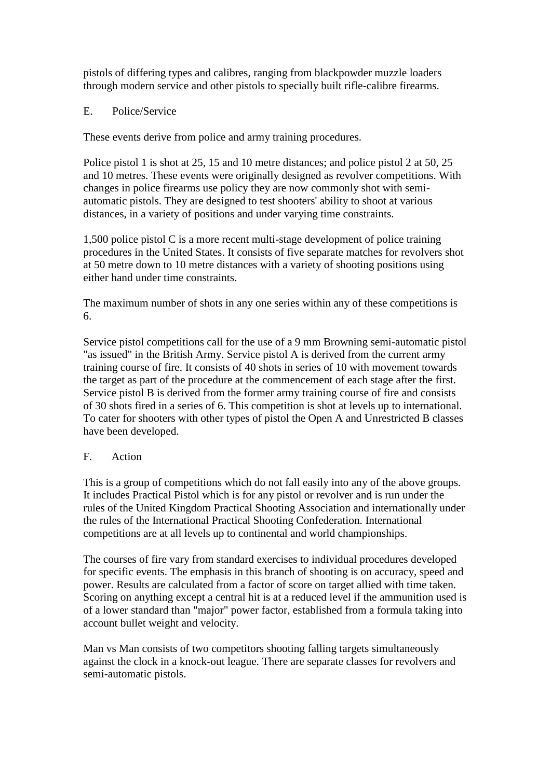pistols of differing types and calibres, ranging from blackpowder muzzle loaders through modern service and other pistols to specially built rifle-calibre firearms.

### E. Police/Service

These events derive from police and army training procedures.

Police pistol 1 is shot at 25, 15 and 10 metre distances; and police pistol 2 at 50, 25 and 10 metres. These events were originally designed as revolver competitions. With changes in police firearms use policy they are now commonly shot with semiautomatic pistols. They are designed to test shooters' ability to shoot at various distances, in a variety of positions and under varying time constraints.

1,500 police pistol C is a more recent multi-stage development of police training procedures in the United States. It consists of five separate matches for revolvers shot at 50 metre down to 10 metre distances with a variety of shooting positions using either hand under time constraints.

The maximum number of shots in any one series within any of these competitions is 6.

Service pistol competitions call for the use of a 9 mm Browning semi-automatic pistol "as issued" in the British Army. Service pistol A is derived from the current army training course of fire. It consists of 40 shots in series of 10 with movement towards the target as part of the procedure at the commencement of each stage after the first. Service pistol B is derived from the former army training course of fire and consists of 30 shots fired in a series of 6. This competition is shot at levels up to international. To cater for shooters with other types of pistol the Open A and Unrestricted B classes have been developed.

### F. Action

This is a group of competitions which do not fall easily into any of the above groups. It includes Practical Pistol which is for any pistol or revolver and is run under the rules of the United Kingdom Practical Shooting Association and internationally under the rules of the International Practical Shooting Confederation. International competitions are at all levels up to continental and world championships.

The courses of fire vary from standard exercises to individual procedures developed for specific events. The emphasis in this branch of shooting is on accuracy, speed and power. Results are calculated from a factor of score on target allied with time taken. Scoring on anything except a central hit is at a reduced level if the ammunition used is of a lower standard than "major" power factor, established from a formula taking into account bullet weight and velocity.

Man vs Man consists of two competitors shooting falling targets simultaneously against the clock in a knock-out league. There are separate classes for revolvers and semi-automatic pistols.